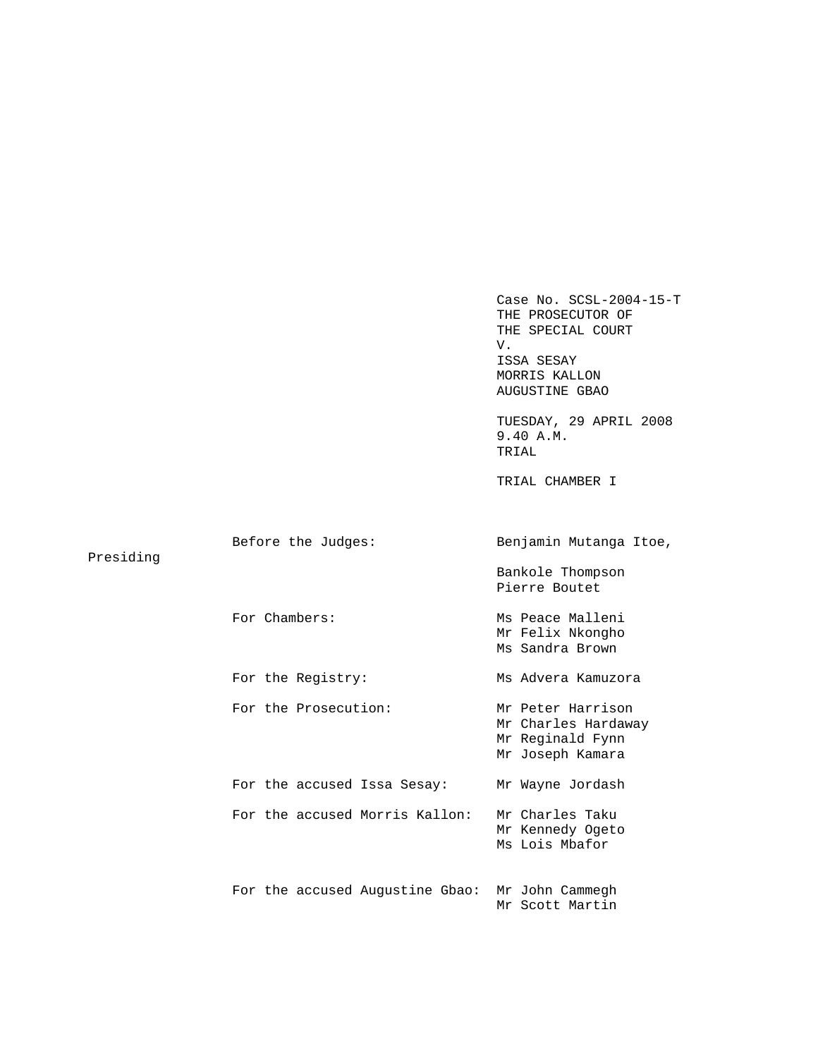Case No. SCSL-2004-15-T THE PROSECUTOR OF THE SPECIAL COURT V. ISSA SESAY MORRIS KALLON AUGUSTINE GBAO TUESDAY, 29 APRIL 2008 9.40 A.M. TRIAL TRIAL CHAMBER I Before the Judges: Benjamin Mutanga Itoe, Presiding Bankole Thompson Pierre Boutet For Chambers: Ms Peace Malleni Mr Felix Nkongho Ms Sandra Brown For the Registry: Ms Advera Kamuzora For the Prosecution: Mr Peter Harrison Mr Charles Hardaway Mr Reginald Fynn Mr Joseph Kamara For the accused Issa Sesay: Mr Wayne Jordash For the accused Morris Kallon: Mr Charles Taku Mr Kennedy Ogeto Ms Lois Mbafor For the accused Augustine Gbao: Mr John Cammegh Mr Scott Martin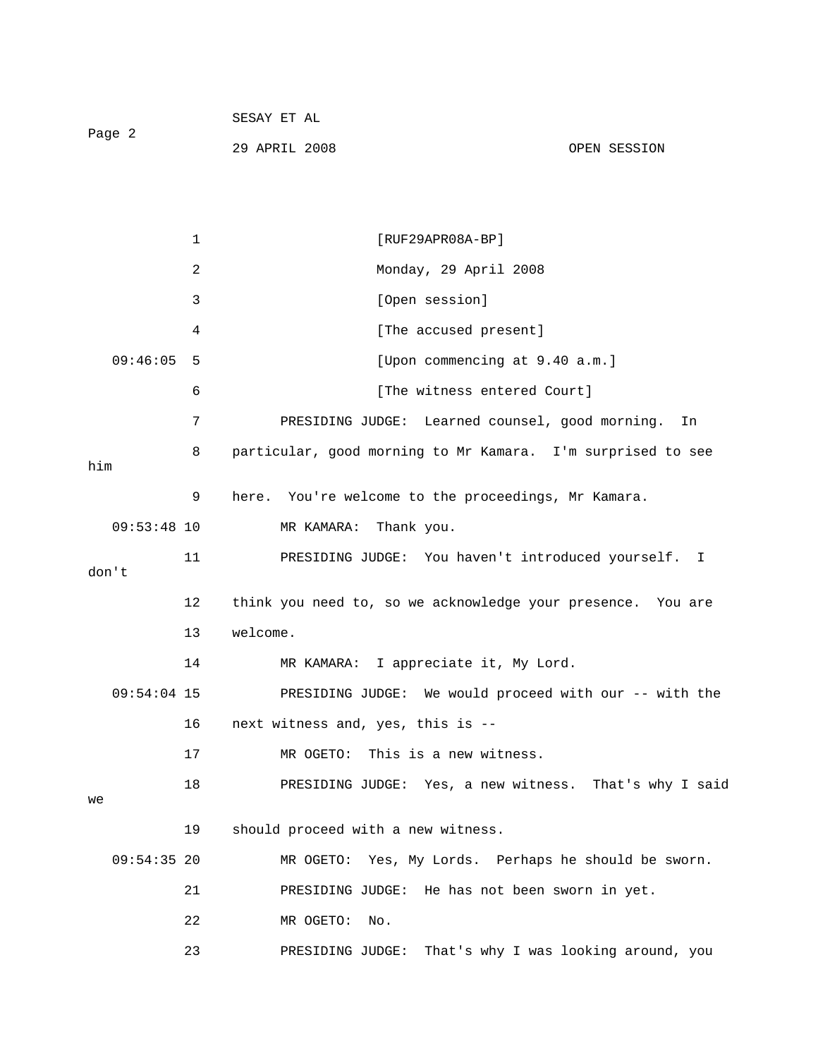|        | SESAY ET AL   |              |
|--------|---------------|--------------|
| Page 2 |               |              |
|        | 29 APRIL 2008 | OPEN SESSION |

|       |               | $\mathbf{1}$ | $[RUF29APR08A-BP]$                                          |
|-------|---------------|--------------|-------------------------------------------------------------|
|       |               | 2            | Monday, 29 April 2008                                       |
|       |               | 3            | [Open session]                                              |
|       |               | 4            | [The accused present]                                       |
|       | 09:46:05      | -5           | [Upon commencing at 9.40 a.m.]                              |
|       |               | 6            | [The witness entered Court]                                 |
|       |               | 7            | PRESIDING JUDGE: Learned counsel, good morning.<br>In       |
| him   |               | 8            | particular, good morning to Mr Kamara. I'm surprised to see |
|       |               | 9            | here. You're welcome to the proceedings, Mr Kamara.         |
|       | $09:53:48$ 10 |              | MR KAMARA:<br>Thank you.                                    |
| don't |               | 11           | PRESIDING JUDGE: You haven't introduced yourself. I         |
|       |               | 12           | think you need to, so we acknowledge your presence. You are |
|       |               | 13           | welcome.                                                    |
|       |               | 14           | MR KAMARA: I appreciate it, My Lord.                        |
|       | $09:54:04$ 15 |              | PRESIDING JUDGE: We would proceed with our -- with the      |
|       |               | 16           | next witness and, yes, this is --                           |
|       |               | 17           | MR OGETO: This is a new witness.                            |
| we    |               | 18           | PRESIDING JUDGE: Yes, a new witness. That's why I said      |
|       |               | 19           | should proceed with a new witness.                          |
|       | $09:54:35$ 20 |              | MR OGETO: Yes, My Lords. Perhaps he should be sworn.        |
|       |               | 21           | PRESIDING JUDGE: He has not been sworn in yet.              |
|       |               | 22           | MR OGETO:<br>No.                                            |
|       |               | 23           | That's why I was looking around, you<br>PRESIDING JUDGE:    |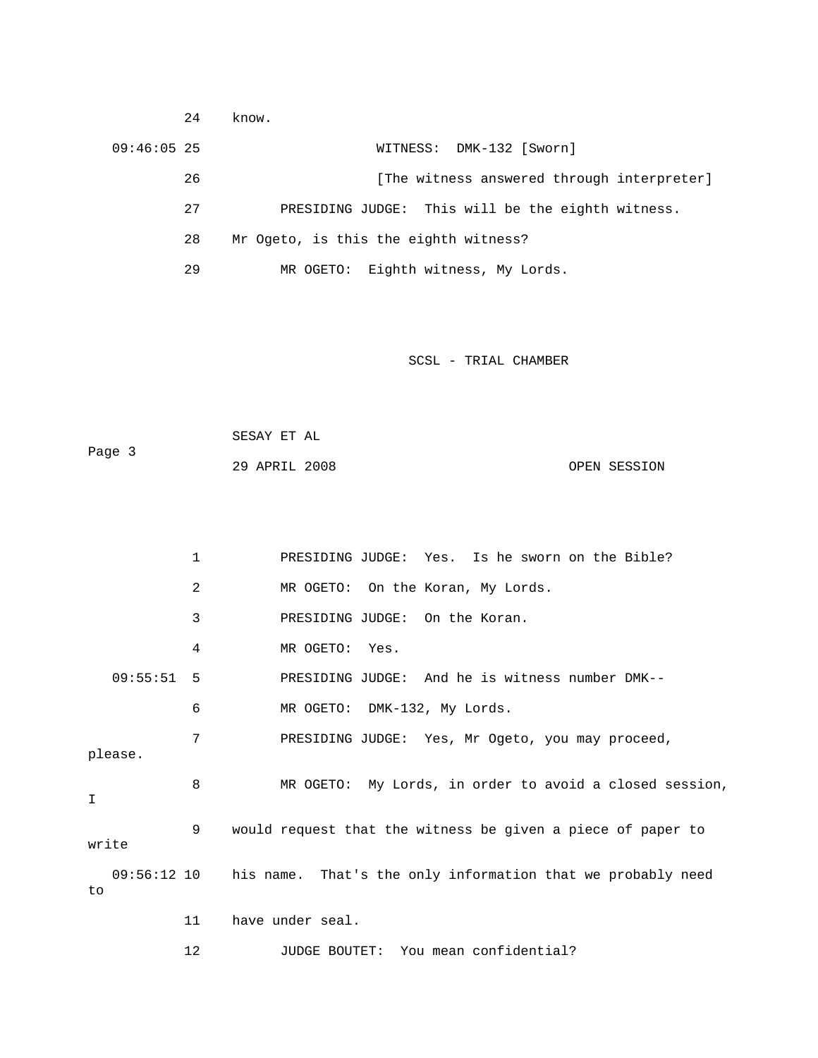| 24            | know.                                             |
|---------------|---------------------------------------------------|
| $09:46:05$ 25 | WITNESS: DMK-132 [Sworn]                          |
| 26            | [The witness answered through interpreter]        |
| 27            | PRESIDING JUDGE: This will be the eighth witness. |
| 28            | Mr Ogeto, is this the eighth witness?             |
| 29            | Eighth witness, My Lords.<br>MR OGETO:            |

| Page 3 | SESAY ET AL   |  |              |
|--------|---------------|--|--------------|
|        | 29 APRIL 2008 |  | OPEN SESSION |

|                     | 1  | PRESIDING JUDGE: Yes. Is he sworn on the Bible?             |
|---------------------|----|-------------------------------------------------------------|
|                     | 2  | MR OGETO: On the Koran, My Lords.                           |
|                     | 3  | PRESIDING JUDGE: On the Koran.                              |
|                     | 4  | MR OGETO: Yes.                                              |
| 09:55:51 5          |    | PRESIDING JUDGE: And he is witness number DMK--             |
|                     | 6  | MR OGETO: DMK-132, My Lords.                                |
| please.             | 7  | PRESIDING JUDGE: Yes, Mr Ogeto, you may proceed,            |
| I                   | 8  | MR OGETO: My Lords, in order to avoid a closed session,     |
| write               | 9  | would request that the witness be given a piece of paper to |
| $09:56:12$ 10<br>to |    | his name. That's the only information that we probably need |
|                     | 11 | have under seal.                                            |

12 JUDGE BOUTET: You mean confidential?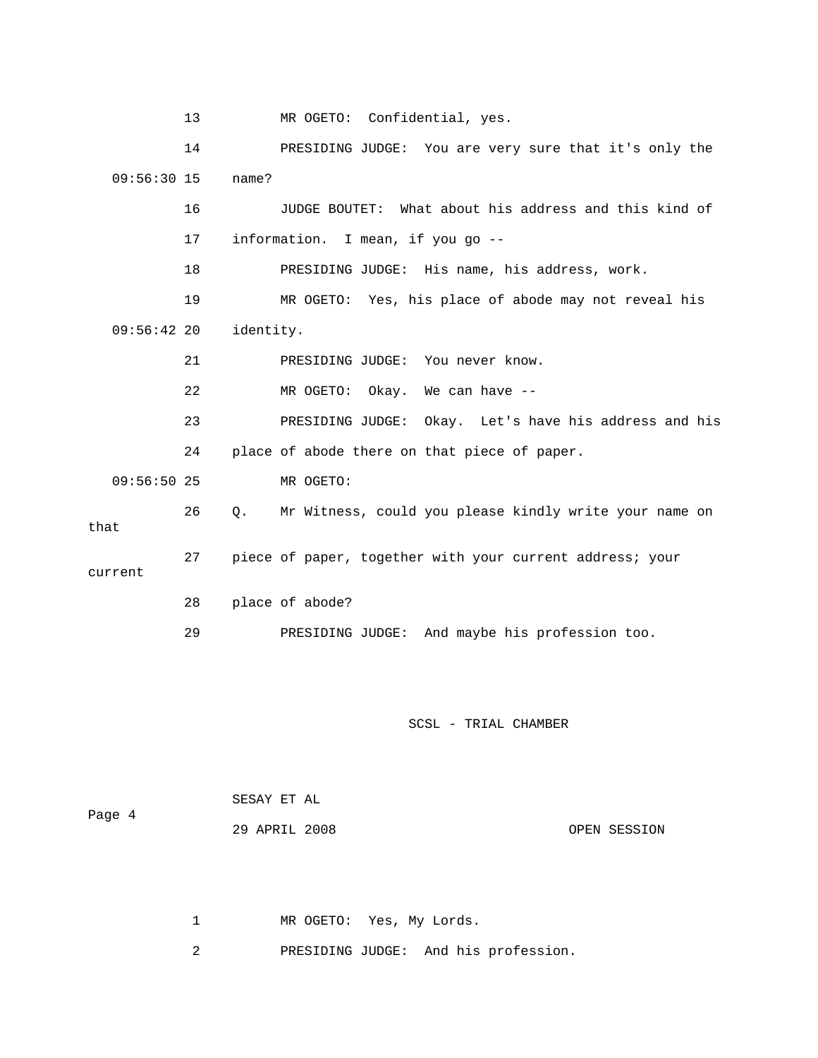13 MR OGETO: Confidential, yes. 14 PRESIDING JUDGE: You are very sure that it's only the 09:56:30 15 name? 16 JUDGE BOUTET: What about his address and this kind of 17 information. I mean, if you go -- 18 PRESIDING JUDGE: His name, his address, work. 19 MR OGETO: Yes, his place of abode may not reveal his 09:56:42 20 identity. 21 PRESIDING JUDGE: You never know. 22 MR OGETO: Okay. We can have -- 23 PRESIDING JUDGE: Okay. Let's have his address and his 24 place of abode there on that piece of paper. 09:56:50 25 MR OGETO: 26 Q. Mr Witness, could you please kindly write your name on that 27 piece of paper, together with your current address; your current 28 place of abode? 29 PRESIDING JUDGE: And maybe his profession too.

SCSL - TRIAL CHAMBER

|        | SESAY ET AL   |              |
|--------|---------------|--------------|
| Page 4 | 29 APRIL 2008 | OPEN SESSION |

1 MR OGETO: Yes, My Lords.

2 PRESIDING JUDGE: And his profession.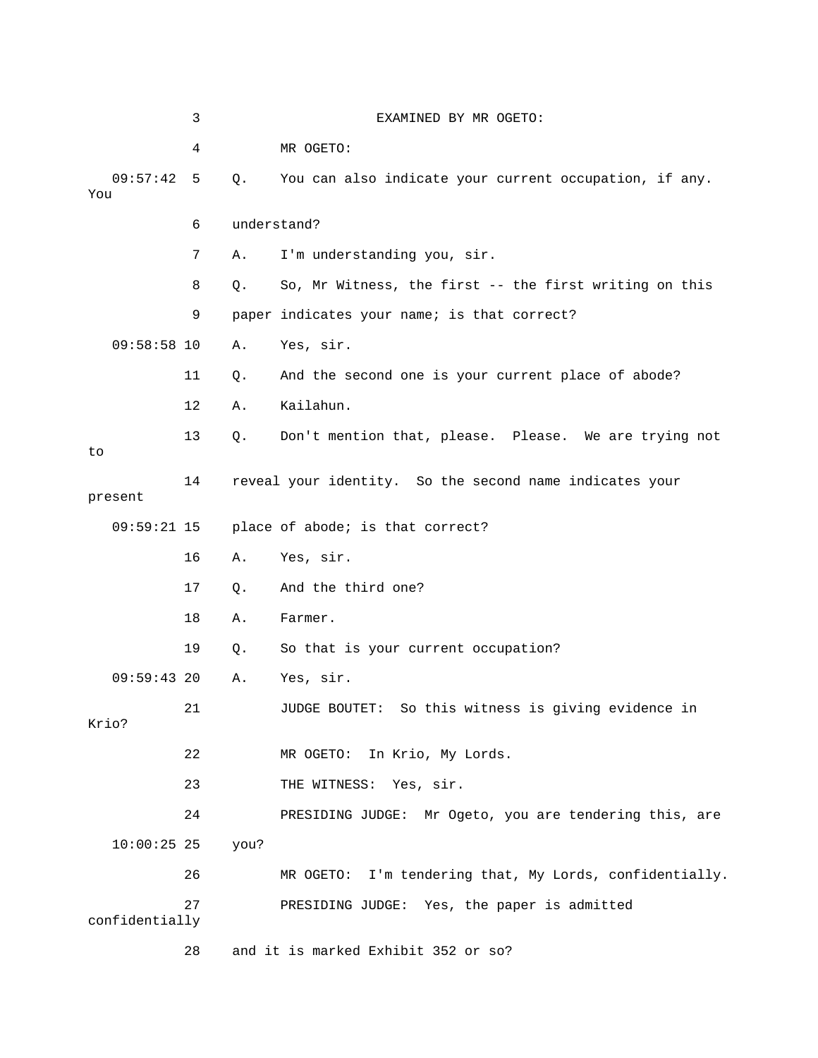|                 | 3  |      | EXAMINED BY MR OGETO:                                   |
|-----------------|----|------|---------------------------------------------------------|
|                 | 4  |      | MR OGETO:                                               |
| 09:57:42<br>You | 5  | Q.   | You can also indicate your current occupation, if any.  |
|                 | 6  |      | understand?                                             |
|                 | 7  | Α.   | I'm understanding you, sir.                             |
|                 | 8  | Q.   | So, Mr Witness, the first -- the first writing on this  |
|                 | 9  |      | paper indicates your name; is that correct?             |
| $09:58:58$ 10   |    | Α.   | Yes, sir.                                               |
|                 | 11 | Q.   | And the second one is your current place of abode?      |
|                 | 12 | Α.   | Kailahun.                                               |
| to              | 13 | Q.   | Don't mention that, please. Please. We are trying not   |
| present         | 14 |      | reveal your identity. So the second name indicates your |
| $09:59:21$ 15   |    |      | place of abode; is that correct?                        |
|                 | 16 | Α.   | Yes, sir.                                               |
|                 | 17 | Q.   | And the third one?                                      |
|                 | 18 | Α.   | Farmer.                                                 |
|                 | 19 | Q.   | So that is your current occupation?                     |
| 09:59:4320      |    | Α.   | Yes, sir.                                               |
| Krio?           | 21 |      | JUDGE BOUTET: So this witness is giving evidence in     |
|                 | 22 |      | MR OGETO: In Krio, My Lords.                            |
|                 | 23 |      | THE WITNESS: Yes, sir.                                  |
|                 | 24 |      | PRESIDING JUDGE: Mr Ogeto, you are tendering this, are  |
| $10:00:25$ 25   |    | you? |                                                         |
|                 | 26 |      | MR OGETO: I'm tendering that, My Lords, confidentially. |
| confidentially  | 27 |      | PRESIDING JUDGE: Yes, the paper is admitted             |
|                 | 28 |      | and it is marked Exhibit 352 or so?                     |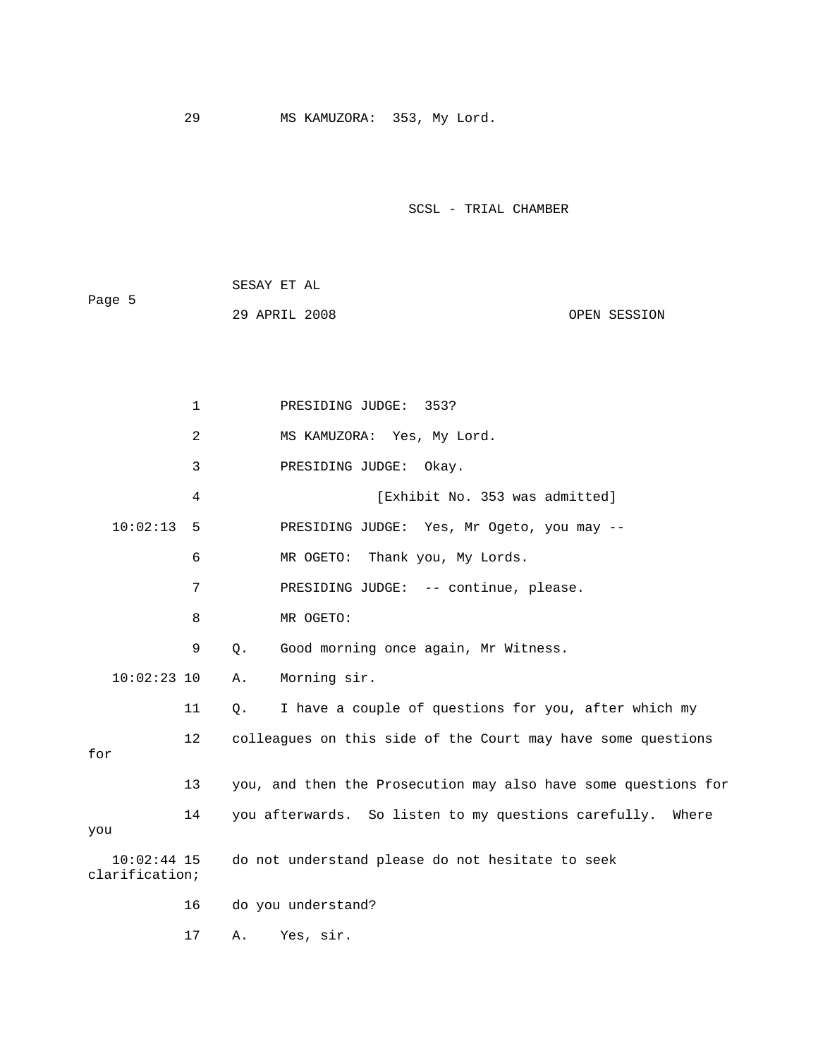|        | SESAY ET AL   |              |
|--------|---------------|--------------|
| Page 5 |               |              |
|        | 29 APRIL 2008 | OPEN SESSION |

| $\mathbf{1}$                    | PRESIDING JUDGE:<br>353?                                       |
|---------------------------------|----------------------------------------------------------------|
| 2                               | MS KAMUZORA: Yes, My Lord.                                     |
| 3                               | PRESIDING JUDGE: Okay.                                         |
| 4                               | [Exhibit No. 353 was admitted]                                 |
| 10:02:13<br>5                   | PRESIDING JUDGE: Yes, Mr Ogeto, you may --                     |
| 6                               | MR OGETO: Thank you, My Lords.                                 |
| 7                               | PRESIDING JUDGE: -- continue, please.                          |
| 8                               | MR OGETO:                                                      |
| 9                               | Good morning once again, Mr Witness.<br>$Q$ .                  |
| $10:02:23$ 10                   | Morning sir.<br>Α.                                             |
| 11                              | I have a couple of questions for you, after which my<br>$Q$ .  |
| 12<br>for                       | colleagues on this side of the Court may have some questions   |
|                                 |                                                                |
| 13                              | you, and then the Prosecution may also have some questions for |
| 14<br>you                       | you afterwards. So listen to my questions carefully.<br>Where  |
| $10:02:44$ 15<br>clarification; | do not understand please do not hesitate to seek               |
| 16                              | do you understand?                                             |
| 17                              | Yes, sir.<br>Α.                                                |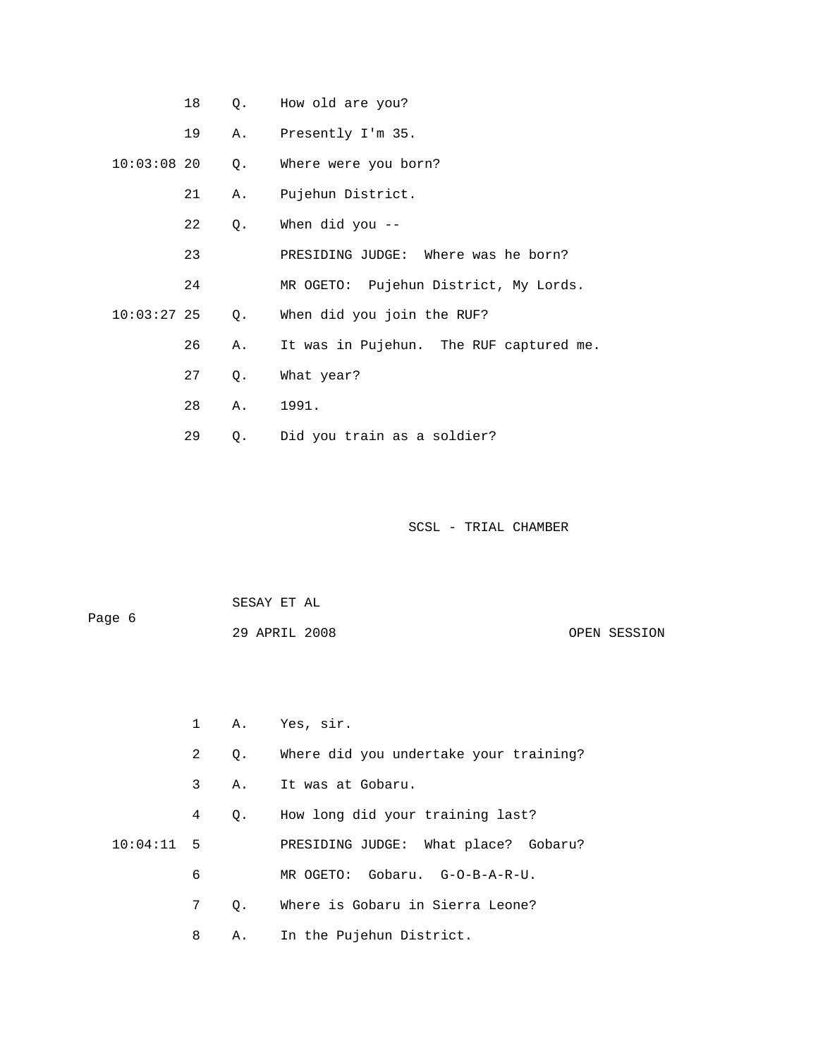|               | 18 | Q. | How old are you?                        |
|---------------|----|----|-----------------------------------------|
|               | 19 | Α. | Presently I'm 35.                       |
| $10:03:08$ 20 |    | Q. | Where were you born?                    |
|               | 21 | Α. | Pujehun District.                       |
|               | 22 | Q. | When did you --                         |
|               | 23 |    | PRESIDING JUDGE: Where was he born?     |
|               | 24 |    | MR OGETO: Pujehun District, My Lords.   |
| $10:03:27$ 25 |    | Q. | When did you join the RUF?              |
|               | 26 | Α. | It was in Pujehun. The RUF captured me. |
|               | 27 | Q. | What year?                              |
|               | 28 | Α. | 1991.                                   |
|               | 29 | Q. | Did you train as a soldier?             |

| Paqe 6 | SESAY ET AL   |  |              |
|--------|---------------|--|--------------|
|        | 29 APRIL 2008 |  | OPEN SESSION |

 1 A. Yes, sir. 2 Q. Where did you undertake your training? 3 A. It was at Gobaru. 4 Q. How long did your training last? 10:04:11 5 PRESIDING JUDGE: What place? Gobaru? 6 MR OGETO: Gobaru. G-O-B-A-R-U. 7 Q. Where is Gobaru in Sierra Leone? 8 A. In the Pujehun District.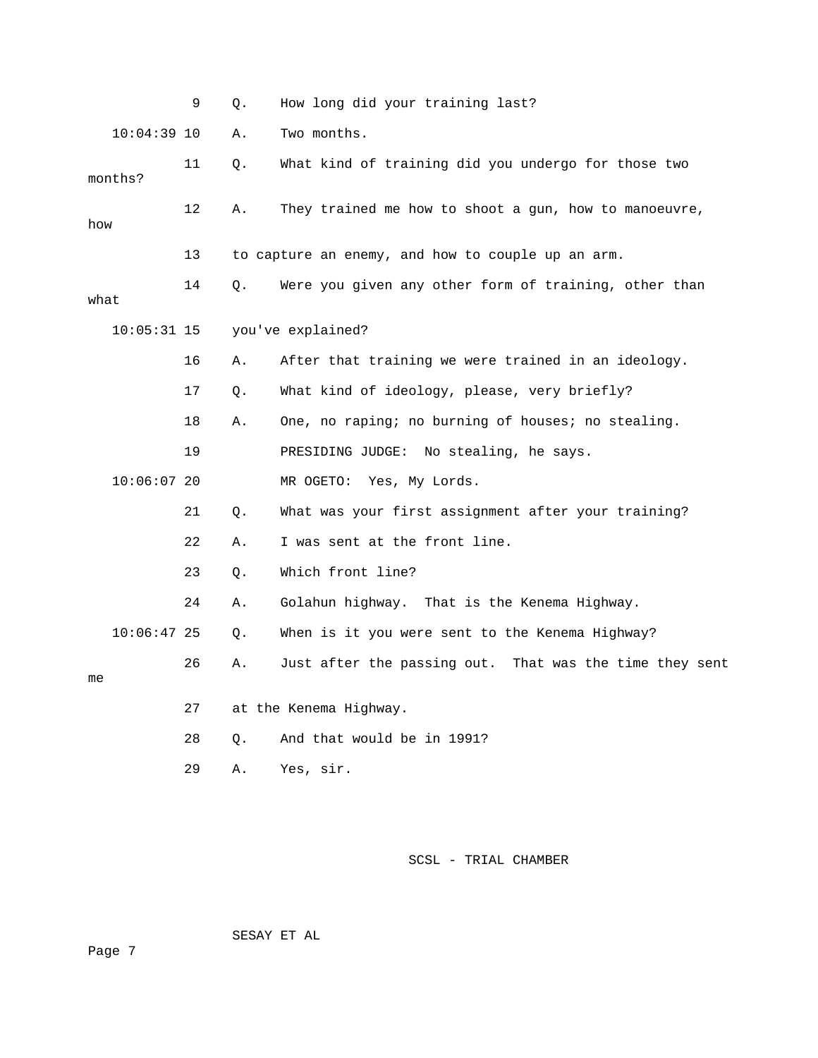|               | 9  | Q. | How long did your training last?                        |
|---------------|----|----|---------------------------------------------------------|
| $10:04:39$ 10 |    | Α. | Two months.                                             |
| months?       | 11 | Q. | What kind of training did you undergo for those two     |
| how           | 12 | Α. | They trained me how to shoot a gun, how to manoeuvre,   |
|               | 13 |    | to capture an enemy, and how to couple up an arm.       |
| what          | 14 | Q. | Were you given any other form of training, other than   |
| $10:05:31$ 15 |    |    | you've explained?                                       |
|               | 16 | Α. | After that training we were trained in an ideology.     |
|               | 17 | Q. | What kind of ideology, please, very briefly?            |
|               | 18 | Α. | One, no raping; no burning of houses; no stealing.      |
|               | 19 |    | PRESIDING JUDGE: No stealing, he says.                  |
| $10:06:07$ 20 |    |    | MR OGETO:<br>Yes, My Lords.                             |
|               | 21 | Q. | What was your first assignment after your training?     |
|               | 22 | Α. | I was sent at the front line.                           |
|               | 23 | Q. | Which front line?                                       |
|               | 24 | Α. | Golahun highway. That is the Kenema Highway.            |
| $10:06:47$ 25 |    | О. | When is it you were sent to the Kenema Highway?         |
| me            | 26 | Α. | Just after the passing out. That was the time they sent |
|               | 27 |    | at the Kenema Highway.                                  |
|               | 28 | Q. | And that would be in 1991?                              |
|               | 29 | Α. | Yes, sir.                                               |

SESAY ET AL

Page 7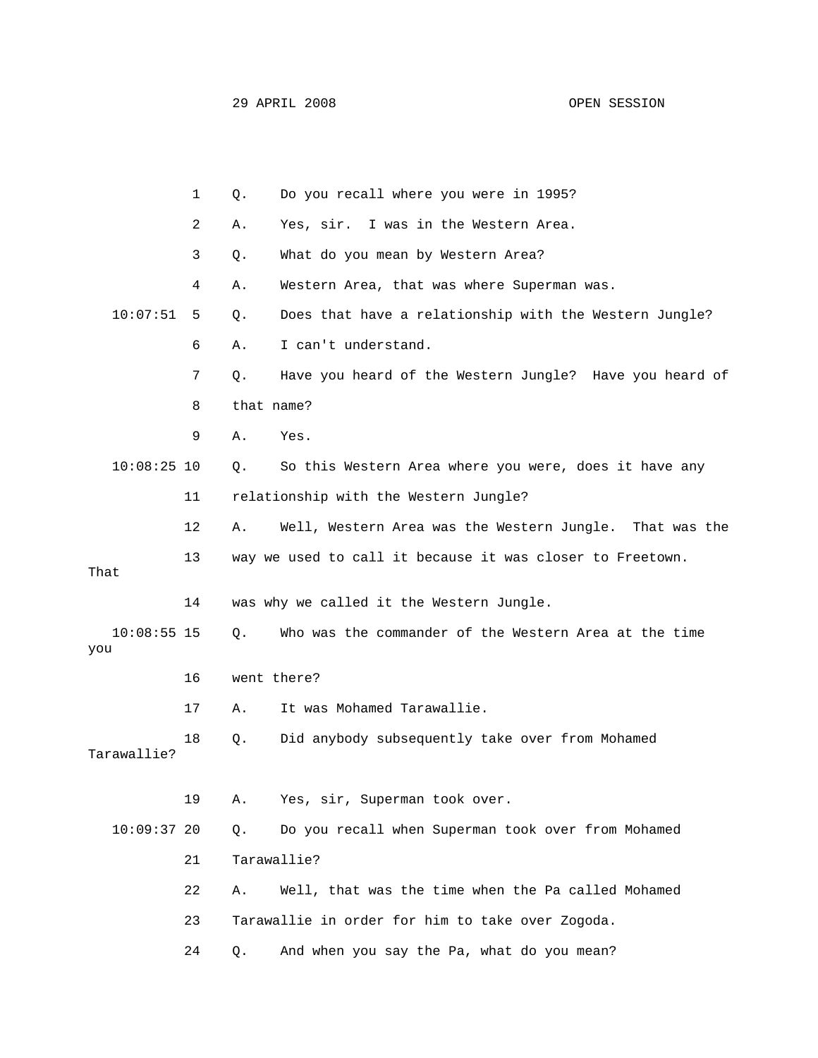|                      | 1  | $Q$ .      | Do you recall where you were in 1995?                     |
|----------------------|----|------------|-----------------------------------------------------------|
|                      | 2  | Α.         | Yes, sir. I was in the Western Area.                      |
|                      | 3  | Q.         | What do you mean by Western Area?                         |
|                      | 4  | Α.         | Western Area, that was where Superman was.                |
| 10:07:51             | 5  | Q.         | Does that have a relationship with the Western Jungle?    |
|                      | 6  | Α.         | I can't understand.                                       |
|                      | 7  | Q.         | Have you heard of the Western Jungle? Have you heard of   |
|                      | 8  | that name? |                                                           |
|                      | 9  | Α.         | Yes.                                                      |
| $10:08:25$ 10        |    | Q.         | So this Western Area where you were, does it have any     |
|                      | 11 |            | relationship with the Western Jungle?                     |
|                      | 12 | Α.         | Well, Western Area was the Western Jungle. That was the   |
| That                 | 13 |            | way we used to call it because it was closer to Freetown. |
|                      | 14 |            | was why we called it the Western Jungle.                  |
| $10:08:55$ 15<br>you |    | $Q$ .      | Who was the commander of the Western Area at the time     |
|                      | 16 |            | went there?                                               |
|                      | 17 | Α.         | It was Mohamed Tarawallie.                                |
| Tarawallie?          | 18 | Q.         | Did anybody subsequently take over from Mohamed           |
|                      | 19 | Α.         | Yes, sir, Superman took over.                             |
| 10:09:3720           |    | Q.         | Do you recall when Superman took over from Mohamed        |
|                      | 21 |            | Tarawallie?                                               |
|                      | 22 | Α.         | Well, that was the time when the Pa called Mohamed        |
|                      | 23 |            | Tarawallie in order for him to take over Zogoda.          |
|                      | 24 | Q.         | And when you say the Pa, what do you mean?                |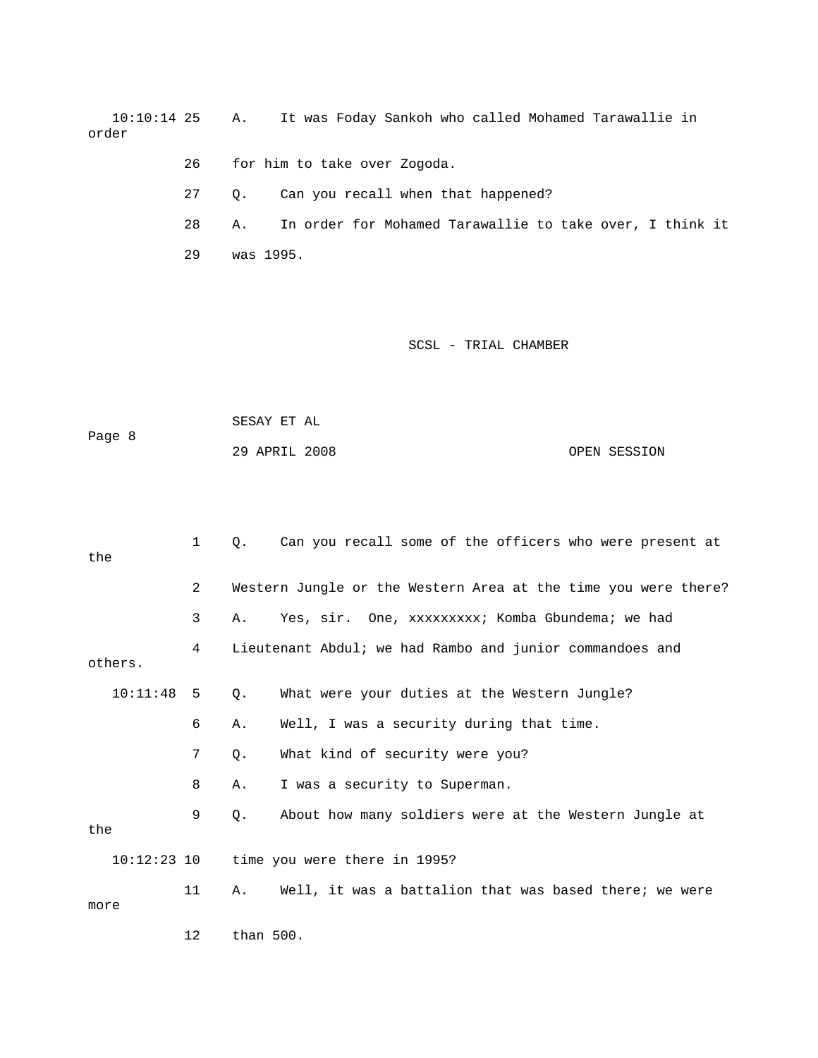10:10:14 25 A. It was Foday Sankoh who called Mohamed Tarawallie in order

- 26 for him to take over Zogoda.
- 27 Q. Can you recall when that happened?

 28 A. In order for Mohamed Tarawallie to take over, I think it 29 was 1995.

|        | SESAY ET AL   |              |
|--------|---------------|--------------|
| Page 8 |               |              |
|        | 29 APRIL 2008 | OPEN SESSION |

| the  |          | $\mathbf{1}$ | $\circ$ . | Can you recall some of the officers who were present at        |
|------|----------|--------------|-----------|----------------------------------------------------------------|
|      |          | 2            |           | Western Jungle or the Western Area at the time you were there? |
|      |          | 3            | Α.        | Yes, sir. One, xxxxxxxxx; Komba Gbundema; we had               |
|      | others.  | 4            |           | Lieutenant Abdul; we had Rambo and junior commandoes and       |
|      | 10:11:48 | -5           | Q.        | What were your duties at the Western Jungle?                   |
|      |          | 6            | Α.        | Well, I was a security during that time.                       |
|      |          | 7            | О.        | What kind of security were you?                                |
|      |          | 8            | Α.        | I was a security to Superman.                                  |
| the  |          | 9            | О.        | About how many soldiers were at the Western Jungle at          |
|      |          |              |           | $10:12:23$ 10 time you were there in 1995?                     |
| more |          | 11           | Α.        | Well, it was a battalion that was based there; we were         |
|      |          | 12           | than 500. |                                                                |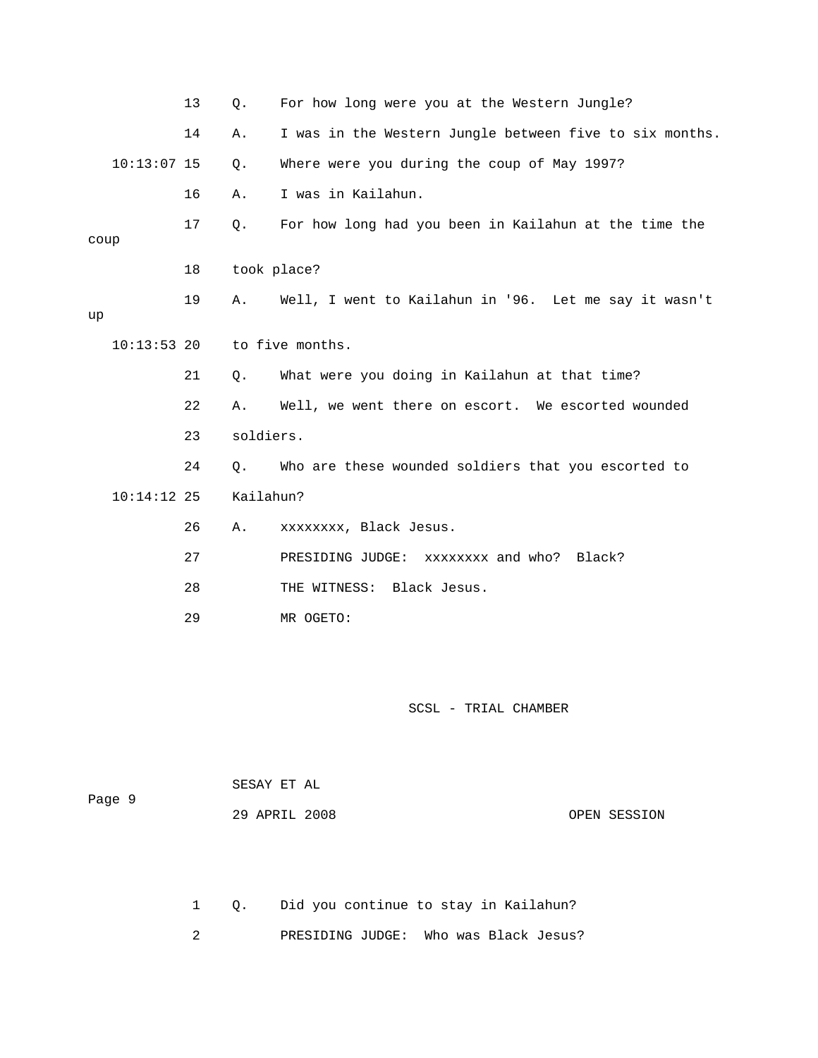|      |               | 13 | Q.          | For how long were you at the Western Jungle?            |
|------|---------------|----|-------------|---------------------------------------------------------|
|      |               | 14 | Α.          | I was in the Western Jungle between five to six months. |
|      | $10:13:07$ 15 |    | Q.          | Where were you during the coup of May 1997?             |
|      |               | 16 | Α.          | I was in Kailahun.                                      |
|      |               | 17 | Q.          | For how long had you been in Kailahun at the time the   |
| coup |               |    |             |                                                         |
|      |               | 18 | took place? |                                                         |
|      |               | 19 | Α.          | Well, I went to Kailahun in '96. Let me say it wasn't   |
| up   |               |    |             |                                                         |
|      | $10:13:53$ 20 |    |             | to five months.                                         |
|      |               | 21 | Q.          | What were you doing in Kailahun at that time?           |
|      |               | 22 | Α.          | Well, we went there on escort. We escorted wounded      |
|      |               | 23 | soldiers.   |                                                         |
|      |               | 24 | 0.          | Who are these wounded soldiers that you escorted to     |
|      | $10:14:12$ 25 |    | Kailahun?   |                                                         |
|      |               | 26 | Α.          | xxxxxxxx, Black Jesus.                                  |
|      |               | 27 |             | PRESIDING JUDGE:<br>xxxxxxxx and who? Black?            |
|      |               | 28 |             | THE WITNESS:<br>Black Jesus.                            |
|      |               | 29 |             | MR OGETO:                                               |

 SESAY ET AL Page 9

29 APRIL 2008 OPEN SESSION

1 Q. Did you continue to stay in Kailahun?

2 PRESIDING JUDGE: Who was Black Jesus?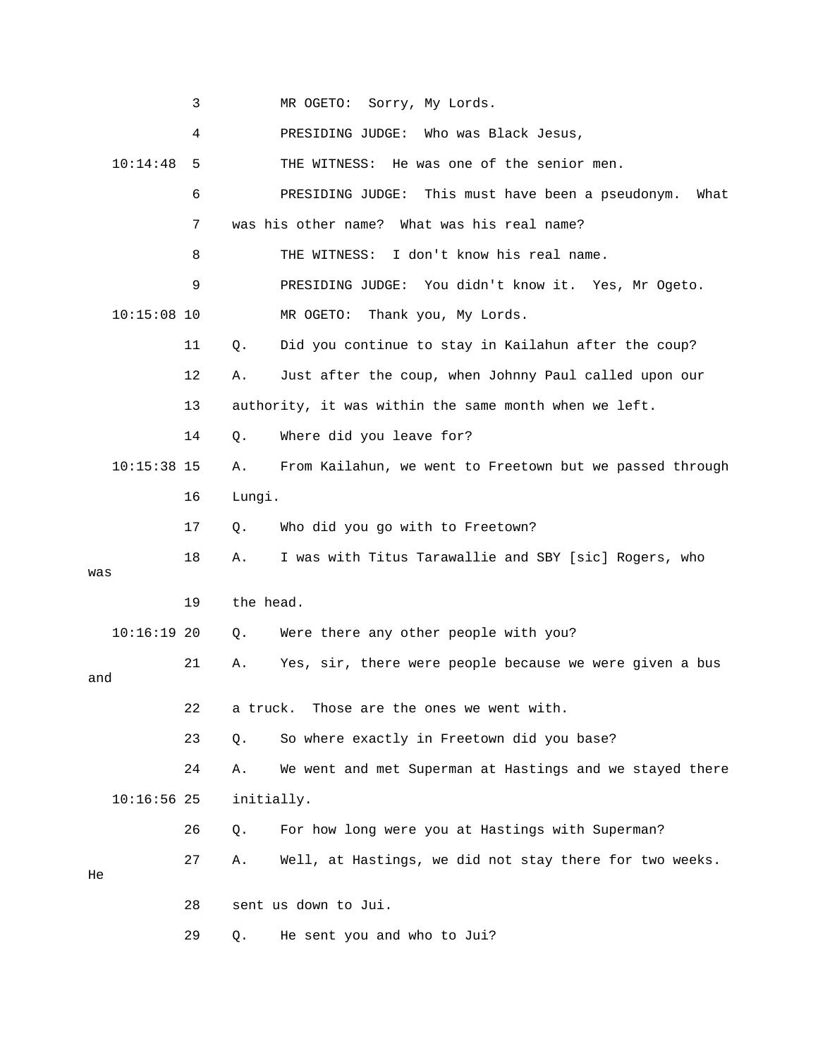|     |               | 3  |            | MR OGETO: Sorry, My Lords.                                |
|-----|---------------|----|------------|-----------------------------------------------------------|
|     |               | 4  |            | PRESIDING JUDGE: Who was Black Jesus,                     |
|     | 10:14:48      | 5  |            | He was one of the senior men.<br>THE WITNESS:             |
|     |               | 6  |            | PRESIDING JUDGE: This must have been a pseudonym.<br>What |
|     |               | 7  |            | was his other name? What was his real name?               |
|     |               | 8  |            | I don't know his real name.<br>THE WITNESS:               |
|     |               | 9  |            | PRESIDING JUDGE: You didn't know it. Yes, Mr Ogeto.       |
|     | $10:15:08$ 10 |    |            | MR OGETO:<br>Thank you, My Lords.                         |
|     |               | 11 | Q.         | Did you continue to stay in Kailahun after the coup?      |
|     |               | 12 | Α.         | Just after the coup, when Johnny Paul called upon our     |
|     |               | 13 |            | authority, it was within the same month when we left.     |
|     |               | 14 | Q.         | Where did you leave for?                                  |
|     | $10:15:38$ 15 |    | Α.         | From Kailahun, we went to Freetown but we passed through  |
|     |               | 16 | Lungi.     |                                                           |
|     |               | 17 | Q.         | Who did you go with to Freetown?                          |
| was |               | 18 | Α.         | I was with Titus Tarawallie and SBY [sic] Rogers, who     |
|     |               | 19 | the head.  |                                                           |
|     |               |    |            |                                                           |
|     | $10:16:19$ 20 |    | Q.         | Were there any other people with you?                     |
| and |               | 21 | Α.         | Yes, sir, there were people because we were given a bus   |
|     |               | 22 | a truck.   | Those are the ones we went with.                          |
|     |               | 23 | Q.         | So where exactly in Freetown did you base?                |
|     |               | 24 | Α.         | We went and met Superman at Hastings and we stayed there  |
|     | $10:16:56$ 25 |    | initially. |                                                           |
|     |               | 26 | Q.         | For how long were you at Hastings with Superman?          |
|     |               | 27 | Α.         | Well, at Hastings, we did not stay there for two weeks.   |
| He  |               |    |            |                                                           |
|     |               | 28 |            | sent us down to Jui.                                      |
|     |               | 29 | Q.         | He sent you and who to Jui?                               |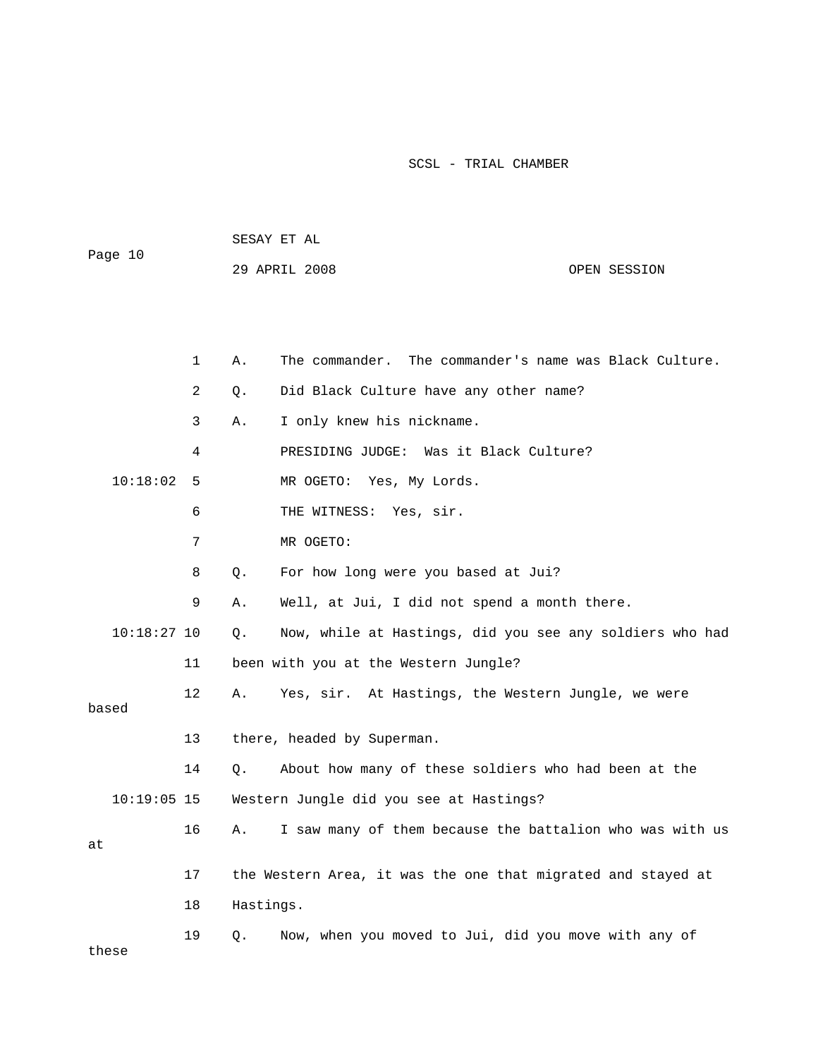| Page 10 |               |              |
|---------|---------------|--------------|
|         | 29 APRIL 2008 | OPEN SESSION |

|               | $\mathbf 1$    | Α.        | The commander's name was Black Culture.<br>The commander.    |
|---------------|----------------|-----------|--------------------------------------------------------------|
|               | $\overline{a}$ | Q.        | Did Black Culture have any other name?                       |
|               | 3              | Α.        | I only knew his nickname.                                    |
|               | 4              |           | PRESIDING JUDGE: Was it Black Culture?                       |
| 10:18:02      | 5              |           | MR OGETO: Yes, My Lords.                                     |
|               | 6              |           | THE WITNESS: Yes, sir.                                       |
|               | 7              |           | MR OGETO:                                                    |
|               | 8              | Q.        | For how long were you based at Jui?                          |
|               | 9              | Α.        | Well, at Jui, I did not spend a month there.                 |
| $10:18:27$ 10 |                | Q.        | Now, while at Hastings, did you see any soldiers who had     |
|               | 11             |           | been with you at the Western Jungle?                         |
| based         | 12             | Α.        | Yes, sir. At Hastings, the Western Jungle, we were           |
|               |                |           |                                                              |
|               | 13             |           | there, headed by Superman.                                   |
|               | 14             | Q.        | About how many of these soldiers who had been at the         |
| $10:19:05$ 15 |                |           | Western Jungle did you see at Hastings?                      |
| at            | 16             | Α.        | I saw many of them because the battalion who was with us     |
|               |                |           |                                                              |
|               | 17             |           | the Western Area, it was the one that migrated and stayed at |
|               | 18             | Hastings. |                                                              |
| these         | 19             | Q.        | Now, when you moved to Jui, did you move with any of         |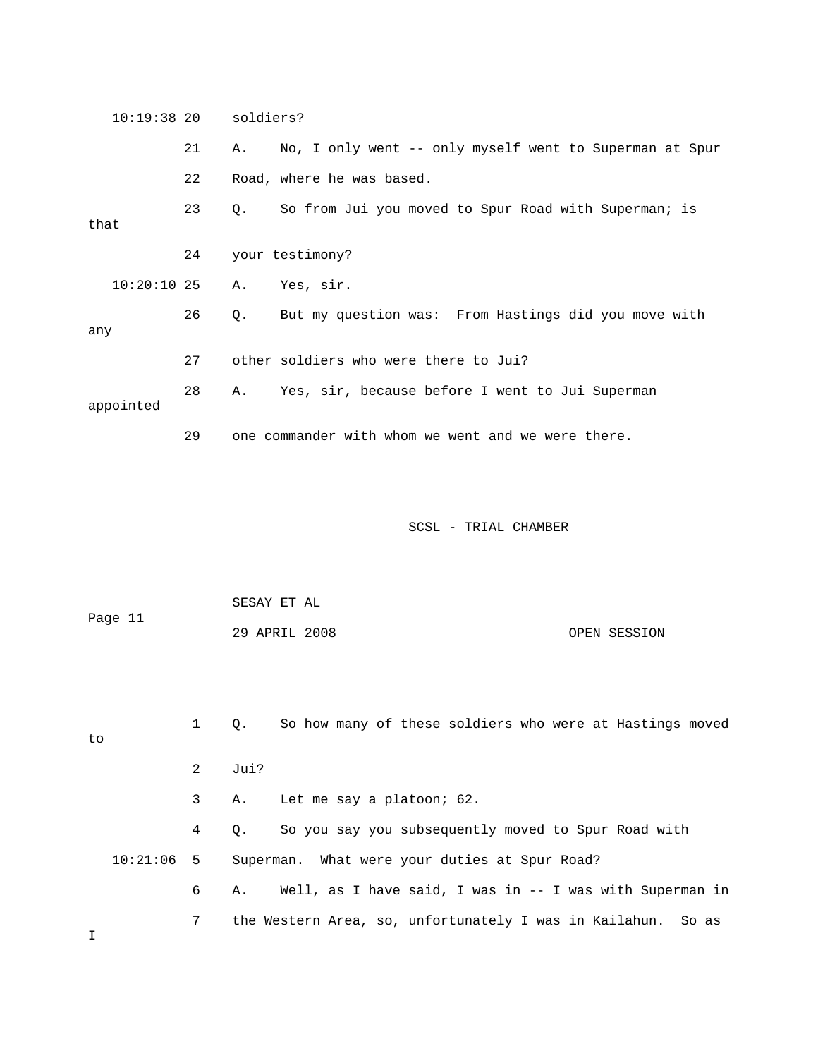| $10:19:38$ 20 soldiers? |    |                                                            |  |
|-------------------------|----|------------------------------------------------------------|--|
|                         | 21 | A. No, I only went -- only myself went to Superman at Spur |  |
|                         | 22 | Road, where he was based.                                  |  |
| that                    | 23 | Q. So from Jui you moved to Spur Road with Superman; is    |  |
|                         | 24 | your testimony?                                            |  |
| $10:20:10$ 25           |    | A. Yes, sir.                                               |  |
| any                     | 26 | Q. But my question was: From Hastings did you move with    |  |
|                         | 27 | other soldiers who were there to Jui?                      |  |
| appointed               | 28 | A. Yes, sir, because before I went to Jui Superman         |  |
|                         | 29 | one commander with whom we went and we were there.         |  |

| Page 11 | SESAY ET AL   |              |  |  |
|---------|---------------|--------------|--|--|
|         | 29 APRIL 2008 | OPEN SESSION |  |  |

| to           |                | So how many of these soldiers who were at Hastings moved<br>$\circ$ . |
|--------------|----------------|-----------------------------------------------------------------------|
|              | $\overline{2}$ | Jui?                                                                  |
|              | $\mathbf{3}$   | Let me say a platoon; 62.<br>А.                                       |
|              | $4\phantom{0}$ | So you say you subsequently moved to Spur Road with<br>О.             |
| $10:21:06$ 5 |                | Superman. What were your duties at Spur Road?                         |
|              | 6              | Well, as I have said, I was in -- I was with Superman in<br>А.        |
|              | 7              | the Western Area, so, unfortunately I was in Kailahun. So as          |

I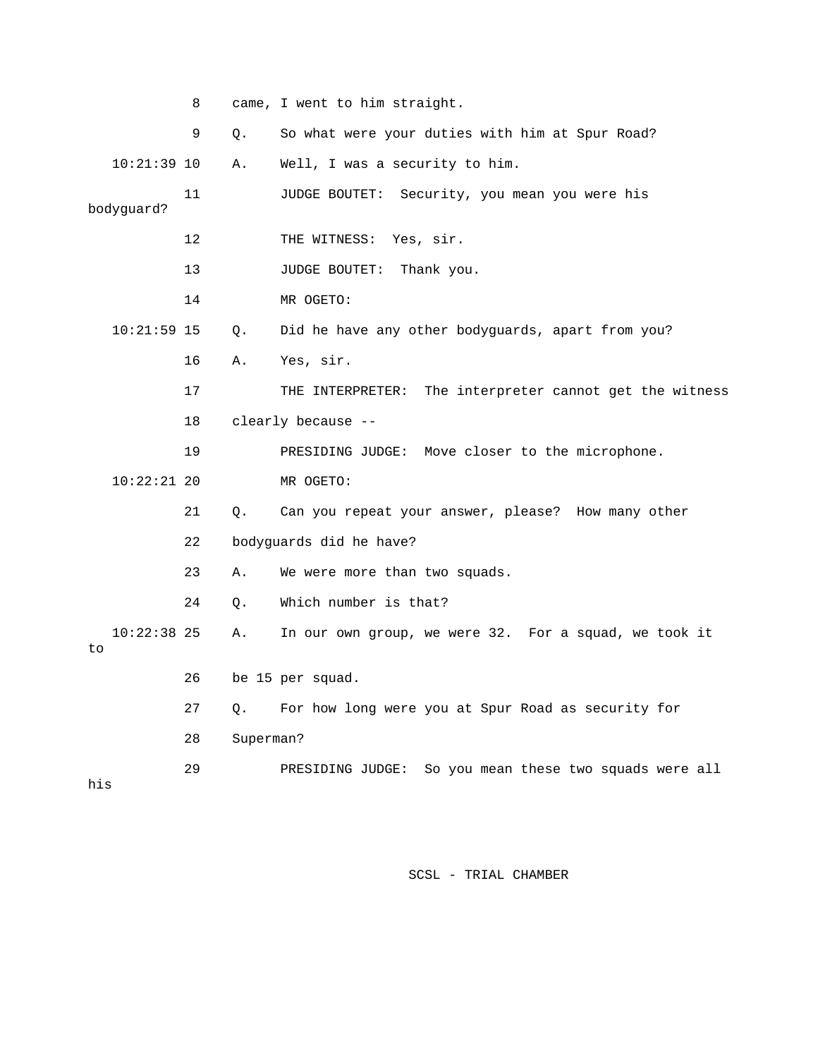|     |               | 8  |           | came, I went to him straight.                              |
|-----|---------------|----|-----------|------------------------------------------------------------|
|     |               | 9  | Q.        | So what were your duties with him at Spur Road?            |
|     | $10:21:39$ 10 |    | Α.        | Well, I was a security to him.                             |
|     | bodyguard?    | 11 |           | JUDGE BOUTET: Security, you mean you were his              |
|     |               | 12 |           | THE WITNESS: Yes, sir.                                     |
|     |               | 13 |           | JUDGE BOUTET: Thank you.                                   |
|     |               | 14 |           | MR OGETO:                                                  |
|     | $10:21:59$ 15 |    | Q.        | Did he have any other bodyguards, apart from you?          |
|     |               | 16 | Α.        | Yes, sir.                                                  |
|     |               | 17 |           | The interpreter cannot get the witness<br>THE INTERPRETER: |
|     |               | 18 |           | clearly because --                                         |
|     |               | 19 |           | PRESIDING JUDGE: Move closer to the microphone.            |
|     | $10:22:21$ 20 |    |           | MR OGETO:                                                  |
|     |               | 21 | $Q$ .     | Can you repeat your answer, please? How many other         |
|     |               | 22 |           | bodyguards did he have?                                    |
|     |               | 23 | Α.        | We were more than two squads.                              |
|     |               | 24 | Q.        | Which number is that?                                      |
| to  | $10:22:38$ 25 |    | Α.        | In our own group, we were 32. For a squad, we took it      |
|     |               | 26 |           | be 15 per squad.                                           |
|     |               | 27 | Q.        | For how long were you at Spur Road as security for         |
|     |               | 28 | Superman? |                                                            |
| his |               | 29 |           | So you mean these two squads were all<br>PRESIDING JUDGE:  |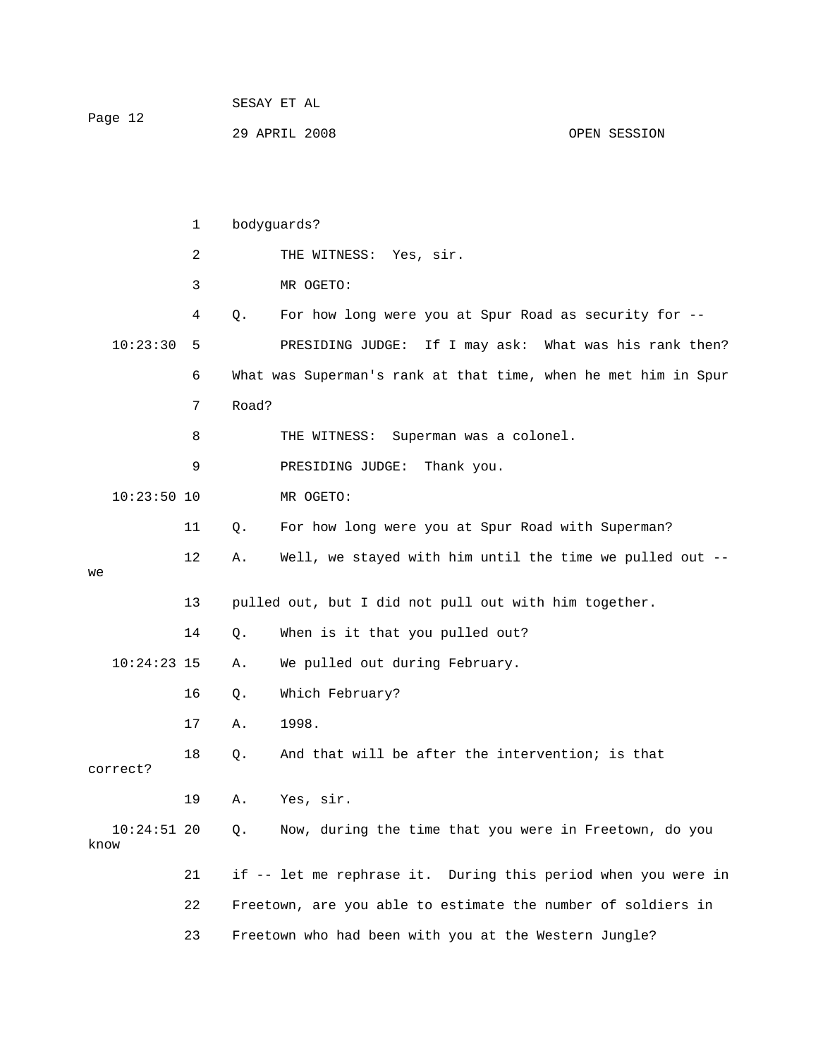| Page 12 | SESAY ET AL   |              |
|---------|---------------|--------------|
|         | 29 APRIL 2008 | OPEN SESSION |

|                       | $\mathbf{1}$ | bodyguards? |                                                                |  |  |
|-----------------------|--------------|-------------|----------------------------------------------------------------|--|--|
|                       | 2            |             | THE WITNESS: Yes, sir.                                         |  |  |
|                       | 3            |             | MR OGETO:                                                      |  |  |
|                       | 4            | Q.          | For how long were you at Spur Road as security for --          |  |  |
| 10:23:30              | 5            |             | If I may ask: What was his rank then?<br>PRESIDING JUDGE:      |  |  |
|                       | 6            |             | What was Superman's rank at that time, when he met him in Spur |  |  |
|                       | 7            | Road?       |                                                                |  |  |
|                       | 8            |             | THE WITNESS:<br>Superman was a colonel.                        |  |  |
|                       | 9            |             | PRESIDING JUDGE:<br>Thank you.                                 |  |  |
| $10:23:50$ 10         |              |             | MR OGETO:                                                      |  |  |
| 11                    |              | Q.          | For how long were you at Spur Road with Superman?              |  |  |
| 12                    |              | Α.          | Well, we stayed with him until the time we pulled out --       |  |  |
| we                    |              |             |                                                                |  |  |
| 13                    |              |             | pulled out, but I did not pull out with him together.          |  |  |
| 14                    |              | Q.          | When is it that you pulled out?                                |  |  |
| $10:24:23$ 15         |              | Α.          | We pulled out during February.                                 |  |  |
| 16                    |              | Q.          | Which February?                                                |  |  |
| 17                    |              | Α.          | 1998.                                                          |  |  |
| 18                    |              | Q.          | And that will be after the intervention; is that               |  |  |
| correct?              |              |             |                                                                |  |  |
| 19                    |              | Α.          | Yes, sir.                                                      |  |  |
| $10:24:51$ 20<br>know |              | Q.          | Now, during the time that you were in Freetown, do you         |  |  |
| 21                    |              |             | if -- let me rephrase it. During this period when you were in  |  |  |
| 22                    |              |             | Freetown, are you able to estimate the number of soldiers in   |  |  |
| 23                    |              |             | Freetown who had been with you at the Western Jungle?          |  |  |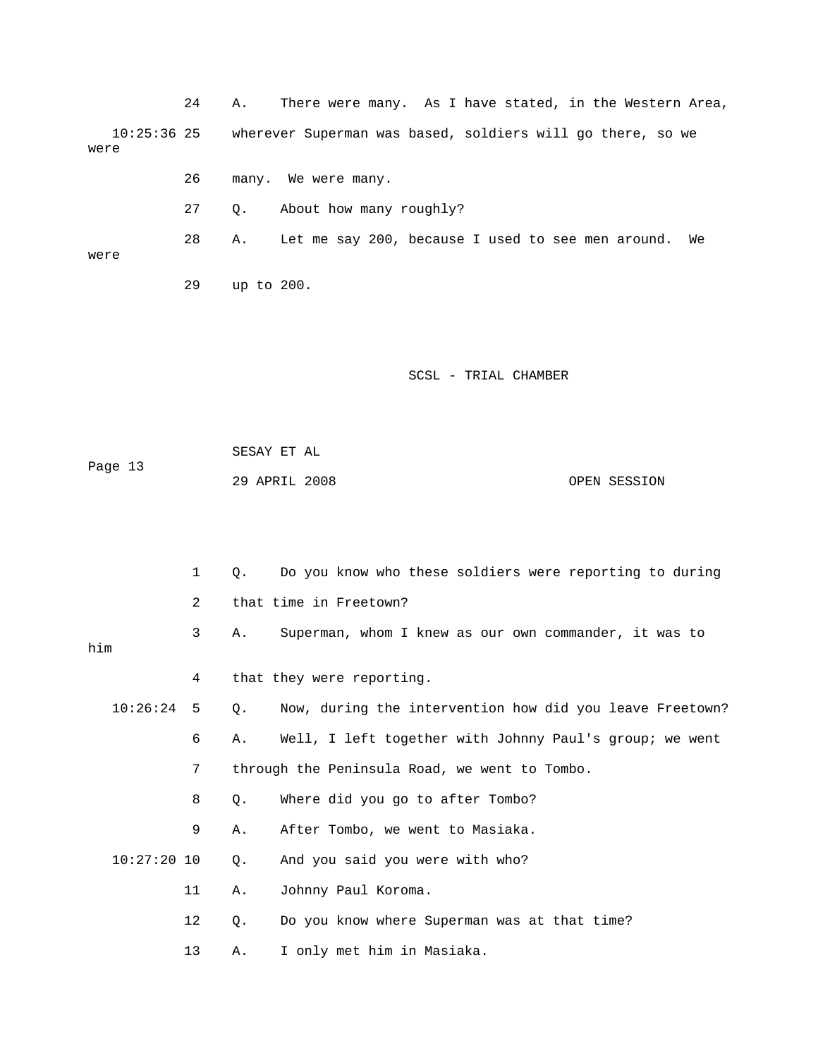24 A. There were many. As I have stated, in the Western Area, 10:25:36 25 wherever Superman was based, soldiers will go there, so we were 26 many. We were many. 27 Q. About how many roughly?

 28 A. Let me say 200, because I used to see men around. We were 29 up to 200.

SCSL - TRIAL CHAMBER

 SESAY ET AL Page 13 29 APRIL 2008 OPEN SESSION

|     |               | 1  | О.    | Do you know who these soldiers were reporting to during  |
|-----|---------------|----|-------|----------------------------------------------------------|
|     |               | 2  |       | that time in Freetown?                                   |
| him |               | 3  | Α.    | Superman, whom I knew as our own commander, it was to    |
|     |               | 4  |       | that they were reporting.                                |
|     | 10:26:24      | 5  | 0.    | Now, during the intervention how did you leave Freetown? |
|     |               | 6  | Α.    | Well, I left together with Johnny Paul's group; we went  |
|     |               | 7  |       | through the Peninsula Road, we went to Tombo.            |
|     |               | 8  | Q.    | Where did you go to after Tombo?                         |
|     |               | 9  | Α.    | After Tombo, we went to Masiaka.                         |
|     | $10:27:20$ 10 |    | $Q$ . | And you said you were with who?                          |
|     |               | 11 | Α.    | Johnny Paul Koroma.                                      |
|     |               | 12 | Q.    | Do you know where Superman was at that time?             |
|     |               | 13 | Α.    | I only met him in Masiaka.                               |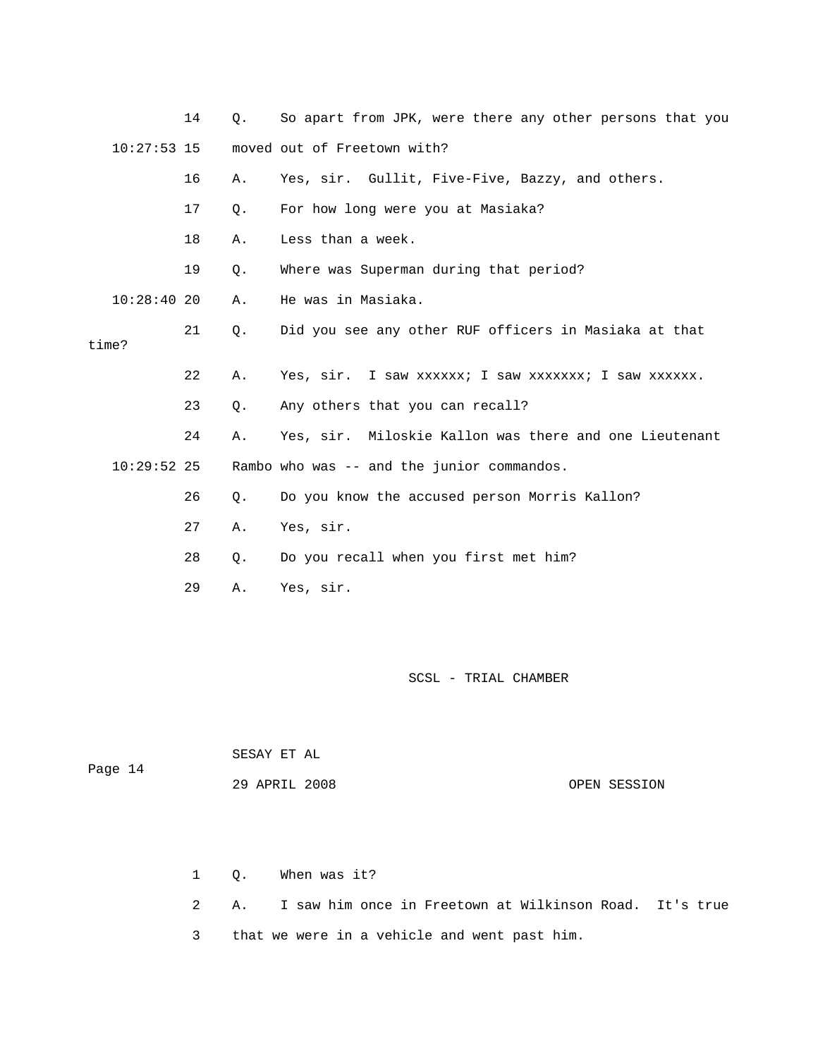|               | 14 | О. | So apart from JPK, were there any other persons that you |
|---------------|----|----|----------------------------------------------------------|
| $10:27:53$ 15 |    |    | moved out of Freetown with?                              |
|               | 16 | Α. | Yes, sir. Gullit, Five-Five, Bazzy, and others.          |
|               | 17 | Ο. | For how long were you at Masiaka?                        |
|               | 18 | Α. | Less than a week.                                        |
|               | 19 | Q. | Where was Superman during that period?                   |
| $10:28:40$ 20 |    | Α. | He was in Masiaka.                                       |
| time?         | 21 | Q. | Did you see any other RUF officers in Masiaka at that    |
|               |    |    |                                                          |
|               | 22 | Α. | Yes, sir. I saw xxxxxx; I saw xxxxxxx; I saw xxxxxx.     |
|               | 23 | Q. | Any others that you can recall?                          |
|               | 24 | Α. | Yes, sir. Miloskie Kallon was there and one Lieutenant   |
| $10:29:52$ 25 |    |    | Rambo who was -- and the junior commandos.               |
|               | 26 | Ο. | Do you know the accused person Morris Kallon?            |
|               | 27 | Α. | Yes, sir.                                                |
|               | 28 | Q. | Do you recall when you first met him?                    |
|               | 29 | Α. | Yes, sir.                                                |

| Page 14 | SESAY ET AL   |              |
|---------|---------------|--------------|
|         | 29 APRIL 2008 | OPEN SESSION |

|  | 1 O. When was it?                                                    |
|--|----------------------------------------------------------------------|
|  | 2     A.     I saw him once in Freetown at Wilkinson Road. It's true |
|  | 3 that we were in a vehicle and went past him.                       |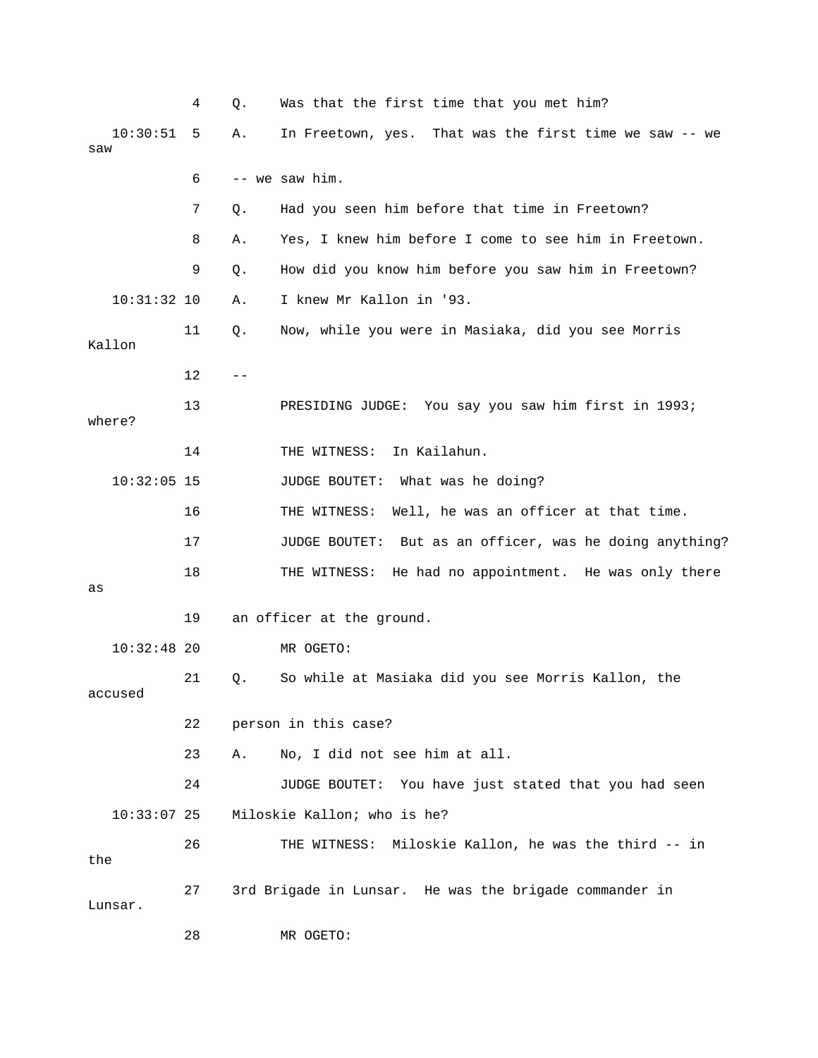|                 | 4  | Q. | Was that the first time that you met him?                  |
|-----------------|----|----|------------------------------------------------------------|
| 10:30:51<br>saw | 5  | Α. | In Freetown, yes. That was the first time we saw -- we     |
|                 | 6  |    | -- we saw him.                                             |
|                 | 7  | Q. | Had you seen him before that time in Freetown?             |
|                 | 8  | Α. | Yes, I knew him before I come to see him in Freetown.      |
|                 | 9  | Q. | How did you know him before you saw him in Freetown?       |
| $10:31:32$ 10   |    | Α. | I knew Mr Kallon in '93.                                   |
| Kallon          | 11 | Q. | Now, while you were in Masiaka, did you see Morris         |
|                 | 12 |    |                                                            |
| where?          | 13 |    | PRESIDING JUDGE: You say you saw him first in 1993;        |
|                 | 14 |    | In Kailahun.<br>THE WITNESS:                               |
| $10:32:05$ 15   |    |    | JUDGE BOUTET: What was he doing?                           |
|                 | 16 |    | Well, he was an officer at that time.<br>THE WITNESS:      |
|                 | 17 |    | But as an officer, was he doing anything?<br>JUDGE BOUTET: |
| as              | 18 |    | THE WITNESS:<br>He had no appointment. He was only there   |
|                 | 19 |    | an officer at the ground.                                  |
| $10:32:48$ 20   |    |    | MR OGETO:                                                  |
| accused         | 21 | Q. | So while at Masiaka did you see Morris Kallon, the         |
|                 | 22 |    | person in this case?                                       |
|                 | 23 | Α. | No, I did not see him at all.                              |
|                 | 24 |    | JUDGE BOUTET: You have just stated that you had seen       |
| $10:33:07$ 25   |    |    | Miloskie Kallon; who is he?                                |
| the             | 26 |    | THE WITNESS: Miloskie Kallon, he was the third -- in       |
| Lunsar.         | 27 |    | 3rd Brigade in Lunsar. He was the brigade commander in     |
|                 | 28 |    | MR OGETO:                                                  |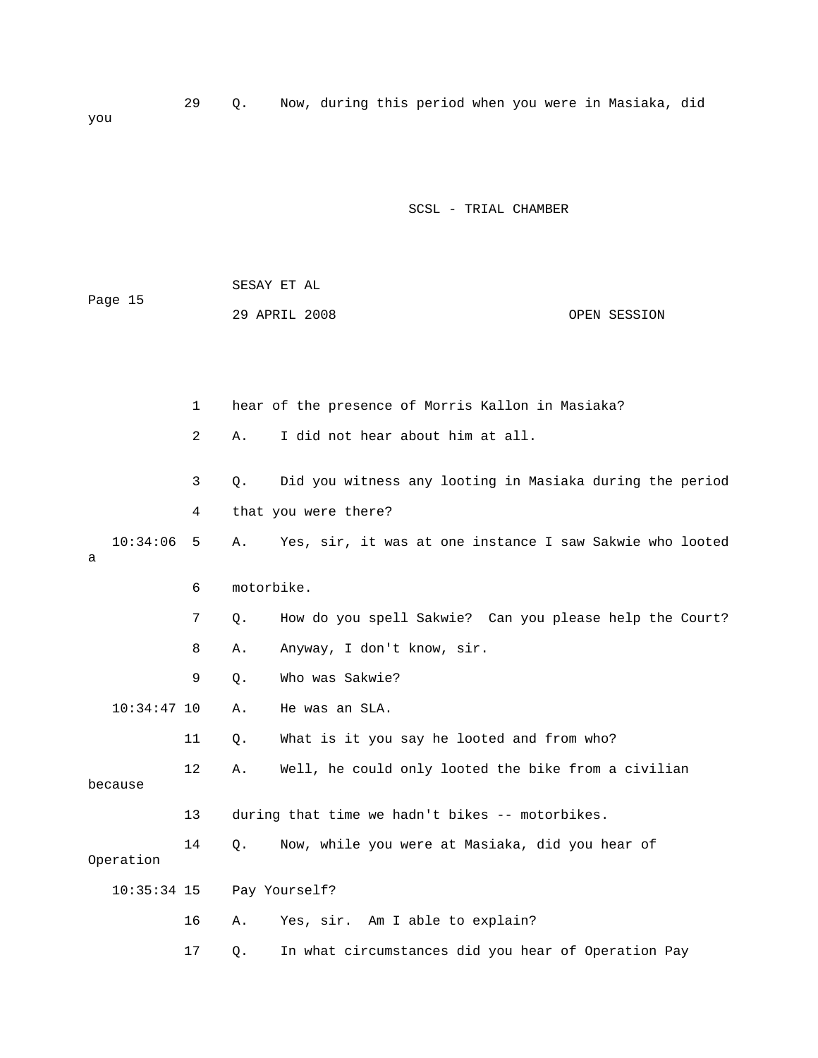29 Q. Now, during this period when you were in Masiaka, did you

SCSL - TRIAL CHAMBER

| Page 15         |                | SESAY ET AL |                                                          |              |
|-----------------|----------------|-------------|----------------------------------------------------------|--------------|
|                 |                |             | 29 APRIL 2008                                            | OPEN SESSION |
|                 |                |             |                                                          |              |
|                 |                |             |                                                          |              |
|                 | $\mathbf{1}$   |             | hear of the presence of Morris Kallon in Masiaka?        |              |
|                 | $\overline{2}$ | Α.          | I did not hear about him at all.                         |              |
|                 | 3              | Q.          | Did you witness any looting in Masiaka during the period |              |
|                 | 4              |             | that you were there?                                     |              |
| 10:34:06<br>a   | 5              | Α.          | Yes, sir, it was at one instance I saw Sakwie who looted |              |
|                 | 6              | motorbike.  |                                                          |              |
|                 | 7              | Q.          | How do you spell Sakwie? Can you please help the Court?  |              |
|                 | 8              | Α.          | Anyway, I don't know, sir.                               |              |
|                 | 9              | Q.          | Who was Sakwie?                                          |              |
| $10:34:47$ 10   |                | Α.          | He was an SLA.                                           |              |
|                 | 11             | Q.          | What is it you say he looted and from who?               |              |
| because         | 12             | Α.          | Well, he could only looted the bike from a civilian      |              |
|                 | 13             |             | during that time we hadn't bikes -- motorbikes.          |              |
| 14<br>Operation |                | О.          | Now, while you were at Masiaka, did you hear of          |              |
| 10:35:34 15     |                |             | Pay Yourself?                                            |              |
|                 | 16             | Α.          | Yes, sir. Am I able to explain?                          |              |

17 Q. In what circumstances did you hear of Operation Pay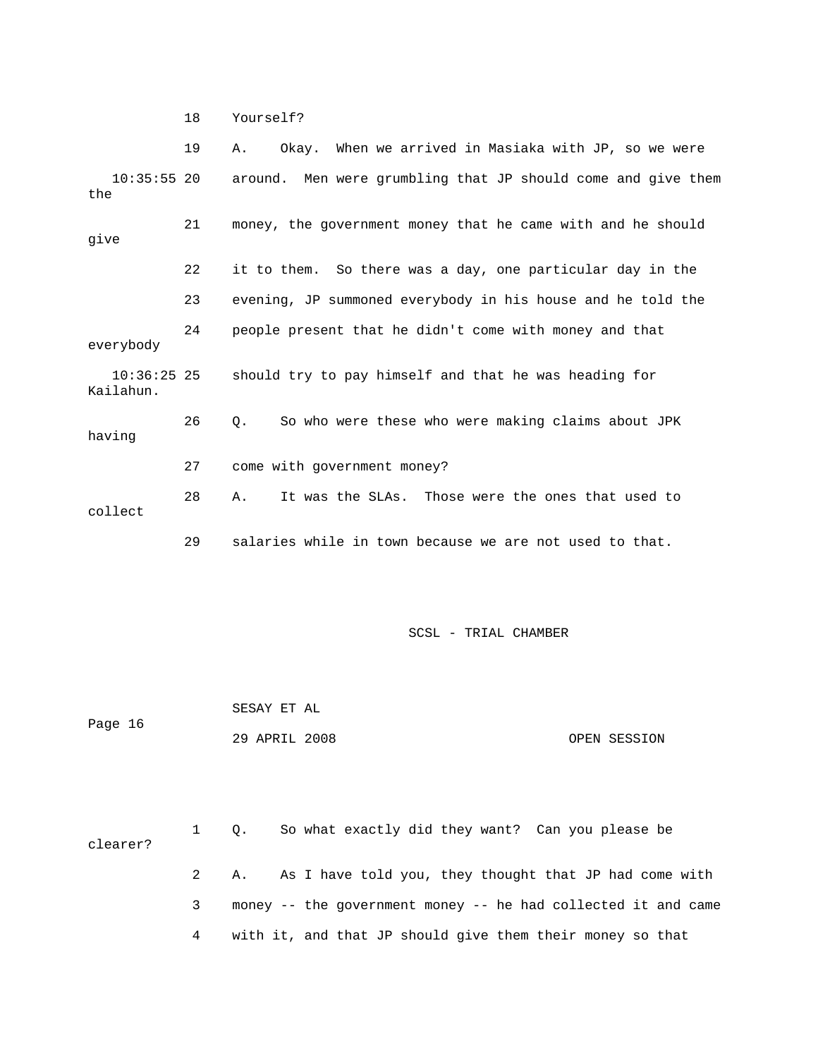18 Yourself?

|                            | 19 | Okay. When we arrived in Masiaka with JP, so we were<br>Α.               |  |  |  |
|----------------------------|----|--------------------------------------------------------------------------|--|--|--|
| the                        |    | 10:35:55 20 around. Men were grumbling that JP should come and give them |  |  |  |
| give                       | 21 | money, the government money that he came with and he should              |  |  |  |
|                            | 22 | it to them. So there was a day, one particular day in the                |  |  |  |
|                            | 23 | evening, JP summoned everybody in his house and he told the              |  |  |  |
| everybody                  | 24 | people present that he didn't come with money and that                   |  |  |  |
| $10:36:25$ 25<br>Kailahun. |    | should try to pay himself and that he was heading for                    |  |  |  |
| having                     | 26 | So who were these who were making claims about JPK<br>О.                 |  |  |  |
|                            | 27 | come with government money?                                              |  |  |  |
| collect                    | 28 | It was the SLAs. Those were the ones that used to<br>Α.                  |  |  |  |
|                            | 29 | salaries while in town because we are not used to that.                  |  |  |  |

SCSL - TRIAL CHAMBER

 SESAY ET AL Page 16 29 APRIL 2008 OPEN SESSION

 1 Q. So what exactly did they want? Can you please be clearer? 2 A. As I have told you, they thought that JP had come with 3 money -- the government money -- he had collected it and came 4 with it, and that JP should give them their money so that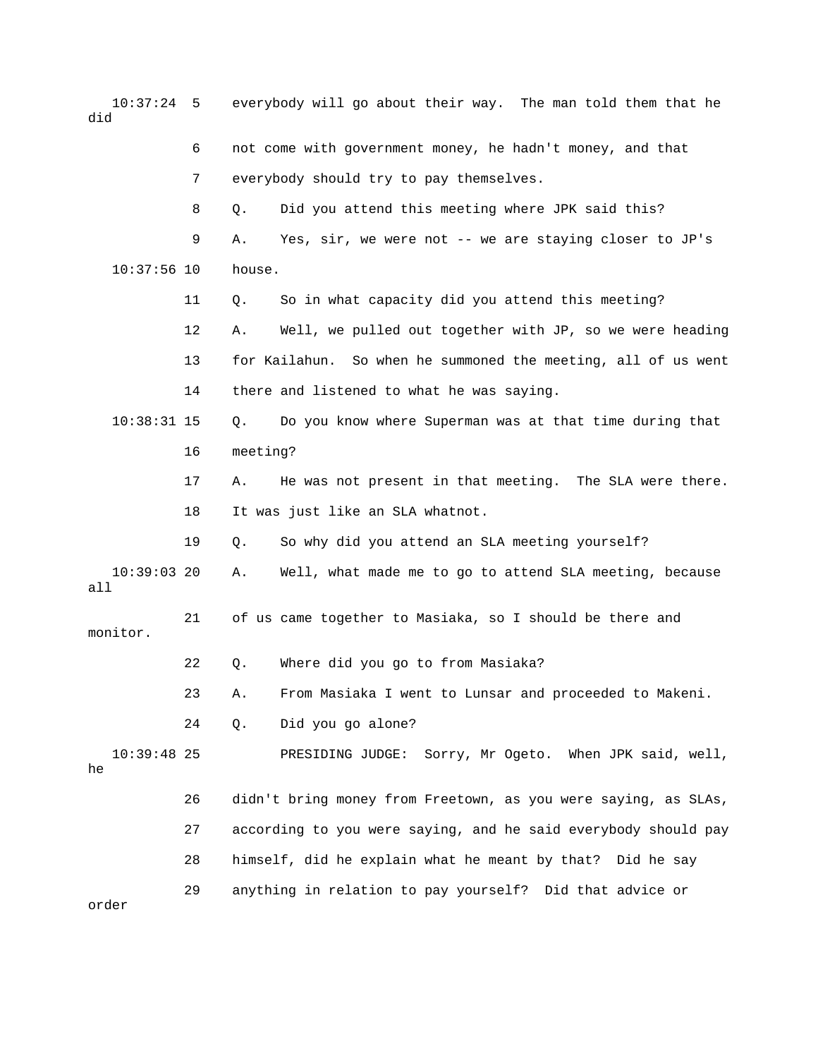10:37:24 5 everybody will go about their way. The man told them that he did 6 not come with government money, he hadn't money, and that 7 everybody should try to pay themselves. 8 Q. Did you attend this meeting where JPK said this? 9 A. Yes, sir, we were not -- we are staying closer to JP's 10:37:56 10 house. 11 Q. So in what capacity did you attend this meeting? 12 A. Well, we pulled out together with JP, so we were heading 13 for Kailahun. So when he summoned the meeting, all of us went 14 there and listened to what he was saying. 10:38:31 15 Q. Do you know where Superman was at that time during that 16 meeting? 17 A. He was not present in that meeting. The SLA were there. 18 It was just like an SLA whatnot. 19 Q. So why did you attend an SLA meeting yourself? 10:39:03 20 A. Well, what made me to go to attend SLA meeting, because all 21 of us came together to Masiaka, so I should be there and monitor. 22 Q. Where did you go to from Masiaka? 23 A. From Masiaka I went to Lunsar and proceeded to Makeni. 24 Q. Did you go alone? 10:39:48 25 PRESIDING JUDGE: Sorry, Mr Ogeto. When JPK said, well, he 26 didn't bring money from Freetown, as you were saying, as SLAs, 27 according to you were saying, and he said everybody should pay 28 himself, did he explain what he meant by that? Did he say 29 anything in relation to pay yourself? Did that advice or order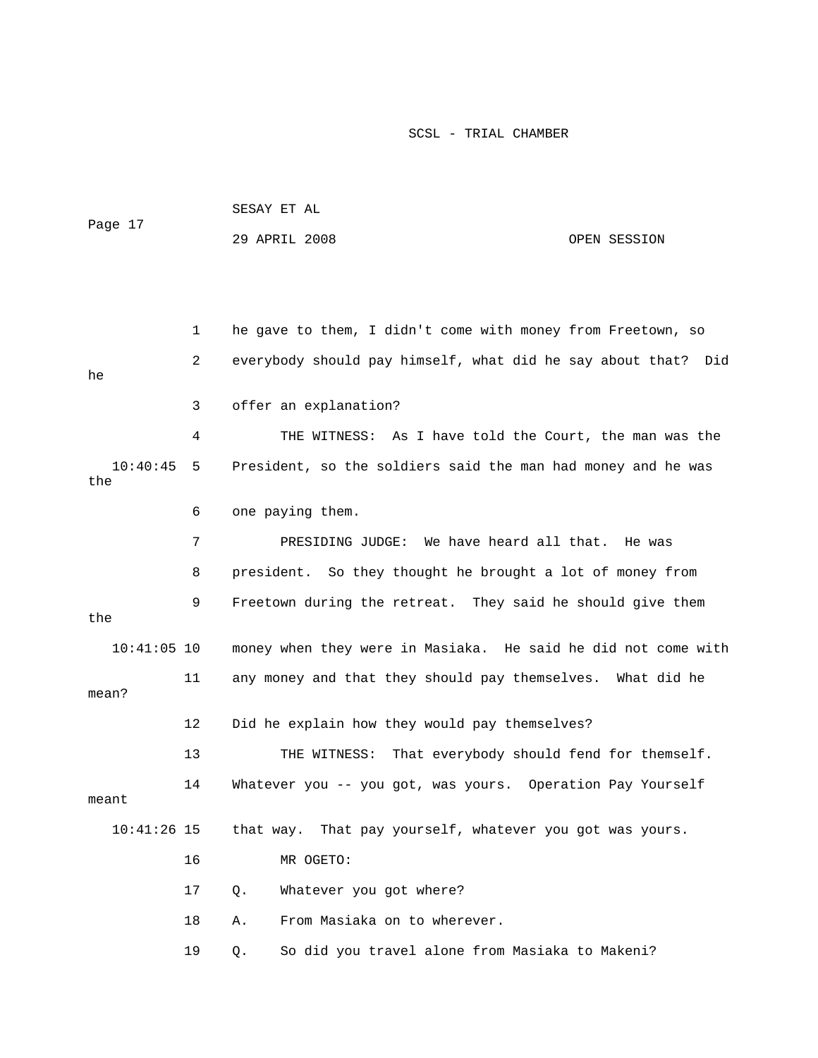| Page 17         |    | SESAY ET AL                                                   |              |  |  |  |
|-----------------|----|---------------------------------------------------------------|--------------|--|--|--|
|                 |    | 29 APRIL 2008                                                 | OPEN SESSION |  |  |  |
|                 |    |                                                               |              |  |  |  |
|                 |    |                                                               |              |  |  |  |
|                 | 1  | he gave to them, I didn't come with money from Freetown, so   |              |  |  |  |
| he              | 2  | everybody should pay himself, what did he say about that? Did |              |  |  |  |
|                 | 3  | offer an explanation?                                         |              |  |  |  |
|                 | 4  | THE WITNESS: As I have told the Court, the man was the        |              |  |  |  |
| 10:40:45<br>the | 5  | President, so the soldiers said the man had money and he was  |              |  |  |  |
|                 | 6  | one paying them.                                              |              |  |  |  |
|                 | 7  | PRESIDING JUDGE: We have heard all that.                      | He was       |  |  |  |
|                 | 8  | president. So they thought he brought a lot of money from     |              |  |  |  |
| the             | 9  | Freetown during the retreat. They said he should give them    |              |  |  |  |
| $10:41:05$ 10   |    | money when they were in Masiaka. He said he did not come with |              |  |  |  |
| mean?           | 11 | any money and that they should pay themselves. What did he    |              |  |  |  |
|                 | 12 | Did he explain how they would pay themselves?                 |              |  |  |  |
|                 | 13 | That everybody should fend for themself.<br>THE WITNESS:      |              |  |  |  |
| meant           | 14 | Whatever you -- you got, was yours. Operation Pay Yourself    |              |  |  |  |
| $10:41:26$ 15   |    | that way. That pay yourself, whatever you got was yours.      |              |  |  |  |
|                 | 16 | MR OGETO:                                                     |              |  |  |  |
|                 | 17 | Whatever you got where?<br>Q.                                 |              |  |  |  |
|                 | 18 | From Masiaka on to wherever.<br>Α.                            |              |  |  |  |
|                 | 19 | So did you travel alone from Masiaka to Makeni?<br>Q.         |              |  |  |  |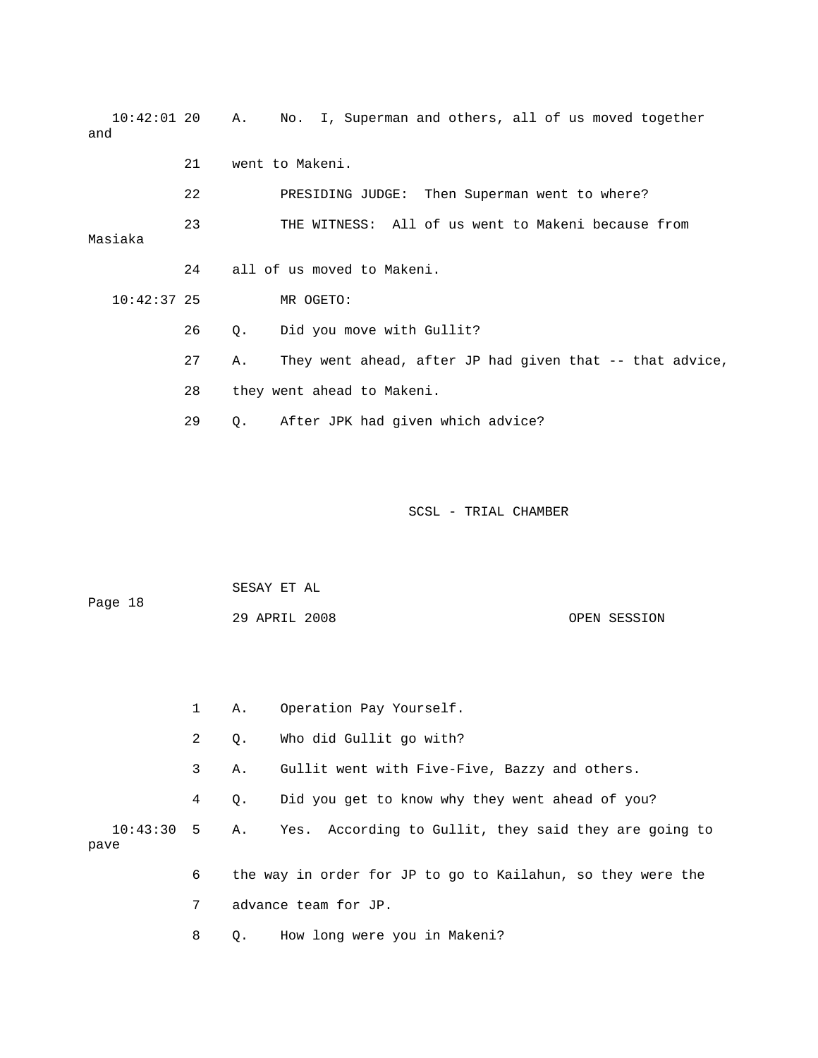10:42:01 20 A. No. I, Superman and others, all of us moved together and 21 went to Makeni. 22 PRESIDING JUDGE: Then Superman went to where? 23 THE WITNESS: All of us went to Makeni because from Masiaka 24 all of us moved to Makeni. 10:42:37 25 MR OGETO: 26 Q. Did you move with Gullit? 27 A. They went ahead, after JP had given that -- that advice, 28 they went ahead to Makeni. 29 Q. After JPK had given which advice?

| Page 18 | SESAY ET AL   |  |              |
|---------|---------------|--|--------------|
|         | 29 APRIL 2008 |  | OPEN SESSION |

|      | $1 \quad$      |           | A. Operation Pay Yourself.                                          |
|------|----------------|-----------|---------------------------------------------------------------------|
|      | $\overline{2}$ | $\circ$ . | Who did Gullit go with?                                             |
|      | 3              | Α.        | Gullit went with Five-Five, Bazzy and others.                       |
|      | 4              | $\circ$ . | Did you get to know why they went ahead of you?                     |
| pave |                |           | 10:43:30 5 A. Yes. According to Gullit, they said they are going to |
|      | 6              |           | the way in order for JP to go to Kailahun, so they were the         |
|      | $7\degree$     |           | advance team for JP.                                                |
|      | 8              | Q.        | How long were you in Makeni?                                        |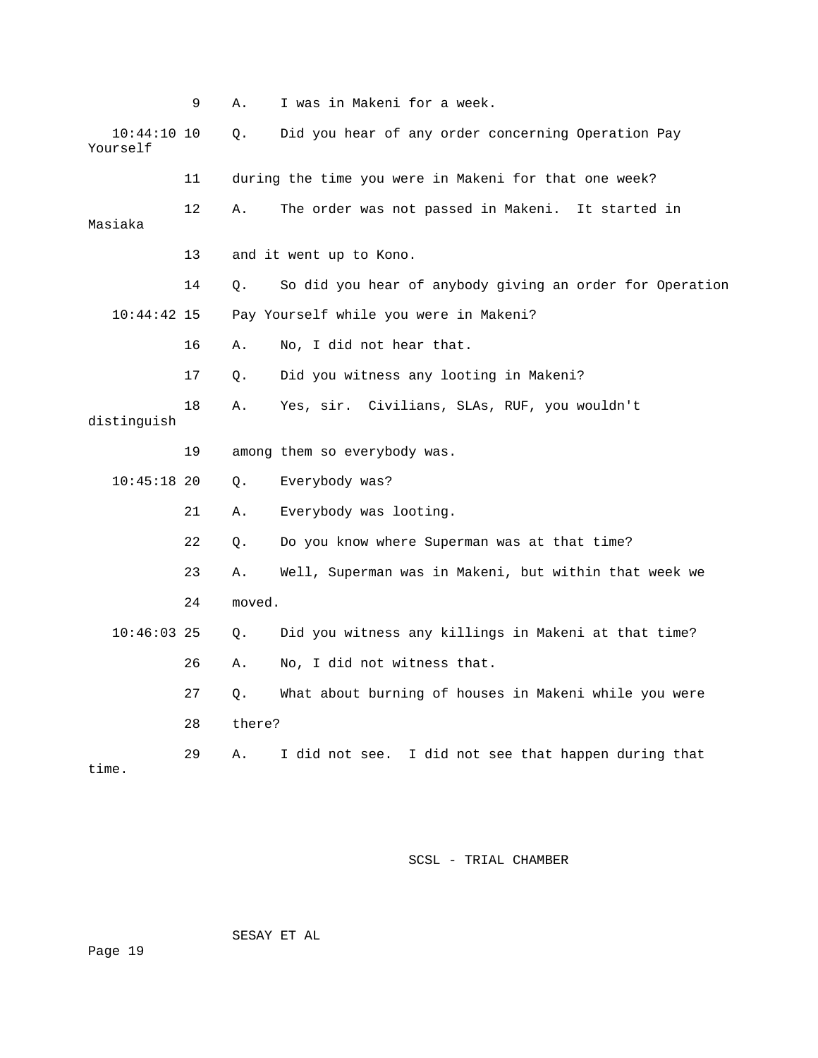|                           | 9  | Α.     | I was in Makeni for a week.                              |
|---------------------------|----|--------|----------------------------------------------------------|
| $10:44:10$ 10<br>Yourself |    | О.     | Did you hear of any order concerning Operation Pay       |
|                           | 11 |        | during the time you were in Makeni for that one week?    |
| Masiaka                   | 12 | Α.     | The order was not passed in Makeni. It started in        |
|                           | 13 |        | and it went up to Kono.                                  |
|                           | 14 | Q.     | So did you hear of anybody giving an order for Operation |
| $10:44:42$ 15             |    |        | Pay Yourself while you were in Makeni?                   |
|                           | 16 | Α.     | No, I did not hear that.                                 |
|                           | 17 | Q.     | Did you witness any looting in Makeni?                   |
| distinquish               | 18 | Α.     | Yes, sir. Civilians, SLAs, RUF, you wouldn't             |
|                           | 19 |        | among them so everybody was.                             |
| $10:45:18$ 20             |    | Q.     | Everybody was?                                           |
|                           | 21 | Α.     | Everybody was looting.                                   |
|                           | 22 | Q.     | Do you know where Superman was at that time?             |
|                           | 23 | Α.     | Well, Superman was in Makeni, but within that week we    |
|                           | 24 | moved. |                                                          |
| $10:46:03$ 25             |    | О.     | Did you witness any killings in Makeni at that time?     |
|                           | 26 | Α.     | No, I did not witness that.                              |
|                           | 27 | Q.     | What about burning of houses in Makeni while you were    |
|                           | 28 | there? |                                                          |
| time.                     | 29 | Α.     | I did not see. I did not see that happen during that     |

SESAY ET AL

Page 19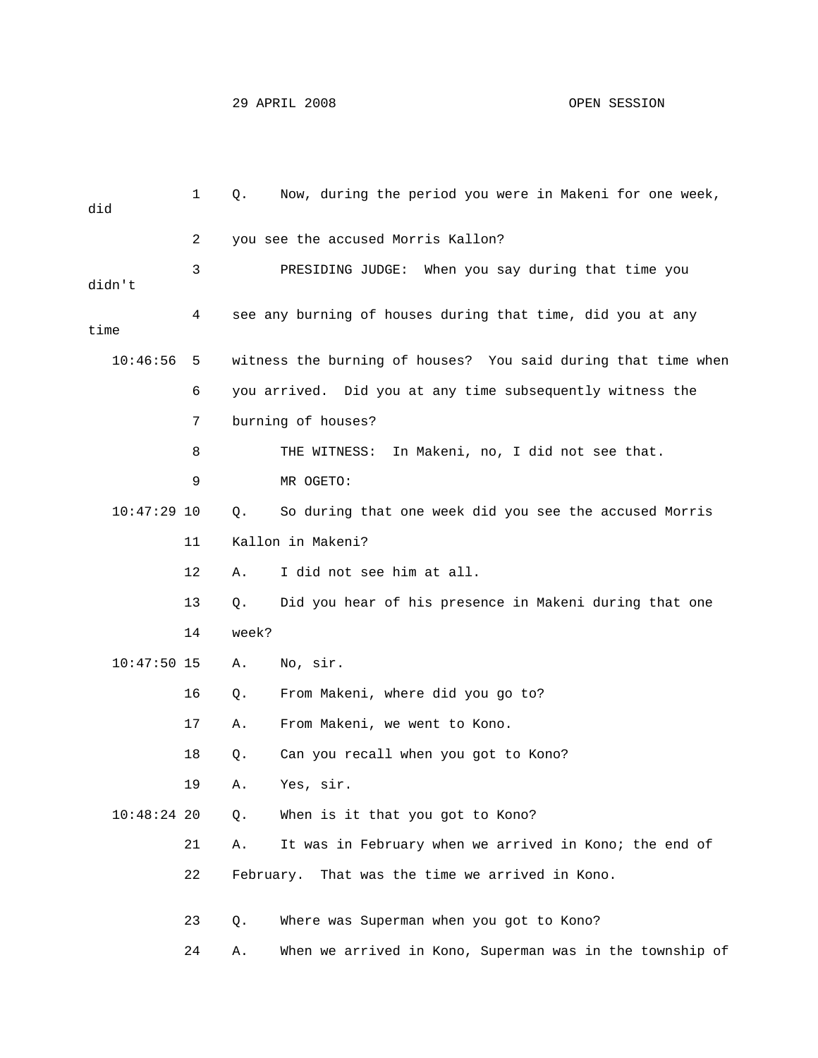| did           | 1  | Q.    | Now, during the period you were in Makeni for one week,       |
|---------------|----|-------|---------------------------------------------------------------|
|               | 2  |       | you see the accused Morris Kallon?                            |
| didn't        | 3  |       | PRESIDING JUDGE: When you say during that time you            |
| time          | 4  |       | see any burning of houses during that time, did you at any    |
| 10:46:56      | 5  |       | witness the burning of houses? You said during that time when |
|               | 6  |       | you arrived. Did you at any time subsequently witness the     |
|               | 7  |       | burning of houses?                                            |
|               | 8  |       | In Makeni, no, I did not see that.<br>THE WITNESS:            |
|               | 9  |       | MR OGETO:                                                     |
| $10:47:29$ 10 |    | Q.    | So during that one week did you see the accused Morris        |
|               | 11 |       | Kallon in Makeni?                                             |
|               | 12 | Α.    | I did not see him at all.                                     |
|               | 13 | Q.    | Did you hear of his presence in Makeni during that one        |
|               | 14 | week? |                                                               |
| $10:47:50$ 15 |    | Α.    | No, sir.                                                      |
|               | 16 | Q.    | From Makeni, where did you go to?                             |
|               | 17 | Α.    | From Makeni, we went to Kono.                                 |
|               | 18 | Q.    | Can you recall when you got to Kono?                          |
|               | 19 | Α.    | Yes, sir.                                                     |
| $10:48:24$ 20 |    | Q.    | When is it that you got to Kono?                              |
|               | 21 | Α.    | It was in February when we arrived in Kono; the end of        |
|               | 22 |       | February. That was the time we arrived in Kono.               |
|               | 23 | Q.    | Where was Superman when you got to Kono?                      |
|               | 24 | Α.    | When we arrived in Kono, Superman was in the township of      |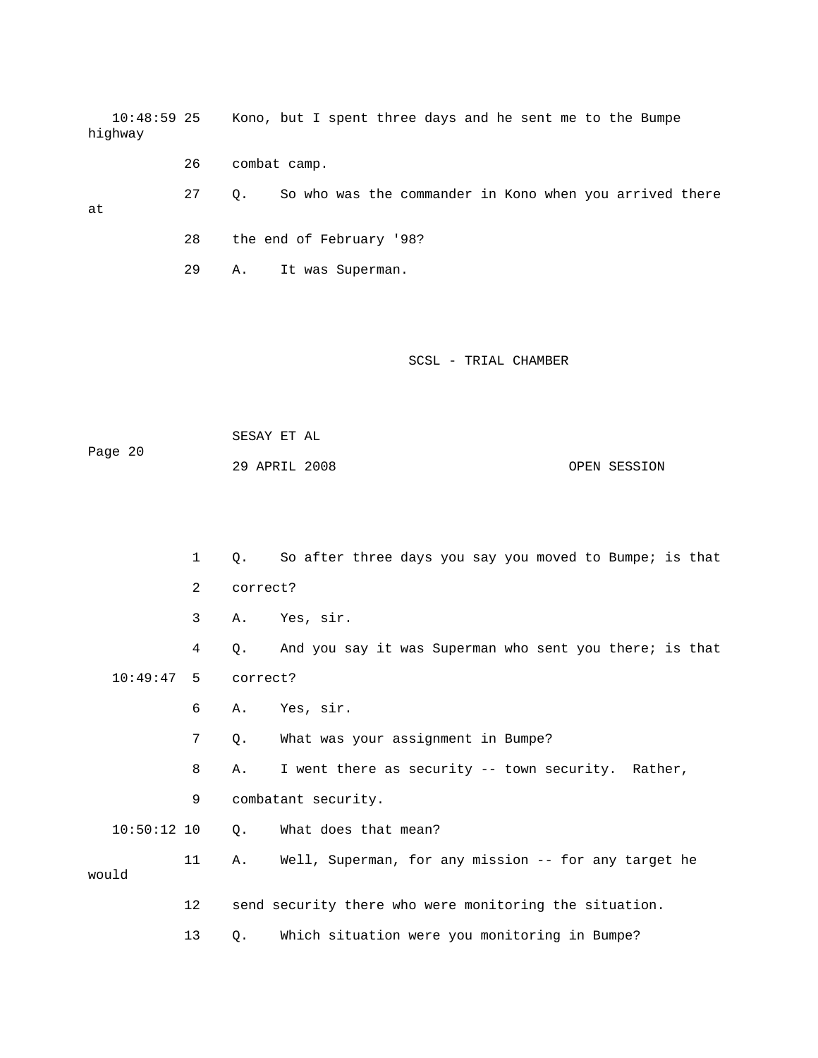10:48:59 25 Kono, but I spent three days and he sent me to the Bumpe highway

26 combat camp.

at

28 the end of February '98?

29 A. It was Superman.

SCSL - TRIAL CHAMBER

27 Q. So who was the commander in Kono when you arrived there

 SESAY ET AL Page 20 29 APRIL 2008 OPEN SESSION

 1 Q. So after three days you say you moved to Bumpe; is that 2 correct? 3 A. Yes, sir. 4 Q. And you say it was Superman who sent you there; is that 10:49:47 5 correct? 6 A. Yes, sir. 7 Q. What was your assignment in Bumpe? 8 A. I went there as security -- town security. Rather, 9 combatant security. 10:50:12 10 Q. What does that mean? 11 A. Well, Superman, for any mission -- for any target he would 12 send security there who were monitoring the situation. 13 Q. Which situation were you monitoring in Bumpe?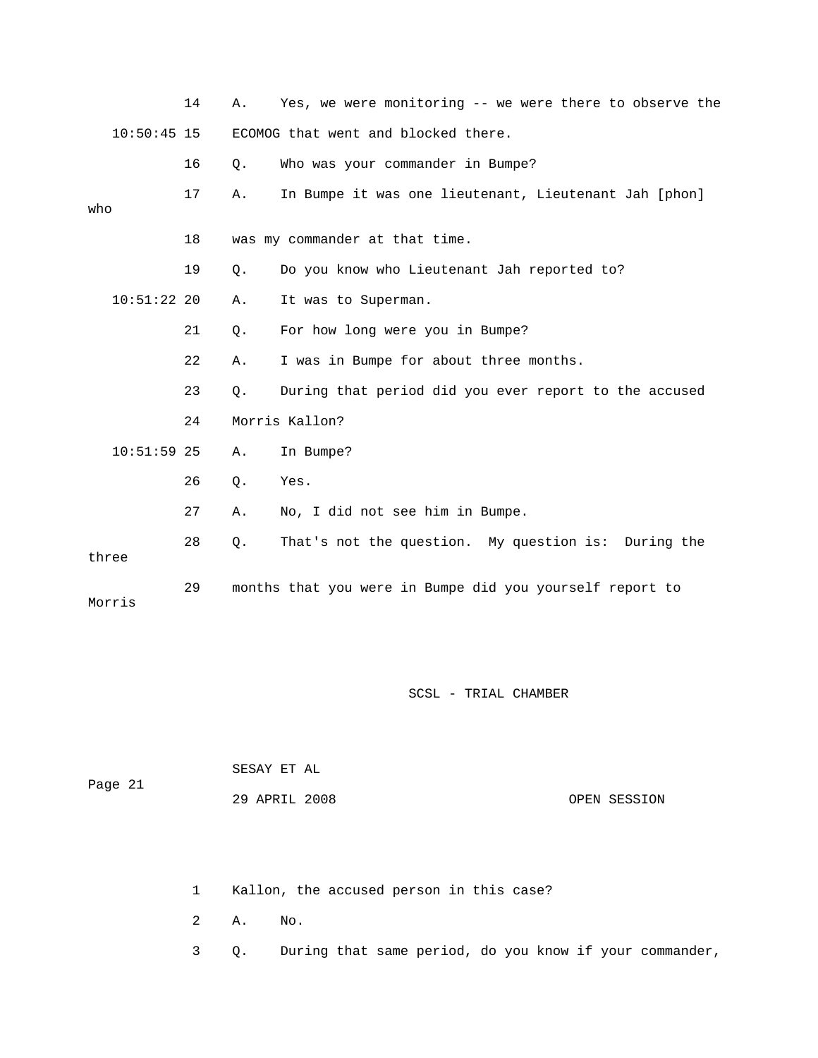|               |               | 14 | Α.        | Yes, we were monitoring -- we were there to observe the  |
|---------------|---------------|----|-----------|----------------------------------------------------------|
| $10:50:45$ 15 |               |    |           | ECOMOG that went and blocked there.                      |
|               |               | 16 | $Q$ .     | Who was your commander in Bumpe?                         |
| who           |               | 17 | Α.        | In Bumpe it was one lieutenant, Lieutenant Jah [phon]    |
|               |               | 18 |           | was my commander at that time.                           |
|               |               | 19 | $\circ$ . | Do you know who Lieutenant Jah reported to?              |
|               | $10:51:22$ 20 |    | Α.        | It was to Superman.                                      |
|               |               | 21 | $\circ$ . | For how long were you in Bumpe?                          |
|               |               | 22 | Α.        | I was in Bumpe for about three months.                   |
|               |               | 23 | $Q$ .     | During that period did you ever report to the accused    |
|               |               | 24 |           | Morris Kallon?                                           |
|               | $10:51:59$ 25 |    | Α.        | In Bumpe?                                                |
|               |               | 26 | $Q$ .     | Yes.                                                     |
|               |               | 27 | Α.        | No, I did not see him in Bumpe.                          |
| three         |               | 28 | $Q$ .     | That's not the question. My question is: During the      |
|               | Morris        | 29 |           | months that you were in Bumpe did you yourself report to |

| Page 21 | SESAY ET AL   |              |
|---------|---------------|--------------|
|         | 29 APRIL 2008 | OPEN SESSION |

1 Kallon, the accused person in this case?

2 A. No.

3 Q. During that same period, do you know if your commander,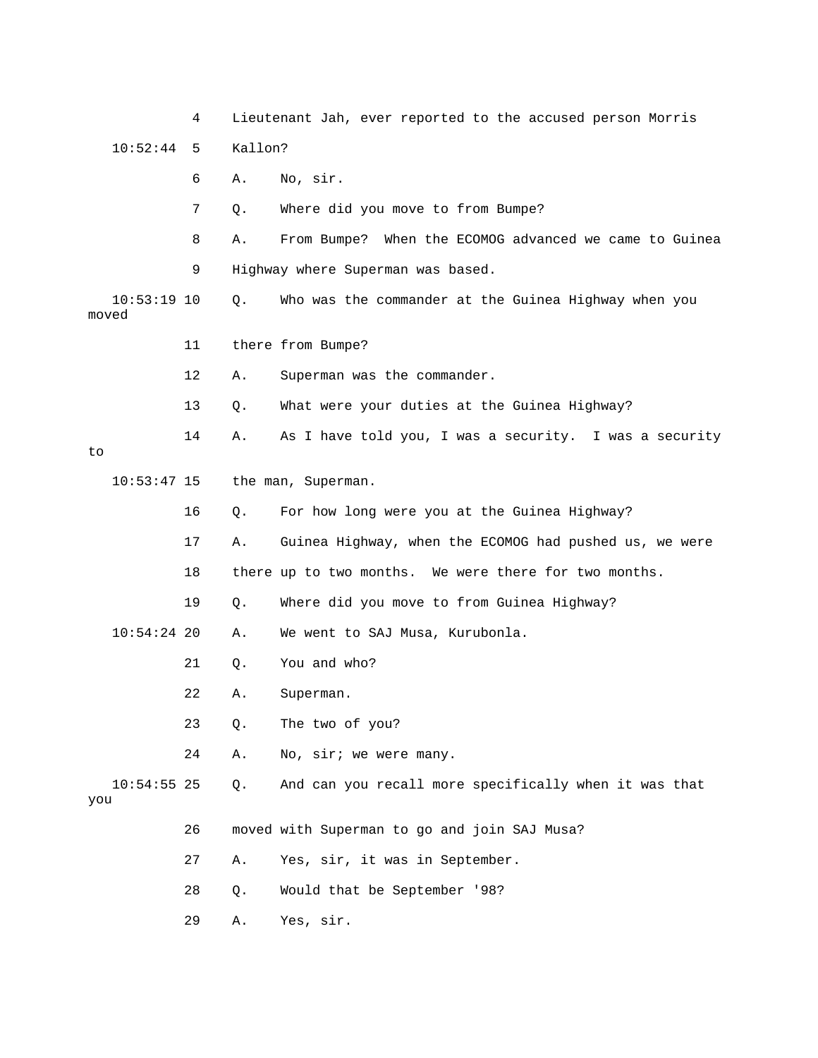|       |               | 4  |         | Lieutenant Jah, ever reported to the accused person Morris |
|-------|---------------|----|---------|------------------------------------------------------------|
|       | 10:52:44      | 5  | Kallon? |                                                            |
|       |               | 6  | Α.      | No, sir.                                                   |
|       |               | 7  | Q.      | Where did you move to from Bumpe?                          |
|       |               | 8  | Α.      | From Bumpe? When the ECOMOG advanced we came to Guinea     |
|       |               | 9  |         | Highway where Superman was based.                          |
| moved | $10:53:19$ 10 |    | Q.      | Who was the commander at the Guinea Highway when you       |
|       |               | 11 |         | there from Bumpe?                                          |
|       |               | 12 | Α.      | Superman was the commander.                                |
|       |               | 13 | Q.      | What were your duties at the Guinea Highway?               |
| to    |               | 14 | Α.      | As I have told you, I was a security. I was a security     |
|       | $10:53:47$ 15 |    |         | the man, Superman.                                         |
|       |               | 16 | Q.      | For how long were you at the Guinea Highway?               |
|       |               | 17 | Α.      | Guinea Highway, when the ECOMOG had pushed us, we were     |
|       |               | 18 |         | there up to two months. We were there for two months.      |
|       |               | 19 | Q.      | Where did you move to from Guinea Highway?                 |
|       | $10:54:24$ 20 |    | Α.      | We went to SAJ Musa, Kurubonla.                            |
|       |               | 21 | Q.      | You and who?                                               |
|       |               | 22 | Α.      | Superman.                                                  |
|       |               | 23 | Q.      | The two of you?                                            |
|       |               | 24 | Α.      | No, sir; we were many.                                     |
| you   | $10:54:55$ 25 |    | Q.      | And can you recall more specifically when it was that      |
|       |               | 26 |         | moved with Superman to go and join SAJ Musa?               |
|       |               | 27 | Α.      | Yes, sir, it was in September.                             |
|       |               | 28 | Q.      | Would that be September '98?                               |
|       |               | 29 | Α.      | Yes, sir.                                                  |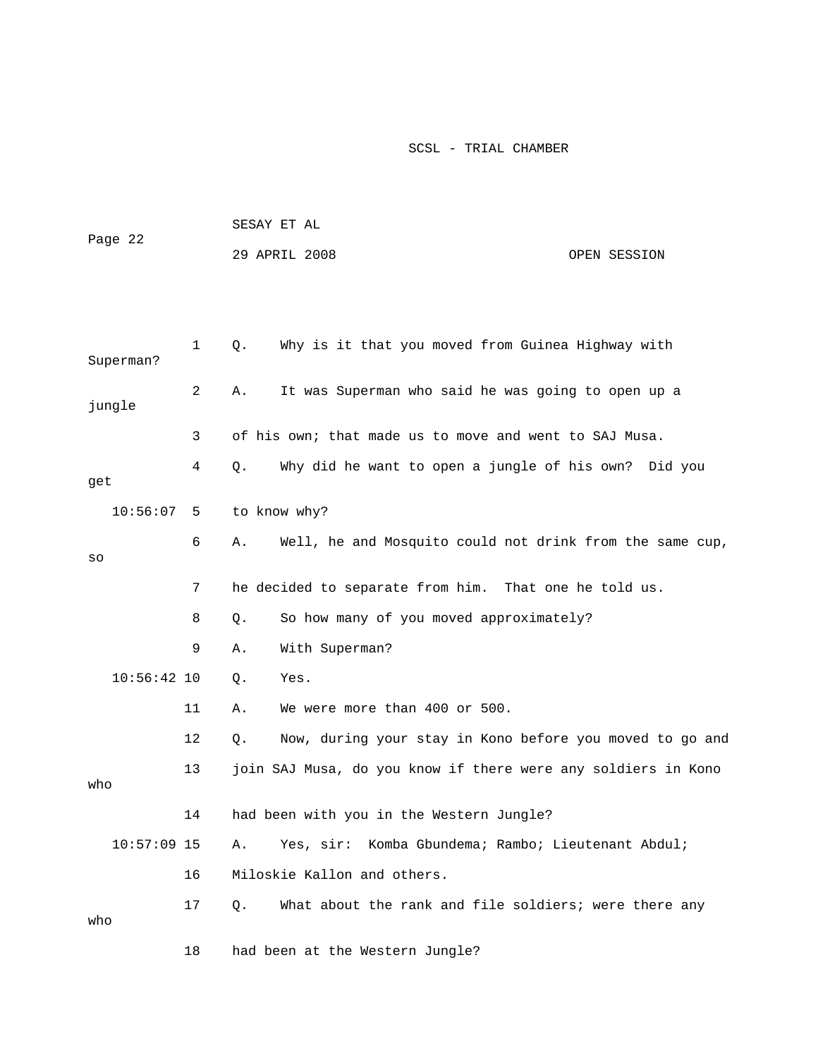|               |             | SESAY ET AL |                                                               |              |
|---------------|-------------|-------------|---------------------------------------------------------------|--------------|
| Page 22       |             |             | 29 APRIL 2008                                                 | OPEN SESSION |
|               |             |             |                                                               |              |
|               |             |             |                                                               |              |
| Superman?     | $\mathbf 1$ | Q.          | Why is it that you moved from Guinea Highway with             |              |
| jungle        | 2           | Α.          | It was Superman who said he was going to open up a            |              |
|               | 3           |             | of his own; that made us to move and went to SAJ Musa.        |              |
| get           | 4           | Q.          | Why did he want to open a jungle of his own? Did you          |              |
| 10:56:07      | -5          |             | to know why?                                                  |              |
| SO            | 6           | Α.          | Well, he and Mosquito could not drink from the same cup,      |              |
|               | 7           |             | he decided to separate from him. That one he told us.         |              |
|               | 8           | Q.          | So how many of you moved approximately?                       |              |
|               | 9           | Α.          | With Superman?                                                |              |
| $10:56:42$ 10 |             | Q.          | Yes.                                                          |              |
|               | 11          | Α.          | We were more than 400 or 500.                                 |              |
|               | 12          | Q.          | Now, during your stay in Kono before you moved to go and      |              |
| who           | 13          |             | join SAJ Musa, do you know if there were any soldiers in Kono |              |
|               | 14          |             | had been with you in the Western Jungle?                      |              |
| $10:57:09$ 15 |             | Α.          | Yes, sir: Komba Gbundema; Rambo; Lieutenant Abdul;            |              |
|               | 16          |             | Miloskie Kallon and others.                                   |              |
| who           | 17          | Q.          | What about the rank and file soldiers; were there any         |              |
|               | 18          |             | had been at the Western Jungle?                               |              |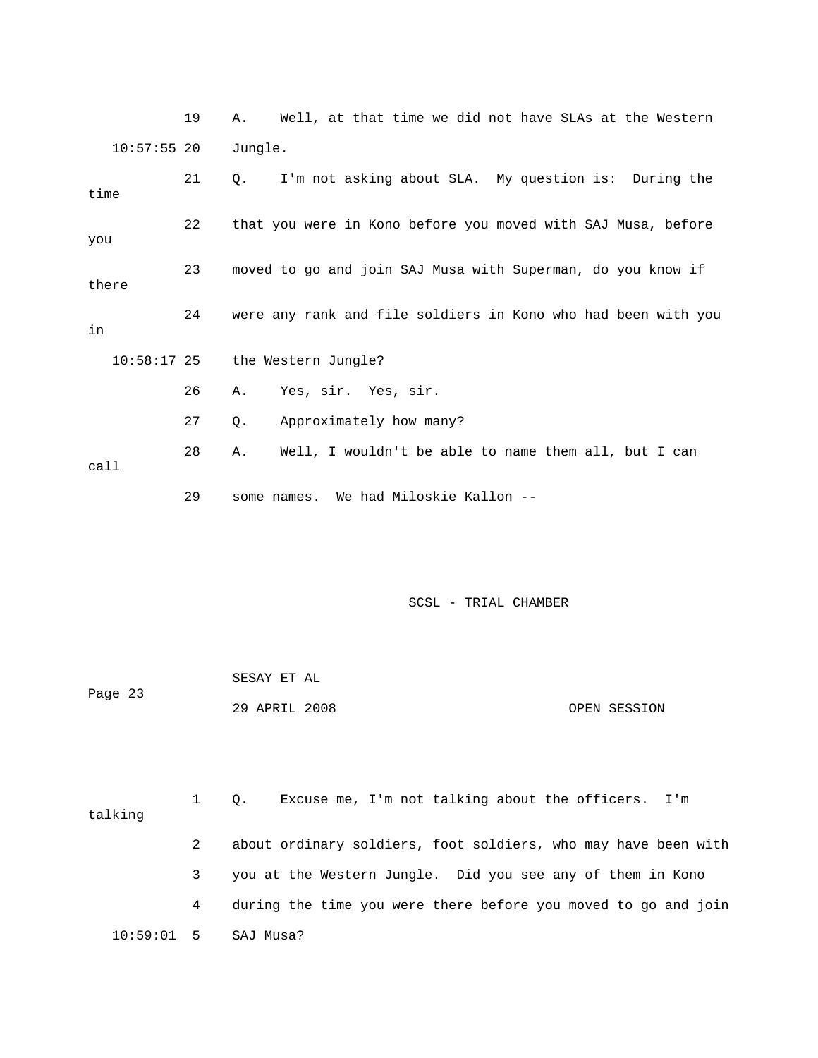19 A. Well, at that time we did not have SLAs at the Western 10:57:55 20 Jungle.

| time          | 21 | I'm not asking about SLA. My question is: During the<br>$\circ$ . |  |  |  |
|---------------|----|-------------------------------------------------------------------|--|--|--|
| you           | 22 | that you were in Kono before you moved with SAJ Musa, before      |  |  |  |
| there         | 23 | moved to go and join SAJ Musa with Superman, do you know if       |  |  |  |
| in            | 24 | were any rank and file soldiers in Kono who had been with you     |  |  |  |
| $10:58:17$ 25 |    | the Western Jungle?                                               |  |  |  |
|               | 26 | Yes, sir. Yes, sir.<br>Α.                                         |  |  |  |
|               | 27 | Approximately how many?<br>Q.                                     |  |  |  |
| call          | 28 | Well, I wouldn't be able to name them all, but I can<br>Α.        |  |  |  |

29 some names. We had Miloskie Kallon --

| Page 23 | SESAY ET AL   |  |              |
|---------|---------------|--|--------------|
|         | 29 APRIL 2008 |  | OPEN SESSION |

| talking      |   | Excuse me, I'm not talking about the officers. I'm<br>$\circ$ . |
|--------------|---|-----------------------------------------------------------------|
|              |   | about ordinary soldiers, foot soldiers, who may have been with  |
|              | 3 | you at the Western Jungle. Did you see any of them in Kono      |
|              | 4 | during the time you were there before you moved to go and join  |
| $10:59:01$ 5 |   | SAJ Musa?                                                       |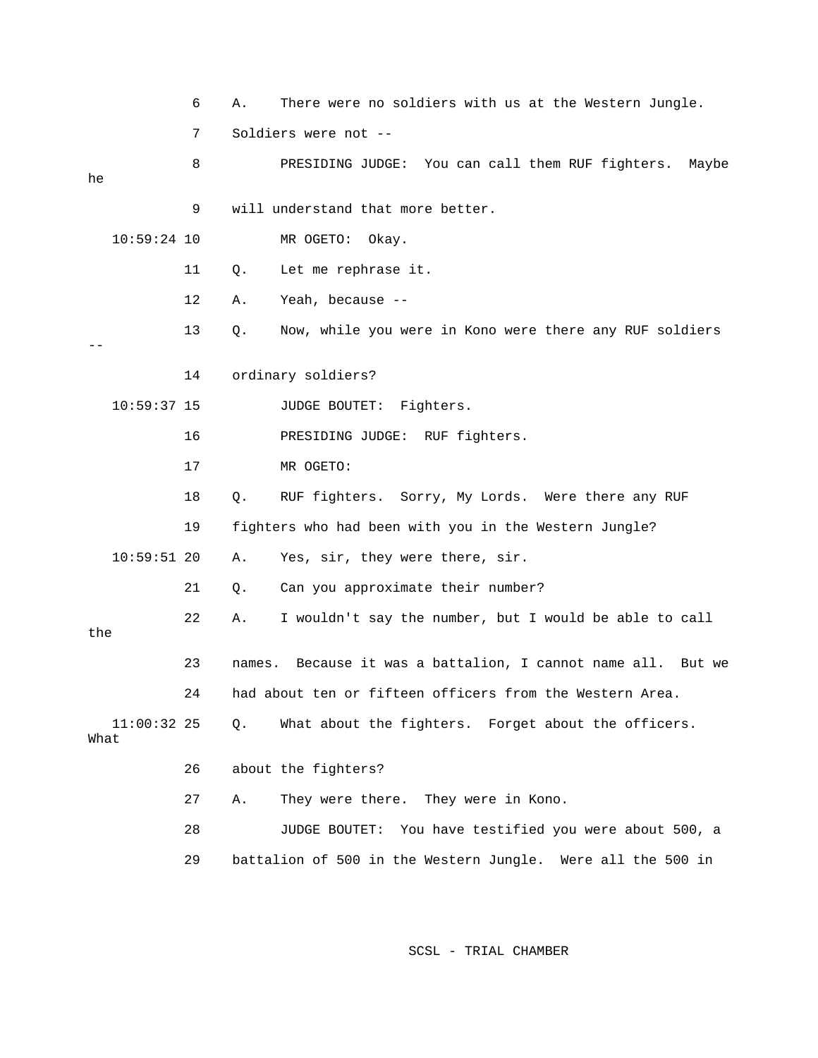|      |               | 6 | Α.          | There were no soldiers with us at the Western Jungle.       |
|------|---------------|---|-------------|-------------------------------------------------------------|
|      |               | 7 |             | Soldiers were not --                                        |
| he   |               | 8 |             | PRESIDING JUDGE: You can call them RUF fighters. Maybe      |
|      |               | 9 |             | will understand that more better.                           |
|      | $10:59:24$ 10 |   |             | MR OGETO:<br>Okay.                                          |
|      | 11            |   | Q.          | Let me rephrase it.                                         |
|      | 12            |   | Α.          | Yeah, because --                                            |
|      | 13            |   | Q.          | Now, while you were in Kono were there any RUF soldiers     |
|      | 14            |   |             | ordinary soldiers?                                          |
|      | $10:59:37$ 15 |   |             | JUDGE BOUTET: Fighters.                                     |
|      | 16            |   |             | PRESIDING JUDGE: RUF fighters.                              |
|      | 17            |   |             | MR OGETO:                                                   |
|      | 18            |   | $Q_{\star}$ | RUF fighters. Sorry, My Lords. Were there any RUF           |
|      | 19            |   |             | fighters who had been with you in the Western Jungle?       |
|      | $10:59:51$ 20 |   | Α.          | Yes, sir, they were there, sir.                             |
|      | 21            |   | Q.          | Can you approximate their number?                           |
| the  | 22            |   | Α.          | I wouldn't say the number, but I would be able to call      |
|      | 23            |   | names.      | Because it was a battalion, I cannot name all. But we       |
|      | 2.4           |   |             | had about ten or fifteen officers from the Western Area     |
| What | $11:00:32$ 25 |   | $Q$ .       | What about the fighters. Forget about the officers.         |
|      | 26            |   |             | about the fighters?                                         |
|      | 27            |   | Α.          | They were there. They were in Kono.                         |
|      | 28            |   |             | JUDGE BOUTET: You have testified you were about 500, a      |
|      | 29            |   |             | battalion of 500 in the Western Jungle. Were all the 500 in |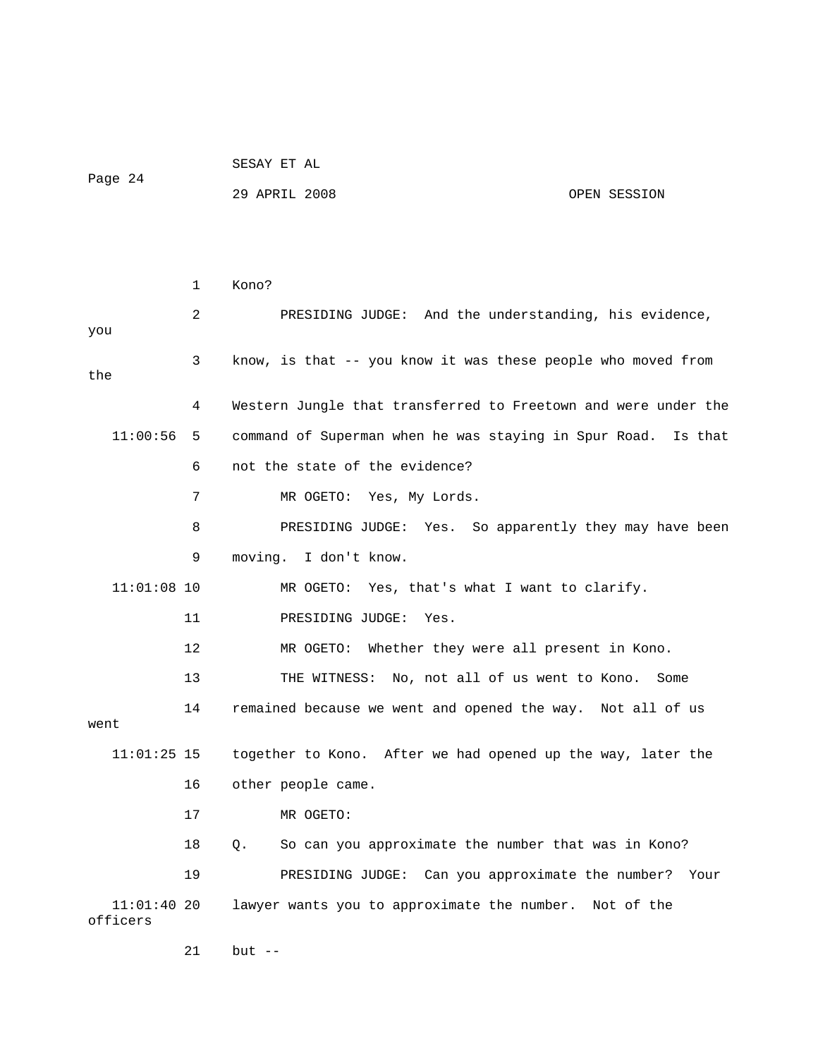|                          |        | SESAY ET AL |  |
|--------------------------|--------|-------------|--|
| $\overline{\phantom{0}}$ | $\sim$ |             |  |

Page 24

# 29 APRIL 2008 OPEN SESSION

|                           | 1                 | Kono?                                                            |
|---------------------------|-------------------|------------------------------------------------------------------|
| you                       | $\overline{2}$    | PRESIDING JUDGE: And the understanding, his evidence,            |
| the                       | 3                 | know, is that -- you know it was these people who moved from     |
|                           | 4                 | Western Jungle that transferred to Freetown and were under the   |
| 11:00:56                  | 5                 | command of Superman when he was staying in Spur Road.<br>Is that |
|                           | 6                 | not the state of the evidence?                                   |
|                           | 7                 | MR OGETO: Yes, My Lords.                                         |
|                           | 8                 | PRESIDING JUDGE: Yes. So apparently they may have been           |
|                           | 9                 | moving. I don't know.                                            |
| $11:01:08$ 10             |                   | MR OGETO: Yes, that's what I want to clarify.                    |
|                           | 11                | PRESIDING JUDGE:<br>Yes.                                         |
|                           | $12 \overline{ }$ | MR OGETO: Whether they were all present in Kono.                 |
|                           | 13                | THE WITNESS: No, not all of us went to Kono. Some                |
| went                      | 14                | remained because we went and opened the way. Not all of us       |
| $11:01:25$ 15             |                   | together to Kono. After we had opened up the way, later the      |
|                           | 16                | other people came.                                               |
|                           | 17                | MR OGETO:                                                        |
|                           | 18                | So can you approximate the number that was in Kono?<br>0.        |
|                           | 19                | PRESIDING JUDGE: Can you approximate the number? Your            |
| $11:01:40$ 20<br>officers |                   | lawyer wants you to approximate the number. Not of the           |

21 but --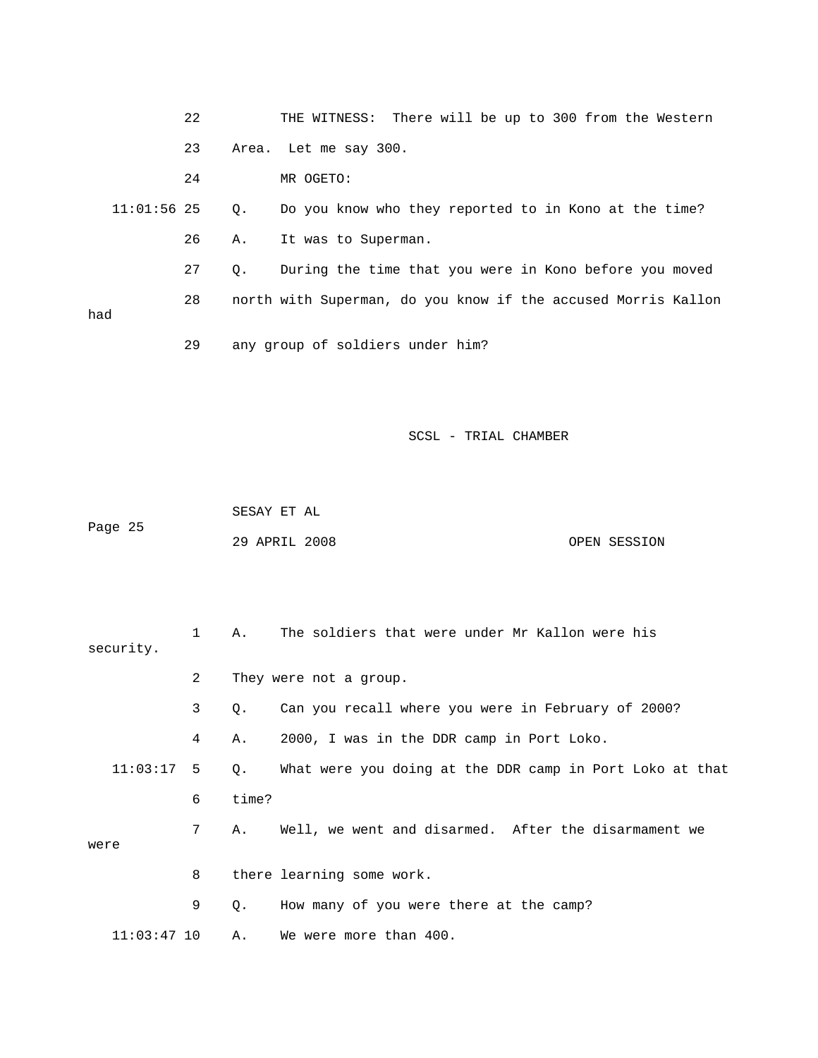|               | 22 | THE WITNESS: There will be up to 300 from the Western         |
|---------------|----|---------------------------------------------------------------|
|               | 23 | Area. Let me say 300.                                         |
|               | 24 | MR OGETO:                                                     |
| $11:01:56$ 25 |    | Do you know who they reported to in Kono at the time?<br>Q.   |
|               | 26 | It was to Superman.<br>Α.                                     |
|               | 27 | During the time that you were in Kono before you moved<br>О.  |
|               | 28 | north with Superman, do you know if the accused Morris Kallon |
| had           |    |                                                               |
|               | 29 | any group of soldiers under him?                              |

 SESAY ET AL Page 25 29 APRIL 2008 OPEN SESSION

| security.     | $\mathbf{1}$   | Α.    | The soldiers that were under Mr Kallon were his          |
|---------------|----------------|-------|----------------------------------------------------------|
|               | $\overline{2}$ |       | They were not a group.                                   |
|               | 3              | Q.    | Can you recall where you were in February of 2000?       |
|               | 4              | Α.    | 2000, I was in the DDR camp in Port Loko.                |
| 11:03:17      | 5              | 0.    | What were you doing at the DDR camp in Port Loko at that |
|               | 6              | time? |                                                          |
|               | 7              | Α.    | Well, we went and disarmed. After the disarmament we     |
| were          |                |       |                                                          |
|               | 8              |       | there learning some work.                                |
|               | 9              | Q.    | How many of you were there at the camp?                  |
| $11:03:47$ 10 |                | Α.    | We were more than 400.                                   |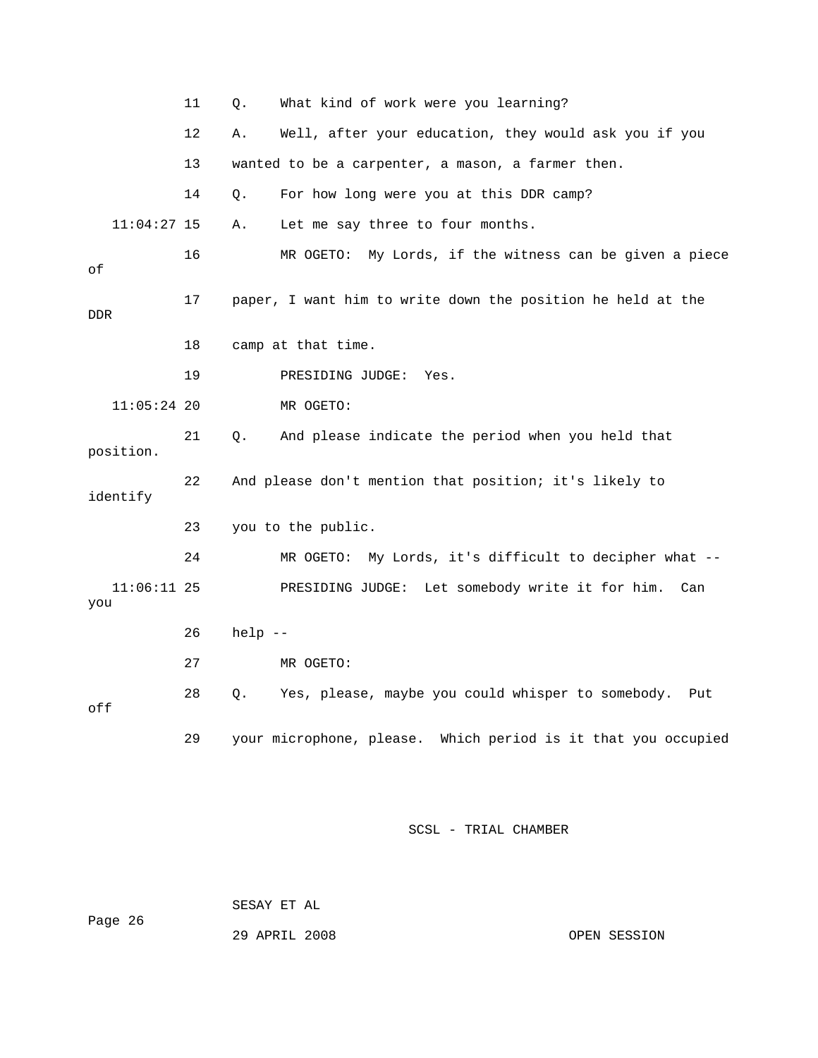|                      | 11 | Q.        | What kind of work were you learning?                             |
|----------------------|----|-----------|------------------------------------------------------------------|
|                      | 12 | Α.        | Well, after your education, they would ask you if you            |
|                      | 13 |           | wanted to be a carpenter, a mason, a farmer then.                |
|                      | 14 | Q.        | For how long were you at this DDR camp?                          |
| $11:04:27$ 15        |    | Α.        | Let me say three to four months.                                 |
| οf                   | 16 |           | My Lords, if the witness can be given a piece<br>MR OGETO:       |
| <b>DDR</b>           | 17 |           | paper, I want him to write down the position he held at the      |
|                      | 18 |           | camp at that time.                                               |
|                      | 19 |           | PRESIDING JUDGE:<br>Yes.                                         |
| $11:05:24$ 20        |    |           | MR OGETO:                                                        |
| position.            | 21 | Q.        | And please indicate the period when you held that                |
| identify             | 22 |           | And please don't mention that position; it's likely to           |
|                      | 23 |           | you to the public.                                               |
|                      | 24 |           | My Lords, it's difficult to decipher what --<br>MR OGETO:        |
| $11:06:11$ 25<br>you |    |           | Let somebody write it for him.<br>PRESIDING JUDGE:<br>Can        |
|                      | 26 | $help$ -- |                                                                  |
|                      | 27 |           | MR OGETO:                                                        |
| off                  | 28 | Q.        | Yes, please, maybe you could whisper to somebody.<br>Put         |
|                      | 29 |           | your microphone, please.<br>Which period is it that you occupied |

 SESAY ET AL Page 26

29 APRIL 2008 OPEN SESSION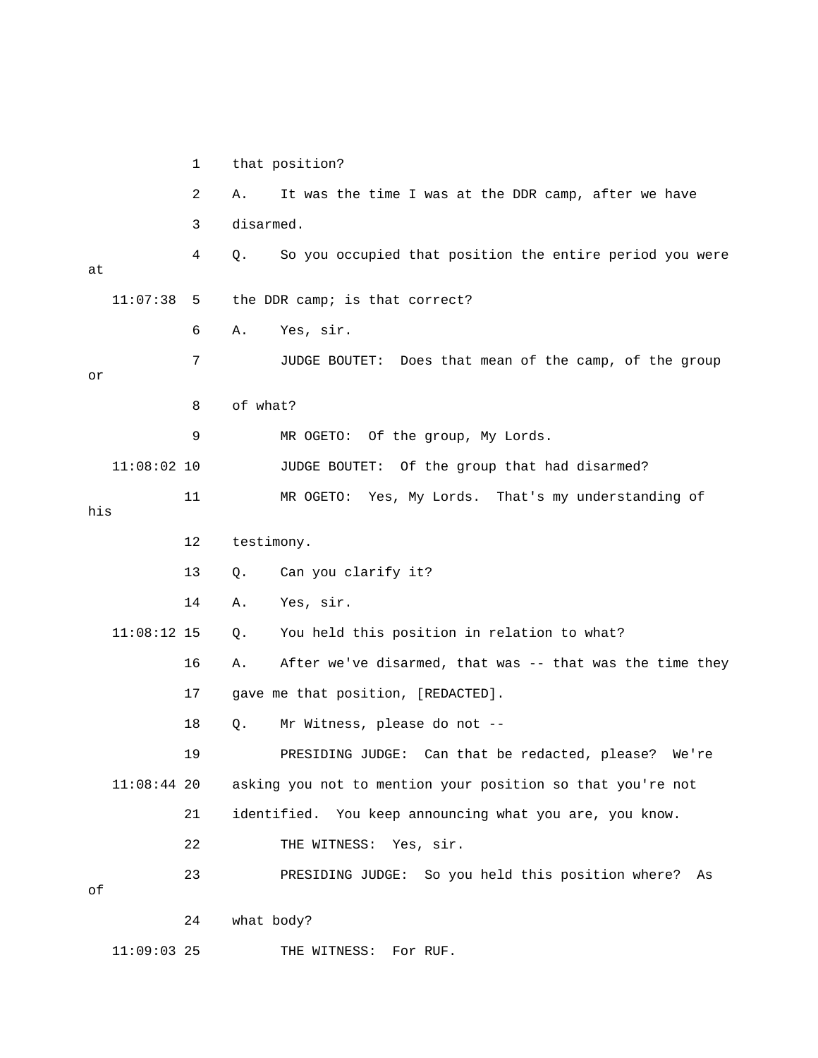1 that position? 2 A. It was the time I was at the DDR camp, after we have 3 disarmed. 4 Q. So you occupied that position the entire period you were at 11:07:38 5 the DDR camp; is that correct? 6 A. Yes, sir. 7 JUDGE BOUTET: Does that mean of the camp, of the group or 8 of what? 9 MR OGETO: Of the group, My Lords. 11:08:02 10 JUDGE BOUTET: Of the group that had disarmed? 11 MR OGETO: Yes, My Lords. That's my understanding of 12 testimony. 13 Q. Can you clarify it? 14 A. Yes, sir. 11:08:12 15 Q. You held this position in relation to what? 16 A. After we've disarmed, that was -- that was the time they 17 gave me that position, [REDACTED]. 18 Q. Mr Witness, please do not - redacted, please? We're 19 PRESIDING JUDGE: Can that be 11:08:44 20 asking you not to mention your position so that you're not 21 identified. You keep announcing what you are, you know. held this position where? As 23 PRESIDING JUDGE: So you 24 what body? THE WITNESS: For RUF. his 22 THE WITNESS: Yes, sir. of  $11:09:03$  25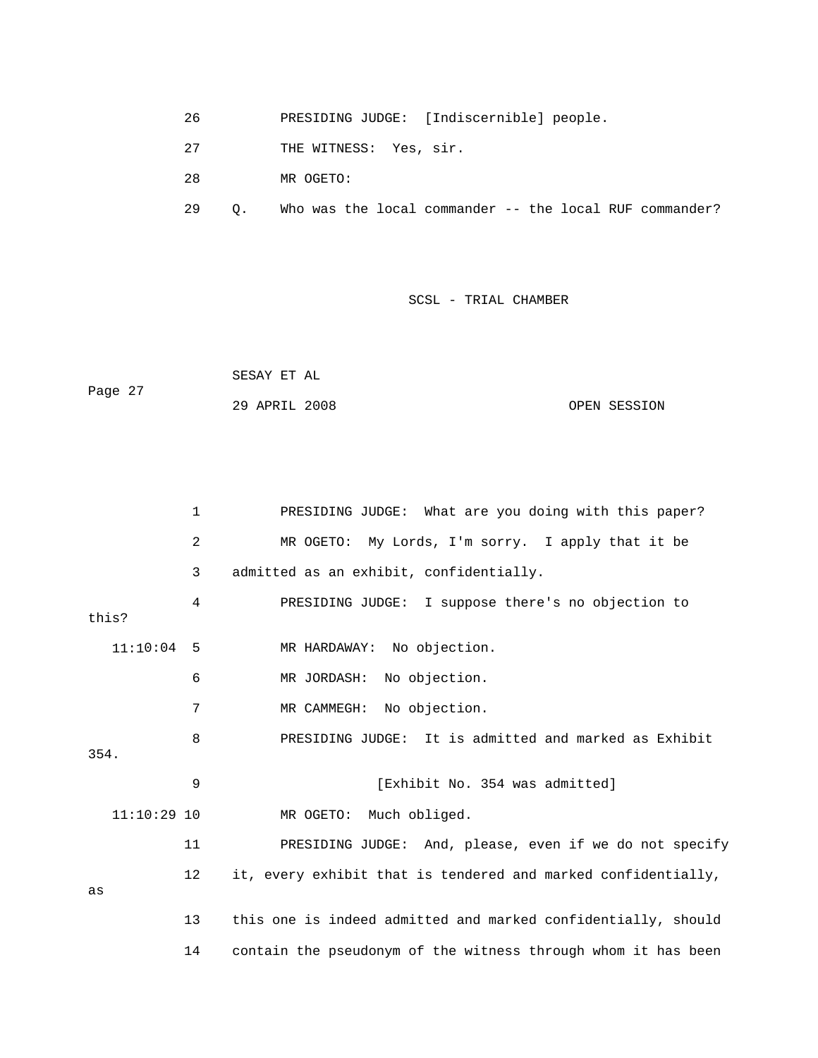- 26 PRESIDING JUDGE: [Indiscernible] people.
- 27 THE WITNESS: Yes, sir.

28 MR OGETO:

29 Q. Who was the local commander -- the local RUF commander?

|         | SESAY ET AL   |              |
|---------|---------------|--------------|
| Page 27 |               |              |
|         | 29 APRIL 2008 | OPEN SESSION |

|       |               | 1  | PRESIDING JUDGE: What are you doing with this paper?          |
|-------|---------------|----|---------------------------------------------------------------|
|       |               | 2  | MR OGETO: My Lords, I'm sorry. I apply that it be             |
|       |               | 3  | admitted as an exhibit, confidentially.                       |
| this? |               | 4  | PRESIDING JUDGE: I suppose there's no objection to            |
|       | $11:10:04$ 5  |    | MR HARDAWAY: No objection.                                    |
|       |               | 6  | MR JORDASH: No objection.                                     |
|       |               | 7  | MR CAMMEGH: No objection.                                     |
| 354.  |               | 8  | PRESIDING JUDGE: It is admitted and marked as Exhibit         |
|       |               |    |                                                               |
|       |               | 9  | [Exhibit No. 354 was admitted]                                |
|       | $11:10:29$ 10 |    | Much obliged.<br>MR OGETO:                                    |
|       |               | 11 | PRESIDING JUDGE: And, please, even if we do not specify       |
| as    |               | 12 | it, every exhibit that is tendered and marked confidentially, |
|       |               | 13 | this one is indeed admitted and marked confidentially, should |
|       |               | 14 | contain the pseudonym of the witness through whom it has been |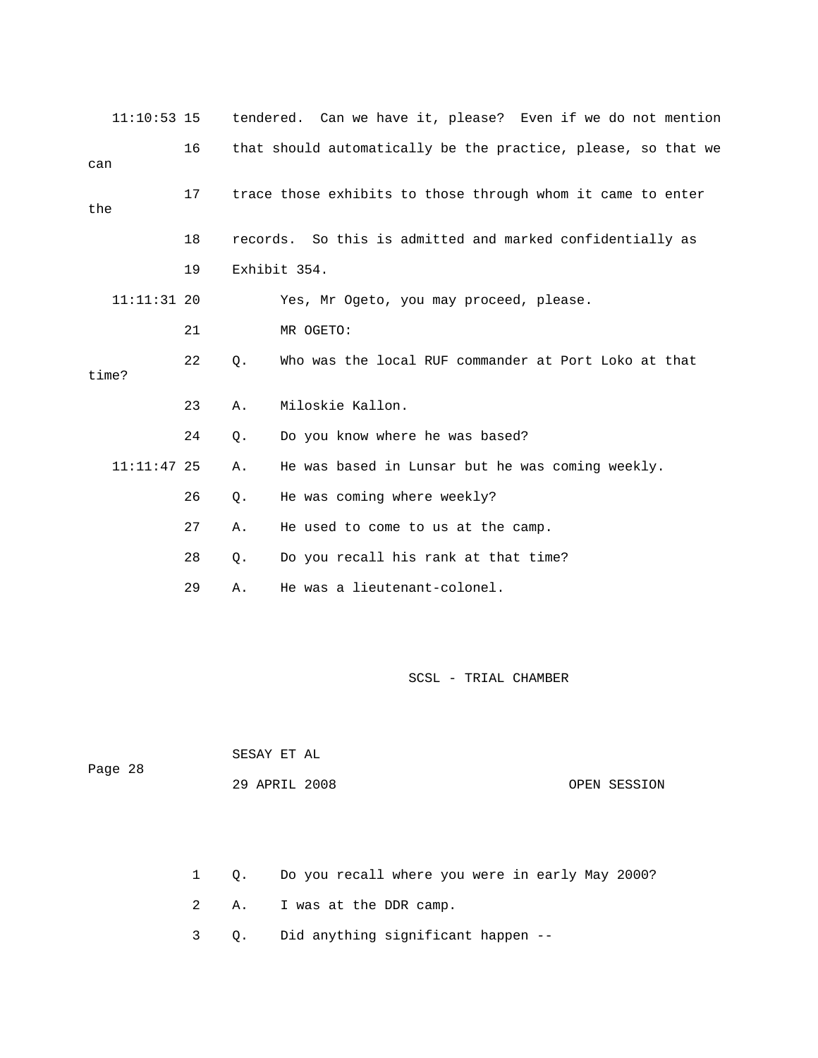| $11:10:53$ 15 |    |       |              |                                                             |  |  | tendered. Can we have it, please? Even if we do not mention   |
|---------------|----|-------|--------------|-------------------------------------------------------------|--|--|---------------------------------------------------------------|
| can           | 16 |       |              |                                                             |  |  | that should automatically be the practice, please, so that we |
| the           | 17 |       |              | trace those exhibits to those through whom it came to enter |  |  |                                                               |
|               | 18 |       |              | records. So this is admitted and marked confidentially as   |  |  |                                                               |
|               | 19 |       | Exhibit 354. |                                                             |  |  |                                                               |
| $11:11:31$ 20 |    |       |              | Yes, Mr Ogeto, you may proceed, please.                     |  |  |                                                               |
|               | 21 |       | MR OGETO:    |                                                             |  |  |                                                               |
| time?         | 22 | Q.    |              | Who was the local RUF commander at Port Loko at that        |  |  |                                                               |
|               | 23 | Α.    |              | Miloskie Kallon.                                            |  |  |                                                               |
|               | 24 | $Q$ . |              | Do you know where he was based?                             |  |  |                                                               |
| $11:11:47$ 25 |    | Α.    |              | He was based in Lunsar but he was coming weekly.            |  |  |                                                               |
|               | 26 | Q.    |              | He was coming where weekly?                                 |  |  |                                                               |
|               | 27 | Α.    |              | He used to come to us at the camp.                          |  |  |                                                               |
|               | 28 | Q.    |              | Do you recall his rank at that time?                        |  |  |                                                               |
|               | 29 | Α.    |              | He was a lieutenant-colonel.                                |  |  |                                                               |

| Page 28 | SESAY ET AL   |              |
|---------|---------------|--------------|
|         | 29 APRIL 2008 | OPEN SESSION |

- 1 Q. Do you recall where you were in early May 2000?
- 2 A. I was at the DDR camp.
- 3 Q. Did anything significant happen --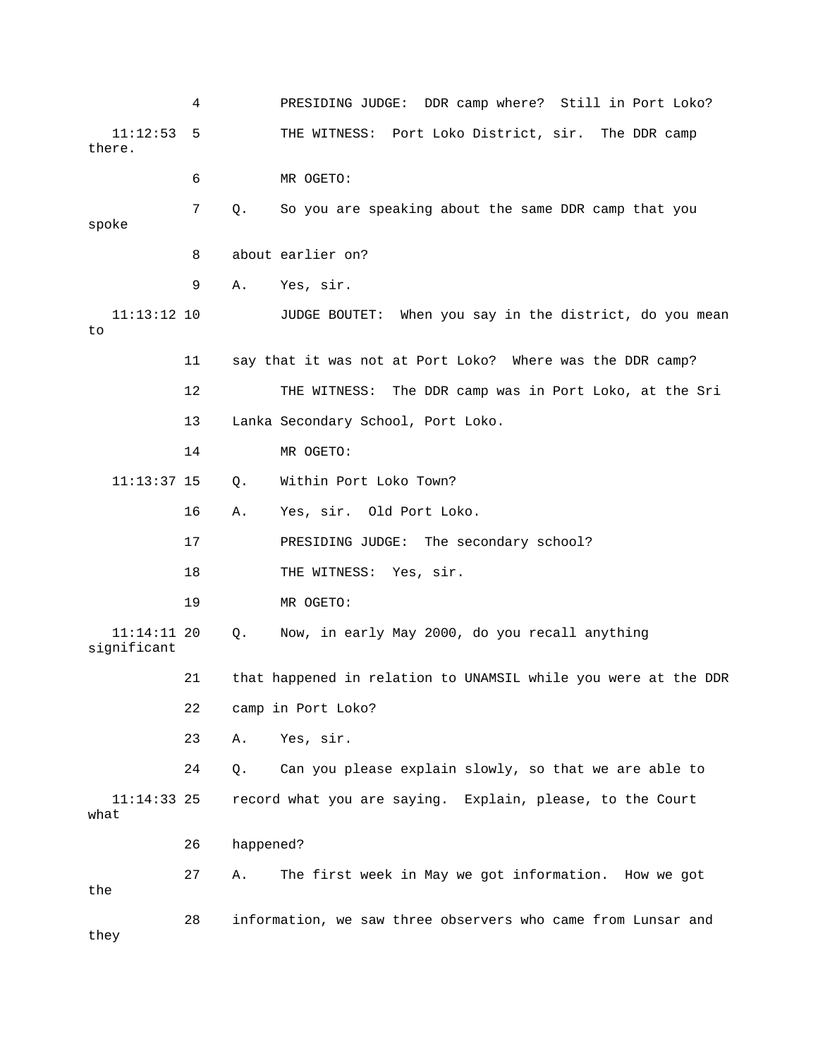|                            | 4  |           | PRESIDING JUDGE: DDR camp where? Still in Port Loko?           |
|----------------------------|----|-----------|----------------------------------------------------------------|
| 11:12:53<br>there.         | 5  |           | THE WITNESS: Port Loko District, sir. The DDR camp             |
|                            | 6  |           | MR OGETO:                                                      |
| spoke                      | 7  | Q.        | So you are speaking about the same DDR camp that you           |
|                            | 8  |           | about earlier on?                                              |
|                            | 9  | Α.        | Yes, sir.                                                      |
| $11:13:12$ 10<br>to        |    |           | When you say in the district, do you mean<br>JUDGE BOUTET:     |
|                            | 11 |           | say that it was not at Port Loko? Where was the DDR camp?      |
|                            | 12 |           | THE WITNESS: The DDR camp was in Port Loko, at the Sri         |
|                            | 13 |           | Lanka Secondary School, Port Loko.                             |
|                            | 14 |           | MR OGETO:                                                      |
| $11:13:37$ 15              |    | Q.        | Within Port Loko Town?                                         |
|                            | 16 | Α.        | Yes, sir. Old Port Loko.                                       |
|                            | 17 |           | PRESIDING JUDGE:<br>The secondary school?                      |
|                            | 18 |           | THE WITNESS: Yes, sir.                                         |
|                            | 19 |           | MR OGETO:                                                      |
| 11:14:11 20<br>significant |    | Q.        | Now, in early May 2000, do you recall anything                 |
|                            | 21 |           | that happened in relation to UNAMSIL while you were at the DDR |
|                            | 22 |           | camp in Port Loko?                                             |
|                            | 23 | Α.        | Yes, sir.                                                      |
|                            | 24 | Q.        | Can you please explain slowly, so that we are able to          |
| $11:14:33$ 25<br>what      |    |           | record what you are saying. Explain, please, to the Court      |
|                            | 26 | happened? |                                                                |
| the                        | 27 | Α.        | The first week in May we got information. How we got           |
| they                       | 28 |           | information, we saw three observers who came from Lunsar and   |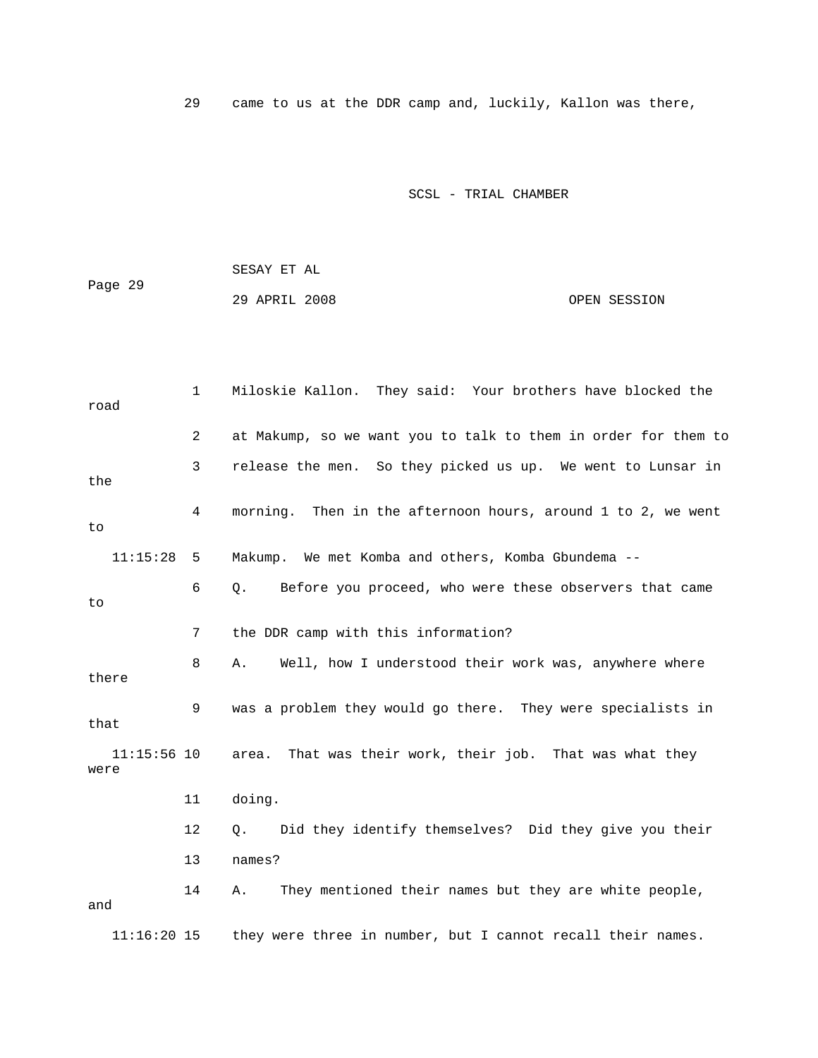29 came to us at the DDR camp and, luckily, Kallon was there,

SCSL - TRIAL CHAMBER

 SESAY ET AL Page 29 29 APRIL 2008 OPEN SESSION

 1 Miloskie Kallon. They said: Your brothers have blocked the road 2 at Makump, so we want you to talk to them in order for them to 3 release the men. So they picked us up. We went to Lunsar in 4 morning. Then in the afternoon hours, around 1 to 2, we went 11:15:28 5 Makump. We met Komba and others, Komba Gbundema -- 6 Q. Before you proceed, who were these observers that came 7 the DDR camp with this information? there 9 was a problem they would go there. They were specialists in area. That was their work, their job. That was what they 11 doing. 12 Q. Did they identify themselves? Did they give you their  $11:16:20$  15 they were three in number, but I cannot recall their names. the to to 8 A. Well, how I understood their work was, anywhere where that  $11:15:56$  10 were 13 names? 14 A. They mentioned their names but they are white people, and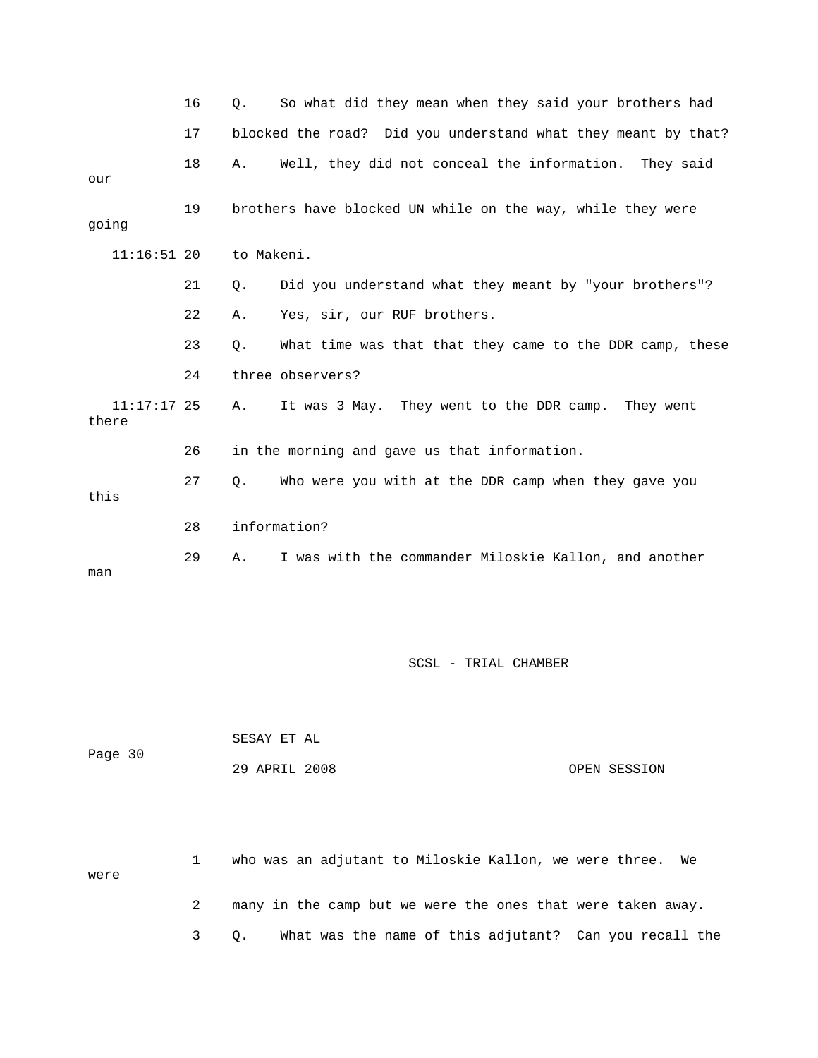|                        | 16 | Q.         | So what did they mean when they said your brothers had        |
|------------------------|----|------------|---------------------------------------------------------------|
|                        | 17 |            | blocked the road? Did you understand what they meant by that? |
| our                    | 18 | Α.         | Well, they did not conceal the information. They said         |
| going                  | 19 |            | brothers have blocked UN while on the way, while they were    |
| $11:16:51$ 20          |    | to Makeni. |                                                               |
|                        | 21 | Q.         | Did you understand what they meant by "your brothers"?        |
|                        | 22 | Α.         | Yes, sir, our RUF brothers.                                   |
|                        | 23 | Ο.         | What time was that that they came to the DDR camp, these      |
|                        | 24 |            | three observers?                                              |
| $11:17:17$ 25<br>there |    | Α.         | It was 3 May. They went to the DDR camp. They went            |
|                        | 26 |            | in the morning and gave us that information.                  |
| this                   | 27 | Q.         | Who were you with at the DDR camp when they gave you          |
|                        | 28 |            | information?                                                  |
| man                    | 29 | Α.         | I was with the commander Miloskie Kallon, and another         |

| Page 30 | SESAY ET AL   |              |
|---------|---------------|--------------|
|         | 29 APRIL 2008 | OPEN SESSION |

 1 who was an adjutant to Miloskie Kallon, we were three. We were 2 many in the camp but we were the ones that were taken away.

e 3 Q. What was the name of this adjutant? Can you recall th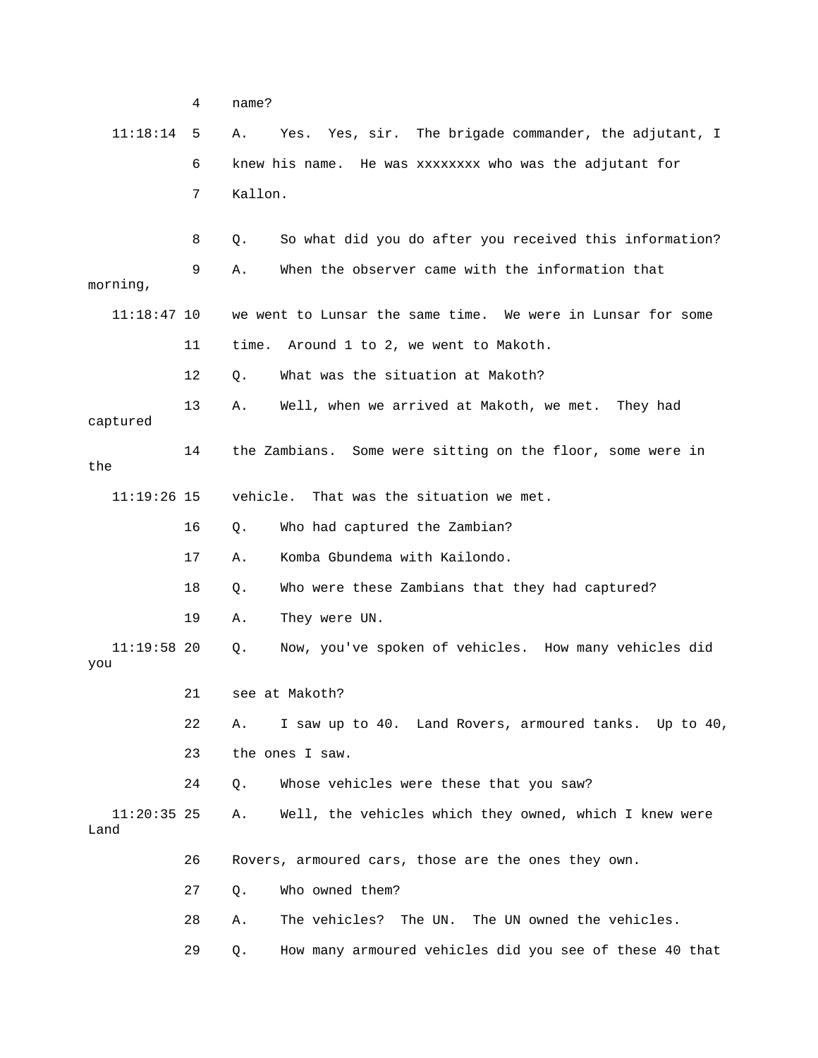|                       | 4  | name?    |                                                             |
|-----------------------|----|----------|-------------------------------------------------------------|
| 11:18:14              | 5  | Α.       | Yes, sir. The brigade commander, the adjutant, I<br>Yes.    |
|                       | 6  |          | knew his name. He was xxxxxxxx who was the adjutant for     |
|                       | 7  | Kallon.  |                                                             |
|                       | 8  | Q.       | So what did you do after you received this information?     |
| morning,              | 9  | Α.       | When the observer came with the information that            |
| $11:18:47$ 10         |    |          | we went to Lunsar the same time. We were in Lunsar for some |
|                       | 11 | time.    | Around 1 to 2, we went to Makoth.                           |
|                       | 12 | О.       | What was the situation at Makoth?                           |
| captured              | 13 | Α.       | Well, when we arrived at Makoth, we met.<br>They had        |
| the                   | 14 |          | the Zambians. Some were sitting on the floor, some were in  |
| $11:19:26$ 15         |    | vehicle. | That was the situation we met.                              |
|                       | 16 | Q.       | Who had captured the Zambian?                               |
|                       | 17 | Α.       | Komba Gbundema with Kailondo.                               |
|                       | 18 | Q.       | Who were these Zambians that they had captured?             |
|                       | 19 | Α.       | They were UN.                                               |
| $11:19:58$ 20<br>you  |    | Q.       | Now, you've spoken of vehicles. How many vehicles did       |
|                       | 21 |          | see at Makoth?                                              |
|                       | 22 | Α.       | I saw up to 40. Land Rovers, armoured tanks. Up to 40,      |
|                       | 23 |          | the ones I saw.                                             |
|                       | 24 | Q.       | Whose vehicles were these that you saw?                     |
| $11:20:35$ 25<br>Land |    | Α.       | Well, the vehicles which they owned, which I knew were      |
|                       | 26 |          | Rovers, armoured cars, those are the ones they own.         |
|                       | 27 | Q.       | Who owned them?                                             |
|                       | 28 | Α.       | The vehicles? The UN. The UN owned the vehicles.            |
|                       | 29 | Q.       | How many armoured vehicles did you see of these 40 that     |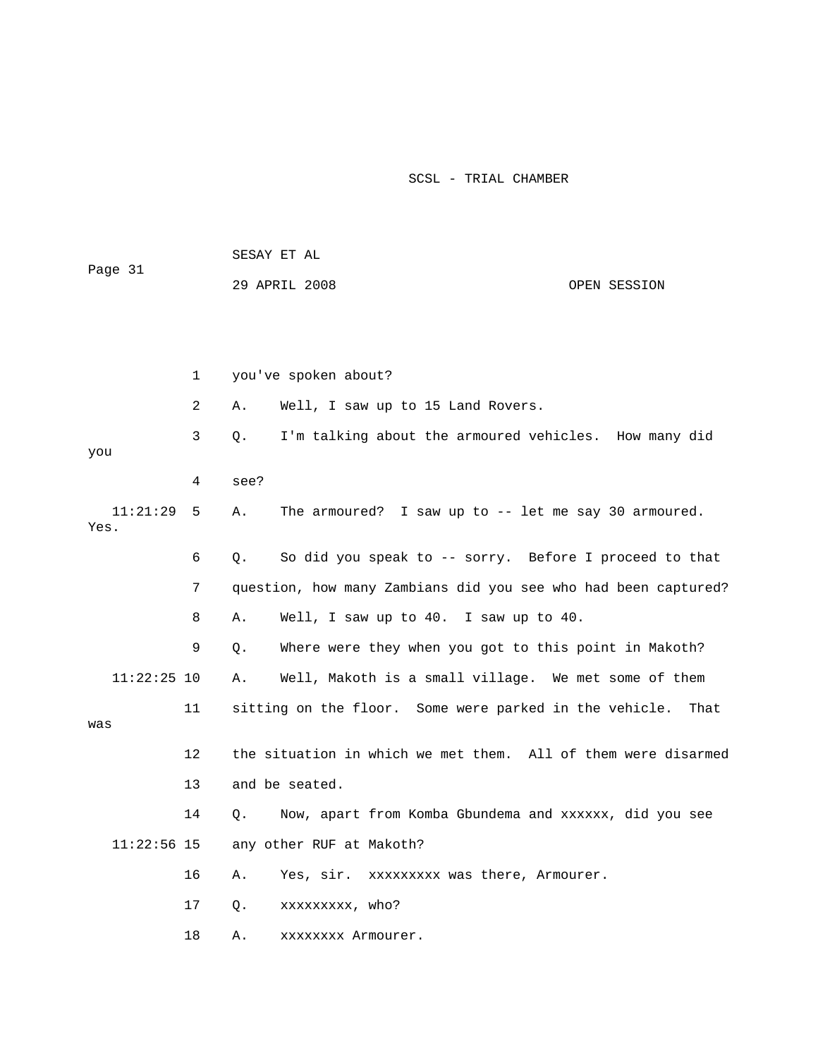| Page 31          |              | SESAY ET AL                                                         |              |
|------------------|--------------|---------------------------------------------------------------------|--------------|
|                  |              | 29 APRIL 2008                                                       | OPEN SESSION |
|                  |              |                                                                     |              |
|                  |              |                                                                     |              |
|                  | $\mathbf{1}$ | you've spoken about?                                                |              |
|                  | 2            | Well, I saw up to 15 Land Rovers.<br>Α.                             |              |
| you              | 3            | I'm talking about the armoured vehicles. How many did<br>О.         |              |
|                  | 4            | see?                                                                |              |
| 11:21:29<br>Yes. | 5            | The armoured? I saw up to -- let me say 30 armoured.<br>Α.          |              |
|                  | 6            | So did you speak to -- sorry. Before I proceed to that<br>О.        |              |
|                  | 7            | question, how many Zambians did you see who had been captured?      |              |
|                  | 8            | Well, I saw up to 40. I saw up to 40.<br>Α.                         |              |
|                  | 9            | Where were they when you got to this point in Makoth?<br>О.         |              |
| $11:22:25$ 10    |              | Well, Makoth is a small village. We met some of them<br>Α.          |              |
| was              | 11           | sitting on the floor. Some were parked in the vehicle.              | That         |
|                  | 12           | the situation in which we met them. All of them were disarmed       |              |
|                  | 13           | and be seated.                                                      |              |
|                  | 14           | Now, apart from Komba Gbundema and xxxxxx, did you see<br>$\circ$ . |              |
| $11:22:56$ 15    |              | any other RUF at Makoth?                                            |              |
|                  | 16           | Yes, sir. xxxxxxxxx was there, Armourer.<br>Α.                      |              |
|                  | 17           | О.<br>xxxxxxxxx, who?                                               |              |
|                  | 18           | XXXXXXX Armourer.<br>Α.                                             |              |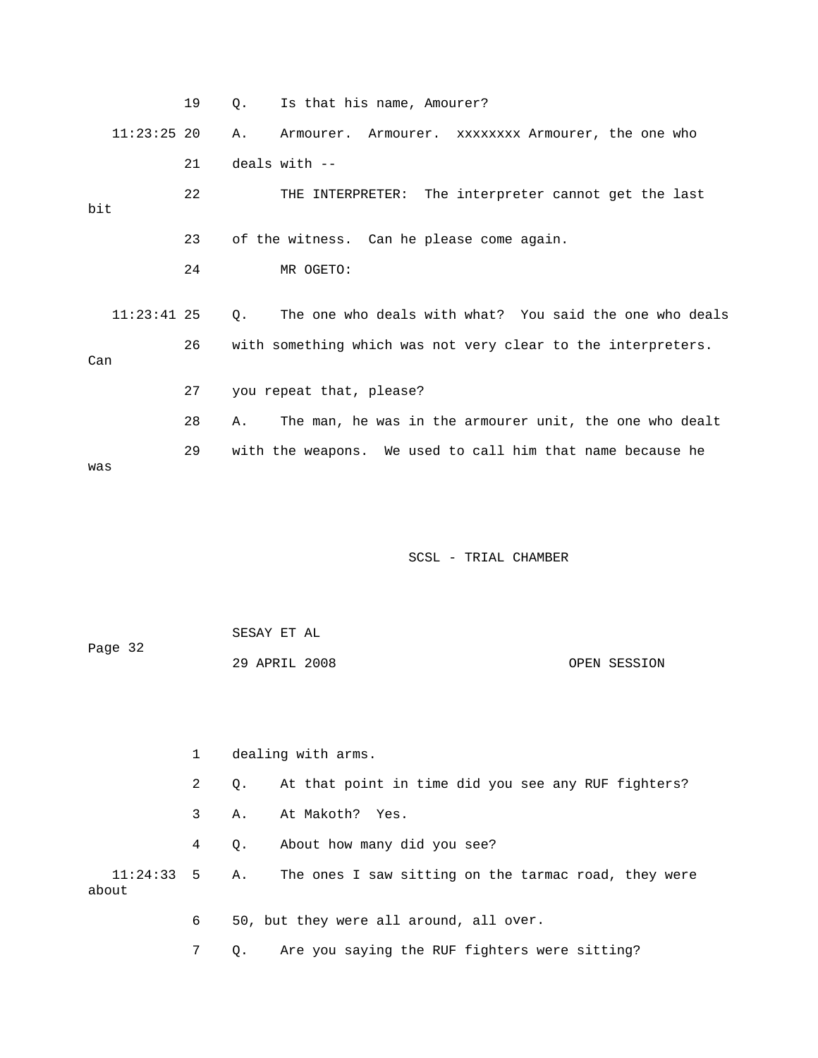|               | 19 | Is that his name, Amourer?<br>О.                              |
|---------------|----|---------------------------------------------------------------|
| $11:23:25$ 20 |    | Α.<br>Armourer. Armourer. XXXXXXXX Armourer, the one who      |
|               | 21 | deals with $--$                                               |
| bit           | 22 | THE INTERPRETER: The interpreter cannot get the last          |
|               | 23 | of the witness. Can he please come again.                     |
|               | 24 | MR OGETO:                                                     |
|               |    |                                                               |
| $11:23:41$ 25 |    | The one who deals with what? You said the one who deals<br>0. |
| Can           | 26 | with something which was not very clear to the interpreters.  |
|               | 27 | you repeat that, please?                                      |
|               | 28 | The man, he was in the armourer unit, the one who dealt<br>Α. |
| was           | 29 | with the weapons. We used to call him that name because he    |

| Page 32 | SESAY ET AL   |              |
|---------|---------------|--------------|
|         | 29 APRIL 2008 | OPEN SESSION |

|       |              | dealing with arms.                                                 |  |  |  |
|-------|--------------|--------------------------------------------------------------------|--|--|--|
|       | $\mathbf{2}$ | At that point in time did you see any RUF fighters?<br>$\circ$ .   |  |  |  |
|       | 3            | At Makoth? Yes.<br>А.                                              |  |  |  |
|       | 4            | About how many did you see?<br>О.                                  |  |  |  |
| about |              | 11:24:33 5 A. The ones I saw sitting on the tarmac road, they were |  |  |  |
|       | 6            | 50, but they were all around, all over.                            |  |  |  |
|       |              | Q. Are you saying the RUF fighters were sitting?                   |  |  |  |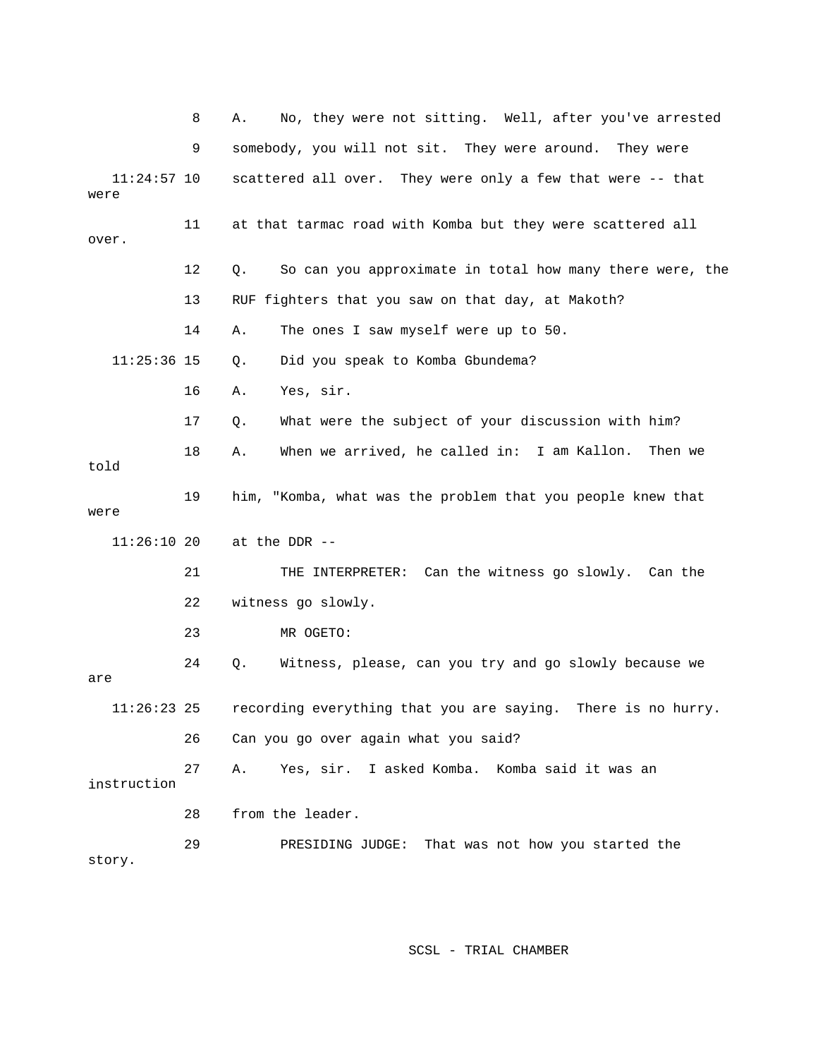|                       | 8  | No, they were not sitting. Well, after you've arrested<br>Α.   |
|-----------------------|----|----------------------------------------------------------------|
|                       | 9  | somebody, you will not sit. They were around. They were        |
| $11:24:57$ 10<br>were |    | scattered all over. They were only a few that were -- that     |
| over.                 | 11 | at that tarmac road with Komba but they were scattered all     |
|                       | 12 | So can you approximate in total how many there were, the<br>Q. |
|                       | 13 | RUF fighters that you saw on that day, at Makoth?              |
|                       | 14 | The ones I saw myself were up to 50.<br>Α.                     |
| $11:25:36$ 15         |    | Did you speak to Komba Gbundema?<br>Q.                         |
|                       | 16 | Yes, sir.<br>Α.                                                |
|                       | 17 | What were the subject of your discussion with him?<br>Q.       |
| told                  | 18 | When we arrived, he called in: I am Kallon.<br>Then we<br>Α.   |
| were                  | 19 | him, "Komba, what was the problem that you people knew that    |
| $11:26:10$ 20         |    | at the DDR --                                                  |
|                       | 21 | Can the witness go slowly. Can the<br>THE INTERPRETER:         |
|                       | 22 | witness go slowly.                                             |
|                       | 23 | MR OGETO:                                                      |
| are                   | 24 | Witness, please, can you try and go slowly because we<br>Q.    |
| 11:26:23              | 25 | recording everything that you are saying. There is no hurry.   |
|                       | 26 | Can you go over again what you said?                           |
| instruction           | 27 | Yes, sir. I asked Komba. Komba said it was an<br>Α.            |
|                       | 28 | from the leader.                                               |
| story.                | 29 | PRESIDING JUDGE: That was not how you started the              |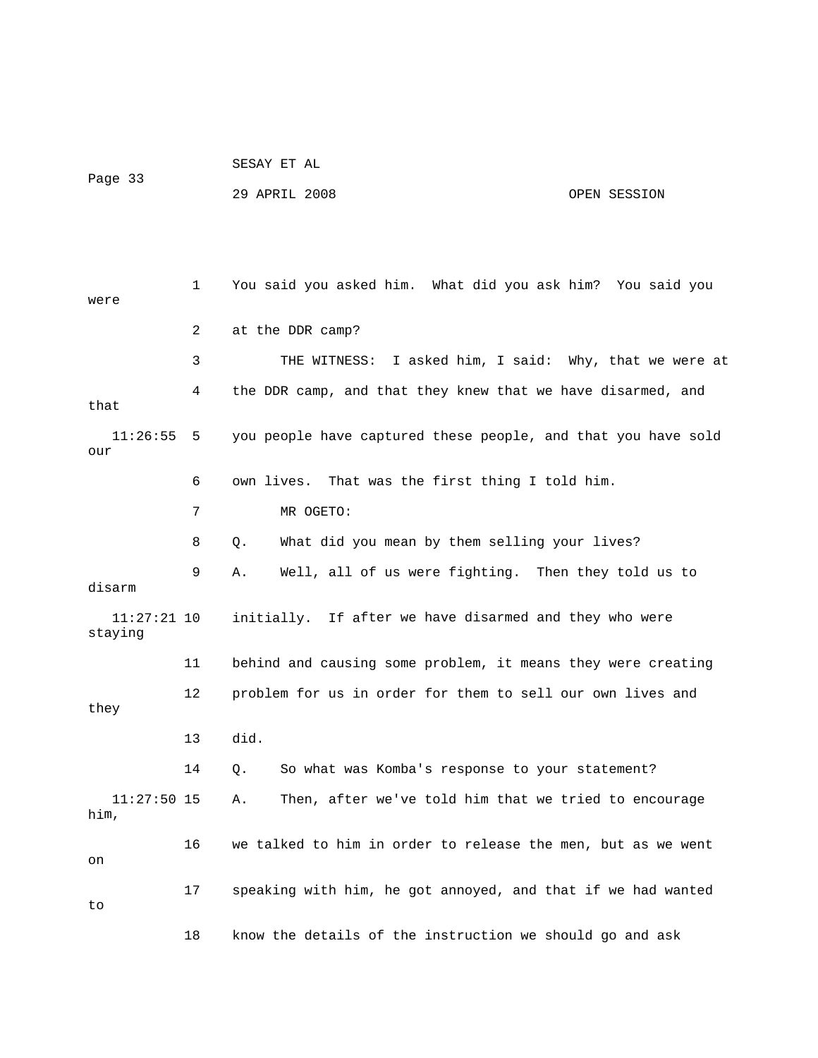```
 SESAY ET AL 
Page 33
```
29 APRIL 2008 OPEN SESSION

1 You said you asked him. What did you ask him? You said you were 2 at the DDR camp? 3 THE WITNESS: I asked him, I said: Why, that we were at 4 the DDR camp, and that they knew that we have disarmed, and that 7 MR OGETO: 8 Q. What did you mean by them selling your lives? 9 A. Well, all of us were fighting. Then they told us to disarm  $11:27:21$   $10$  initially. If after we have disarmed and they who were 12 problem for us in order for them to sell our own lives and 13 did. 14 Q. So what was Komba's response to your statement? him, 16 we talked to him in order to release the men, but as we went 11:26:55 5 you people have captured these people, and that you have sold our 6 own lives. That was the first thing I told him. staying 11 behind and causing some problem, it means they were creating they 11:27:50 15 A. Then, after we've told him that we tried to encourage on 17 speaking with him, he got annoyed, and that if we had wanted to 18 know the details of the instruction we should go and ask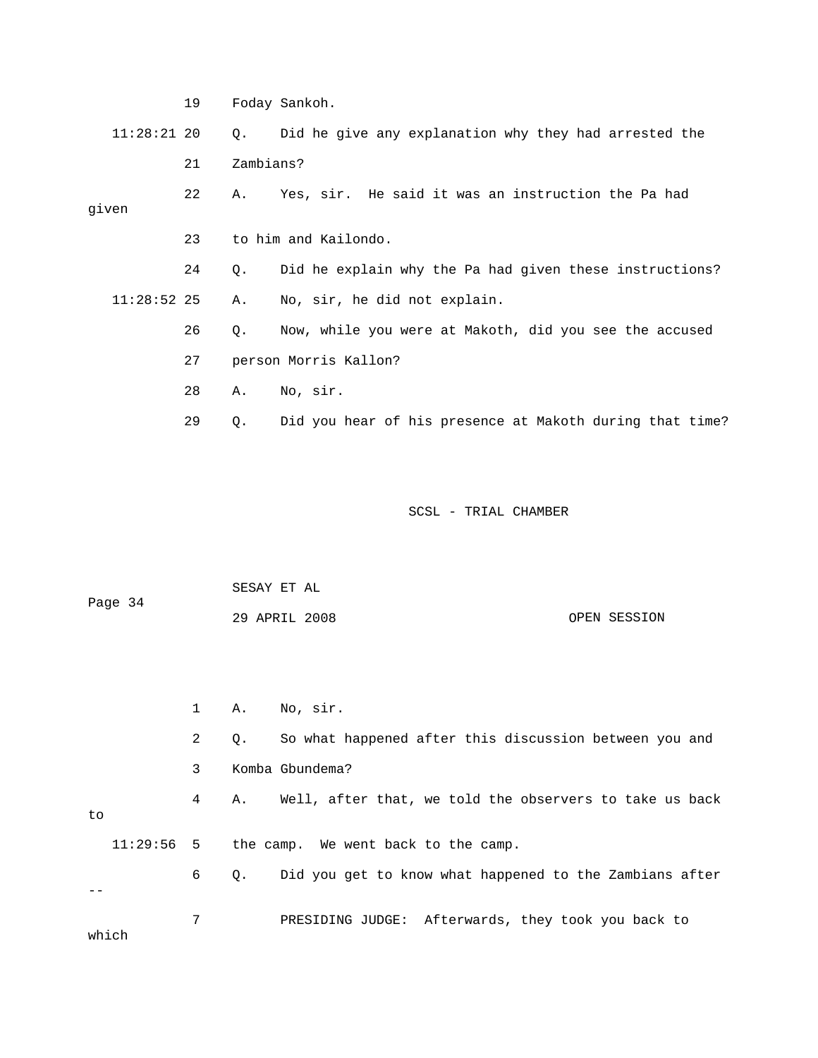19 Foday Sankoh. Q. Did he give any explanation why they had arrested the 22 A. Yes, sir. He said it was an instruction the Pa had 23 to him and Kailondo. 24 Q. Did he explain why the Pa had given these instructions? A. No, sir, he did not explain. 26 Q. Now, while you were at Makoth, did you see the accused  $11:28:21$  20 21 Zambians? given  $11:28:52$  25 27 person Morris Kallon? 28 A. No, sir. 29 Q. Did you hear of his presence at Makoth during that time?

SCSL - TRIAL CHAMBER

 SESAY ET AL OPEN SESSION Page 34 29 APRIL 2008

 2 Q. So what happened after this discussion between you and 3 Komba Gbundema? 4 A. Well, after that, we told the observers to take us back 6 Q. Did you get to know what happened to the Zambians after 7 PRESIDING JUDGE: Afterwards, they took you back to 1 A. No, sir. 11:29:56 5 the camp. We went back to the camp.

which

to

 $-$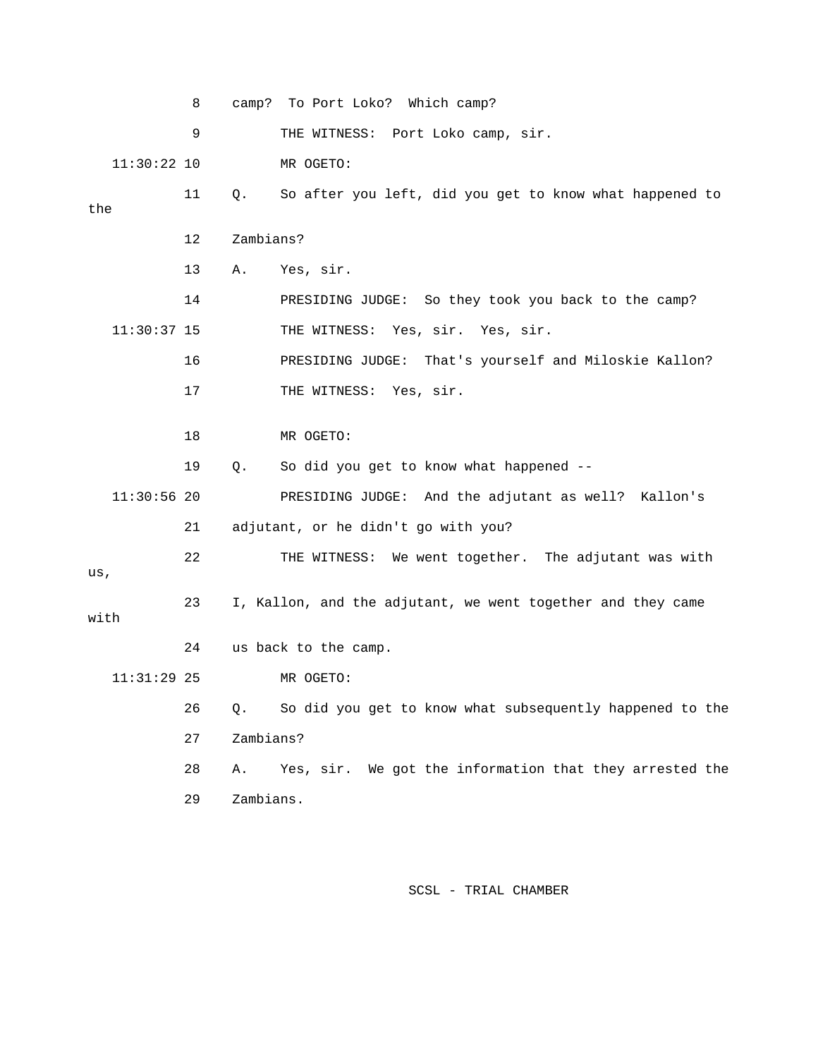|      |               | 8  |           | camp? To Port Loko? Which camp?                             |
|------|---------------|----|-----------|-------------------------------------------------------------|
|      |               | 9  |           | THE WITNESS: Port Loko camp, sir.                           |
|      | $11:30:22$ 10 |    |           | MR OGETO:                                                   |
| the  |               | 11 | Q.        | So after you left, did you get to know what happened to     |
|      |               |    |           |                                                             |
|      |               | 12 | Zambians? |                                                             |
|      |               | 13 | Α.        | Yes, sir.                                                   |
|      |               | 14 |           | PRESIDING JUDGE: So they took you back to the camp?         |
|      | $11:30:37$ 15 |    |           | THE WITNESS: Yes, sir. Yes, sir.                            |
|      |               | 16 |           | PRESIDING JUDGE: That's yourself and Miloskie Kallon?       |
|      |               | 17 |           | THE WITNESS: Yes, sir.                                      |
|      |               | 18 |           | MR OGETO:                                                   |
|      |               |    |           |                                                             |
|      |               | 19 | Q.        | So did you get to know what happened --                     |
|      | $11:30:56$ 20 |    |           | PRESIDING JUDGE: And the adjutant as well? Kallon's         |
|      |               | 21 |           | adjutant, or he didn't go with you?                         |
|      |               | 22 |           | THE WITNESS: We went together. The adjutant was with        |
| us,  |               |    |           |                                                             |
| with |               | 23 |           | I, Kallon, and the adjutant, we went together and they came |
|      |               | 24 |           | us back to the camp.                                        |
|      | $11:31:29$ 25 |    |           | MR OGETO:                                                   |
|      |               | 26 | Q.        | So did you get to know what subsequently happened to the    |
|      |               | 27 | Zambians? |                                                             |
|      |               | 28 | Α.        | Yes, sir. We got the information that they arrested the     |
|      |               | 29 | Zambians. |                                                             |
|      |               |    |           |                                                             |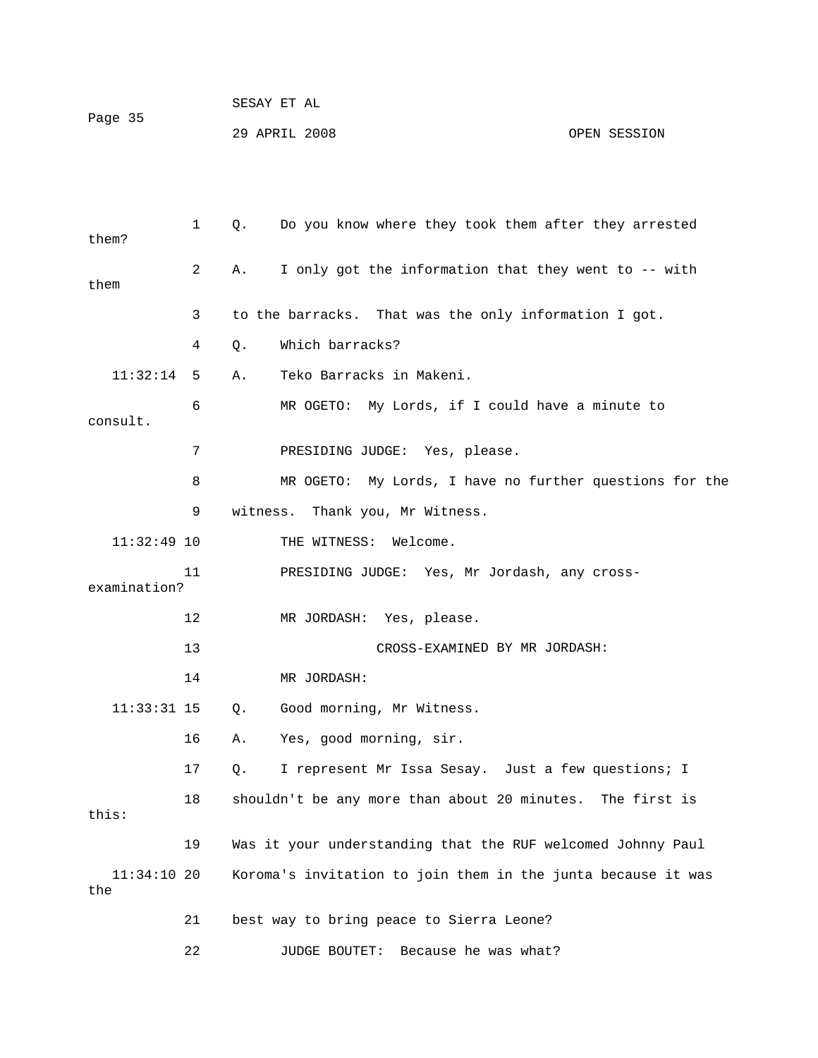| Page 35 | SESAY ET AL   |              |
|---------|---------------|--------------|
|         | 29 APRIL 2008 | OPEN SESSION |

| them?                | $\mathbf{1}$   | Q.       | Do you know where they took them after they arrested         |
|----------------------|----------------|----------|--------------------------------------------------------------|
| them                 | $\overline{2}$ | Α.       | I only got the information that they went to -- with         |
|                      | 3              |          | to the barracks. That was the only information I got.        |
|                      | 4              | Q.       | Which barracks?                                              |
| 11:32:14             | 5              | Α.       | Teko Barracks in Makeni.                                     |
| consult.             | 6              |          | MR OGETO: My Lords, if I could have a minute to              |
|                      | 7              |          | PRESIDING JUDGE: Yes, please.                                |
|                      | 8              |          | MR OGETO: My Lords, I have no further questions for the      |
|                      | 9              | witness. | Thank you, Mr Witness.                                       |
| $11:32:49$ 10        |                |          | THE WITNESS: Welcome.                                        |
| examination?         | 11             |          | PRESIDING JUDGE: Yes, Mr Jordash, any cross-                 |
|                      | 12             |          | MR JORDASH: Yes, please.                                     |
|                      | 13             |          | CROSS-EXAMINED BY MR JORDASH:                                |
|                      | 14             |          | MR JORDASH:                                                  |
| $11:33:31$ 15        |                | Q.       | Good morning, Mr Witness.                                    |
|                      | 16             | Α.       | Yes, good morning, sir.                                      |
|                      | 17             | Q.       | I represent Mr Issa Sesay. Just a few questions; I           |
| this:                | 18             |          | shouldn't be any more than about 20 minutes. The first is    |
|                      | 19             |          | Was it your understanding that the RUF welcomed Johnny Paul  |
| $11:34:10$ 20<br>the |                |          | Koroma's invitation to join them in the junta because it was |
|                      | 21             |          | best way to bring peace to Sierra Leone?                     |
|                      | 22             |          | <b>JUDGE BOUTET:</b><br>Because he was what?                 |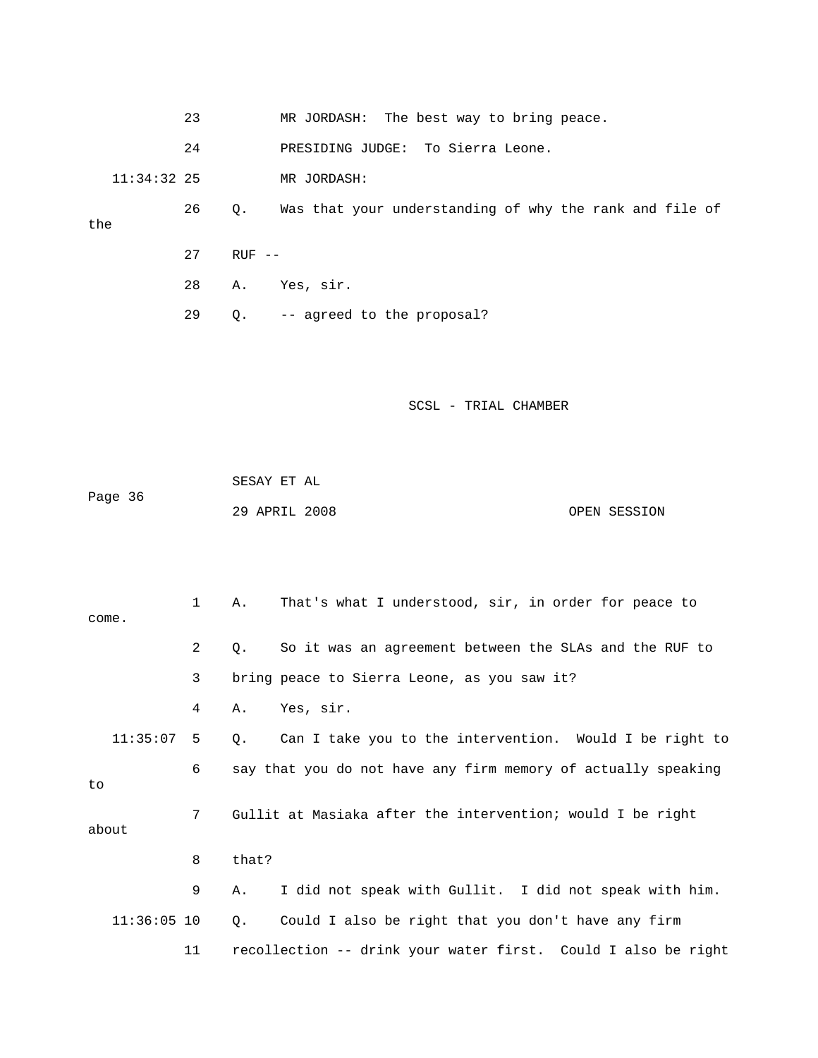|               | 23 |           | MR JORDASH: The best way to bring peace.                |
|---------------|----|-----------|---------------------------------------------------------|
|               | 24 |           | PRESIDING JUDGE: To Sierra Leone.                       |
| $11:34:32$ 25 |    |           | MR JORDASH:                                             |
| the           | 26 | $\circ$ . | Was that your understanding of why the rank and file of |
|               | 27 | $RUF - -$ |                                                         |
|               | 28 | Α.        | Yes, sir.                                               |
|               | 29 | Q.        | -- agreed to the proposal?                              |

|         | SESAY ET AL   |  |              |
|---------|---------------|--|--------------|
| Page 36 |               |  |              |
|         | 29 APRIL 2008 |  | OPEN SESSION |

|               | $\mathbf{1}$   | Α.    | That's what I understood, sir, in order for peace to          |
|---------------|----------------|-------|---------------------------------------------------------------|
| come.         |                |       |                                                               |
|               | 2              | О.    | So it was an agreement between the SLAs and the RUF to        |
|               | 3              |       | bring peace to Sierra Leone, as you saw it?                   |
|               | 4              | Α.    | Yes, sir.                                                     |
| 11:35:07      | -5             | Q.    | Can I take you to the intervention. Would I be right to       |
|               | 6              |       | say that you do not have any firm memory of actually speaking |
| to            |                |       |                                                               |
|               | 7 <sup>7</sup> |       | Gullit at Masiaka after the intervention; would I be right    |
| about         |                |       |                                                               |
|               | 8              | that? |                                                               |
|               | 9              | Α.    | I did not speak with Gullit. I did not speak with him.        |
| $11:36:05$ 10 |                | Q.    | Could I also be right that you don't have any firm            |
|               | 11             |       | recollection -- drink your water first. Could I also be right |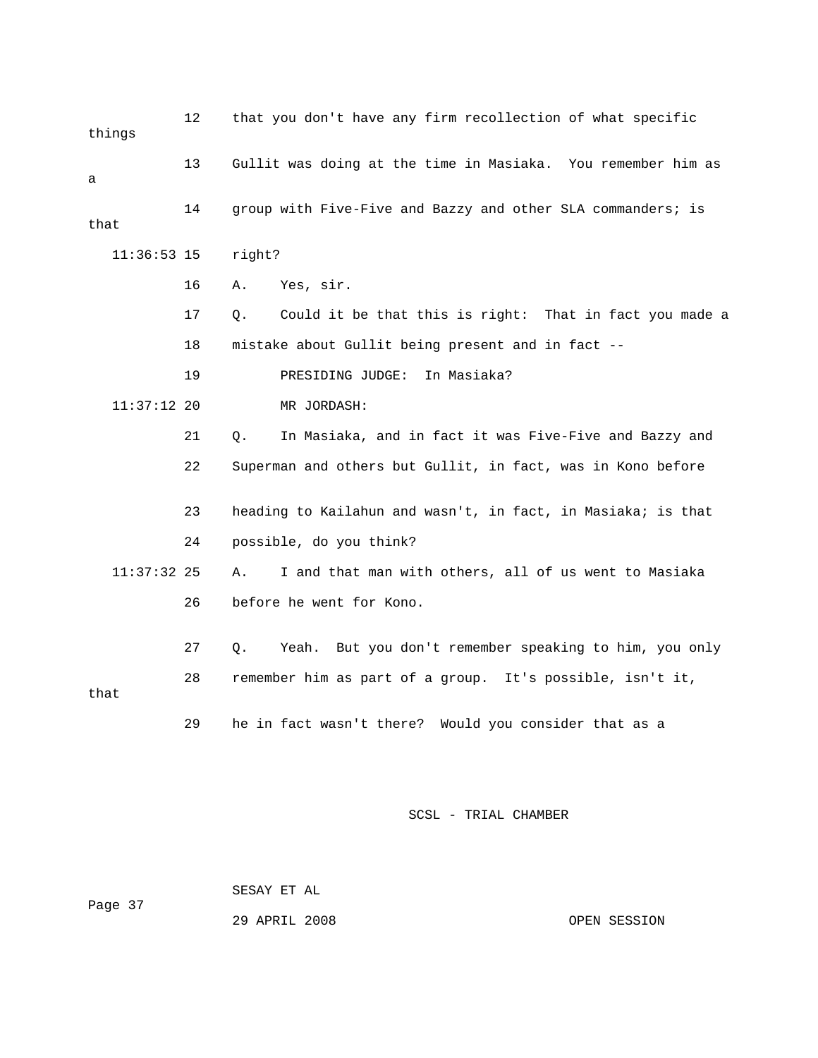12 that you don't have any firm recollection of what specific things 13 Gullit was doing at the time in Masiaka. You remember him as 16 A. Yes, sir. 17 Q. Could it be that this is right: That in fact you made a 18 mistake about Gullit being present and in fact -- 19 PRESIDING JUDGE: In Masiaka? 11:37:12 20 MR JORDASH: 21 Q. In Masiaka, and in fact it was Five-Five and Bazzy and 22 Superman and others but Gullit, in fact, was in Kono before 23 heading to Kailahun and wasn't, in fact, in Masiaka; is that 26 before he went for Kono. 27 Q. Yeah. But you don't remember speaking to him, you only 28 remember him as part of a group. It's possible, isn't it, 29 he in fact wasn't there? Would you consider that as a a 14 group with Five-Five and Bazzy and other SLA commanders; is that 11:36:53 15 right? 24 possible, do you think? 11:37:32 25 A. I and that man with others, all of us went to Masiaka that

SCSL - TRIAL CHAMBER

 SESAY ET AL Page 37

29 APRIL 2008 OPEN SESSION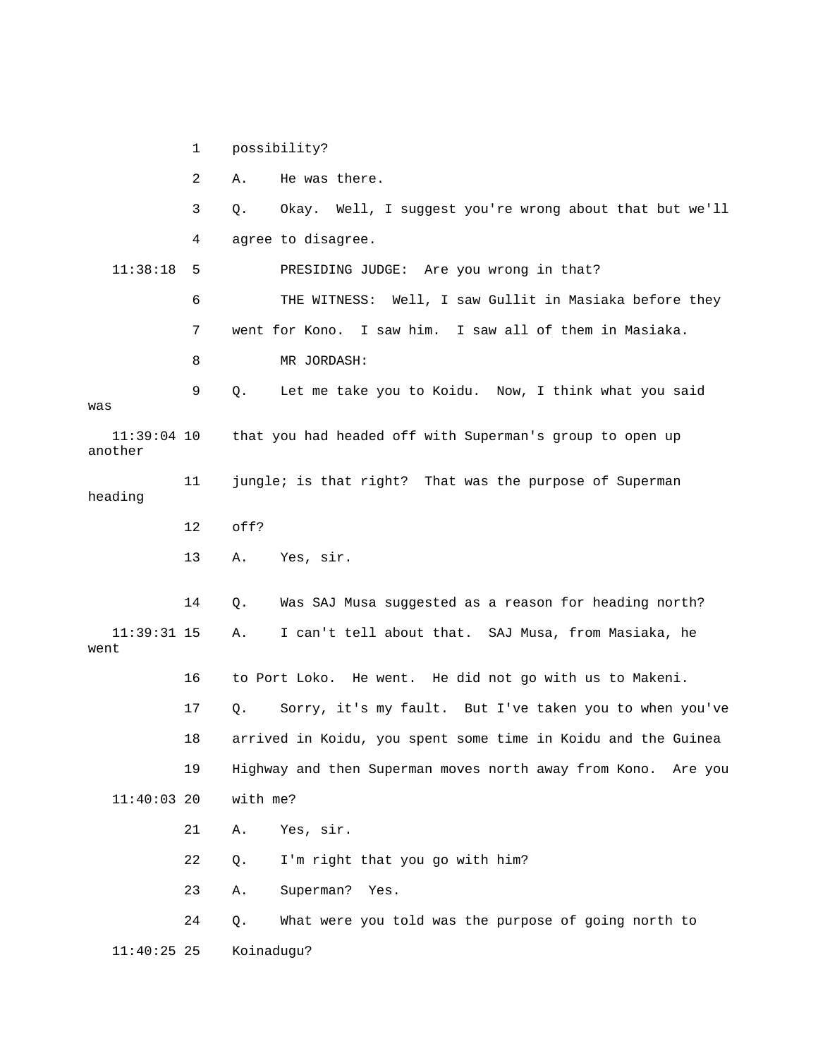1 possibility?

3 Q. Okay. Well, I suggest you're wrong about that but we'll 4 agree to disagree. 11:38:18 5 PRESIDING JUDGE: Are you wrong in that? ESS: Well, I saw Gullit in Masiaka before they 6 THE WITN 7 went for Kono. I saw him. I saw all of them in Masiaka. 9 Q. Let me take you to Koidu. Now, I think what you said was heading 13 A. Yes, sir. 14 Q. Was SAJ Musa suggested as a reason for heading north? 16 to Port Loko. He went. He did not go with us to Makeni. my fault. But I've taken you to when you've 17 Q. Sorry, it's 18 arrived in Koidu, you spent some time in Koidu and the Guinea 19 Highway and then Superman moves north away from Kono. Are you 2 A. He was there. 8 MR JORDASH: 11:39:04 10 that you had headed off with Superman's group to open up another 11 jungle; is that right? That was the purpose of Superman 12 off? 11:39:31 15 A. I can't tell about that. SAJ Musa, from Masiaka, he went 11:40:03 20 with me? 21 A. Yes, sir. 22 Q. I'm right that you go with him? 23 A. Superman? Yes. 24 Q. What were you told was the purpose of going north to 11:40:25 25 Koinadugu?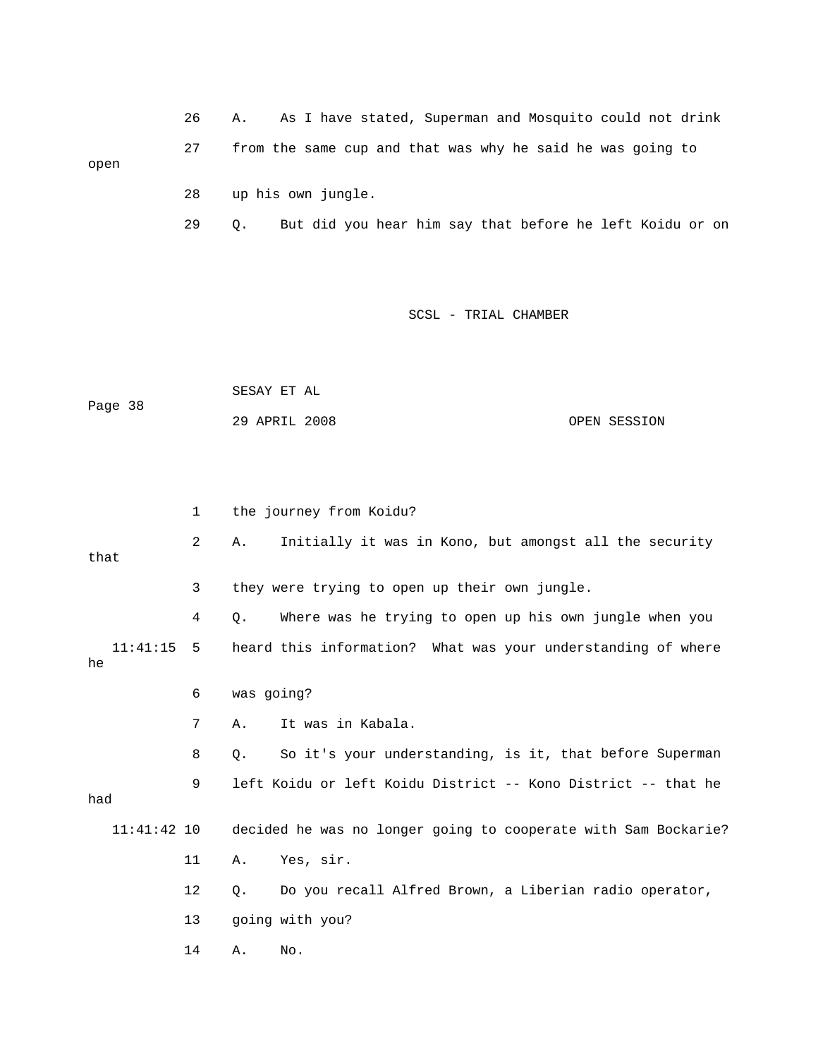26 A. As I have stated, Superman and Mosquito could not drink 27 from the same cup and that was why he said he was going to 28 up his own jungle. open

29 Q. But did you hear him say that before he left Koidu or on

|         | SESAY ET AL   |  |              |
|---------|---------------|--|--------------|
| Page 38 |               |  |              |
|         | 29 APRIL 2008 |  | OPEN SESSION |

|                    | 1  |            | the journey from Koidu?                                        |
|--------------------|----|------------|----------------------------------------------------------------|
| that               | 2  | Α.         | Initially it was in Kono, but amongst all the security         |
|                    | 3  |            | they were trying to open up their own jungle.                  |
|                    | 4  | О.         | Where was he trying to open up his own jungle when you         |
| $11:41:15$ 5<br>he |    |            | heard this information? What was your understanding of where   |
|                    | 6  | was going? |                                                                |
|                    | 7  | Α.         | It was in Kabala.                                              |
|                    | 8  | 0.         | So it's your understanding, is it, that before Superman        |
| had                | 9  |            | left Koidu or left Koidu District -- Kono District -- that he  |
| $11:41:42$ 10      |    |            | decided he was no longer going to cooperate with Sam Bockarie? |
|                    | 11 | Α.         | Yes, sir.                                                      |
|                    | 12 | О.         | Do you recall Alfred Brown, a Liberian radio operator,         |
|                    | 13 |            | going with you?                                                |
|                    | 14 | Α.         | No.                                                            |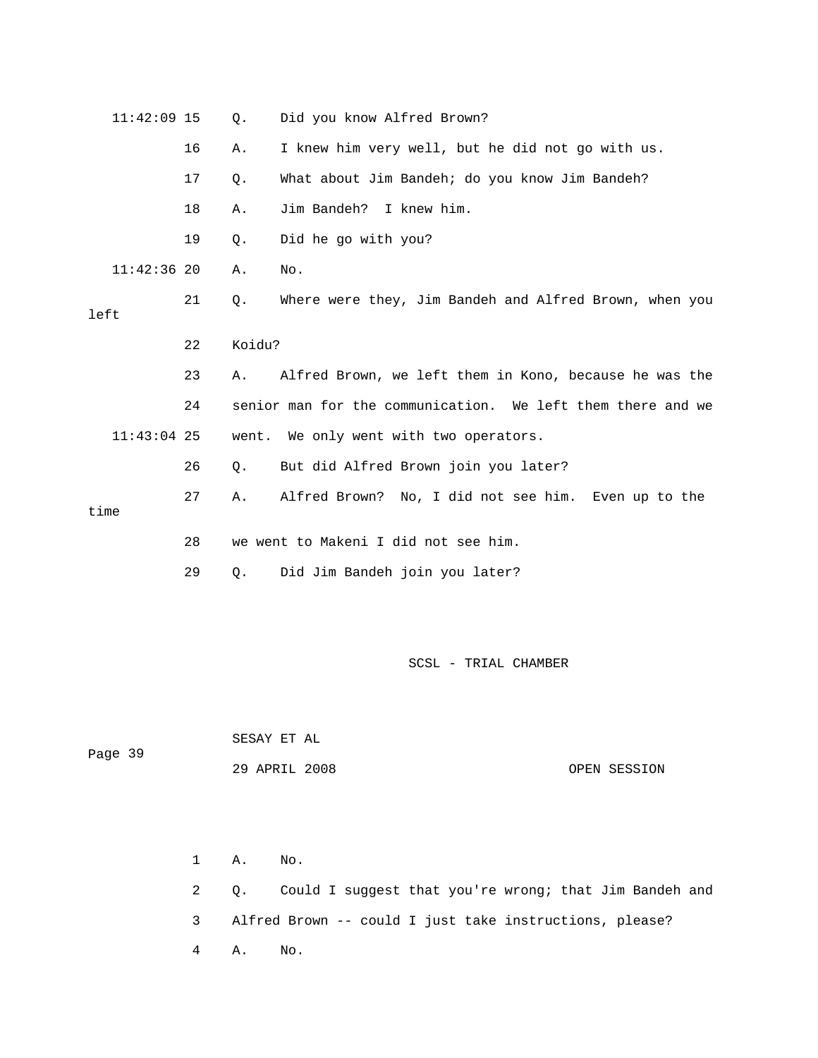| $11:42:09$ 15 |    | Q.     | Did you know Alfred Brown?                                  |
|---------------|----|--------|-------------------------------------------------------------|
|               | 16 | Α.     | I knew him very well, but he did not go with us.            |
|               | 17 | Q.     | What about Jim Bandeh; do you know Jim Bandeh?              |
|               | 18 | Α.     | Jim Bandeh? I knew him.                                     |
|               | 19 | $Q$ .  | Did he go with you?                                         |
| $11:42:36$ 20 |    | Α.     | No.                                                         |
| left          | 21 | Q.     | Where were they, Jim Bandeh and Alfred Brown, when you      |
|               | 22 | Koidu? |                                                             |
|               | 23 | Α.     | Alfred Brown, we left them in Kono, because he was the      |
|               | 24 |        | senior man for the communication. We left them there and we |
| $11:43:04$ 25 |    |        | went. We only went with two operators.                      |
|               | 26 | Ο.     | But did Alfred Brown join you later?                        |
| time          | 27 | Α.     | Alfred Brown? No, I did not see him. Even up to the         |
|               | 28 |        | we went to Makeni I did not see him.                        |
|               | 29 | Q.     | Did Jim Bandeh join you later?                              |

| Page 39 | SESAY ET AL   |              |
|---------|---------------|--------------|
|         | 29 APRIL 2008 | OPEN SESSION |

 1 A. No. 4 A. No. 2 Q. Could I suggest that you're wrong; that Jim Bandeh and 3 Alfred Brown -- could I just take instructions, please?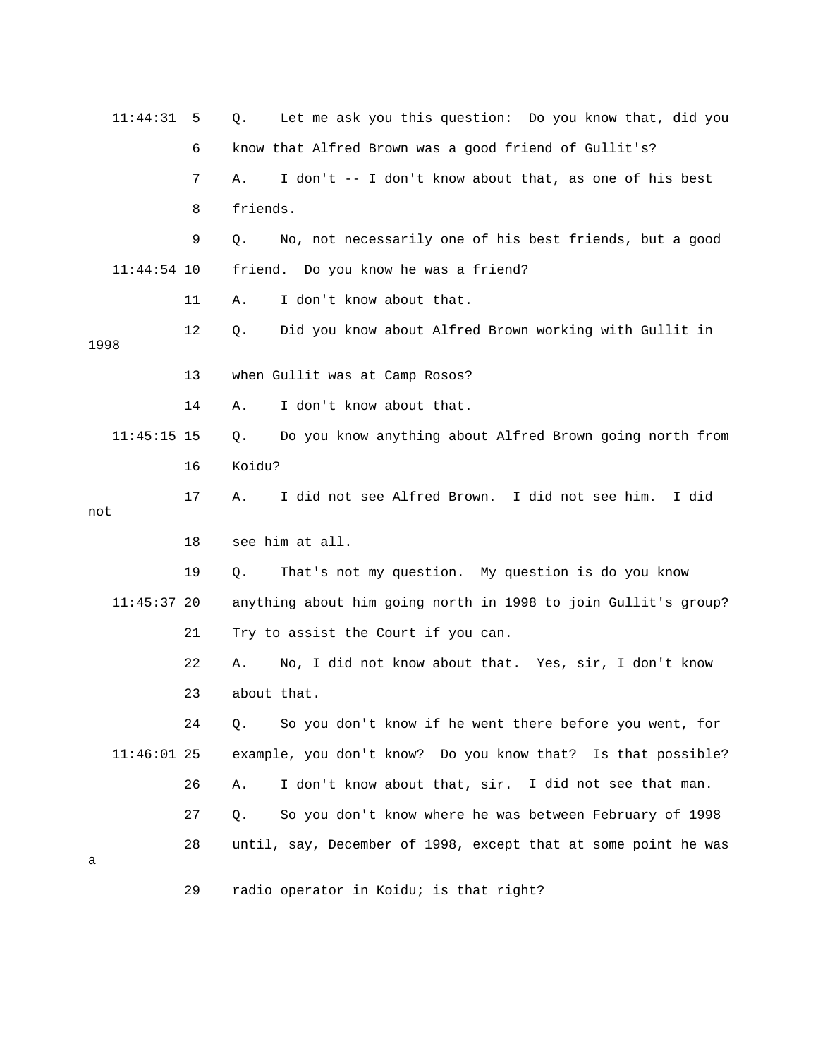| 11:44:31      | 5  | Let me ask you this question: Do you know that, did you<br>Q.  |
|---------------|----|----------------------------------------------------------------|
|               | 6  | know that Alfred Brown was a good friend of Gullit's?          |
|               | 7  | I don't -- I don't know about that, as one of his best<br>Α.   |
|               | 8  | friends.                                                       |
|               | 9  | No, not necessarily one of his best friends, but a good<br>Q.  |
| $11:44:54$ 10 |    | friend. Do you know he was a friend?                           |
|               | 11 | I don't know about that.<br>Α.                                 |
| 1998          | 12 | Did you know about Alfred Brown working with Gullit in<br>Q.   |
|               | 13 | when Gullit was at Camp Rosos?                                 |
|               | 14 | I don't know about that.<br>Α.                                 |
| $11:45:15$ 15 |    | Do you know anything about Alfred Brown going north from<br>Q. |
|               | 16 | Koidu?                                                         |
| not           | 17 | I did not see Alfred Brown. I did not see him.<br>I did<br>Α.  |
|               | 18 | see him at all.                                                |
|               |    |                                                                |
|               | 19 | That's not my question. My question is do you know<br>Q.       |
| $11:45:37$ 20 |    | anything about him going north in 1998 to join Gullit's group? |
|               | 21 | Try to assist the Court if you can.                            |
|               | 22 | No, I did not know about that. Yes, sir, I don't know<br>Α.    |
|               | 23 | about that.                                                    |
|               | 24 | So you don't know if he went there before you went, for<br>Q.  |
| $11:46:01$ 25 |    | example, you don't know? Do you know that? Is that possible?   |
|               | 26 | I don't know about that, sir. I did not see that man.<br>Α.    |
|               | 27 | So you don't know where he was between February of 1998<br>Q.  |
| а             | 28 | until, say, December of 1998, except that at some point he was |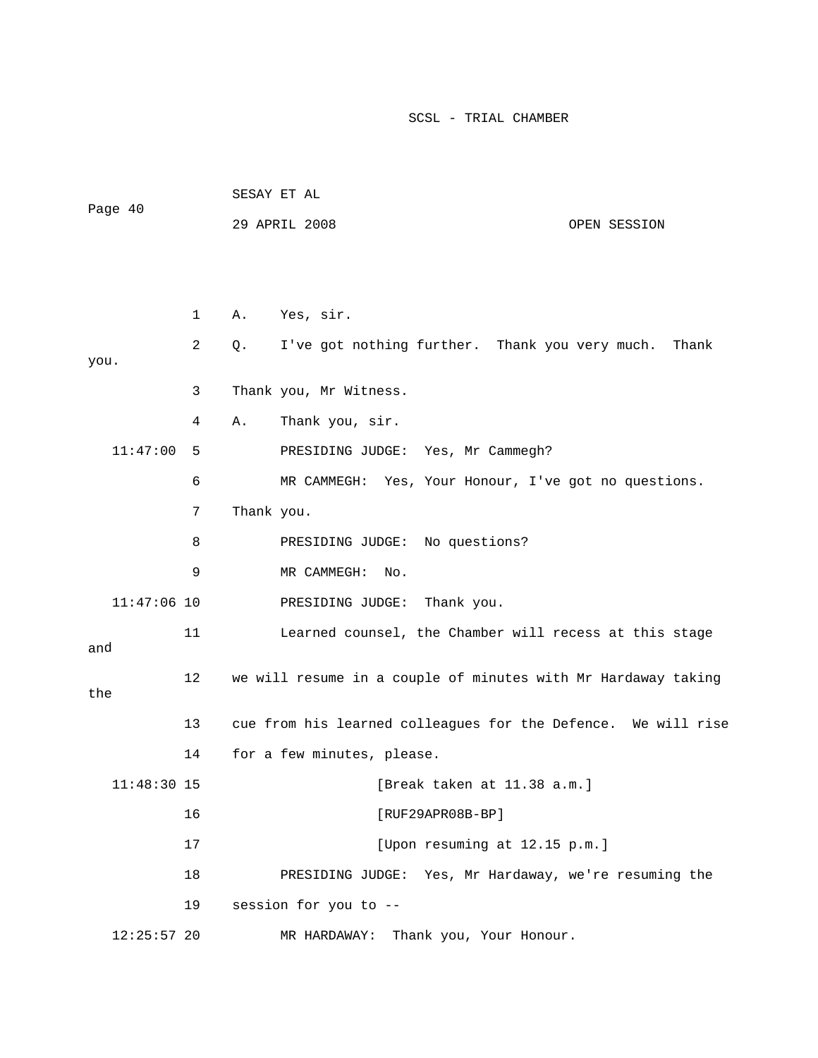| Page 40       |    | SESAY ET AL                                                   |
|---------------|----|---------------------------------------------------------------|
|               |    | 29 APRIL 2008<br>OPEN SESSION                                 |
|               |    |                                                               |
|               |    |                                                               |
|               | 1  | Yes, sir.<br>Α.                                               |
| you.          | 2  | I've got nothing further. Thank you very much.<br>Q.<br>Thank |
|               | 3  | Thank you, Mr Witness.                                        |
|               | 4  | Thank you, sir.<br>Α.                                         |
| 11:47:00      | 5  | PRESIDING JUDGE: Yes, Mr Cammegh?                             |
|               | 6  | MR CAMMEGH: Yes, Your Honour, I've got no questions.          |
|               | 7  | Thank you.                                                    |
|               | 8  | PRESIDING JUDGE: No questions?                                |
|               | 9  | MR CAMMEGH:<br>No.                                            |
| $11:47:06$ 10 |    | PRESIDING JUDGE:<br>Thank you.                                |
| and           | 11 | Learned counsel, the Chamber will recess at this stage        |
| the           | 12 | we will resume in a couple of minutes with Mr Hardaway taking |
|               | 13 | cue from his learned colleagues for the Defence. We will rise |
|               | 14 | for a few minutes, please.                                    |
| $11:48:30$ 15 |    | [Break taken at 11.38 a.m.]                                   |
|               | 16 | $[RUF29APR08B-BP]$                                            |
|               | 17 | [Upon resuming at 12.15 p.m.]                                 |
|               | 18 | PRESIDING JUDGE: Yes, Mr Hardaway, we're resuming the         |
|               | 19 | session for you to --                                         |
| $12:25:57$ 20 |    | Thank you, Your Honour.<br>MR HARDAWAY:                       |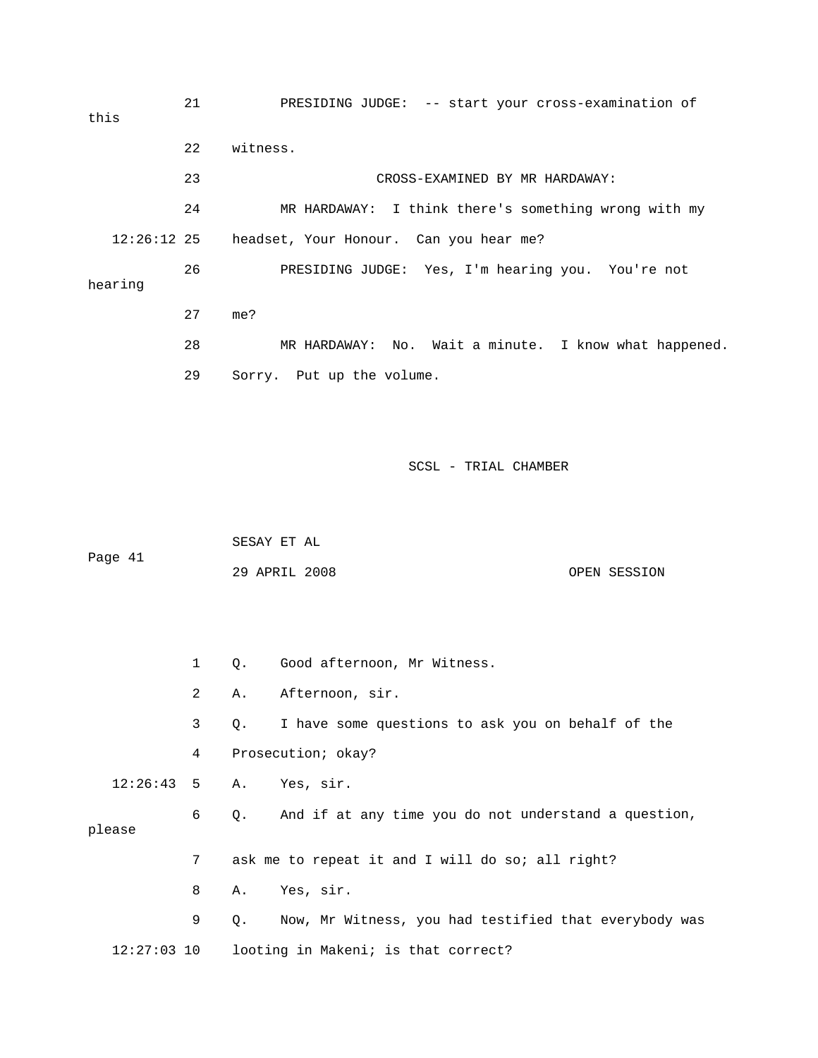21 PRESIDING JUDGE: -- start your cross-examination of 23 CROSS-EXAMINED BY MR HARDAWAY: 24 MR HARDAWAY: I think there's something wrong with my 12:26:12 25 headset, Your Honour. Can you hear me? 26 PRESIDING JUDGE: Yes, I'm hearing you. You're not hearing 27 me? 28 MR HARDAWAY: No. Wait a minute. I know what happened. 29 Sorry. Put up the volume. this 22 witness.

SCSL - TRIAL CHAMBER

 SESAY ET AL Page 41 29 APRIL 2008 OPEN SESSION

 1 Q. Good afternoon, Mr Witness. 4 Prosecution; okay? 12:26:43 5 A. Yes, sir. 6 Q. And if at any time you do not understand a question, please 7 ask me to repeat it and I will do so; all right? 9 Q. Now, Mr Witness, you had testified that everybody was 12:27:03 10 looting in Makeni; is that correct? 2 A. Afternoon, sir. 3 Q. I have some questions to ask you on behalf of the 8 A. Yes, sir.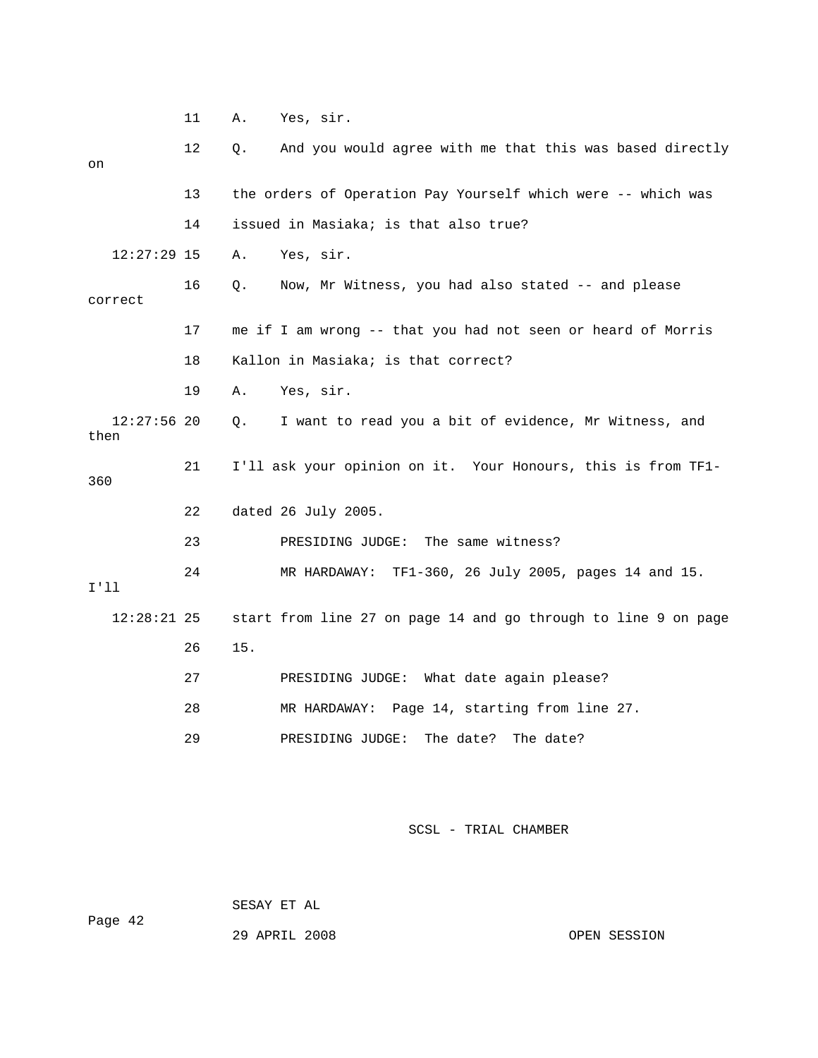|                       | 11 | Α.  | Yes, sir.                                                      |
|-----------------------|----|-----|----------------------------------------------------------------|
| on                    | 12 | Q.  | And you would agree with me that this was based directly       |
|                       | 13 |     | the orders of Operation Pay Yourself which were -- which was   |
|                       | 14 |     | issued in Masiaka; is that also true?                          |
| $12:27:29$ 15         |    | Α.  | Yes, sir.                                                      |
| correct               | 16 | Q.  | Now, Mr Witness, you had also stated -- and please             |
|                       | 17 |     | me if I am wrong -- that you had not seen or heard of Morris   |
|                       | 18 |     | Kallon in Masiaka; is that correct?                            |
|                       | 19 | Α.  | Yes, sir.                                                      |
| $12:27:56$ 20<br>then |    | Q.  | I want to read you a bit of evidence, Mr Witness, and          |
| 360                   | 21 |     | I'll ask your opinion on it. Your Honours, this is from TF1-   |
|                       | 22 |     | dated 26 July 2005.                                            |
|                       | 23 |     | PRESIDING JUDGE: The same witness?                             |
| I'11                  | 24 |     | MR HARDAWAY: TF1-360, 26 July 2005, pages 14 and 15.           |
| $12:28:21$ 25         |    |     | start from line 27 on page 14 and go through to line 9 on page |
|                       | 26 | 15. |                                                                |
|                       | 27 |     | PRESIDING JUDGE: What date again please?                       |
|                       | 28 |     | MR HARDAWAY: Page 14, starting from line 27.                   |
|                       | 29 |     | The date?<br>PRESIDING JUDGE:<br>The date?                     |

 SESAY ET AL ge 42 Pa

29 APRIL 2008 OPEN SESSION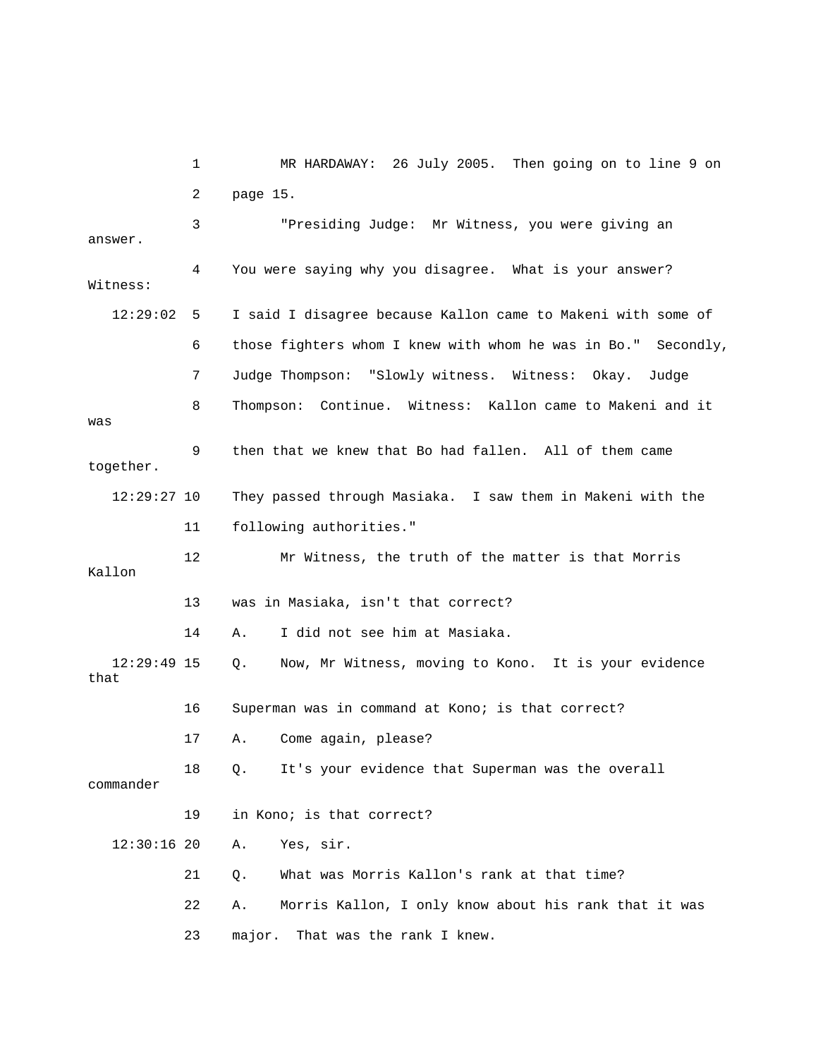1 MR HARDAWAY: 26 July 2005. Then going on to line 9 on answer. 4 You were saying why you disagree. What is your answer? Witness: 6 those fighters whom I knew with whom he was in Bo." Secondly, 8 Thompson: Continue. Witness: Kallon came to Makeni and it 9 then that we knew that Bo had fallen. All of them came 14 A. I did not see him at Masiaka. 17 A. Come again, please? 18 Q. It's your evidence that Superman was the overall A. Yes, sir. 21 Q. What was Morris Kallon's rank at that time? 22 A. Morris Kallon, I only know about his rank that it was 2 page 15. 3 "Presiding Judge: Mr Witness, you were giving an 12:29:02 5 I said I disagree because Kallon came to Makeni with some of 7 Judge Thompson: "Slowly witness. Witness: Okay. Judge was together. 12:29:27 10 They passed through Masiaka. I saw them in Makeni with the 11 following authorities." 12 Mr Witness, the truth of the matter is that Morris Kallon 13 was in Masiaka, isn't that correct? 12:29:49 15 Q. Now, Mr Witness, moving to Kono. It is your evidence that 16 Superman was in command at Kono; is that correct? commander 19 in Kono; is that correct?  $12:30:16$  20 23 major. That was the rank I knew.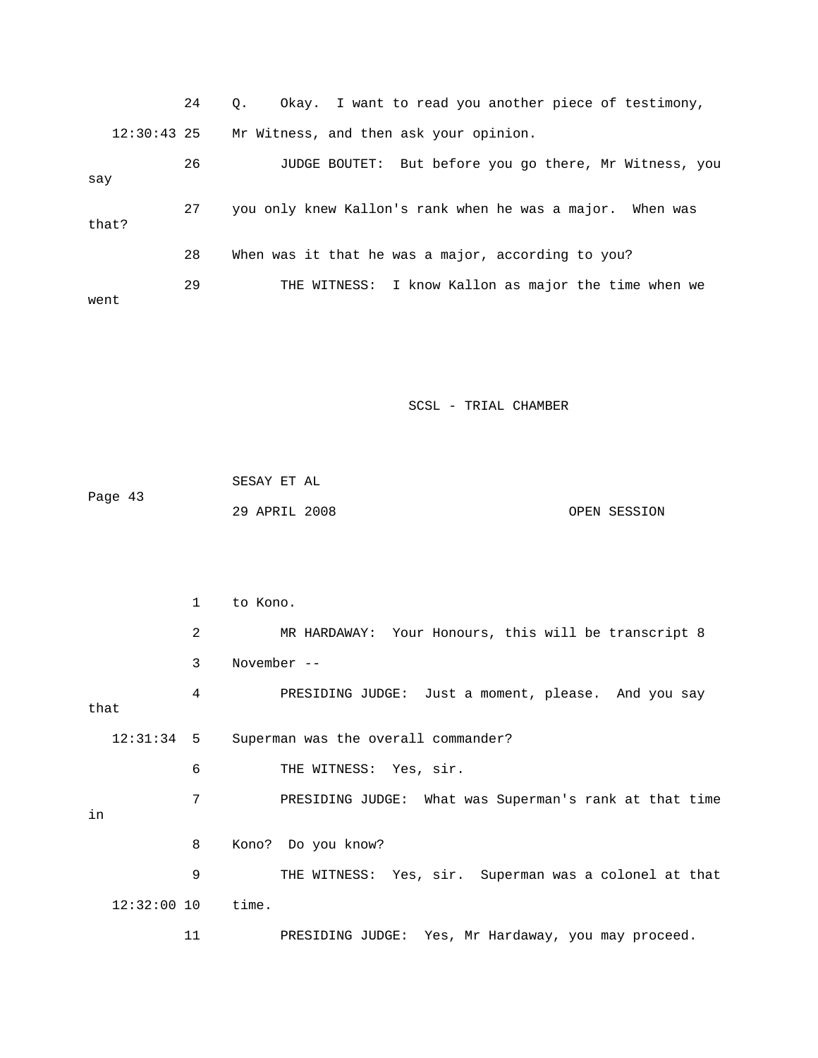|               | 24 | Okay. I want to read you another piece of testimony,<br>$\circ$ . |
|---------------|----|-------------------------------------------------------------------|
| $12:30:43$ 25 |    | Mr Witness, and then ask your opinion.                            |
| say           | 26 | JUDGE BOUTET: But before you go there, Mr Witness, you            |
| that?         | 27 | you only knew Kallon's rank when he was a major. When was         |
|               | 28 | When was it that he was a major, according to you?                |
| went          | 29 | THE WITNESS: I know Kallon as major the time when we              |

| Page 43 | SESAY ET AL   |              |
|---------|---------------|--------------|
|         | 29 APRIL 2008 | OPEN SESSION |

|      |               | $\mathbf{1}$ | to Kono.                                               |
|------|---------------|--------------|--------------------------------------------------------|
|      |               | 2            | MR HARDAWAY: Your Honours, this will be transcript 8   |
|      |               | 3            | November $--$                                          |
| that |               | 4            | PRESIDING JUDGE: Just a moment, please. And you say    |
|      | $12:31:34$ 5  |              | Superman was the overall commander?                    |
|      |               | 6            | THE WITNESS: Yes, sir.                                 |
| in   |               | 7            | PRESIDING JUDGE: What was Superman's rank at that time |
|      |               | 8            | Kono? Do you know?                                     |
|      |               | 9            | THE WITNESS: Yes, sir. Superman was a colonel at that  |
|      | $12:32:00$ 10 |              | time.                                                  |
|      |               | 11           | PRESIDING JUDGE: Yes, Mr Hardaway, you may proceed.    |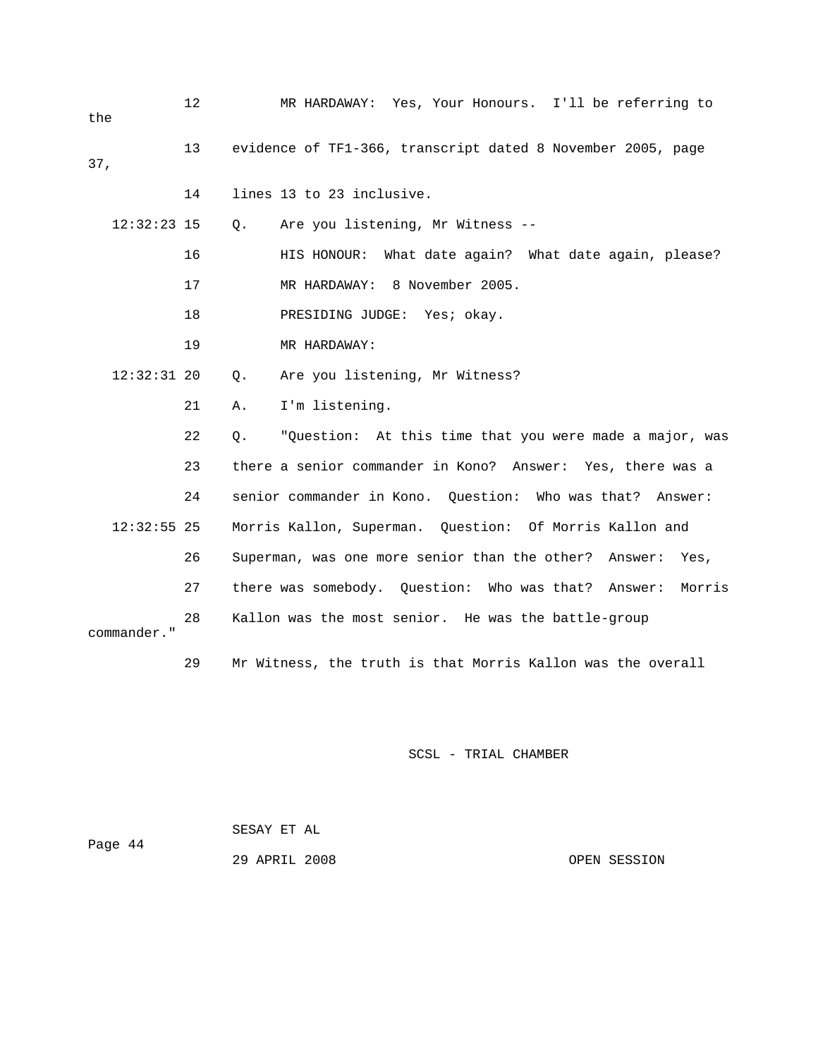| the           | $12 \,$ | MR HARDAWAY: Yes, Your Honours. I'll be referring to          |
|---------------|---------|---------------------------------------------------------------|
| 37,           | 13      | evidence of TF1-366, transcript dated 8 November 2005, page   |
|               | 14      | lines 13 to 23 inclusive.                                     |
| $12:32:23$ 15 |         | Are you listening, Mr Witness --<br>Q.                        |
|               | 16      | HIS HONOUR: What date again? What date again, please?         |
|               | 17      | MR HARDAWAY: 8 November 2005.                                 |
|               | 18      | PRESIDING JUDGE: Yes; okay.                                   |
|               | 19      | MR HARDAWAY:                                                  |
| $12:32:31$ 20 |         | Are you listening, Mr Witness?<br>Q.                          |
|               | 21      | I'm listening.<br>Α.                                          |
|               | 22      | "Question: At this time that you were made a major, was<br>Q. |
|               | 23      | there a senior commander in Kono? Answer: Yes, there was a    |
|               | 24      | senior commander in Kono. Question: Who was that? Answer:     |
| $12:32:55$ 25 |         | Morris Kallon, Superman. Question: Of Morris Kallon and       |
|               | 26      | Superman, was one more senior than the other? Answer:<br>Yes, |
|               | 27      | there was somebody. Question: Who was that? Answer:<br>Morris |
| commander."   | 28      | Kallon was the most senior. He was the battle-group           |
|               | 29      | Mr Witness, the truth is that Morris Kallon was the overall   |

| Page 44 | SESAY ET AL   |  |              |
|---------|---------------|--|--------------|
|         | 29 APRIL 2008 |  | OPEN SESSION |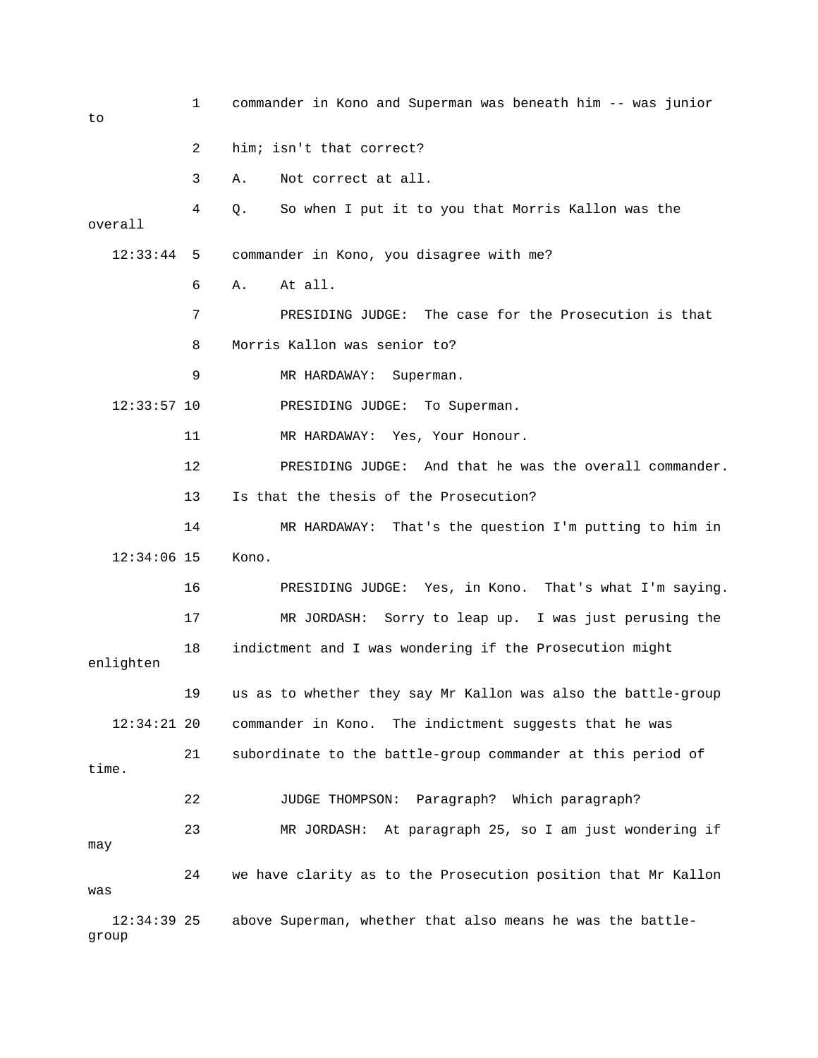| to                     | 1  | commander in Kono and Superman was beneath him -- was junior  |
|------------------------|----|---------------------------------------------------------------|
|                        | 2  | him; isn't that correct?                                      |
|                        | 3  | Not correct at all.<br>Α.                                     |
| overall                | 4  | So when I put it to you that Morris Kallon was the<br>Q.      |
| 12:33:44               | 5  | commander in Kono, you disagree with me?                      |
|                        | 6  | At all.<br>Α.                                                 |
|                        | 7  | The case for the Prosecution is that<br>PRESIDING JUDGE:      |
|                        | 8  | Morris Kallon was senior to?                                  |
|                        | 9  | MR HARDAWAY:<br>Superman.                                     |
| $12:33:57$ 10          |    | PRESIDING JUDGE:<br>To Superman.                              |
|                        | 11 | MR HARDAWAY: Yes, Your Honour.                                |
|                        | 12 | PRESIDING JUDGE: And that he was the overall commander.       |
|                        | 13 | Is that the thesis of the Prosecution?                        |
|                        | 14 | MR HARDAWAY: That's the question I'm putting to him in        |
| $12:34:06$ 15          |    | Kono.                                                         |
|                        | 16 | PRESIDING JUDGE: Yes, in Kono. That's what I'm saying.        |
|                        | 17 | MR JORDASH:<br>Sorry to leap up. I was just perusing the      |
| enlighten              | 18 | indictment and I was wondering if the Prosecution might       |
|                        | 19 | us as to whether they say Mr Kallon was also the battle-group |
| $12:34:21$ 20          |    | commander in Kono. The indictment suggests that he was        |
| time.                  | 21 | subordinate to the battle-group commander at this period of   |
|                        | 22 | JUDGE THOMPSON: Paragraph? Which paragraph?                   |
| may                    | 23 | MR JORDASH: At paragraph 25, so I am just wondering if        |
| was                    | 24 | we have clarity as to the Prosecution position that Mr Kallon |
| $12:34:39$ 25<br>group |    | above Superman, whether that also means he was the battle-    |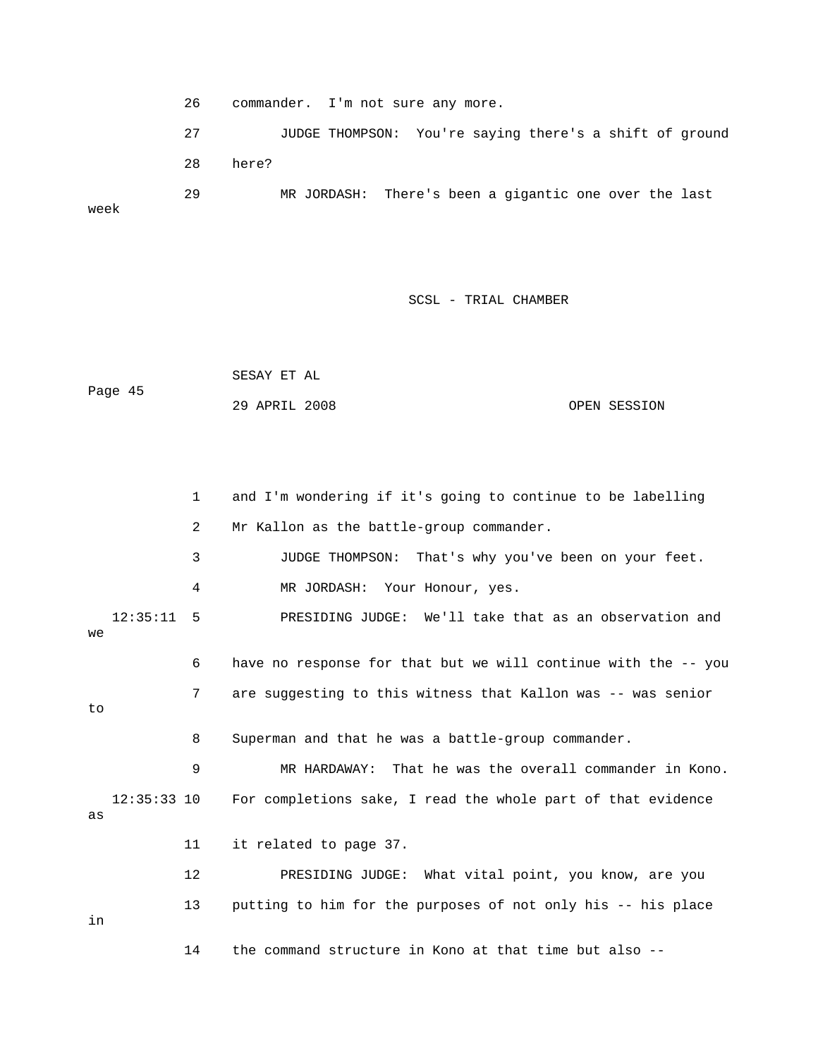26 commander. I'm not sure any more.

 27 JUDGE THOMPSON: You're saying there's a shift of ground 29 MR JORDASH: There's been a gigantic one over the last 28 here?

week

SCSL - TRIAL CHAMBER

 SESAY ET AL Page 45 29 APRIL 2008 OPEN SESSION

 1 and I'm wondering if it's going to continue to be labelling 3 JUDGE THOMPSON: That's why you've been on your feet. 4 MR JORDASH: Your Honour, yes. 12:35:11 5 PRESIDING JUDGE: We'll take that as an observation and 6 have no response for that but we will continue with the -- you 7 are suggesting to this witness that Kallon was -- was senior 8 Superman and that he was a battle-group commander. 12:35:33 10 For completions sake, I read the whole part of that evidence 12 PRESIDING JUDGE: What vital point, you know, are you 14 the command structure in Kono at that time but also -- 2 Mr Kallon as the battle-group commander. we to 9 MR HARDAWAY: That he was the overall commander in Kono. as 11 it related to page 37. 13 putting to him for the purposes of not only his -- his place in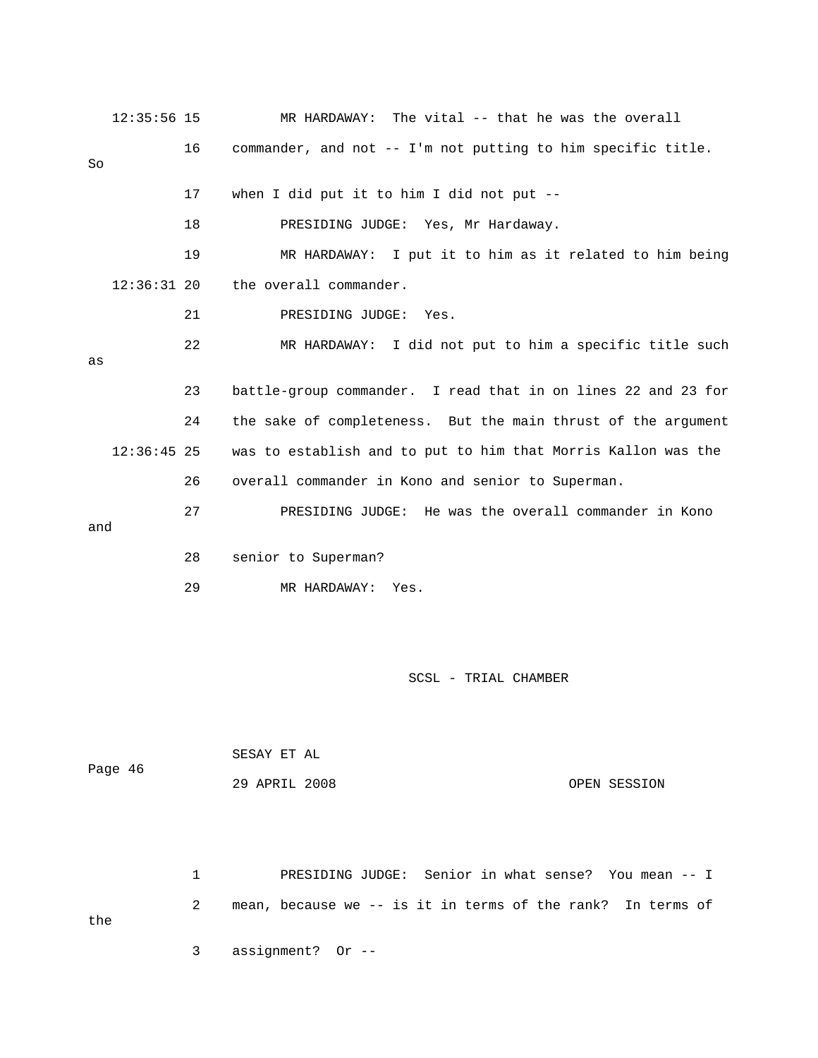|     | $12:35:56$ 15 |    | MR HARDAWAY: The vital -- that he was the overall             |
|-----|---------------|----|---------------------------------------------------------------|
| So  |               | 16 | commander, and not -- I'm not putting to him specific title.  |
|     |               | 17 | when I did put it to him I did not put --                     |
|     |               | 18 | PRESIDING JUDGE: Yes, Mr Hardaway.                            |
|     |               | 19 | MR HARDAWAY: I put it to him as it related to him being       |
|     | $12:36:31$ 20 |    | the overall commander.                                        |
|     |               | 21 | PRESIDING JUDGE:<br>Yes.                                      |
| as  |               | 22 | MR HARDAWAY: I did not put to him a specific title such       |
|     |               | 23 | battle-group commander. I read that in on lines 22 and 23 for |
|     |               | 24 | the sake of completeness. But the main thrust of the argument |
|     | $12:36:45$ 25 |    | was to establish and to put to him that Morris Kallon was the |
|     |               | 26 | overall commander in Kono and senior to Superman.             |
| and |               | 27 | PRESIDING JUDGE: He was the overall commander in Kono         |
|     |               | 28 | senior to Superman?                                           |
|     |               | 29 | MR HARDAWAY: Yes.                                             |
|     |               |    |                                                               |

| Page 46 | SESAY ET AL   |              |
|---------|---------------|--------------|
|         | 29 APRIL 2008 | OPEN SESSION |

 1 PRESIDING JUDGE: Senior in what sense? You mean -- I 2 mean, because we -- is it in terms of the rank? In terms of the 3 assignment? Or --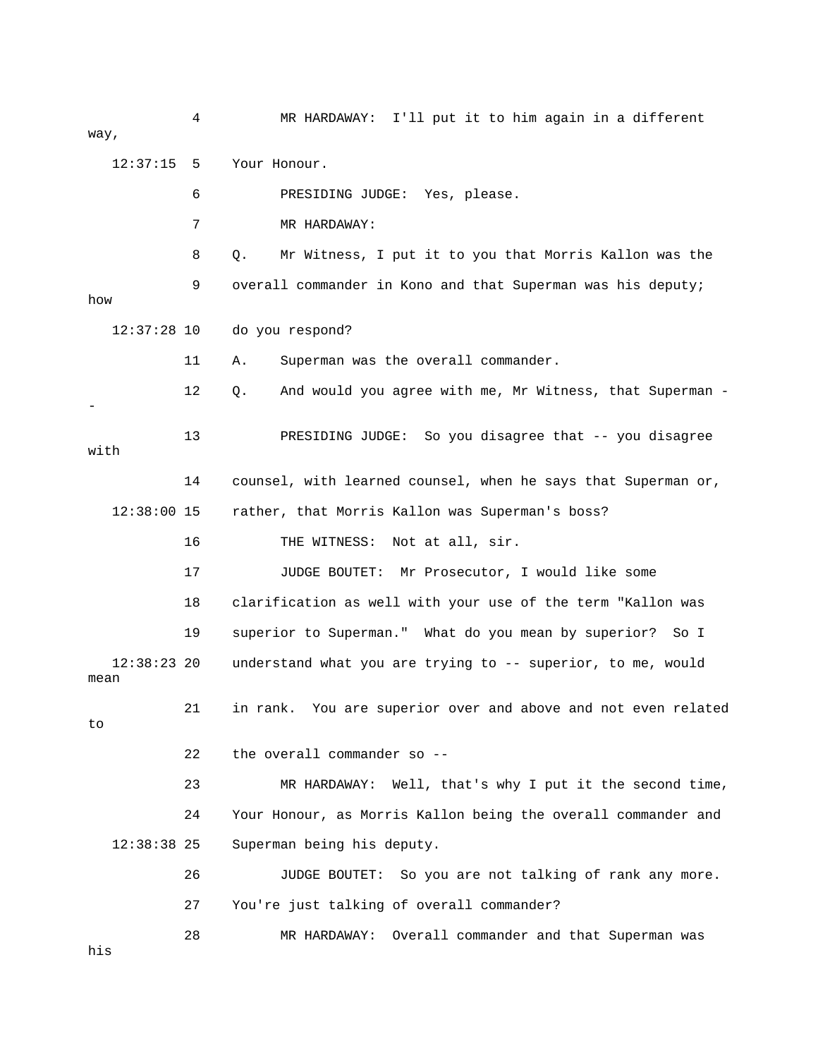4 MR HARDAWAY: I'll put it to him again in a different way, 6 PRESIDING JUDGE: Yes, please. 7 MR HARDAWAY: 8 Q. Mr Witness, I put it to you that Morris Kallon was the ? 12:37:28 10 do you respond 11 A. Superman was the overall commander. 12 Q. And would you agree with me, Mr Witness, that Superman -14 counsel, with learned counsel, when he says that Superman or, 12:38:00 15 rather, that Morris Kallon was Superman's boss? 18 clarification as well with your use of the term "Kallon was 19 superior to Superman." What do you mean by superior? So I mean 21 in rank. You are superior over and above and not even related 23 MR HARDAWAY: Well, that's why I put it the second time, 26 JUDGE BOUTET: So you are not talking of rank any more. 28 MR HARDAWAY: Overall commander and that Superman was 12:37:15 5 Your Honour. 9 overall commander in Kono and that Superman was his deputy; how - 13 PRESIDING JUDGE: So you disagree that -- you disagree with 16 THE WITNESS: Not at all, sir. 17 JUDGE BOUTET: Mr Prosecutor, I would like some 12:38:23 20 understand what you are trying to -- superior, to me, would to 22 the overall commander so -- 24 Your Honour, as Morris Kallon being the overall commander and 12:38:38 25 Superman being his deputy. 27 You're just talking of overall commander? his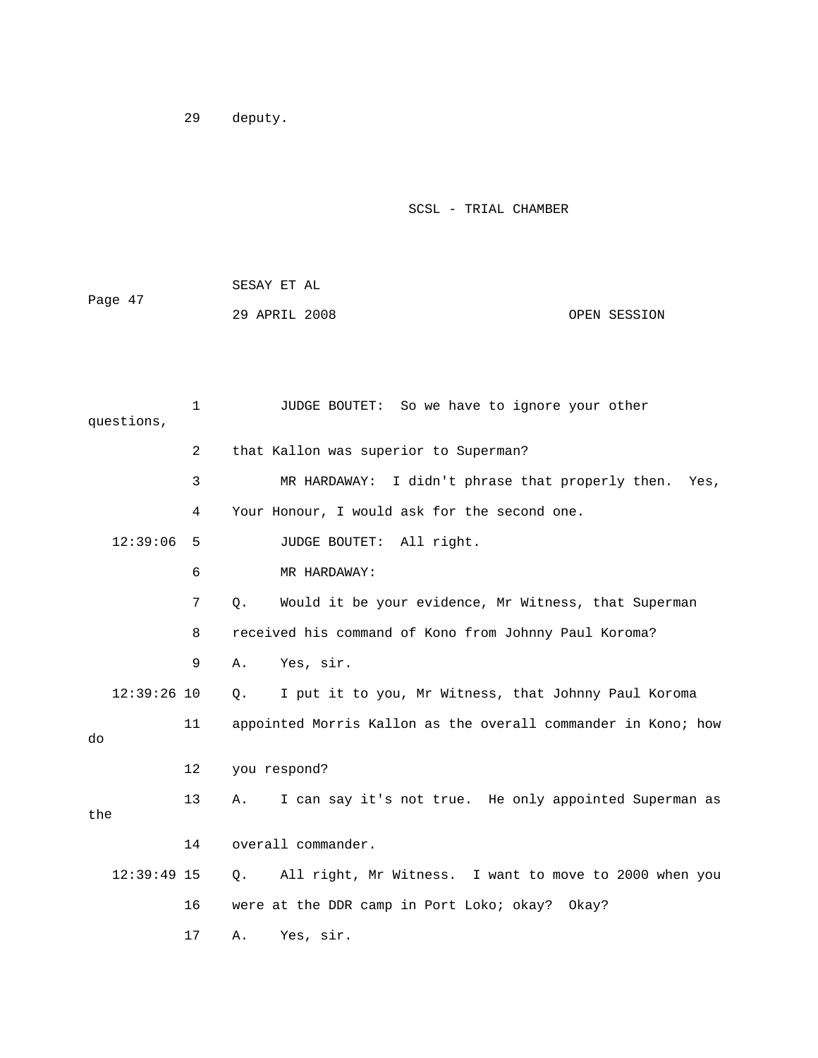29 deputy.

|         | SESAY ET AL   |  |              |
|---------|---------------|--|--------------|
| Page 47 |               |  |              |
|         | 29 APRIL 2008 |  | OPEN SESSION |

|     | questions,    | $\mathbf{1}$ | JUDGE BOUTET: So we have to ignore your other                       |
|-----|---------------|--------------|---------------------------------------------------------------------|
|     |               | 2            | that Kallon was superior to Superman?                               |
|     |               | 3            | I didn't phrase that properly then. Yes,<br>MR HARDAWAY:            |
|     |               | 4            | Your Honour, I would ask for the second one.                        |
|     | 12:39:06      | 5            | JUDGE BOUTET: All right.                                            |
|     |               | 6            | MR HARDAWAY:                                                        |
|     |               | 7            | Would it be your evidence, Mr Witness, that Superman<br>$Q_{\star}$ |
|     |               | 8            | received his command of Kono from Johnny Paul Koroma?               |
|     |               | 9            | Yes, sir.<br>Α.                                                     |
|     | $12:39:26$ 10 |              | $\circ$ .<br>I put it to you, Mr Witness, that Johnny Paul Koroma   |
| do  |               | 11           | appointed Morris Kallon as the overall commander in Kono; how       |
|     |               | 12           | you respond?                                                        |
| the |               | 13           | I can say it's not true. He only appointed Superman as<br>Α.        |
|     |               | 14           | overall commander.                                                  |
|     | $12:39:49$ 15 |              | All right, Mr Witness. I want to move to 2000 when you<br>$\circ$ . |
|     |               | 16           | were at the DDR camp in Port Loko; okay? Okay?                      |
|     |               | 17           | Yes, sir.<br>Α.                                                     |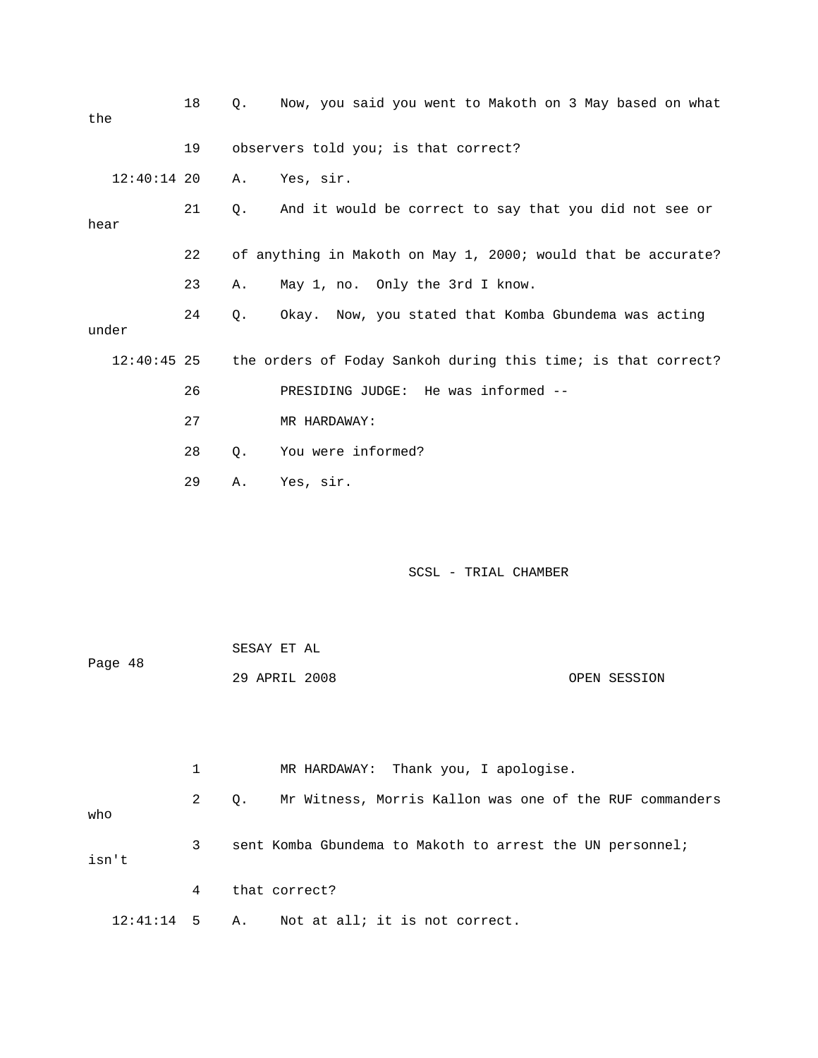| the           | 18 | О.    | Now, you said you went to Makoth on 3 May based on what       |
|---------------|----|-------|---------------------------------------------------------------|
|               | 19 |       | observers told you; is that correct?                          |
| $12:40:14$ 20 |    | Α.    | Yes, sir.                                                     |
| hear          | 21 | О.    | And it would be correct to say that you did not see or        |
|               | 22 |       | of anything in Makoth on May 1, 2000; would that be accurate? |
|               | 23 | Α.    | May 1, no. Only the 3rd I know.                               |
| under         | 24 | Q.    | Okay. Now, you stated that Komba Gbundema was acting          |
| $12:40:45$ 25 |    |       | the orders of Foday Sankoh during this time; is that correct? |
|               | 26 |       | PRESIDING JUDGE: He was informed --                           |
|               | 27 |       | MR HARDAWAY:                                                  |
|               | 28 | $Q$ . | You were informed?                                            |
|               | 29 | Α.    | Yes, sir.                                                     |
|               |    |       |                                                               |

|         | SESAY ET AL   |              |
|---------|---------------|--------------|
| Page 48 |               |              |
|         | 29 APRIL 2008 | OPEN SESSION |

|                 |              | MR HARDAWAY: Thank you, I apologise.                          |
|-----------------|--------------|---------------------------------------------------------------|
| who             | $\mathbf{2}$ | Mr Witness, Morris Kallon was one of the RUF commanders<br>О. |
| isn't           | 3            | sent Komba Gbundema to Makoth to arrest the UN personnel;     |
|                 | 4            | that correct?                                                 |
| $12:41:14$ 5 A. |              | Not at all; it is not correct.                                |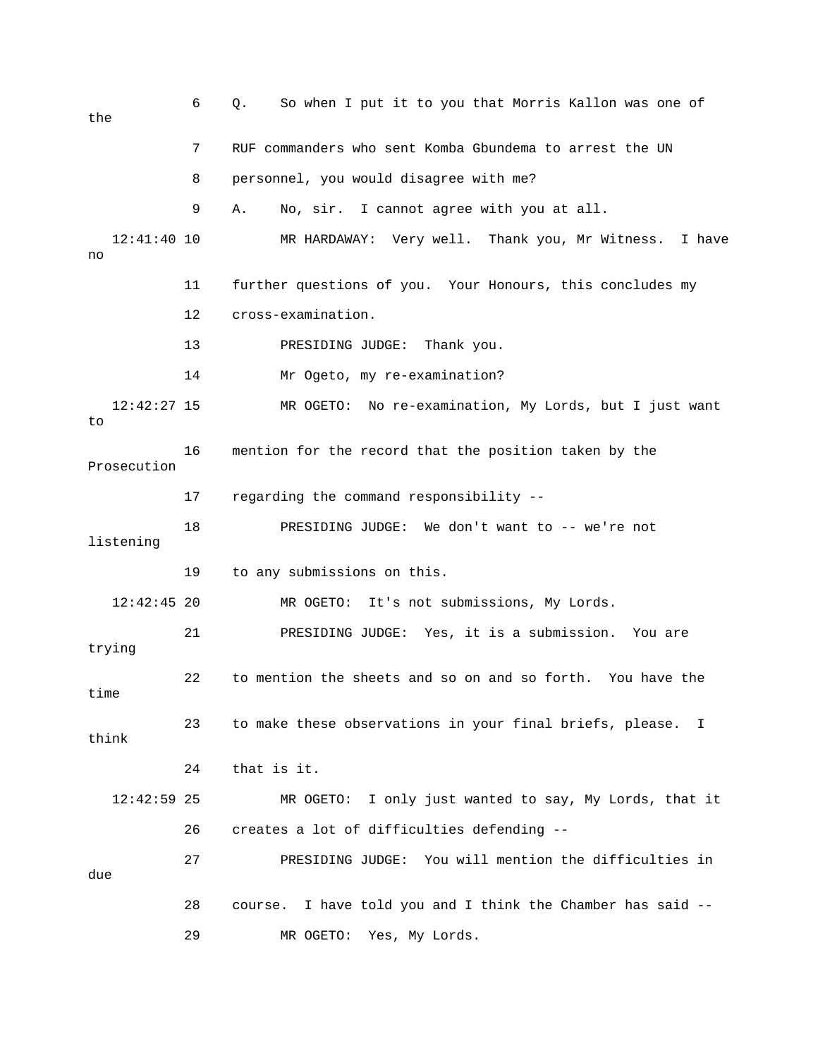| the                 | 6  | So when I put it to you that Morris Kallon was one of<br>Q.    |
|---------------------|----|----------------------------------------------------------------|
|                     | 7  | RUF commanders who sent Komba Gbundema to arrest the UN        |
|                     | 8  | personnel, you would disagree with me?                         |
|                     | 9  | No, sir. I cannot agree with you at all.<br>Α.                 |
| 12:41:40 10<br>no   |    | MR HARDAWAY: Very well. Thank you, Mr Witness. I have          |
|                     | 11 | further questions of you. Your Honours, this concludes my      |
|                     | 12 | cross-examination.                                             |
|                     | 13 | PRESIDING JUDGE:<br>Thank you.                                 |
|                     | 14 | Mr Ogeto, my re-examination?                                   |
| $12:42:27$ 15<br>to |    | MR OGETO: No re-examination, My Lords, but I just want         |
| Prosecution         | 16 | mention for the record that the position taken by the          |
|                     | 17 | regarding the command responsibility --                        |
| listening           | 18 | PRESIDING JUDGE: We don't want to -- we're not                 |
|                     | 19 | to any submissions on this.                                    |
| $12:42:45$ 20       |    | It's not submissions, My Lords.<br>MR OGETO:                   |
| trying              | 21 | PRESIDING JUDGE: Yes, it is a submission. You are              |
| time                | 22 | to mention the sheets and so on and so forth. You have the     |
| think               | 23 | to make these observations in your final briefs, please. I     |
|                     | 24 | that is it.                                                    |
| $12:42:59$ 25       |    | MR OGETO: I only just wanted to say, My Lords, that it         |
|                     | 26 | creates a lot of difficulties defending --                     |
| due                 | 27 | PRESIDING JUDGE: You will mention the difficulties in          |
|                     | 28 | I have told you and I think the Chamber has said --<br>course. |
|                     | 29 | Yes, My Lords.<br>MR OGETO:                                    |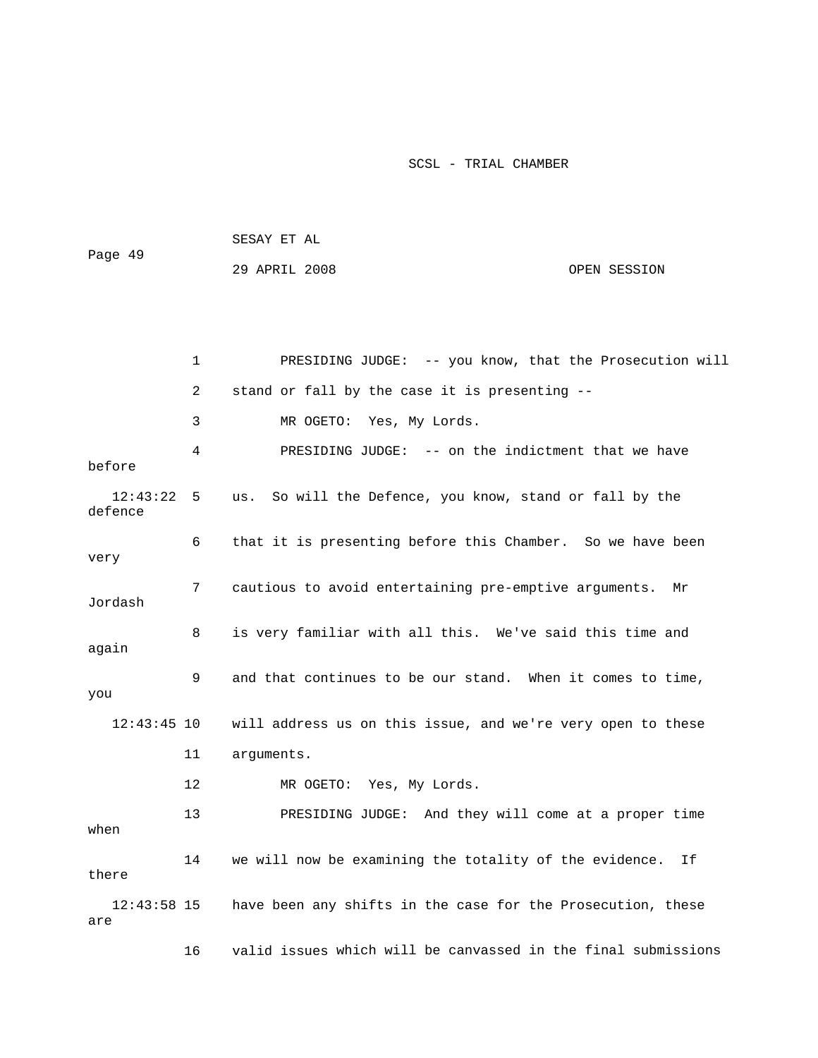| Page 49 | SESAY ET AL   |              |  |  |  |
|---------|---------------|--------------|--|--|--|
|         | 29 APRIL 2008 | OPEN SESSION |  |  |  |

|                      | $\mathbf{1}$ | PRESIDING JUDGE: -- you know, that the Prosecution will       |
|----------------------|--------------|---------------------------------------------------------------|
|                      | 2            | stand or fall by the case it is presenting --                 |
|                      | 3            | MR OGETO: Yes, My Lords.                                      |
| before               | 4            | PRESIDING JUDGE: -- on the indictment that we have            |
| 12:43:22<br>defence  | 5            | So will the Defence, you know, stand or fall by the<br>us.    |
| very                 | 6            | that it is presenting before this Chamber. So we have been    |
| Jordash              | 7            | cautious to avoid entertaining pre-emptive arguments. Mr      |
| again                | 8            | is very familiar with all this. We've said this time and      |
| you                  | 9            | and that continues to be our stand. When it comes to time,    |
| $12:43:45$ 10        |              | will address us on this issue, and we're very open to these   |
|                      | 11           | arguments.                                                    |
|                      | 12           | MR OGETO: Yes, My Lords.                                      |
| when                 | 13           | PRESIDING JUDGE: And they will come at a proper time          |
| there                | 14           | we will now be examining the totality of the evidence.<br>Ιf  |
| $12:43:58$ 15<br>are |              | have been any shifts in the case for the Prosecution, these   |
|                      | 16           | valid issues which will be canvassed in the final submissions |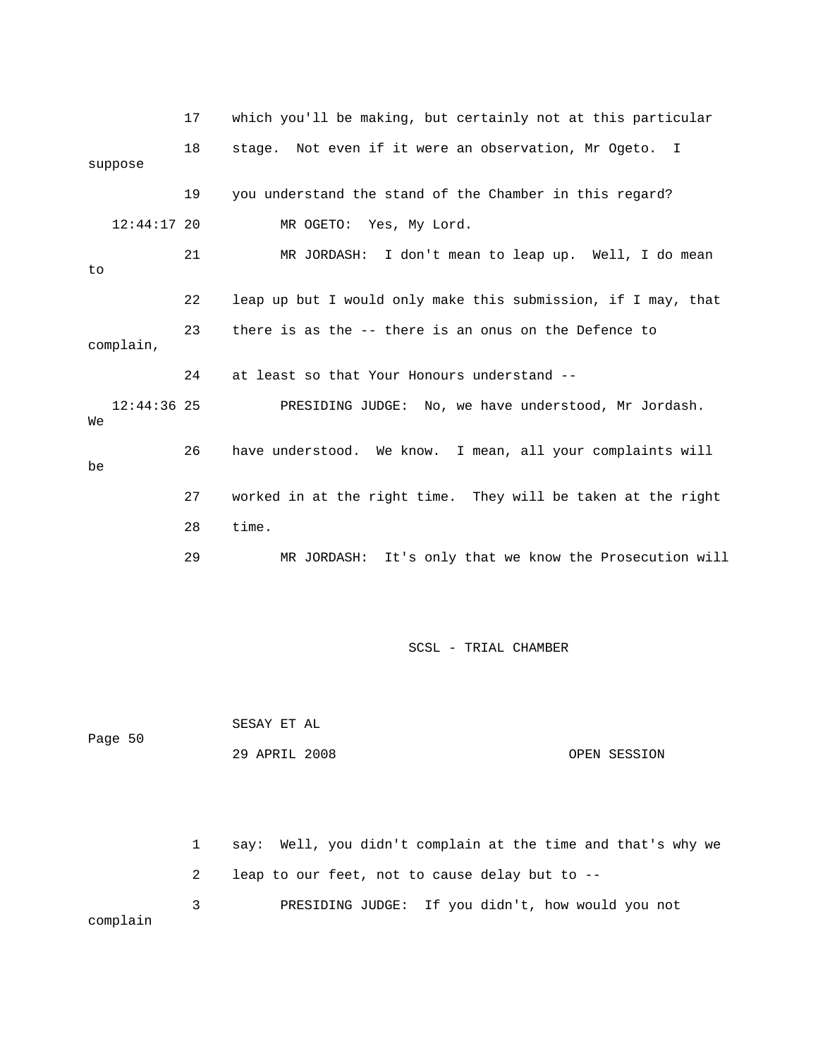|    |               | 17 | which you'll be making, but certainly not at this particular  |
|----|---------------|----|---------------------------------------------------------------|
|    | suppose       | 18 | stage. Not even if it were an observation, Mr Ogeto. I        |
|    |               | 19 | you understand the stand of the Chamber in this regard?       |
|    | $12:44:17$ 20 |    | MR OGETO: Yes, My Lord.                                       |
| to |               | 21 | MR JORDASH: I don't mean to leap up. Well, I do mean          |
|    |               | 22 | leap up but I would only make this submission, if I may, that |
|    | complain,     | 23 | there is as the -- there is an onus on the Defence to         |
|    |               | 24 | at least so that Your Honours understand --                   |
| We | $12:44:36$ 25 |    | PRESIDING JUDGE: No, we have understood, Mr Jordash.          |
| be |               | 26 | have understood. We know. I mean, all your complaints will    |
|    |               | 27 | worked in at the right time. They will be taken at the right  |
|    |               | 28 | time.                                                         |
|    |               | 29 | It's only that we know the Prosecution will<br>MR JORDASH:    |

 SESAY ET AL OPEN SESSION Page 50 29 APR

 1 say: Well, you didn't complain at the time and that's why we 2 leap to our feet, not to cause delay but to -- 3 PRESIDING JUDGE: If you didn't, how would you not complain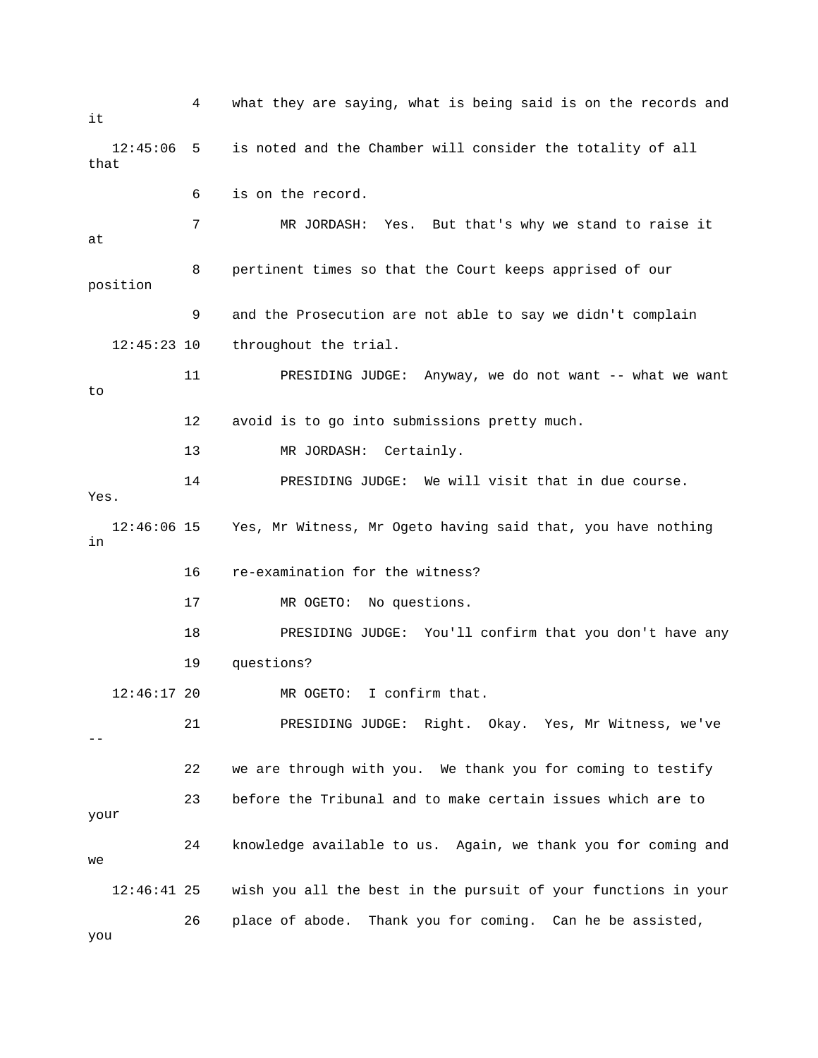4 what they are saying, what is being said is on the records and 12:45:06 5 is noted and the Chamber will consider the totality of all that 7 MR JORDASH: Yes. But that's why we stand to raise it 8 pertinent times so that the Court keeps apprised of our position 9 and the Prosecution are not able to say we didn't complain 11 PRESIDING JUDGE: Anyway, we do not want -- what we want 13 MR JORDASH: Certainly. 14 PRESIDING JUDGE: We will visit that in due course. Yes. g 12:46:06 15 Yes, Mr Witness, Mr Ogeto having said that, you have nothin 17 MR OGETO: No questions. 18 PRESIDING JUDGE: You'll confirm that you don't have any MR OGETO: I confirm that. 22 we are through with you. We thank you for coming to testify 23 before the Tribunal and to make certain issues which are to your 12:46:41 25 wish you all the best in the pursuit of your functions in your it 6 is on the record. at 12:45:23 10 throughout the trial. to 12 avoid is to go into submissions pretty much. in 16 re-examination for the witness? 19 questions?  $12:46:17$  20 21 PRESIDING JUDGE: Right. Okay. Yes, Mr Witness, we've  $-$  24 knowledge available to us. Again, we thank you for coming and we 26 place of abode. Thank you for coming. Can he be assisted,

you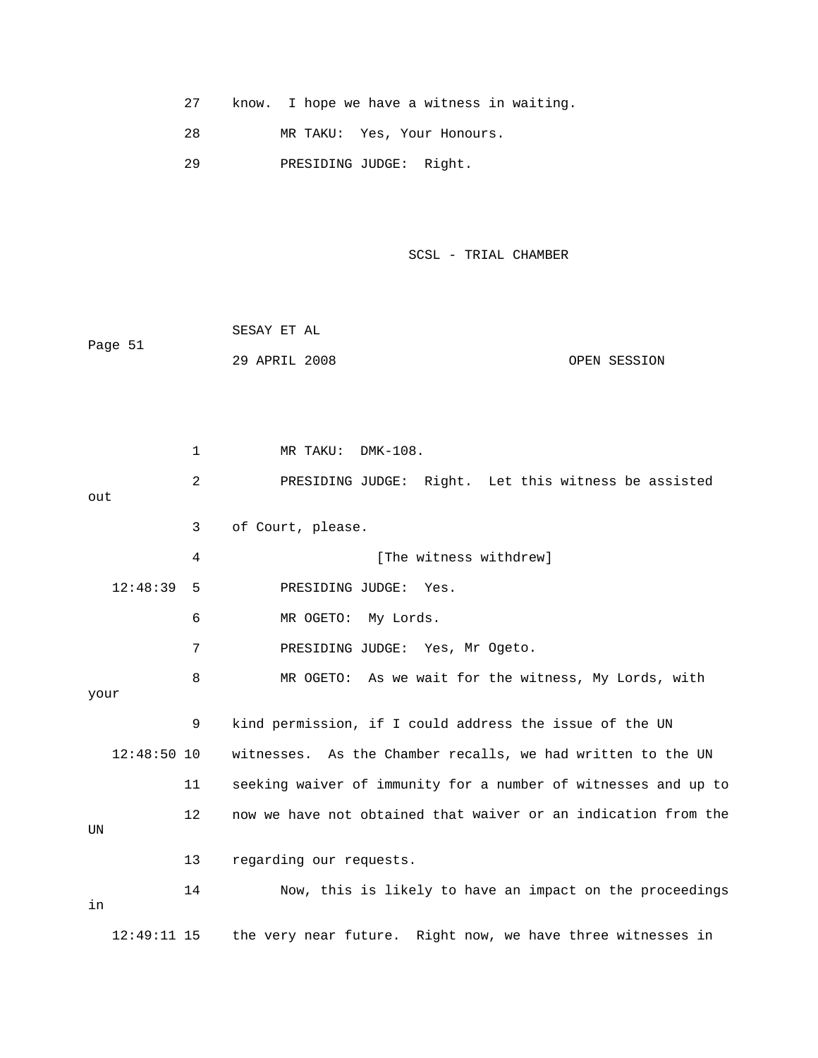|  |  |  |  |  |  |  |  |  | know. I hope we have a witness in waiting. |  |
|--|--|--|--|--|--|--|--|--|--------------------------------------------|--|
|--|--|--|--|--|--|--|--|--|--------------------------------------------|--|

28 MR TAKU: Yes, Your Honours.

29 PRESIDING JUDGE: Right.

#### SCSL - TRIAL CHAMBER

|         | SESAY ET AL   |              |
|---------|---------------|--------------|
| Page 51 |               |              |
|         | 29 APRIL 2008 | OPEN SESSION |

 2 PRESIDING JUDGE: Right. Let this witness be assisted out 12:48:39 5 PRESIDING JUDGE: Yes. 6 MR OGETO: My Lords. 7 PRESIDING JUDGE: Yes, Mr Ogeto. 9 kind permission, if I could address the issue of the UN  $12:48:50$  10 witnesses. As the Chamber recalls, we had written to the UN 11 seeking waiver of immunity for a number of witnesses and up to 12 now we have not obtained that waiver or an indication from the 13 regarding our requests. 14 Now, this is likely to have an impact on the proceedings 12:49:11 15 the very near future. Right now, we have three witnesses in 1 MR TAKU: DMK-108. 3 of Court, please. 4 [The witness withdrew] 8 MR OGETO: As we wait for the witness, My Lords, with your UN in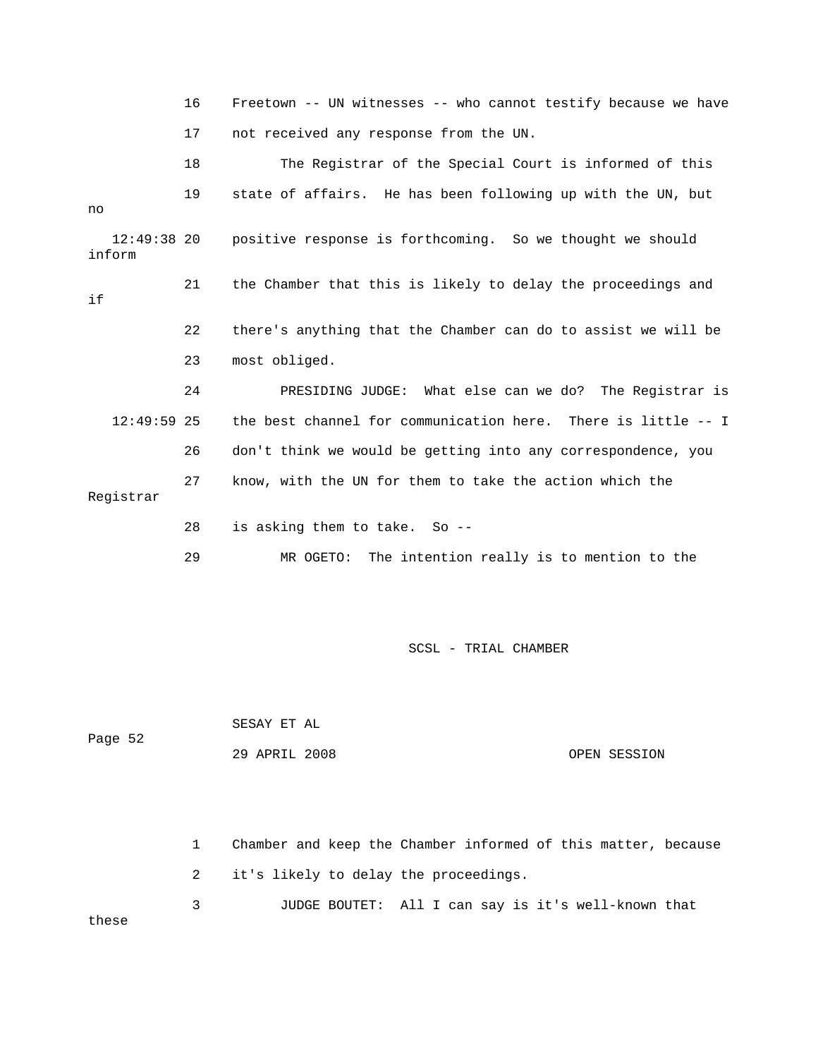|                         | 16 | Freetown -- UN witnesses -- who cannot testify because we have |
|-------------------------|----|----------------------------------------------------------------|
|                         | 17 | not received any response from the UN.                         |
|                         | 18 | The Registrar of the Special Court is informed of this         |
| no                      | 19 | state of affairs. He has been following up with the UN, but    |
| $12:49:38$ 20<br>inform |    | positive response is forthcoming. So we thought we should      |
| if                      | 21 | the Chamber that this is likely to delay the proceedings and   |
|                         | 22 | there's anything that the Chamber can do to assist we will be  |
|                         | 23 | most obliged.                                                  |
|                         | 24 | PRESIDING JUDGE: What else can we do? The Registrar is         |
| $12:49:59$ 25           |    | the best channel for communication here. There is little -- I  |
|                         | 26 | don't think we would be getting into any correspondence, you   |
| Registrar               | 27 | know, with the UN for them to take the action which the        |
|                         | 28 | is asking them to take. So --                                  |
|                         | 29 | The intention really is to mention to the<br>MR OGETO:         |

Page 52 SESAY ET AL 29 APRIL 2008 OPEN SESSION

1 Chamber and keep the Chamber informed of this matter, because 2 it's likely to delay the proceedings. 3 JUDGE BOUTET: All I can say is it's well-known that these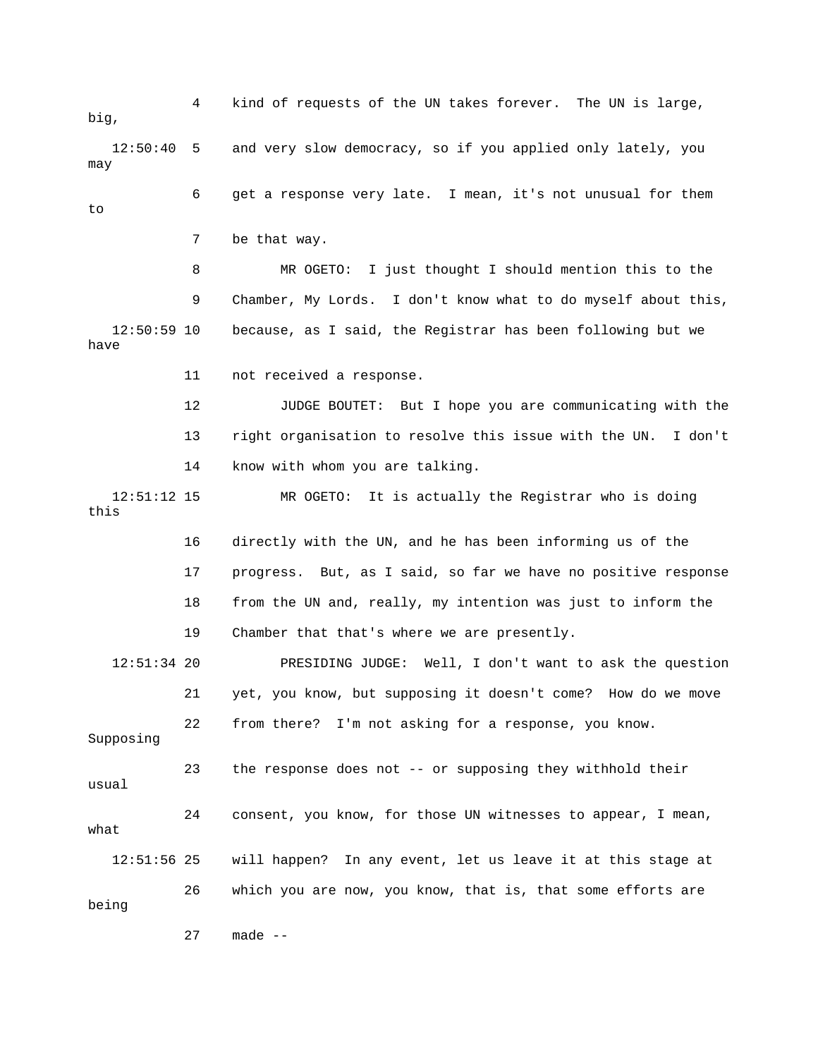4 kind of requests of the UN takes forever. The UN is large, big, 12:50:40 5 and very slow democracy, so if you applied only lately, you 6 get a response very late. I mean, it's not unusual for them 8 MR OGETO: I just thought I should mention this to the 9 Chamber, My Lords. I don't know what to do myself about this, 12 JUDGE BOUTET: But I hope you are communicating with the 13 right organisation to resolve this issue with the UN. I don't 14 know with whom you are talking. 12:51:12 15 MR OGETO: It is actually the Registrar who is doing 16 directly with the UN, and he has been informing us of the 17 progress. But, as I said, so far we have no positive response 18 from the UN and, really, my intention was just to inform the 19 Chamber that that's where we are presently. 12:51:34 20 PRESIDING JUDGE: Well, I don't want to ask the question 21 yet, you know, but supposing it doesn't come? How do we move Supposing 23 the response does not -- or supposing they withhold their 24 consent, you know, for those UN witnesses to appear, I mean, what 12:51:56 25 will happen? In any event, let us leave it at this stage at 27 made - may to 7 be that way. 12:50:59 10 because, as I said, the Registrar has been following but we have 11 not received a response. this 22 from there? I'm not asking for a response, you know. usual 26 which you are now, you know, that is, that some efforts are being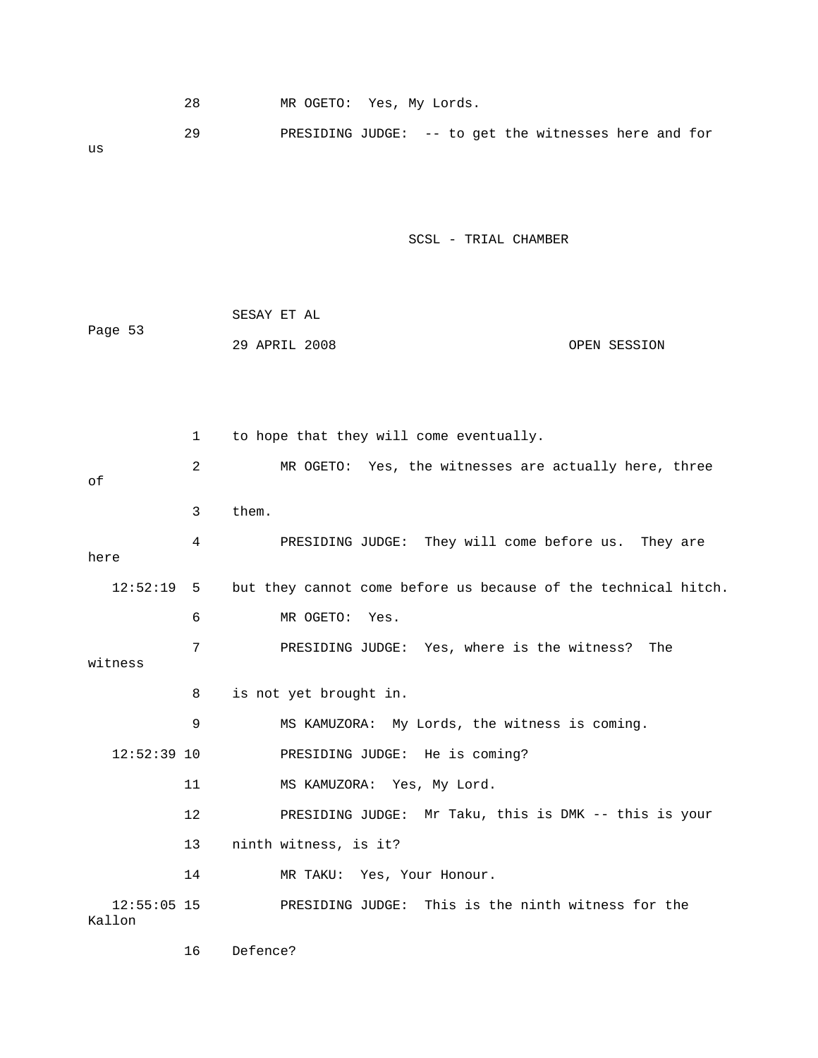| 28       | MR OGETO: Yes, My Lords.                              |
|----------|-------------------------------------------------------|
| 29<br>us | PRESIDING JUDGE: -- to get the witnesses here and for |

| Page 53 | SESAY ET AL   |              |
|---------|---------------|--------------|
|         | 29 APRIL 2008 | OPEN SESSION |

 2 MR OGETO: Yes, the witnesses are actually here, three 4 PRESIDING JUDGE: They will come before us. They are here 12:52:19 5 but they cannot come before us because of the technical hitch. 6 MR OGETO: Yes. 7 PRESIDING JUDGE: Yes, where is the witness? The 8 is not yet brought in. 9 MS KAMUZORA: My Lords, the witness is coming. 12 PRESIDING JUDGE: Mr Taku, this is DMK -- this is your 14 MR TAKU: Yes, Your Honour. 12:55:05 15 PRESIDING JUDGE: This is the ninth witness for the 1 to hope that they will come eventually. of 3 them. witness 12:52:39 10 PRESIDING JUDGE: He is coming? 11 MS KAMUZORA: Yes, My Lord. 13 ninth witness, is it? Kallon

16 Defence?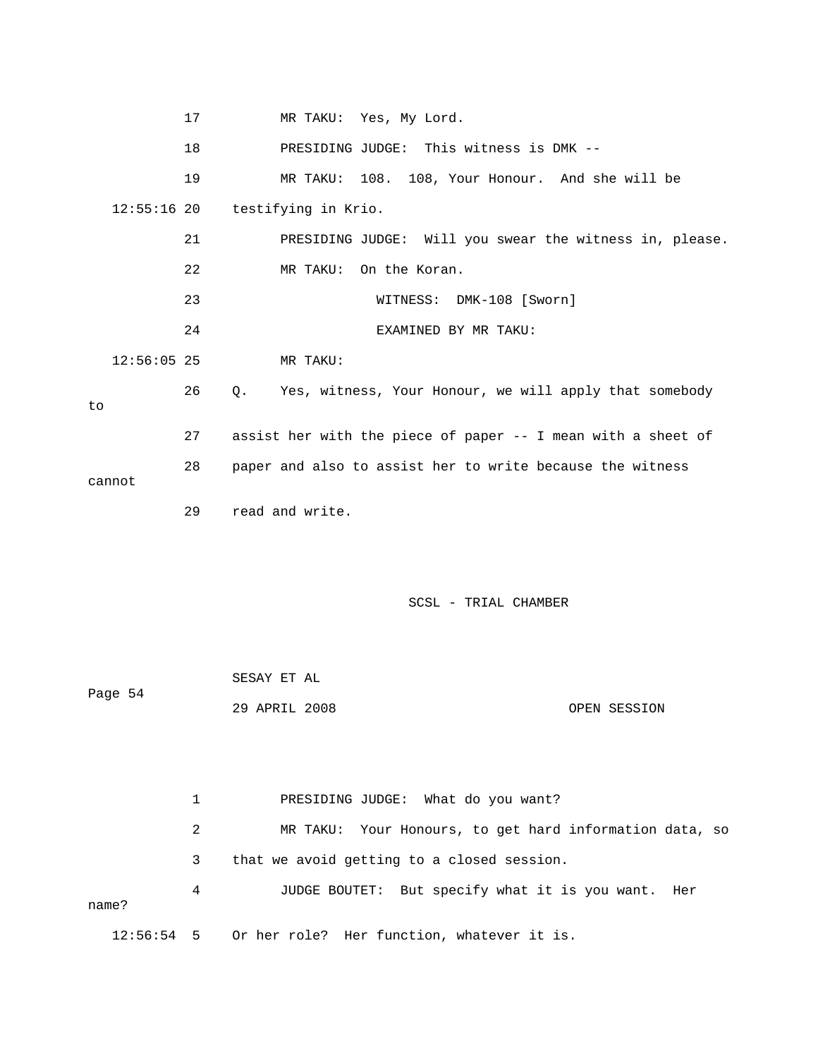17 MR TAKU: Yes, My Lord. 18 PRESIDING JUDGE: This witness is DMK -- 19 MR TAKU: 108. 108, Your Honour. And she will be 21 PRESIDING JUDGE: Will you swear the witness in, please. 22 MR TAKU: On the Koran. K-108 [Sworn] 23 WITNESS: DM 24 EXAMINED BY MR TAKU: 12:56:05 25 MR TAKU: 26 Q. Yes, witness, Your Honour, we will apply that somebody 28 paper and also to assist her to write because the witness 29 read and write. SCSL - TRIAL CHAMBER SESAY ET AL Page 54 OPEN SESSION 2 MR TAKU: Your Honours, to get hard information data, so 3 that we avoid getting to a closed session. 12:56:54 5 Or her role? Her function, whatever it is. 12:55:16 20 testifying in Krio. to 27 assist her with the piece of paper -- I mean with a sheet of cannot 29 APRIL 2008 1 PRESIDING JUDGE: What do you want? 4 JUDGE BOUTET: But specify what it is you want. Her name?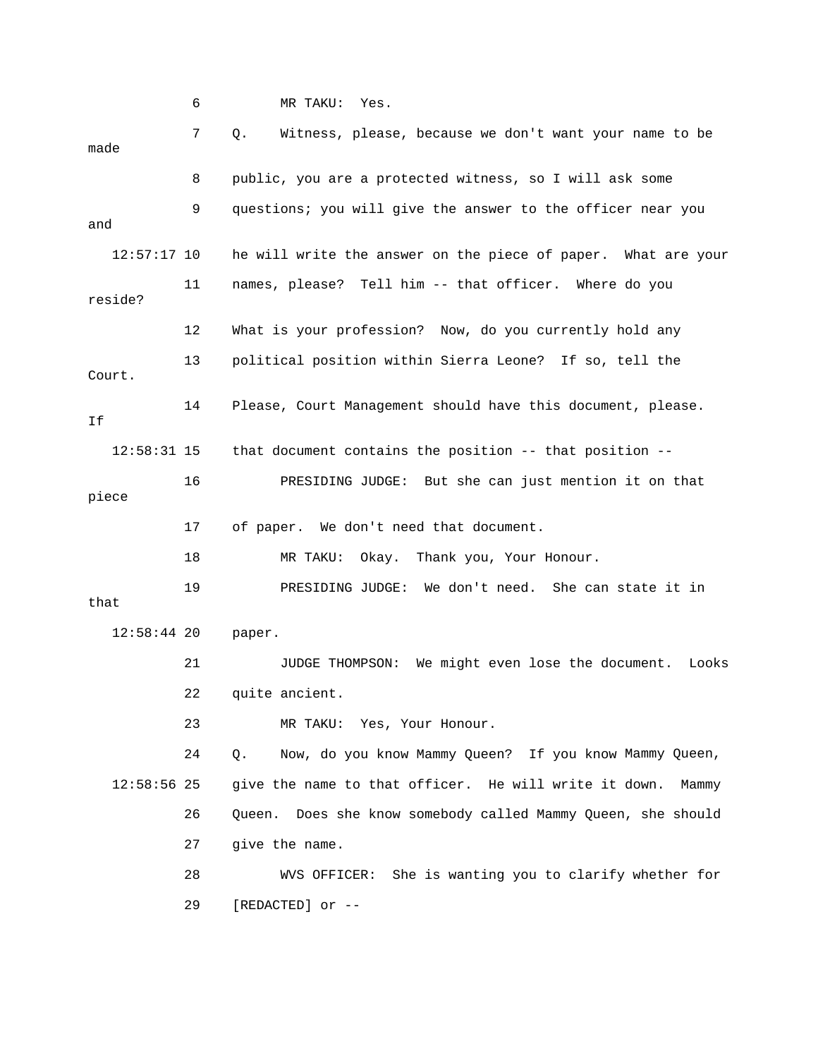6 MR TAKU: Yes. 7 Q. Witness, please, because we don't want your name to be 8 public, you are a protected witness, so I will ask some 12:57:17 10 he will write the answer on the piece of paper. What are your 11 names, please? Tell him -- that officer. Where do you 13 political position within Sierra Leone? If so, tell the at 16 PRESIDING JUDGE: But she can just mention it on th 19 PRESIDING JUDGE: We don't need. She can state it in 12:58:44 20 paper. 21 JUDGE THOMPSON: We might even lose the document. Looks 22 quite ancient. 24 Q. Now, do you know Mammy Queen? If you know Mammy Queen, 26 Queen. Does she know somebody called Mammy Queen, she should 27 give the name. 28 WVS OFFICER: She is wanting you to clarify whether for made 9 questions; you will give the answer to the officer near you and reside? 12 What is your profession? Now, do you currently hold any Court. 14 Please, Court Management should have this document, please. If 12:58:31 15 that document contains the position -- that position - piece 17 of paper. We don't need that document. 18 MR TAKU: Okay. Thank you, Your Honour. that 23 MR TAKU: Yes, Your Honour. 12:58:56 25 give the name to that officer. He will write it down. Mammy 29 [REDACTED] or --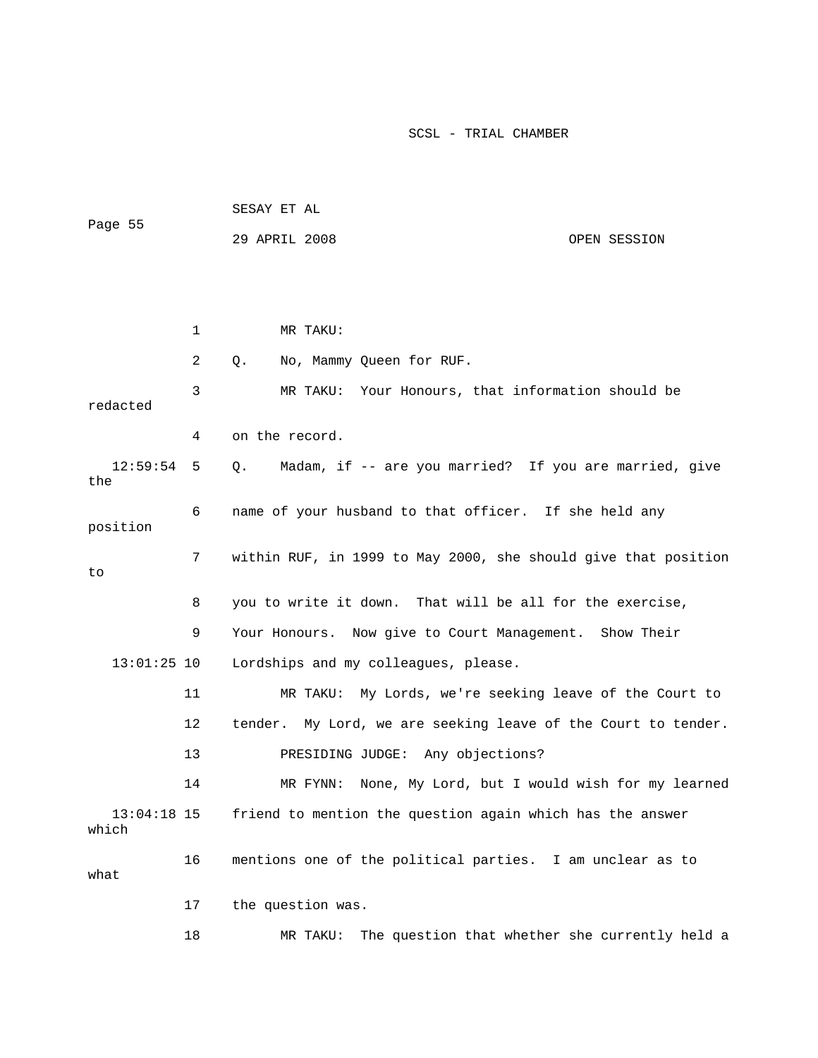| Page 55                |    | SESAY ET AL                                                    |
|------------------------|----|----------------------------------------------------------------|
|                        |    | 29 APRIL 2008<br>OPEN SESSION                                  |
|                        |    |                                                                |
|                        |    |                                                                |
|                        | 1  | MR TAKU:                                                       |
|                        | 2  | Q.<br>No, Mammy Queen for RUF.                                 |
| redacted               | 3  | MR TAKU: Your Honours, that information should be              |
|                        | 4  | on the record.                                                 |
| 12:59:54<br>the        | 5  | Madam, if -- are you married? If you are married, give<br>Q.   |
| position               | 6  | name of your husband to that officer. If she held any          |
| to                     | 7  | within RUF, in 1999 to May 2000, she should give that position |
|                        | 8  | you to write it down. That will be all for the exercise,       |
|                        | 9  | Your Honours. Now give to Court Management. Show Their         |
| $13:01:25$ 10          |    | Lordships and my colleagues, please.                           |
|                        | 11 | MR TAKU: My Lords, we're seeking leave of the Court to         |
|                        | 12 | tender. My Lord, we are seeking leave of the Court to tender.  |
|                        | 13 | PRESIDING JUDGE: Any objections?                               |
|                        | 14 | None, My Lord, but I would wish for my learned<br>MR FYNN:     |
| $13:04:18$ 15<br>which |    | friend to mention the question again which has the answer      |
| what                   | 16 | mentions one of the political parties. I am unclear as to      |
|                        | 17 | the question was.                                              |
|                        | 18 | The question that whether she currently held a<br>MR TAKU:     |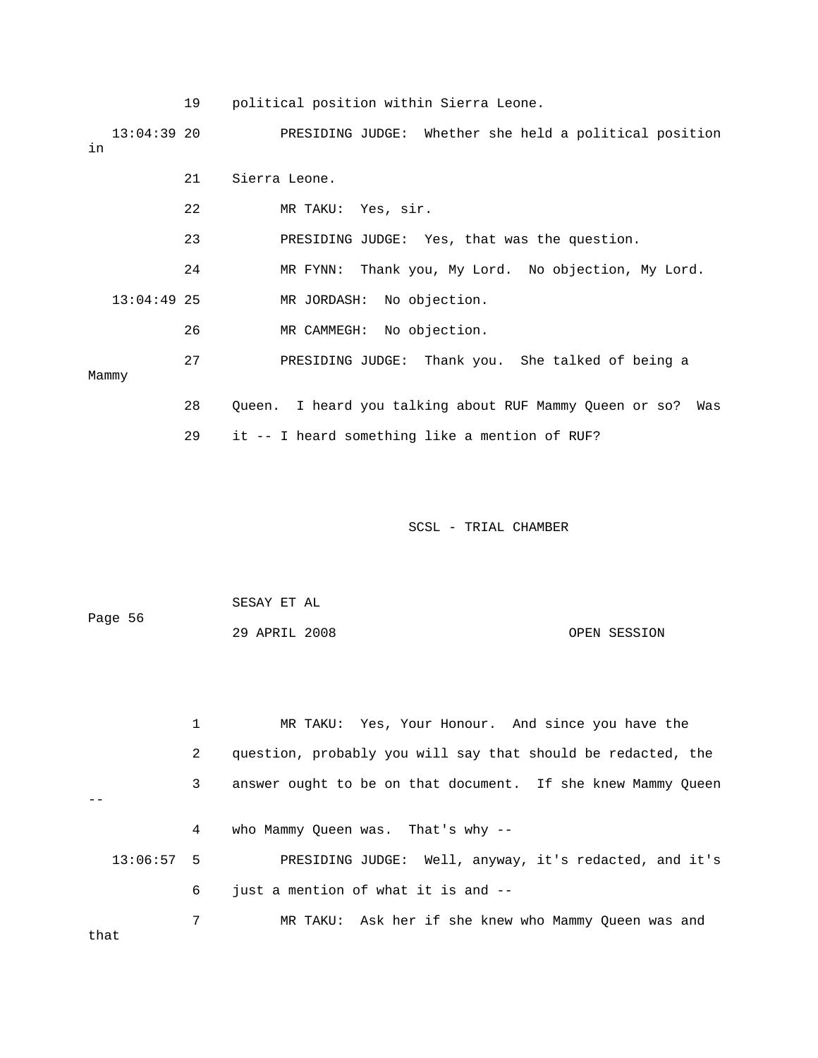19 political position within Sierra Leone.

 13:04:39 20 PRESIDING JUDGE: Whether she held a political position 21 Sierra Leone. 22 MR TAKU: Yes, sir. 23 PRESIDING JUDGE: Yes, that was the question. 27 PRESIDING JUDGE: Thank you. She talked of being a 28 Queen. I heard you talking about RUF Mammy Queen or so? Was in 24 MR FYNN: Thank you, My Lord. No objection, My Lord. 13:04:49 25 MR JORDASH: No objection. 26 MR CAMMEGH: No objection. Mammy 29 it -- I heard something like a mention of RUF?

SCSL - TRIAL CHAMBER

OPEN SESSION SESAY ET AL Page 56 29 APRIL 2008

1 MR TAKU: Yes, Your Honour. And since you have the 2 question, probably you will say that should be redacted, the 3 answer ought to be on that document. If she knew Mammy Queen 13:06:57 5 PRESIDING JUDGE: Well, anyway, it's redacted, and it's 6 just a mention of what it is and --  $-$  4 who Mammy Queen was. That's why -- 7 MR TAKU: Ask her if she knew who Mammy Queen was and that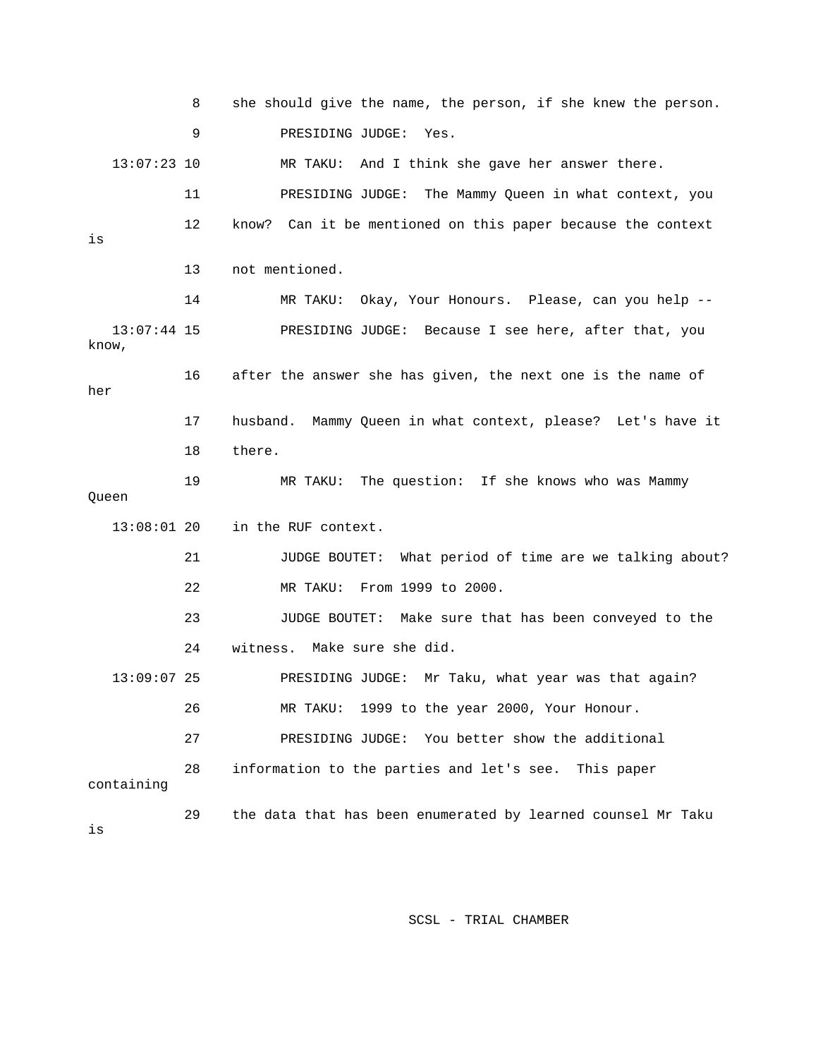|                        | 8  | she should give the name, the person, if she knew the person. |
|------------------------|----|---------------------------------------------------------------|
|                        | 9  | PRESIDING JUDGE:<br>Yes.                                      |
| $13:07:23$ 10          |    | MR TAKU: And I think she gave her answer there.               |
|                        | 11 | PRESIDING JUDGE:<br>The Mammy Queen in what context, you      |
| is                     | 12 | know? Can it be mentioned on this paper because the context   |
|                        | 13 | not mentioned.                                                |
|                        | 14 | Okay, Your Honours. Please, can you help --<br>MR TAKU:       |
| $13:07:44$ 15<br>know, |    | PRESIDING JUDGE: Because I see here, after that, you          |
| her                    | 16 | after the answer she has given, the next one is the name of   |
|                        | 17 | husband. Mammy Queen in what context, please? Let's have it   |
|                        | 18 | there.                                                        |
|                        |    |                                                               |
| Queen                  | 19 | MR TAKU: The question: If she knows who was Mammy             |
| $13:08:01$ 20          |    | in the RUF context.                                           |
|                        | 21 | JUDGE BOUTET: What period of time are we talking about?       |
|                        | 22 | From 1999 to 2000.<br>MR TAKU:                                |
|                        | 23 | JUDGE BOUTET: Make sure that has been conveyed to the         |
|                        | 24 | witness. Make sure she did.                                   |
| $13:09:07$ 25          |    | PRESIDING JUDGE: Mr Taku, what year was that again?           |
|                        | 26 | 1999 to the year 2000, Your Honour.<br>MR TAKU:               |
|                        | 27 | You better show the additional<br>PRESIDING JUDGE:            |
| containing             | 28 | information to the parties and let's see. This paper          |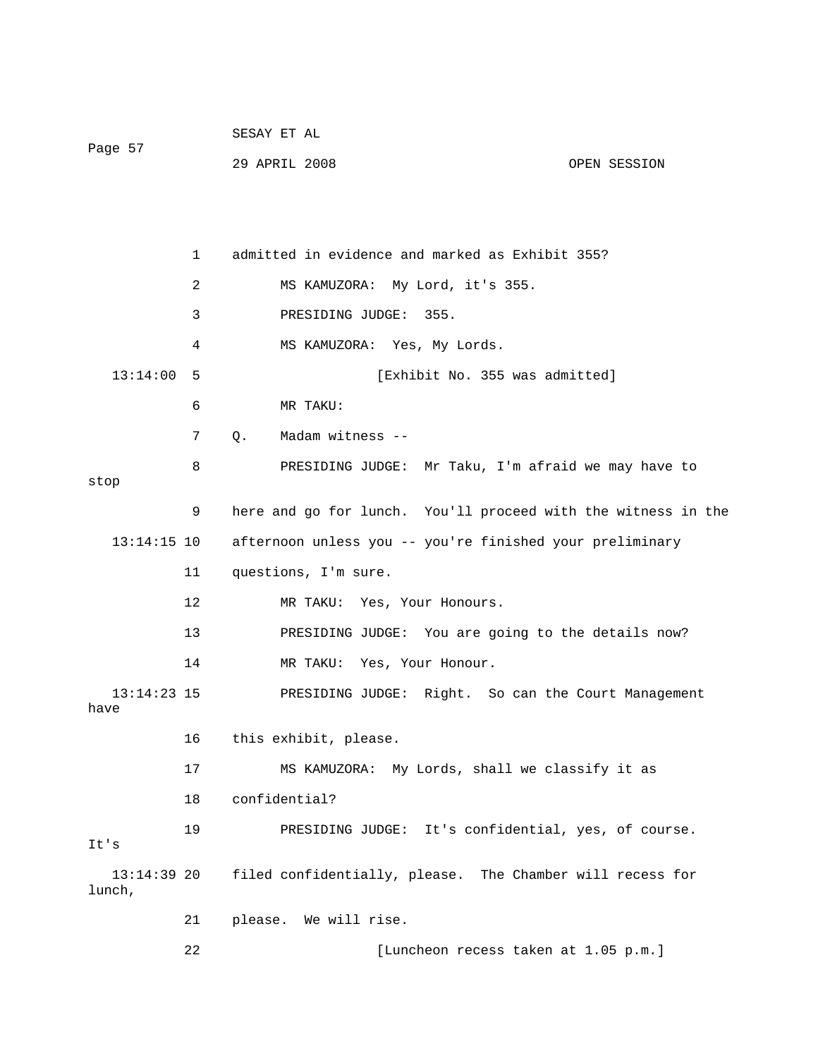| Page 57 | SESAY ET AL   |  |              |
|---------|---------------|--|--------------|
|         | 29 APRIL 2008 |  | OPEN SESSION |

1 admitted in evidence and marked as Exhibit 355? 2 MS KAMUZORA: My Lord, it's 355. 3 PRESIDING JUDGE: 355. 13:14:00 5 [Exhibit No. 355 was admitted] 6 MR TAKU: 8 PRESIDING JUDGE: Mr Taku, I'm afraid we may have to 9 here and go for lunch. You'll proceed with the witness in the 13:14:15 10 afternoon unless you -- you're finished your preliminary Yes, Your Honours. 12 MR TAKU: 13 PRESIDING JUDGE: You are going to the details now? 13:14:23 15 PRESIDING JUDGE: Right. So can the Court Management 17 MS KAMUZORA: My Lords, shall we classify it as 13:14:39 20 filed confidentially, please. The Chamber will recess for 21 please. We will rise. 22 [Luncheon recess taken at 1.05 p.m.] 4 MS KAMUZORA: Yes, My Lords. 7 Q. Madam witness - stop 11 questions, I'm sure. 14 MR TAKU: Yes, Your Honour. have 16 this exhibit, please. 18 confidential? 19 PRESIDING JUDGE: It's confidential, yes, of course. It's lunch,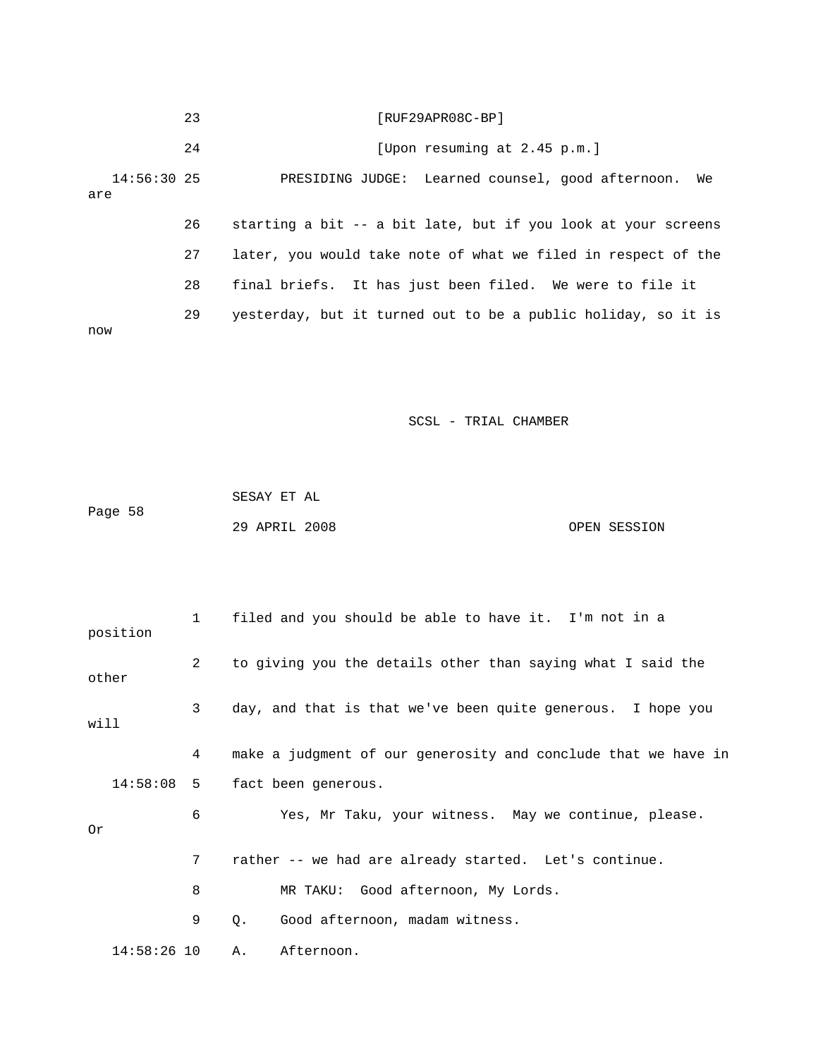|                      | 23 | [RUF29APR08C-BP]                                              |
|----------------------|----|---------------------------------------------------------------|
|                      | 24 | [Upon resuming at 2.45 p.m.]                                  |
| $14:56:30$ 25<br>are |    | PRESIDING JUDGE: Learned counsel, good afternoon. We          |
|                      | 26 | starting a bit -- a bit late, but if you look at your screens |
|                      | 27 | later, you would take note of what we filed in respect of the |
|                      | 28 | final briefs. It has just been filed. We were to file it      |
| now                  | 29 | yesterday, but it turned out to be a public holiday, so it is |

|         | SESAY ET AL   |  |              |
|---------|---------------|--|--------------|
| Page 58 |               |  |              |
|         | 29 APRIL 2008 |  | OPEN SESSION |

| position | $1 \qquad \qquad$ | filed and you should be able to have it. I'm not in a          |
|----------|-------------------|----------------------------------------------------------------|
| other    | $\overline{2}$    | to giving you the details other than saying what I said the    |
| will     | $\mathbf{3}$      | day, and that is that we've been quite generous. I hope you    |
|          | 4                 | make a judgment of our generosity and conclude that we have in |
|          | $14:58:08$ 5      | fact been generous.                                            |
| Or       | 6                 | Yes, Mr Taku, your witness. May we continue, please.           |
|          | 7                 | rather -- we had are already started. Let's continue.          |
|          | 8                 | MR TAKU: Good afternoon, My Lords.                             |
|          | 9                 | Good afternoon, madam witness.<br>Q.                           |
|          | $14:58:26$ 10     | A.<br>Afternoon.                                               |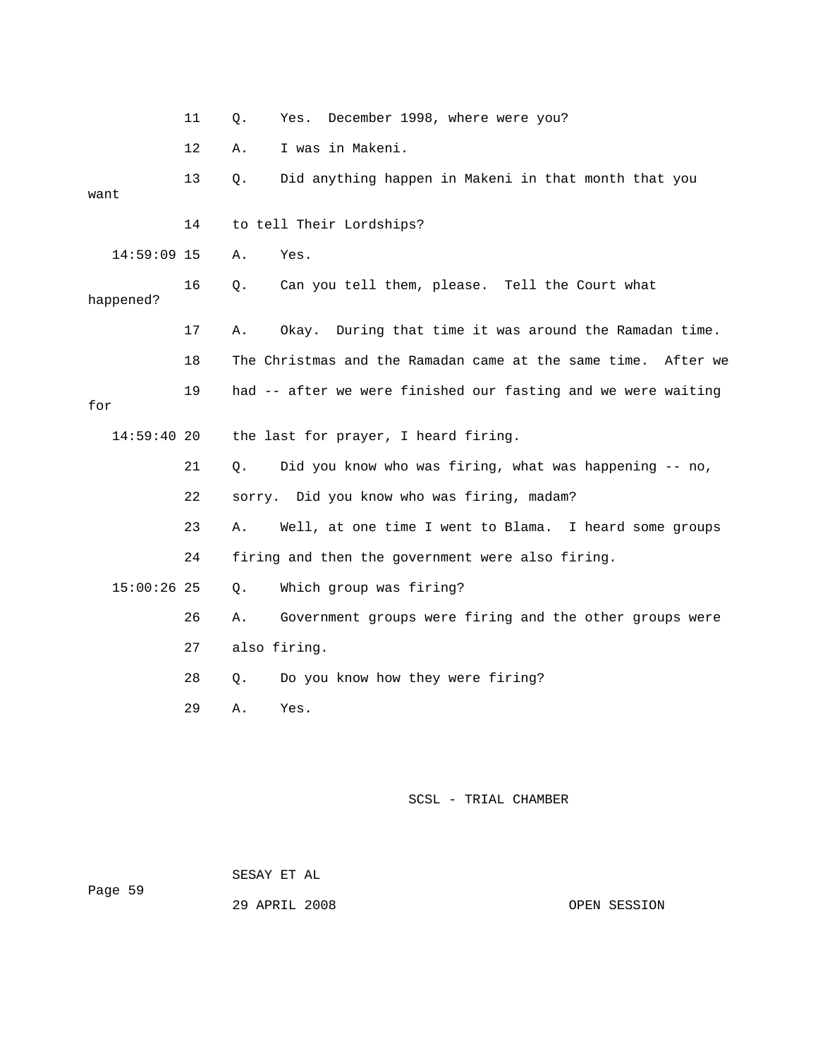|             | 11 | Q. | Yes.         | December 1998, where were you?                                   |
|-------------|----|----|--------------|------------------------------------------------------------------|
|             | 12 | Α. |              | I was in Makeni.                                                 |
| want        | 13 | Ο. |              | Did anything happen in Makeni in that month that you             |
|             | 14 |    |              | to tell Their Lordships?                                         |
| 14:59:09 15 |    | Α. | Yes.         |                                                                  |
| happened?   | 16 | Q. |              | Can you tell them, please. Tell the Court what                   |
|             | 17 | Α. | Okay.        | During that time it was around the Ramadan time.                 |
|             | 18 |    |              | The Christmas and the Ramadan came at the same time.<br>After we |
| for         | 19 |    |              | had -- after we were finished our fasting and we were waiting    |
| 14:59:40 20 |    |    |              | the last for prayer, I heard firing.                             |
|             | 21 | О. |              | Did you know who was firing, what was happening -- no,           |
|             | 22 |    |              | sorry. Did you know who was firing, madam?                       |
|             | 23 | Α. |              | Well, at one time I went to Blama. I heard some groups           |
|             | 24 |    |              | firing and then the government were also firing.                 |
| 15:00:26 25 |    | Ο. |              | Which group was firing?                                          |
|             | 26 | Α. |              | Government groups were firing and the other groups were          |
|             | 27 |    | also firing. |                                                                  |
|             | 28 | Q. |              | Do you know how they were firing?                                |
|             | 29 | Α. | Yes.         |                                                                  |
|             |    |    |              |                                                                  |
|             |    |    |              |                                                                  |

 SESAY ET AL Page 59

29 APRIL 200

OPEN SESSION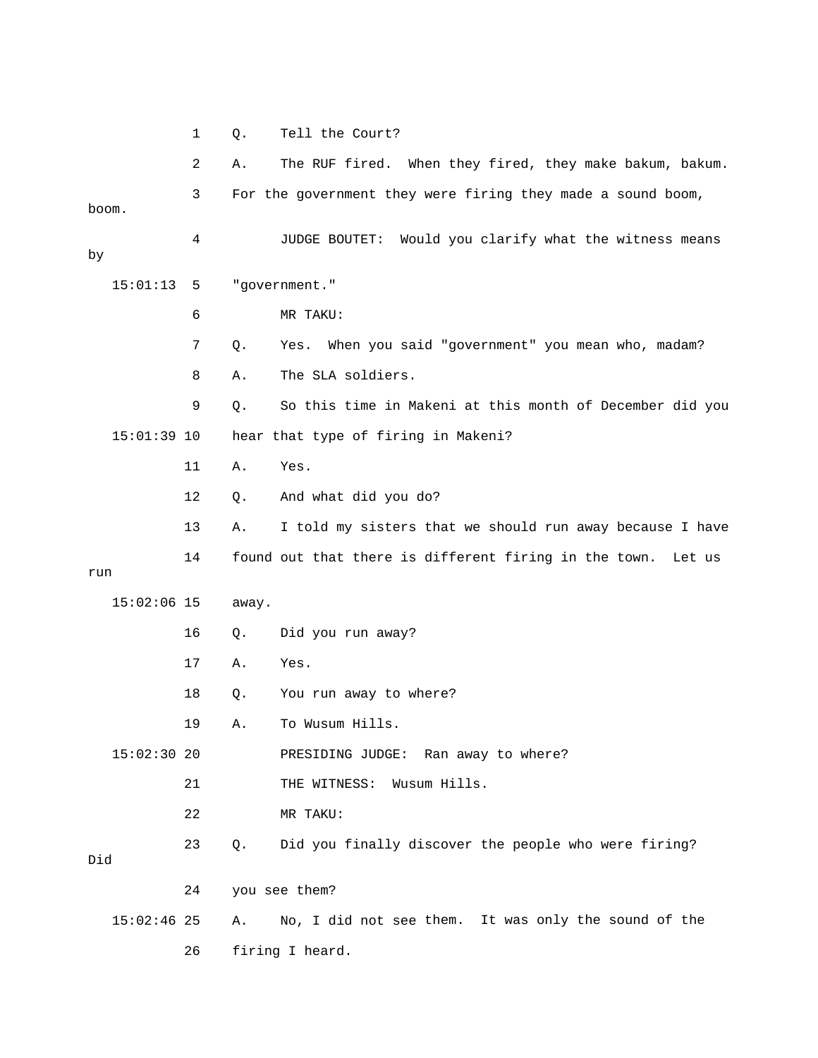1 Q. Tell the Court?

 2 A. The RUF fired. When they fired, they make bakum, bakum. 3 For the government they were firing they made a sound boom, 4 JUDGE BOUTET: Would you clarify what the witness means 15:01:13 5 "government." 6 MR TAKU: 8 A. The SLA soldiers. 9 Q. So this time in Makeni at this month of December did you 11 A. Yes. 12 Q. And what did you do? 13 A. I told my sisters that we should run away because I have 14 found out that there is different firing in the town. Let us 21 THE WITNESS: Wusum Hills. 22 MR TAKU: 23 Q. Did you finally discover the people who were firing? 15:02:46 25 A. No, I did not see them. It was only the sound of the boom. by 7 Q. Yes. When you said "government" you mean who, madam? 15:01:39 10 hear that type of firing in Makeni? run 15:02:06 15 away. 16 Q. Did you run away? 17 A. Yes. 18 Q. You run away to where? 19 A. To Wusum Hills. 15:02:30 20 PRESIDING JUDGE: Ran away to where? Did 24 you see them? 26 firing I heard.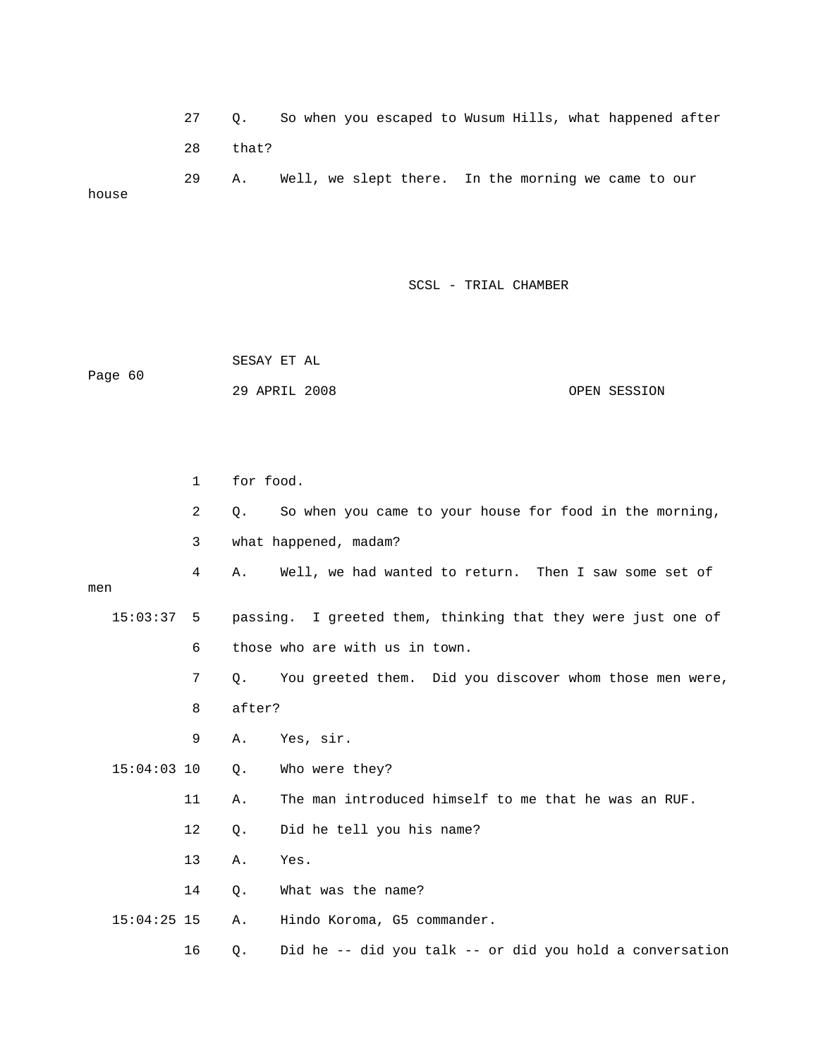27 Q. So when you escaped to Wusum Hills, what happened after 28 that? 29 A. Well, we slept there. In the morning we came to our house

SCSL - TRIAL CHAMBER

 SESAY ET AL 29 APRIL 2008 OPEN SESSION Page 60

 2 Q. So when you came to your house for food in the morning, 3 what happened, madam? 15:03:37 5 passing. I greeted them, thinking that they were just one of 6 those who are with us in town. 7 Q. You greeted them. Did you discover whom those men were, 11 A. The man introduced himself to me that he was an RUF. 12 Q. Did he tell you his name? 13 A. Yes. 15:04:25 15 A. Hindo Koroma, G5 commander. 16 Q. Did he -- did you talk -- or did you hold a conversation 1 for food. 4 A. Well, we had wanted to return. Then I saw some set of men 8 after? 9 A. Yes, sir. 15:04:03 10 Q. Who were they? 14 Q. What was the name?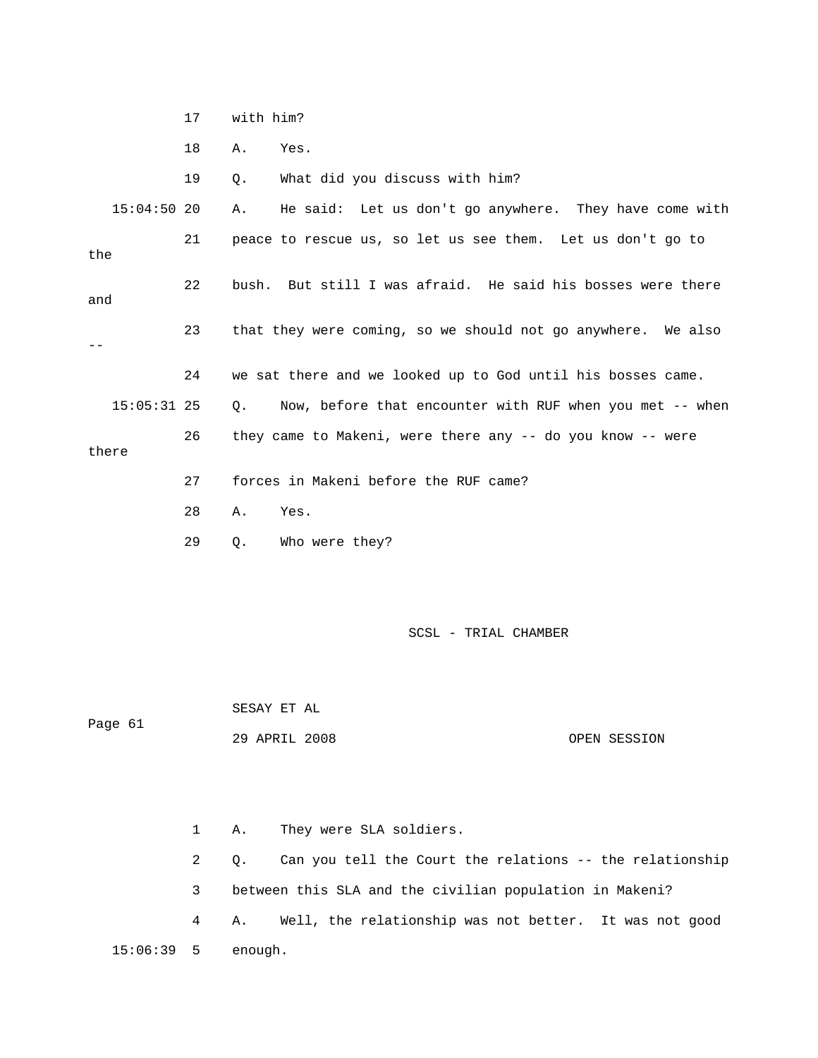17 with him?

18 A. Yes.

19 Q. What did you discuss with him?

15:04:50 20 A. He said: Let us don't go anywhere. They have come with 21 peace to rescue us, so let us see them. Let us don't go to 23 that they were coming, so we should not go anywhere. We also 24 we sat there and we looked up to God until his bosses came. the 22 bush. But still I was afraid. He said his bosses were there and -- 15:05:31 25 Q. Now, before that encounter with RUF when you met -- when 26 they came to Makeni, were there any -- do you know -- were there 27 forces in Makeni before the RUF came?

28 A. Yes.

29 Q. Who were they?

SCSL - TRIAL CHAMBER

Page 61 SESAY ET AL

29 APRIL 2008

OPEN SESSION

 2 Q. Can you tell the Court the relations -- the relationship 3 between this SLA and the civilian population in Makeni? 4 A. Well, the relationship was not better. It was not good 15:06:39 5 enough. 1 A. They were SLA soldiers.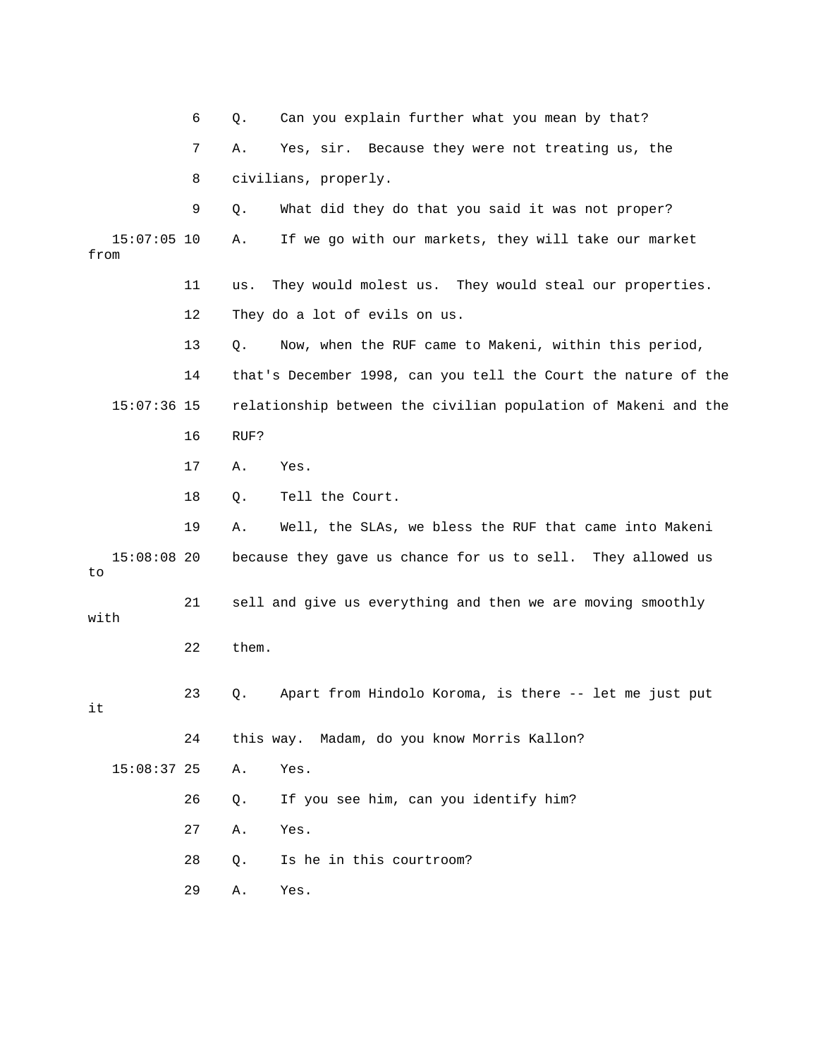6 Q. Can you explain further what you mean by that? 7 A. Yes, sir. Because they were not treating us, the 8 civilians, properly. 15:07:05 10 A. If we go with our markets, they will take our market 11 us. They would molest us. They would steal our properties. 13 Q. Now, when the RUF came to Makeni, within this period, 14 that's December 1998, can you tell the Court the nature of the 15:07:36 15 relationship between the civilian population of Makeni and the 17 A. Yes. 18 Q. Tell the Court. 19 A. Well, the SLAs, we bless the RUF that came into Makeni 15:08:08 20 because they gave us chance for us to sell. They allowed us 22 them. 23 Q. Apart from Hindolo Koroma, is there -- let me just put 24 this way. Madam, do you know Morris Kallon? 5:08:37 25 A. Yes. 1 27 A. Yes. 28 Q. Is he in this courtroom? 9 Q. What did they do that you said it was not proper? from 12 They do a lot of evils on us. 16 RUF? to 21 sell and give us everything and then we are moving smoothly with it 26 Q. If you see him, can you identify him? 29 A. Yes.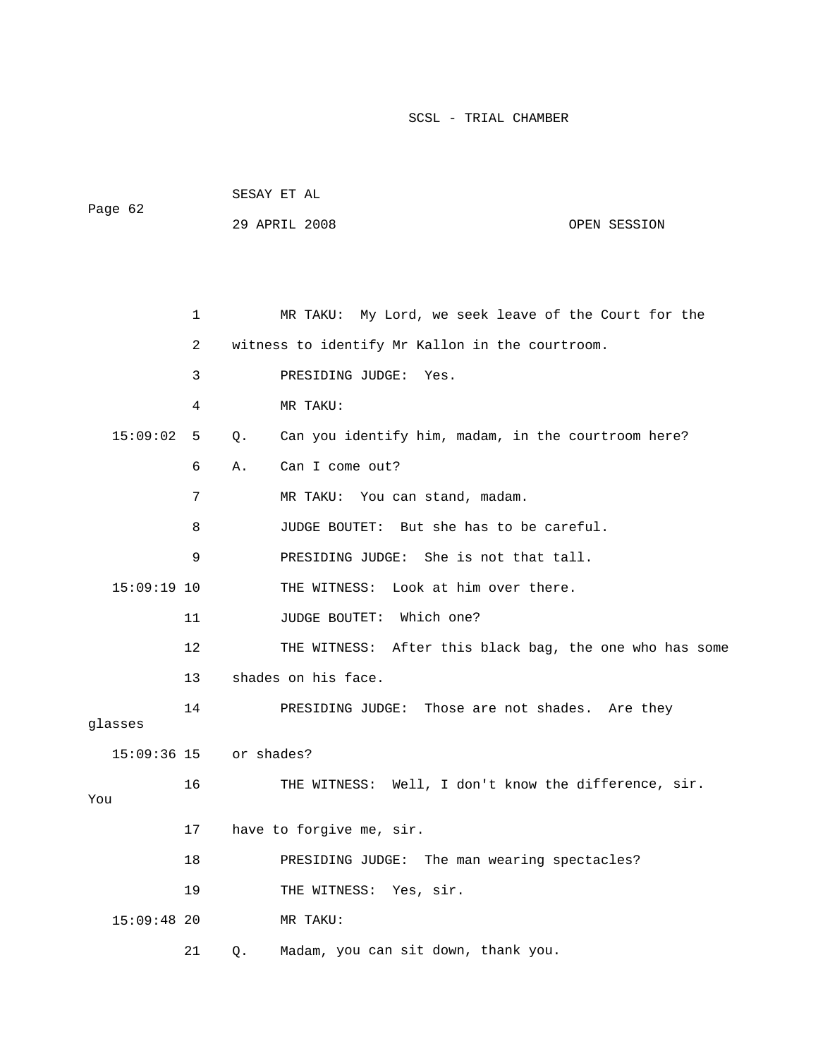| Page 62                |    | SESAY ET AL |                                                         |              |
|------------------------|----|-------------|---------------------------------------------------------|--------------|
|                        |    |             | 29 APRIL 2008                                           | OPEN SESSION |
|                        |    |             |                                                         |              |
|                        |    |             |                                                         |              |
|                        | 1  |             | MR TAKU: My Lord, we seek leave of the Court for the    |              |
|                        | 2  |             | witness to identify Mr Kallon in the courtroom.         |              |
|                        | 3  |             | PRESIDING JUDGE:<br>Yes.                                |              |
|                        | 4  |             | MR TAKU:                                                |              |
| 15:09:02               | 5  | Q.          | Can you identify him, madam, in the courtroom here?     |              |
|                        | 6  | Α.          | Can I come out?                                         |              |
|                        | 7  |             | MR TAKU: You can stand, madam.                          |              |
|                        | 8  |             | JUDGE BOUTET: But she has to be careful.                |              |
|                        | 9  |             | PRESIDING JUDGE: She is not that tall.                  |              |
| $15:09:19$ 10          |    |             | THE WITNESS: Look at him over there.                    |              |
|                        | 11 |             | JUDGE BOUTET: Which one?                                |              |
|                        | 12 |             | THE WITNESS: After this black bag, the one who has some |              |
|                        | 13 |             | shades on his face.                                     |              |
| glasses                | 14 |             | PRESIDING JUDGE: Those are not shades. Are they         |              |
| 15:09:36 15 or shades? |    |             |                                                         |              |
| You                    | 16 |             | THE WITNESS: Well, I don't know the difference, sir.    |              |
|                        | 17 |             | have to forgive me, sir.                                |              |
|                        | 18 |             | PRESIDING JUDGE:<br>The man wearing spectacles?         |              |
|                        | 19 |             | THE WITNESS: Yes, sir.                                  |              |
| $15:09:48$ 20          |    |             | MR TAKU:                                                |              |
|                        | 21 | Q.          | Madam, you can sit down, thank you.                     |              |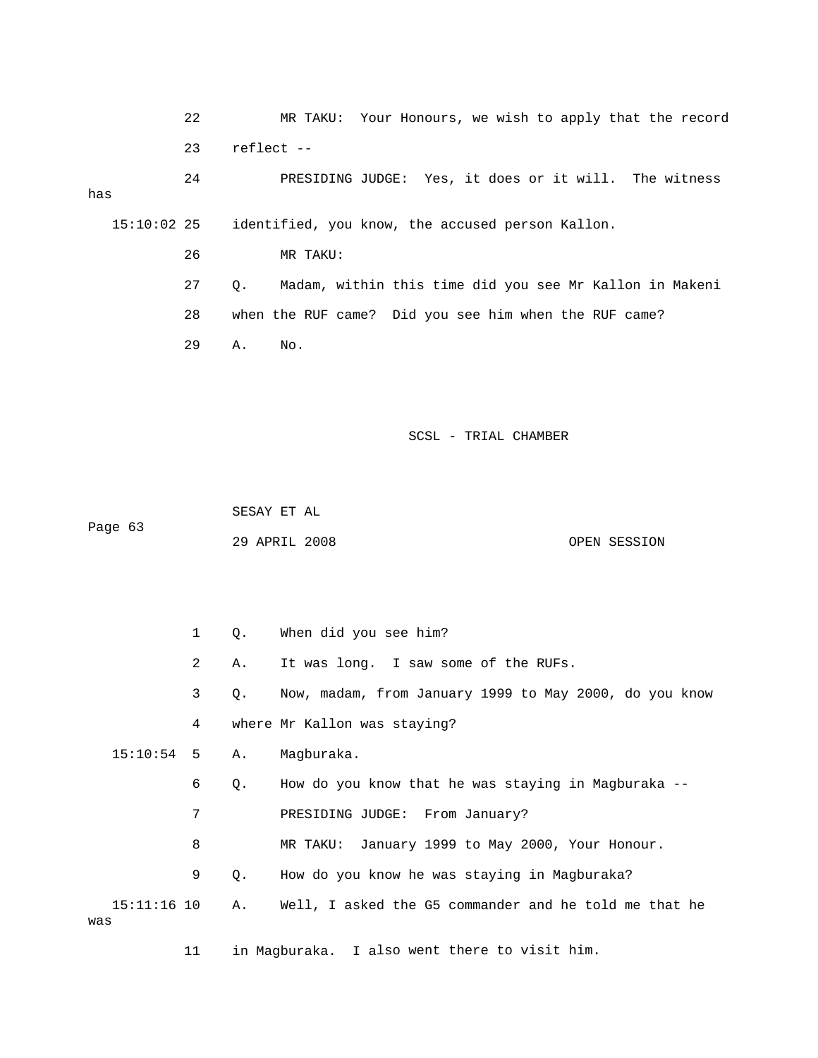22 MR TAKU: Your Honours, we wish to apply that the record 23 reflect --

 24 PRESIDING JUDGE: Yes, it does or it will. The witness 15:10:02 25 identified, you know, the accused person Kallon. has

27 Q. Madam, within this time did you see Mr Kallon in Makeni 28 when the RUF came? Did you see him when the RUF came? 29 A. No.

#### SCSL - TRIAL CHAMBER

 SESAY ET AL Page 63

26 MR TAKU:

OPEN SESSION 29 APRIL 20

 2 A. It was long. I saw some of the RUFs. 3 Q. Now, madam, from January 1999 to May 2000, do you know 4 where Mr Kallon was staying? 6 Q. How do you know that he was staying in Magburaka -- 7 PRESIDING JUDGE: From January? 8 MR TAKU: January 1999 to May 2000, Your Honour. 9 Q. How do you know he was staying in Magburaka? 15:11:16 10 A. Well, I asked the G5 commander and he told me that he 1 Q. When did you see him? 15:10:54 5 A. Magburaka. was

11 in Magburaka. I also went there to visit him.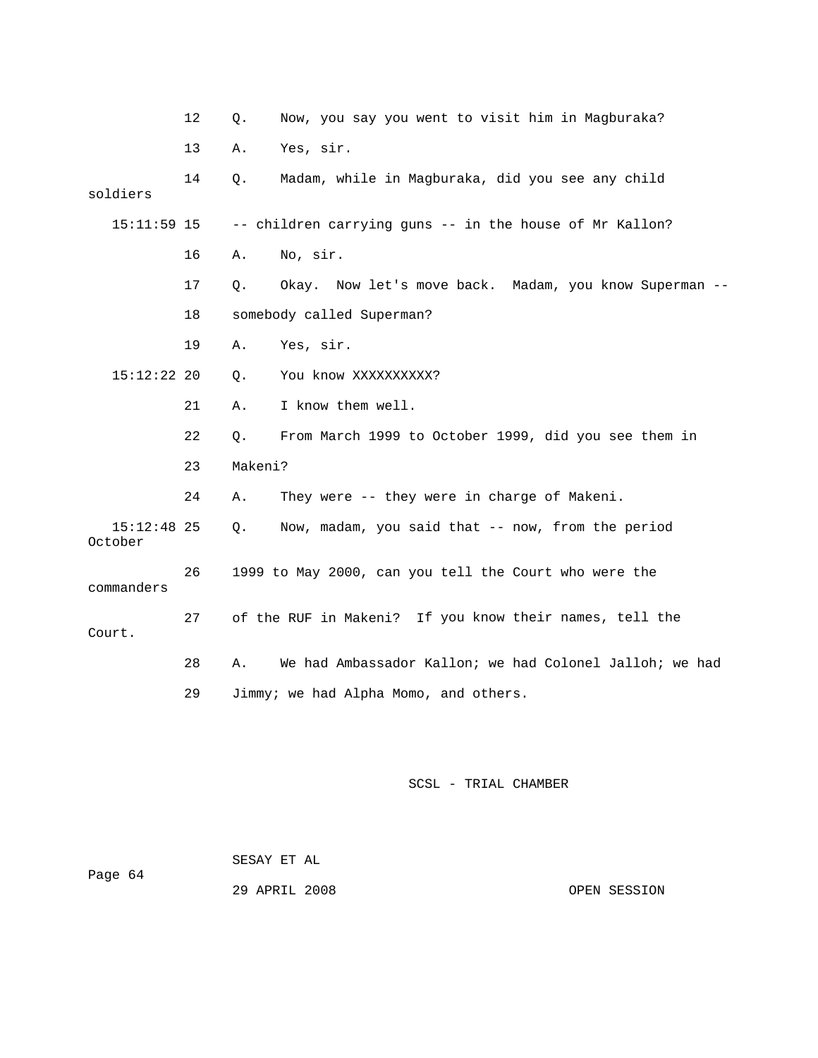|                          | 12 | $Q$ .   | Now, you say you went to visit him in Magburaka?        |
|--------------------------|----|---------|---------------------------------------------------------|
|                          | 13 | Α.      | Yes, sir.                                               |
| soldiers                 | 14 | Q.      | Madam, while in Magburaka, did you see any child        |
| $15:11:59$ 15            |    |         | -- children carrying guns -- in the house of Mr Kallon? |
|                          | 16 | Α.      | No, sir.                                                |
|                          | 17 | Q.      | Okay. Now let's move back. Madam, you know Superman --  |
|                          | 18 |         | somebody called Superman?                               |
|                          | 19 | Α.      | Yes, sir.                                               |
| $15:12:22$ 20            |    | $Q$ .   | You know XXXXXXXXXX?                                    |
|                          | 21 | Α.      | I know them well.                                       |
|                          | 22 | Q.      | From March 1999 to October 1999, did you see them in    |
|                          | 23 | Makeni? |                                                         |
|                          | 24 | Α.      | They were -- they were in charge of Makeni.             |
| $15:12:48$ 25<br>October |    | Q.      | Now, madam, you said that -- now, from the period       |
| commanders               | 26 |         | 1999 to May 2000, can you tell the Court who were the   |
| Court.                   | 27 |         | of the RUF in Makeni? If you know their names, tell the |
|                          | 28 | Α.      | We had Ambassador Kallon; we had Colonel Jalloh; we had |
|                          | 29 |         | Jimmy; we had Alpha Momo, and others.                   |

| Page 64 | SESAY ET AL   |              |
|---------|---------------|--------------|
|         | 29 APRIL 2008 | OPEN SESSION |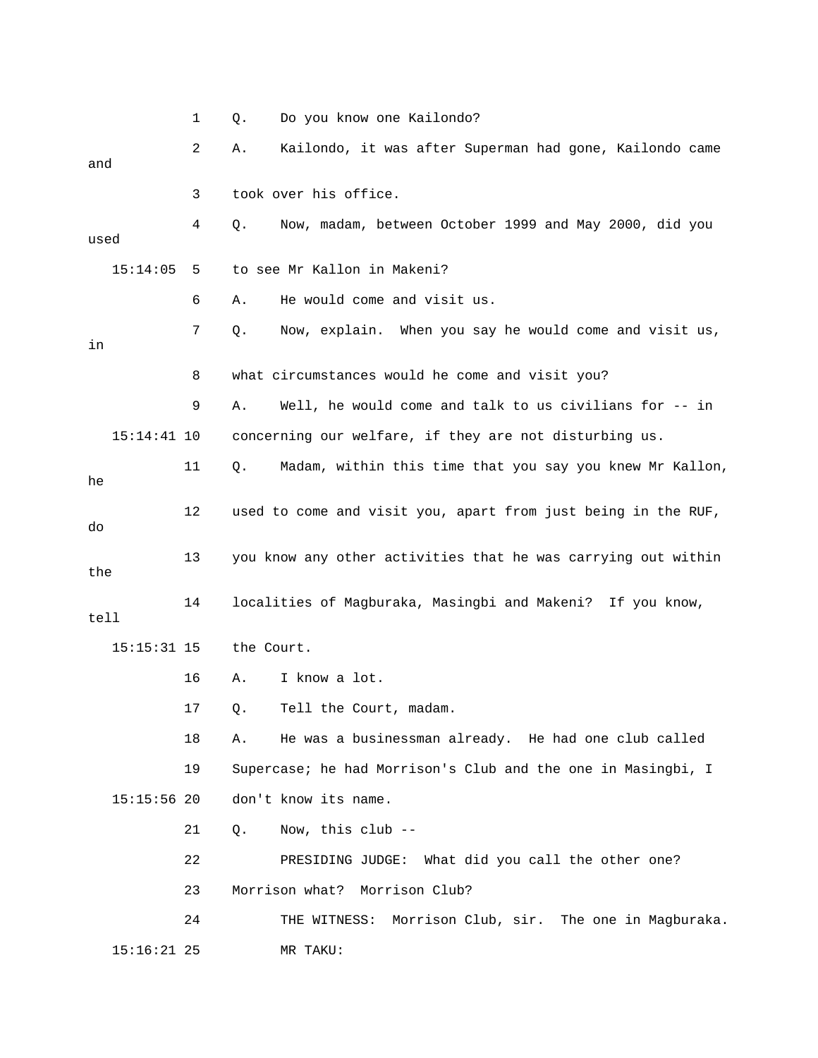|      |               | 1  | Q.         | Do you know one Kailondo?                                     |
|------|---------------|----|------------|---------------------------------------------------------------|
| and  |               | 2  | Α.         | Kailondo, it was after Superman had gone, Kailondo came       |
|      |               | 3  |            | took over his office.                                         |
| used |               | 4  | Q.         | Now, madam, between October 1999 and May 2000, did you        |
|      | 15:14:05      | 5  |            | to see Mr Kallon in Makeni?                                   |
|      |               | 6  | Α.         | He would come and visit us.                                   |
| in   |               | 7  | Q.         | Now, explain. When you say he would come and visit us,        |
|      |               | 8  |            | what circumstances would he come and visit you?               |
|      |               | 9  | Α.         | Well, he would come and talk to us civilians for -- in        |
|      | $15:14:41$ 10 |    |            | concerning our welfare, if they are not disturbing us.        |
| he   |               | 11 | Q.         | Madam, within this time that you say you knew Mr Kallon,      |
| do   |               | 12 |            | used to come and visit you, apart from just being in the RUF, |
| the  |               | 13 |            | you know any other activities that he was carrying out within |
| tell |               | 14 |            | localities of Magburaka, Masingbi and Makeni? If you know,    |
|      | $15:15:31$ 15 |    | the Court. |                                                               |
|      |               | 16 | Α.         | I know a lot.                                                 |
|      |               | 17 | Q.         | Tell the Court, madam.                                        |
|      |               | 18 | Α.         | He was a businessman already. He had one club called          |
|      |               | 19 |            | Supercase; he had Morrison's Club and the one in Masingbi, I  |
|      | $15:15:56$ 20 |    |            | don't know its name.                                          |
|      |               | 21 | Q.         | Now, this club --                                             |
|      |               | 22 |            | PRESIDING JUDGE: What did you call the other one?             |
|      |               | 23 |            | Morrison what? Morrison Club?                                 |
|      |               | 24 |            | THE WITNESS: Morrison Club, sir. The one in Magburaka.        |
|      | $15:16:21$ 25 |    |            | MR TAKU:                                                      |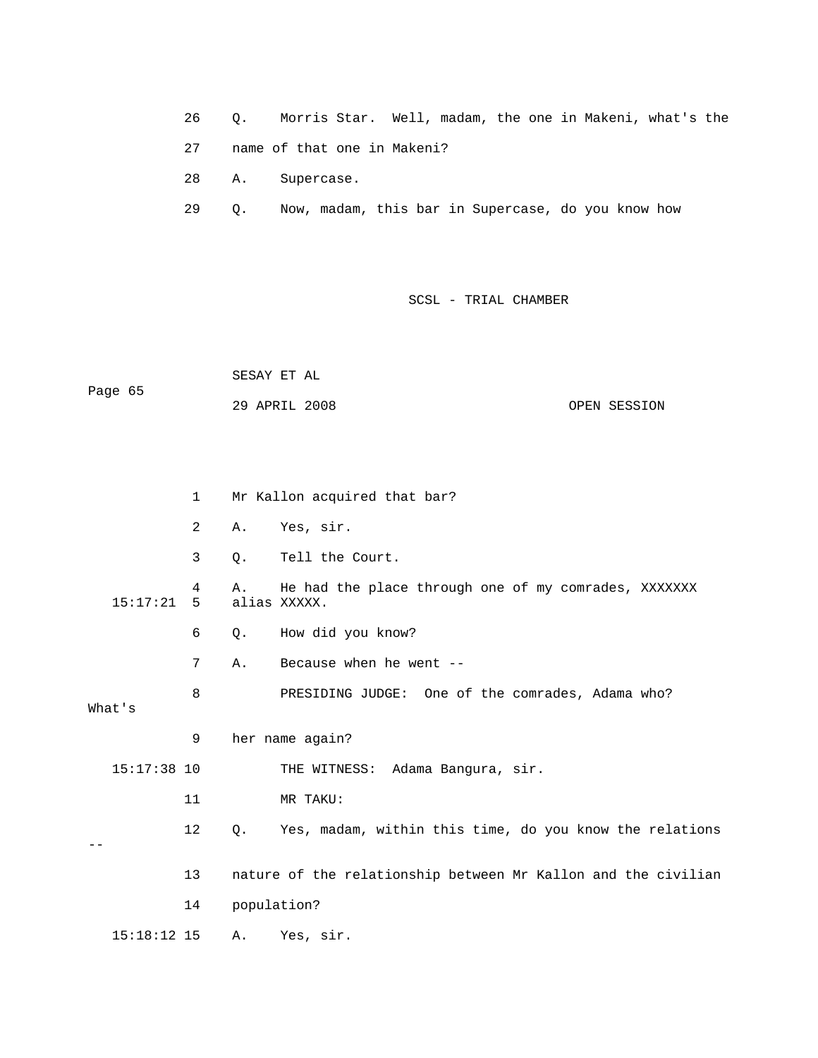26 Q. Morris Star. W ell, madam, the one in Makeni, what's the 27 name of that one in M akeni?

28 A. Supercase.

29 Q. Now, madam, this bar in Supercase, do you know how

SCSL - TRIAL CHAMBER

 SESAY ET AL Page 65 29 APRIL 2008 OPEN SESSION

|               | $\mathbf{1}$   |       | Mr Kallon acquired that bar?                                         |
|---------------|----------------|-------|----------------------------------------------------------------------|
|               | $\overline{a}$ | Α.    | Yes, sir.                                                            |
|               | $\mathbf{3}$   | $Q$ . | Tell the Court.                                                      |
| 15:17:21      | 4<br>5         | Α.    | He had the place through one of my comrades, XXXXXXX<br>alias XXXXX. |
|               | 6              | Q.    | How did you know?                                                    |
|               | 7              | Α.    | Because when he went --                                              |
| What's        | 8              |       | PRESIDING JUDGE: One of the comrades, Adama who?                     |
|               | 9              |       | her name again?                                                      |
| $15:17:38$ 10 |                |       | THE WITNESS: Adama Bangura, sir.                                     |
|               | 11             |       | MR TAKU:                                                             |
|               | 12             | Q.    | Yes, madam, within this time, do you know the relations              |
|               | 13             |       | nature of the relationship between Mr Kallon and the civilian        |
|               | 14             |       | population?                                                          |
| $15:18:12$ 15 |                | Α.    | Yes, sir.                                                            |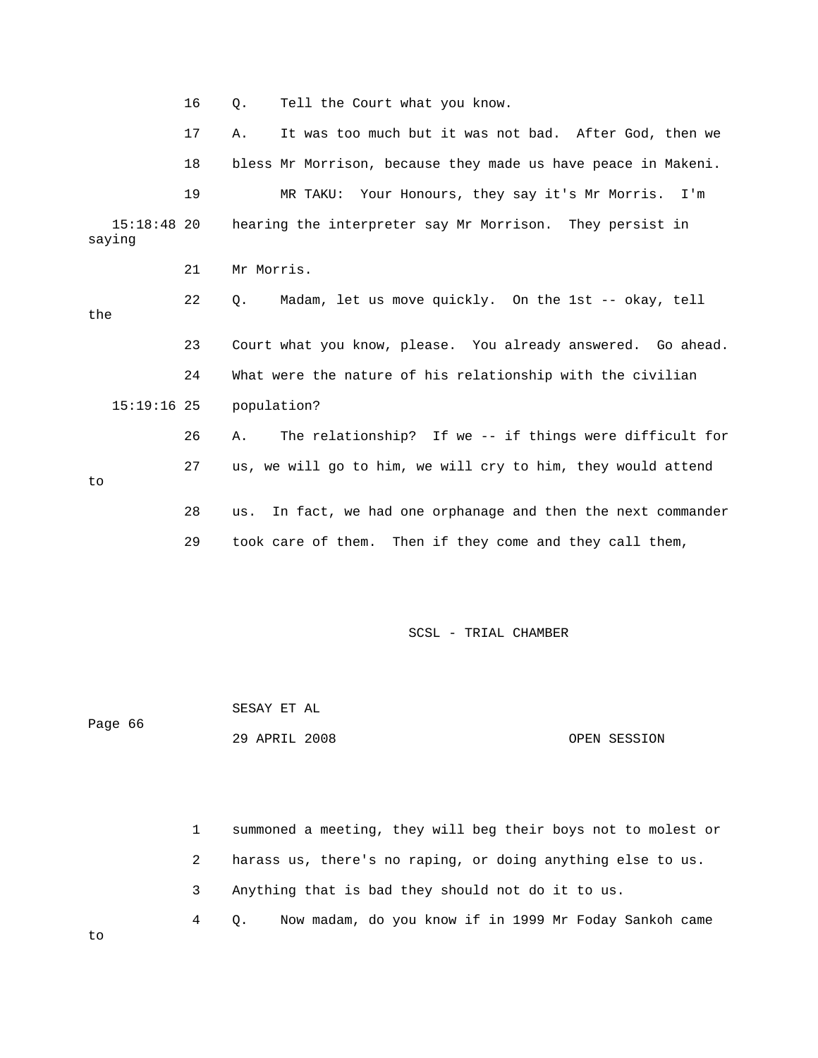|                       | 16 | Tell the Court what you know.<br>О.                               |
|-----------------------|----|-------------------------------------------------------------------|
|                       | 17 | It was too much but it was not bad. After God, then we<br>Α.      |
|                       | 18 | bless Mr Morrison, because they made us have peace in Makeni.     |
|                       | 19 | MR TAKU: Your Honours, they say it's Mr Morris. I'm               |
| 15:18:48 20<br>saying |    | hearing the interpreter say Mr Morrison. They persist in          |
|                       | 21 | Mr Morris.                                                        |
| the                   | 22 | Madam, let us move quickly. On the 1st -- okay, tell<br>$\circ$ . |
|                       | 23 | Court what you know, please. You already answered. Go ahead.      |
|                       | 24 | What were the nature of his relationship with the civilian        |
| $15:19:16$ 25         |    | population?                                                       |
|                       | 26 | The relationship? If we -- if things were difficult for<br>Α.     |
| to                    | 27 | us, we will go to him, we will cry to him, they would attend      |
|                       | 28 | In fact, we had one orphanage and then the next commander<br>us.  |
|                       | 29 | took care of them. Then if they come and they call them,          |

Page 66 SESAY ET AL 29 APRIL 2008 OPEN SESSION

1 summoned a meeting, they will beg their boys not to molest or 2 harass us, there's no raping, or doing anything else to us. 3 Anything that is bad they should not do it to us. 4 Q. Now madam, do you know if in 1999 Mr Foday Sankoh came

to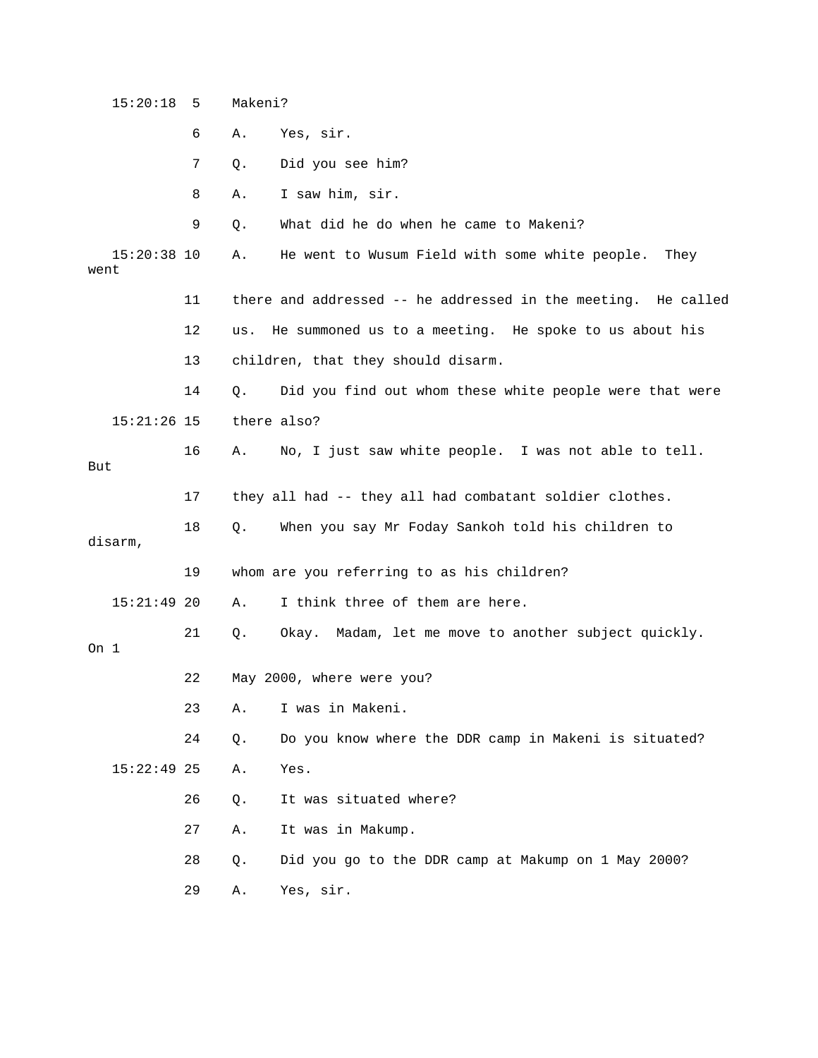|         | 15:20:18      | 5  | Makeni? |                                                               |
|---------|---------------|----|---------|---------------------------------------------------------------|
|         |               | 6  | Α.      | Yes, sir.                                                     |
|         |               | 7  | Q.      | Did you see him?                                              |
|         |               | 8  | Α.      | I saw him, sir.                                               |
|         |               | 9  | Q.      | What did he do when he came to Makeni?                        |
| went    | $15:20:38$ 10 |    | Α.      | He went to Wusum Field with some white people.<br>They        |
|         |               | 11 |         | there and addressed -- he addressed in the meeting. He called |
|         |               | 12 | us.     | He summoned us to a meeting. He spoke to us about his         |
|         |               | 13 |         | children, that they should disarm.                            |
|         |               | 14 | Q.      | Did you find out whom these white people were that were       |
|         | $15:21:26$ 15 |    |         | there also?                                                   |
| But     |               | 16 | Α.      | No, I just saw white people. I was not able to tell.          |
|         |               | 17 |         | they all had -- they all had combatant soldier clothes.       |
| disarm, |               | 18 | Q.      | When you say Mr Foday Sankoh told his children to             |
|         |               | 19 |         | whom are you referring to as his children?                    |
|         | $15:21:49$ 20 |    | Α.      | I think three of them are here.                               |
| On 1    |               | 21 | Q.      | Okay. Madam, let me move to another subject quickly.          |
|         |               | 22 |         | May 2000, where were you?                                     |
|         |               | 23 | Α.      | I was in Makeni.                                              |
|         |               | 24 | Q.      | Do you know where the DDR camp in Makeni is situated?         |
|         | $15:22:49$ 25 |    | Α.      | Yes.                                                          |
|         |               | 26 | Q.      | It was situated where?                                        |
|         |               | 27 | Α.      | It was in Makump.                                             |
|         |               | 28 | Q.      | Did you go to the DDR camp at Makump on 1 May 2000?           |
|         |               | 29 | Α.      | Yes, sir.                                                     |
|         |               |    |         |                                                               |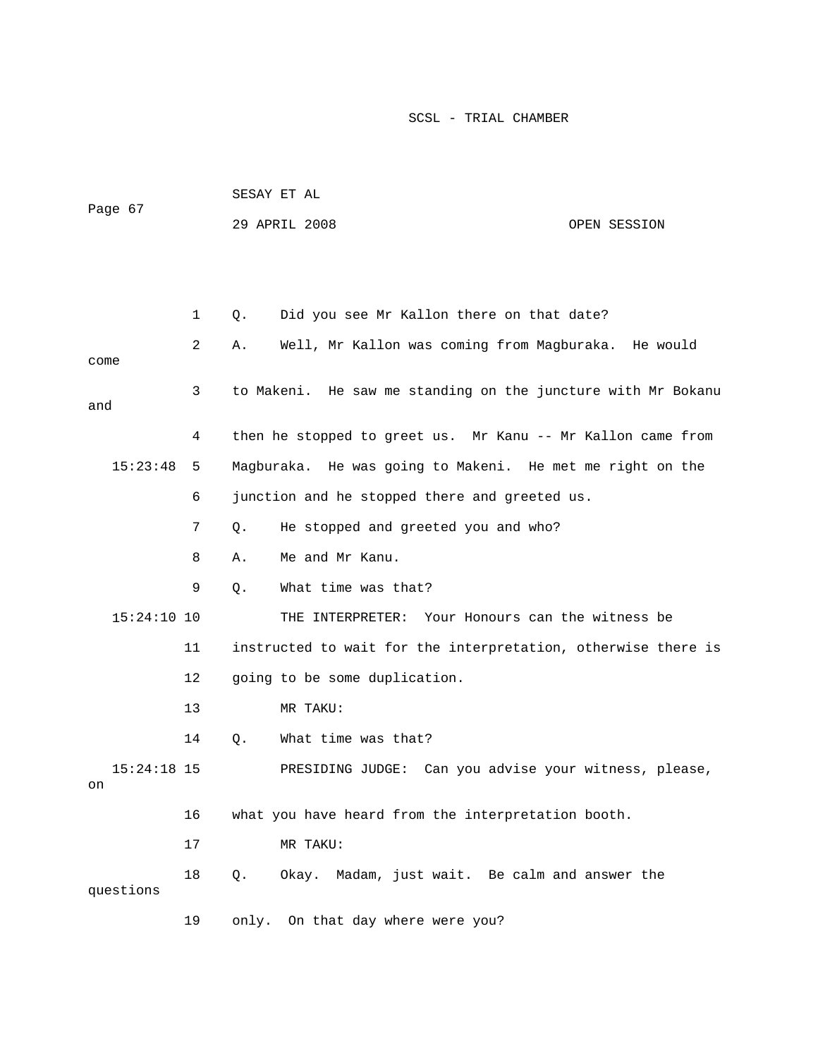|                     |             | SESAY ET AL                                                   |                                      |  |  |
|---------------------|-------------|---------------------------------------------------------------|--------------------------------------|--|--|
| Page 67             |             | 29 APRIL 2008                                                 | OPEN SESSION                         |  |  |
|                     |             |                                                               |                                      |  |  |
|                     |             |                                                               |                                      |  |  |
|                     | $\mathbf 1$ | Did you see Mr Kallon there on that date?<br>Q.               |                                      |  |  |
| come                | 2           | Well, Mr Kallon was coming from Magburaka. He would<br>Α.     |                                      |  |  |
| and                 | 3           | to Makeni. He saw me standing on the juncture with Mr Bokanu  |                                      |  |  |
|                     | 4           | then he stopped to greet us. Mr Kanu -- Mr Kallon came from   |                                      |  |  |
| 15:23:48            | 5           | Magburaka. He was going to Makeni. He met me right on the     |                                      |  |  |
|                     | 6           | junction and he stopped there and greeted us.                 |                                      |  |  |
|                     | 7           | He stopped and greeted you and who?<br>Q.                     |                                      |  |  |
|                     | 8           | Me and Mr Kanu.<br>Α.                                         |                                      |  |  |
|                     | 9           | What time was that?<br>Q.                                     |                                      |  |  |
| $15:24:10$ 10       |             | Your Honours can the witness be<br>THE INTERPRETER:           |                                      |  |  |
|                     | 11          | instructed to wait for the interpretation, otherwise there is |                                      |  |  |
|                     | 12          | going to be some duplication.                                 |                                      |  |  |
|                     | 13          | MR TAKU:                                                      |                                      |  |  |
|                     | 14          | What time was that?<br>Q.                                     |                                      |  |  |
| $15:24:18$ 15<br>on |             | PRESIDING JUDGE:                                              | Can you advise your witness, please, |  |  |
|                     | 16          | what you have heard from the interpretation booth.            |                                      |  |  |
|                     | 17          | MR TAKU:                                                      |                                      |  |  |
| questions           | 18          | Okay. Madam, just wait. Be calm and answer the<br>Q.          |                                      |  |  |
|                     | 19          | On that day where were you?<br>only.                          |                                      |  |  |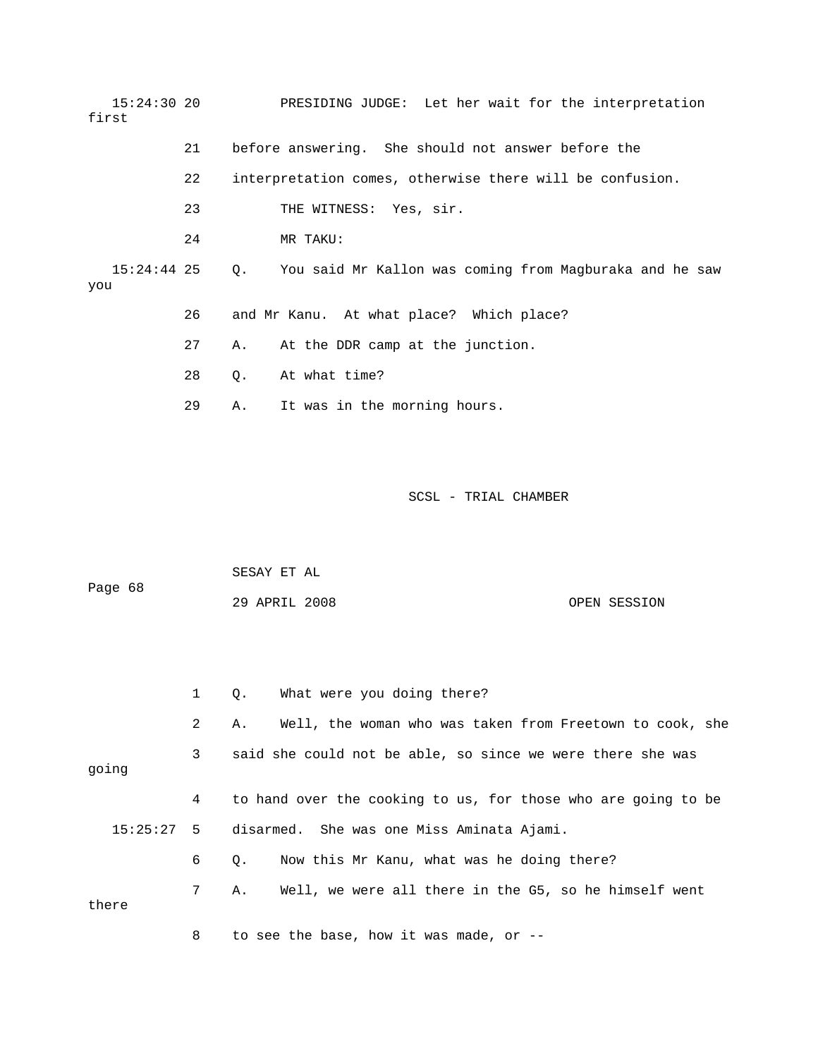15:24:30 20 PRESIDING JUDGE: Let her wait for the interpretation first 22 interpretation comes, otherwise there will be confusion. 24 MR TAKU: 15:24:44 25 Q. You said Mr Kallon was coming from Magburaka and he saw 26 and Mr Kanu. At what place? Which place? 28 Q. At what time? 29 A. It was in the morning hours. 21 before answering. She should not answer before the 23 THE WITNESS: Yes, sir. you 27 A. At the DDR camp at the junction.

|         | SESAY ET AL   |  |              |
|---------|---------------|--|--------------|
| Page 68 |               |  |              |
|         | 29 APRIL 2008 |  | OPEN SESSION |

|       | 1 | What were you doing there?<br>О.                               |
|-------|---|----------------------------------------------------------------|
|       | 2 | Well, the woman who was taken from Freetown to cook, she<br>Α. |
| going | 3 | said she could not be able, so since we were there she was     |
|       | 4 | to hand over the cooking to us, for those who are going to be  |
|       |   | 15:25:27 5 disarmed. She was one Miss Aminata Ajami.           |
|       | 6 | Now this Mr Kanu, what was he doing there?<br>$\circ$ .        |
| there | 7 | Well, we were all there in the G5, so he himself went<br>Α.    |
|       | 8 | to see the base, how it was made, or $-$ -                     |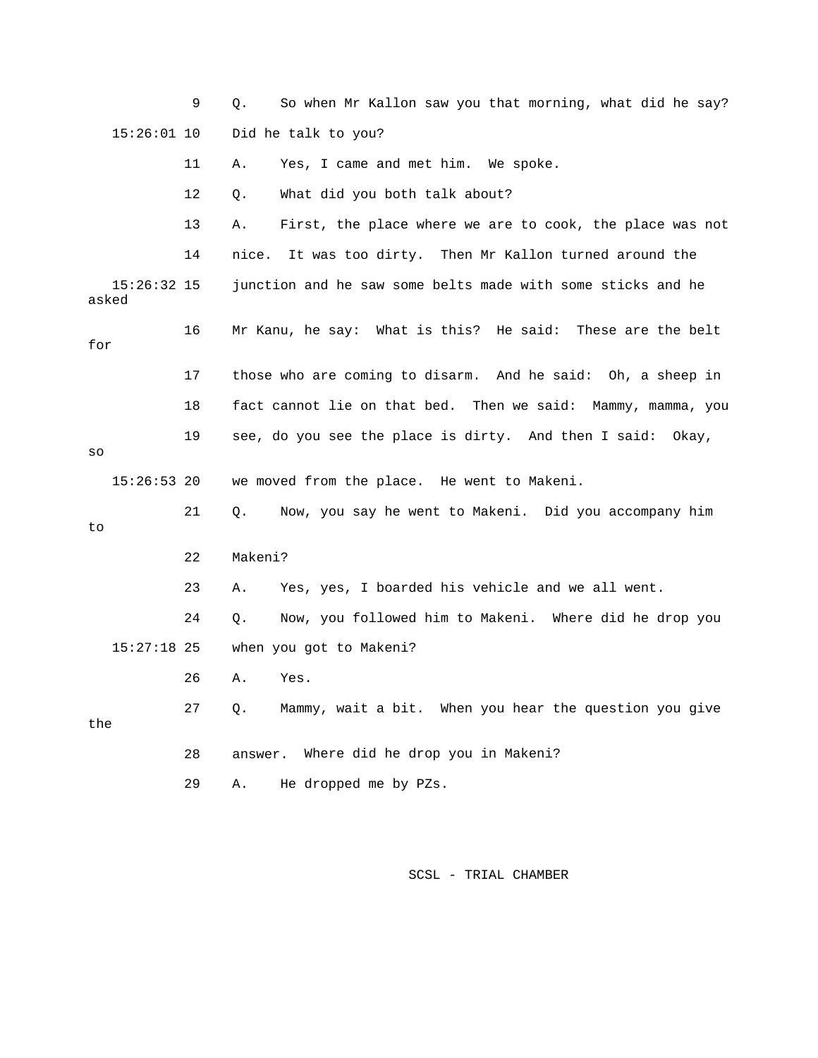9 Q. So when Mr Kallon saw you that morning, what did he say? 15:26:01 10 Did he talk to you? 12 Q. What did you both talk about? 13 A. First, the place where we are to cook, the place was not 14 nice. It was too dirty. Then Mr Kallon turned around the 16 Mr Kanu, he say: What is this? He said: These are the belt 17 those who are coming to disarm. And he said: Oh, a sheep in we moved from the place. He went to Makeni. 15:27:18 25 when you got to Makeni? 26 A. Yes. 11 A. Yes, I came and met him. We spoke. 15:26:32 15 junction and he saw some belts made with some sticks and he asked for 18 fact cannot lie on that bed. Then we said: Mammy, mamma, you 19 see, do you see the place is dirty. And then I said: Okay, so  $15:26:53$  20 21 Q. Now, you say he went to Makeni. Did you accompany him to 22 Makeni? 23 A. Yes, yes, I boarded his vehicle and we all went. 24 Q. Now, you followed him to Makeni. Where did he drop you 27 Q. Mammy, wait a bit. When you hear the question you give

the

Where did he drop you in Makeni? 28 answer.

29 A. He dropped me by PZs.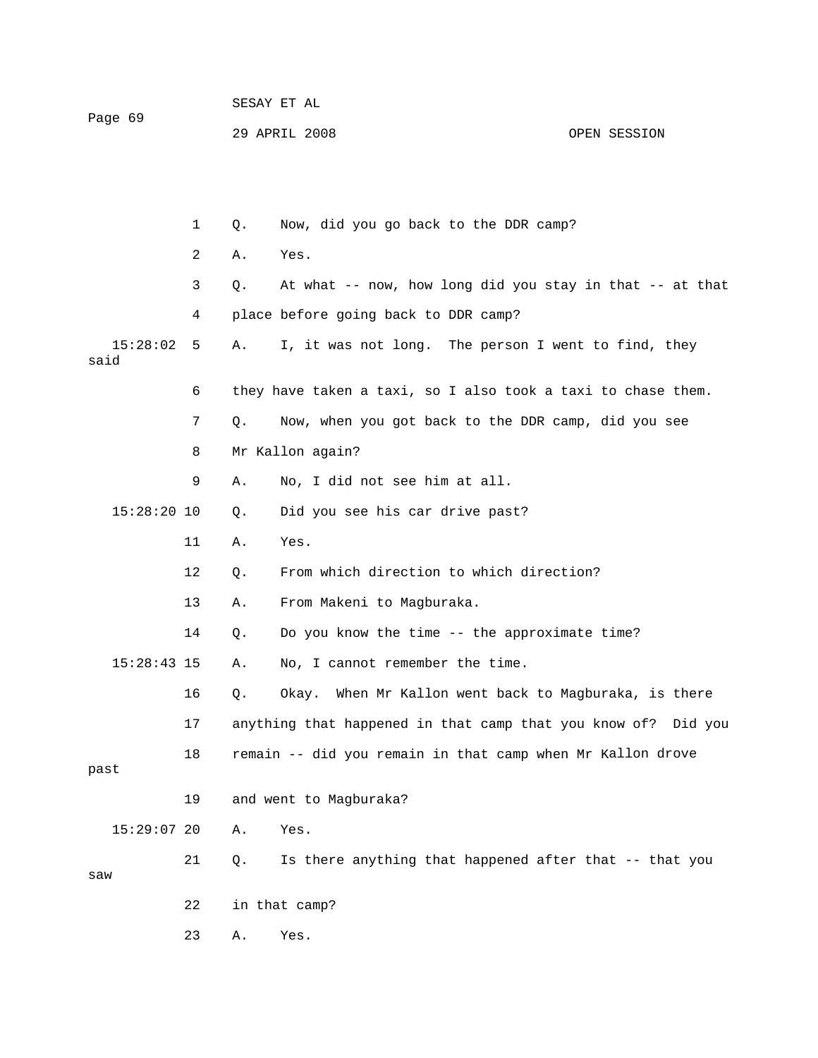| Page 69 |               |    |    | SESAY ET AL                                                  |              |  |  |
|---------|---------------|----|----|--------------------------------------------------------------|--------------|--|--|
|         |               |    |    | 29 APRIL 2008                                                | OPEN SESSION |  |  |
|         |               |    |    |                                                              |              |  |  |
|         |               |    |    |                                                              |              |  |  |
|         |               | 1  | Q. | Now, did you go back to the DDR camp?                        |              |  |  |
|         |               | 2  | Α. | Yes.                                                         |              |  |  |
|         |               | 3  | Q. | At what -- now, how long did you stay in that -- at that     |              |  |  |
|         |               | 4  |    | place before going back to DDR camp?                         |              |  |  |
| said    | 15:28:02      | 5  | Α. | I, it was not long. The person I went to find, they          |              |  |  |
|         |               | 6  |    | they have taken a taxi, so I also took a taxi to chase them. |              |  |  |
|         |               | 7  | Q. | Now, when you got back to the DDR camp, did you see          |              |  |  |
|         |               | 8  |    | Mr Kallon again?                                             |              |  |  |
|         |               | 9  | Α. | No, I did not see him at all.                                |              |  |  |
|         | $15:28:20$ 10 |    | Q. | Did you see his car drive past?                              |              |  |  |
|         |               | 11 | Α. | Yes.                                                         |              |  |  |
|         |               | 12 | Q. | From which direction to which direction?                     |              |  |  |
|         |               | 13 | Α. | From Makeni to Magburaka.                                    |              |  |  |
|         |               | 14 | Q. | Do you know the time -- the approximate time?                |              |  |  |
|         | $15:28:43$ 15 |    | Α. | No, I cannot remember the time.                              |              |  |  |
|         |               | 16 | Q. | Okay. When Mr Kallon went back to Magburaka, is there        |              |  |  |
|         |               | 17 |    | anything that happened in that camp that you know of?        | Did you      |  |  |
| past    |               | 18 |    | remain -- did you remain in that camp when Mr Kallon drove   |              |  |  |
|         |               | 19 |    | and went to Magburaka?                                       |              |  |  |
|         | $15:29:07$ 20 |    | Α. | Yes.                                                         |              |  |  |
|         |               |    |    |                                                              |              |  |  |

21 Q. Is there anything that happened after that -- that you

w sa

- 22 in that camp?
- 23 A. Yes.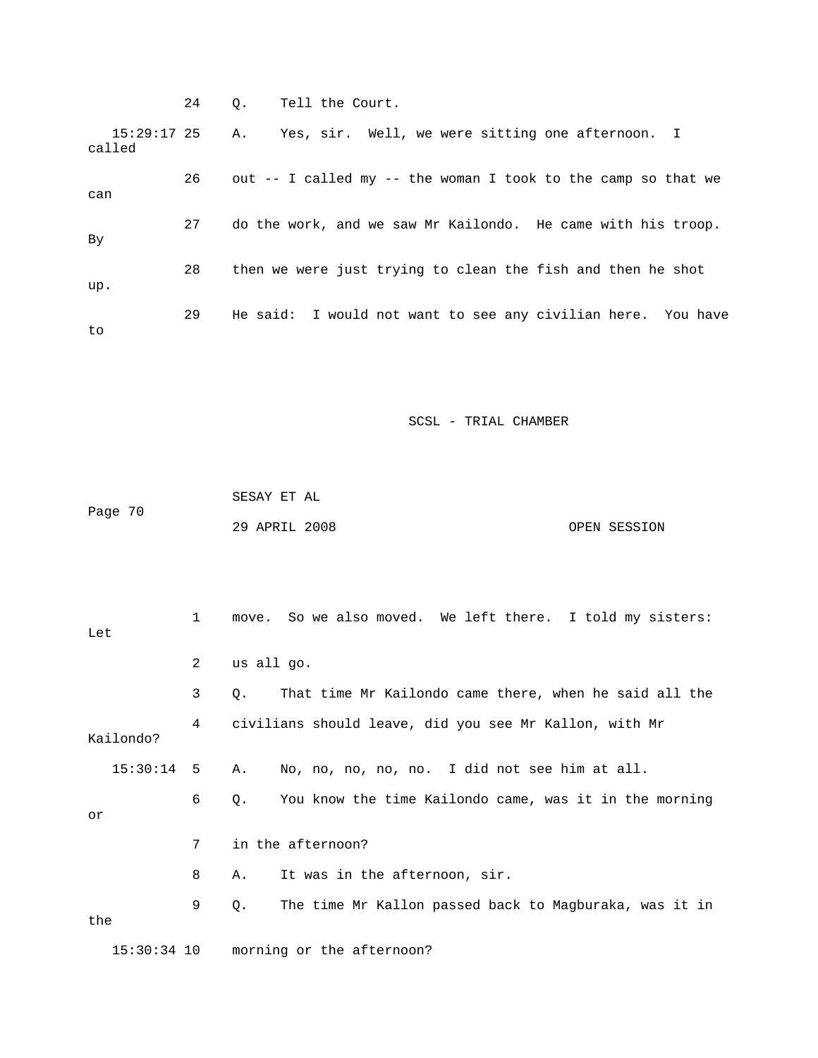24 Q. Tell the Court.  $15:29:17$  25 A. called Yes, sir. Well, we were sitting one afternoon. I 26 out -- I called my -- the woman I took to the camp so that we can 27 do the work, and we saw Mr Kailondo. He came with his troop. 28 then we were just trying to clean the fish and then he shot . up 29 He said: I would not want to see any civilian here. You have By to

SCSL - TRIAL CHAMBER

 SESAY ET AL Page 70 29 APRIL 2008 OPEN SESSION

 1 move. So we also moved. We left there. I told my sisters: Let 3 Q. That time Mr Kailondo came there, when he said all the 4 civilians should leave, did you see Mr Kallon, with Mr Kailondo? 15:30:14 5 A. No, no, no, no, no. I did not see him at all. 7 in the afternoon? 8 A. It was in the afternoon, sir. 9 Q. The time Mr Kallon passed back to Magburaka, was it in the 15:30:34 10 morning or the afternoon? 2 us all go. 6 Q. You know the time Kailondo came, was it in the morning or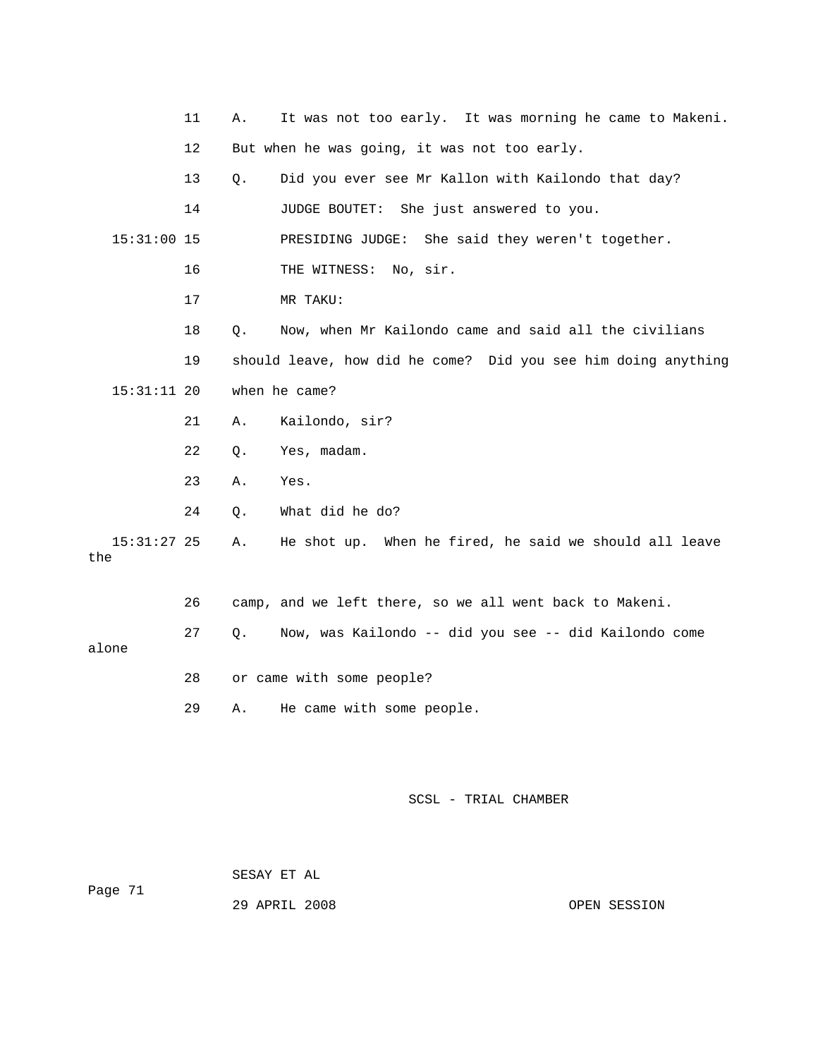|                      | 11 | Α. | It was not too early. It was morning he came to Makeni.       |
|----------------------|----|----|---------------------------------------------------------------|
|                      | 12 |    | But when he was going, it was not too early.                  |
|                      | 13 | Q. | Did you ever see Mr Kallon with Kailondo that day?            |
|                      | 14 |    | JUDGE BOUTET:<br>She just answered to you.                    |
| $15:31:00$ 15        |    |    | PRESIDING JUDGE:<br>She said they weren't together.           |
|                      | 16 |    | THE WITNESS: No, sir.                                         |
|                      | 17 |    | MR TAKU:                                                      |
|                      | 18 | Q. | Now, when Mr Kailondo came and said all the civilians         |
|                      | 19 |    | should leave, how did he come? Did you see him doing anything |
| $15:31:11$ 20        |    |    | when he came?                                                 |
|                      | 21 | Α. | Kailondo, sir?                                                |
|                      | 22 | Q. | Yes, madam.                                                   |
|                      | 23 | Α. | Yes.                                                          |
|                      | 24 | Q. | What did he do?                                               |
| $15:31:27$ 25<br>the |    | Α. | He shot up. When he fired, he said we should all leave        |
|                      | 26 |    | camp, and we left there, so we all went back to Makeni.       |
| alone                | 27 | Q. | Now, was Kailondo -- did you see -- did Kailondo come         |
|                      | 28 |    | or came with some people?                                     |
|                      | 29 | Α. | He came with some people.                                     |
|                      |    |    |                                                               |
|                      |    |    |                                                               |
|                      |    |    | SCSL - TRIAL CHAMBER                                          |

SESAY ET AL

Page 71

29 APRIL 2008 OPEN SESSION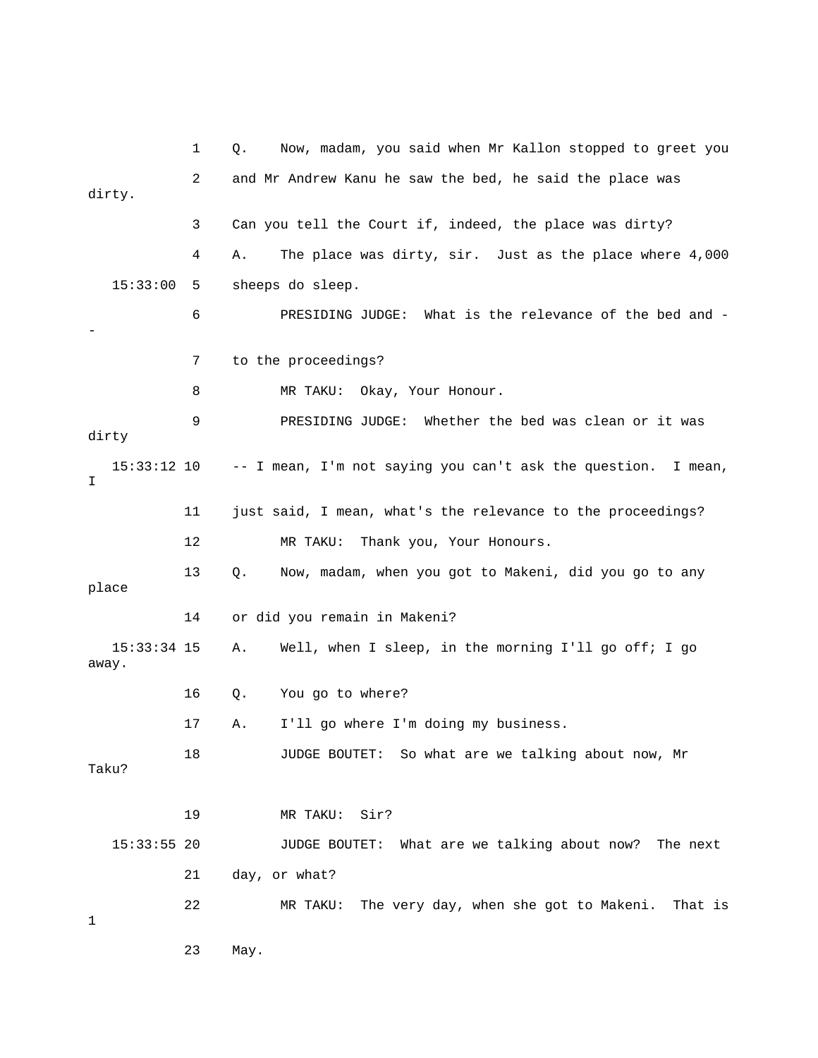1 Q. Now, madam, you said when Mr Kallon stopped to greet you 3 Can you tell the Court if, indeed, the place was dirty? 4 A. The place was dirty, sir. Just as the place where 4,000 15:33:00 5 sheeps do sleep. 7 to the proceedings? 15:33:12 10 -- I mean, I'm not saying you can't ask the question. I mean, 11 just said, I mean, what's the relevance to the proceedings? 12 MR TAKU: Thank you, Your Honours. 13 Q. Now, madam, when you got to Makeni, did you go to any 14 or did you remain in Makeni? 15:33:34 15 A. Well, when I sleep, in the morning I'll go off; I go away. 16 Q. You go to where? 17 A. I'll go where I'm doing my business. Taku? JUDGE BOUTET: What are we talking about now? The next 21 day, or what? t is 22 MR TAKU: The very day, when she got to Makeni. Tha 23 May. 2 and Mr Andrew Kanu he saw the bed, he said the place was dirty. 6 PRESIDING JUDGE: What is the relevance of the bed and - - 8 MR TAKU: Okay, Your Honour. 9 PRESIDING JUDGE: Whether the bed was clean or it was dirty T. place 18 JUDGE BOUTET: So what are we talking about now, Mr 19 MR TAKU: Sir?  $15:33:55$  20 1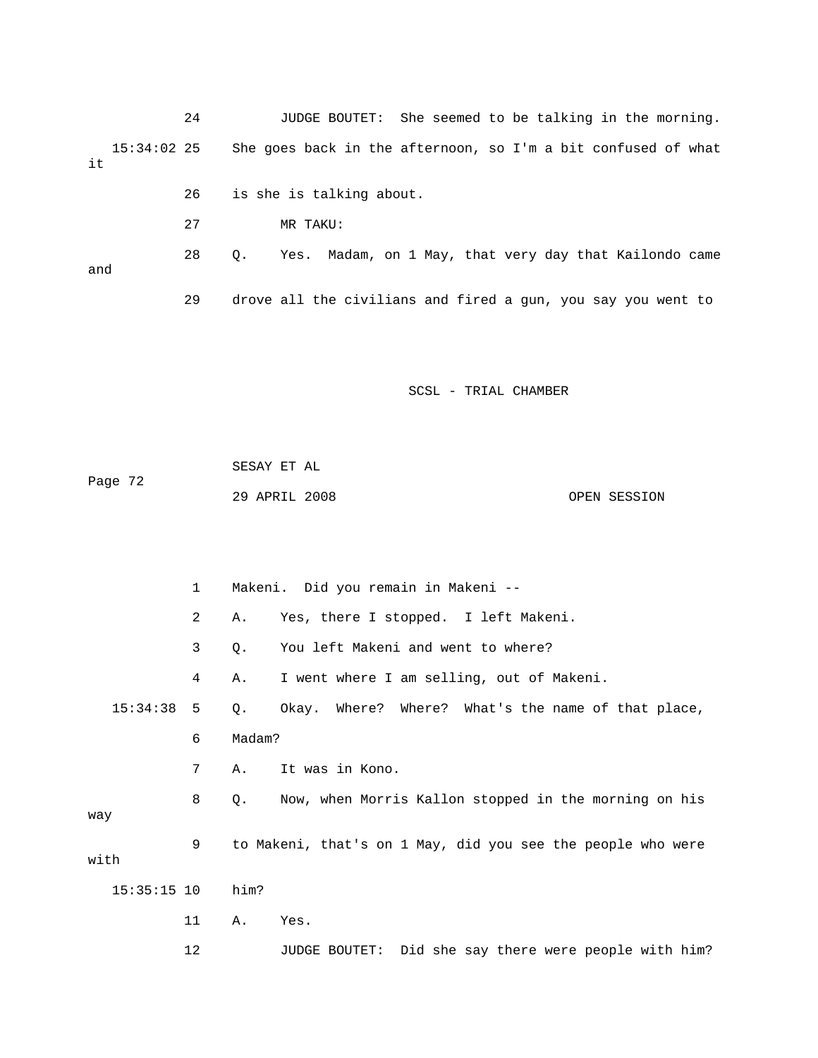24 JUDGE BOUTET: She seemed to be talking in the morning. 15:34:02 25 She goes back in the afternoon, so I'm a bit confused of what it

- 26 is she is talking about.
- 27 MR TAKU:

Yes. Madam, on 1 May, that very day that Kailondo came and 28 Q.

29 drove all the civilians and fired a gun, you say you went to

SCSL - TRIAL CHAMBER

| Page 72 | SESAY ET AL   |  |              |
|---------|---------------|--|--------------|
|         | 29 APRIL 2008 |  | OPEN SESSION |

 1 Makeni. Did you remain in Makeni -- 2 A. Yes, there I stopped. I left Makeni. 3 Q. You left Makeni and went to where? 4 A. I went where I am selling, out of Makeni. 15:34:38 5 Q. Okay. Where? Where? What's the name of that place, 6 Madam? 7 A. It was in Kono. 8 Q. Now, when Morris Kallon stopped in the morning on his 9 to Makeni, that's on 1 May, did you see the people who were with 11 A. Yes. 12 JUDGE BOUTET: Did she say there were people with him? way 15:35:15 10 him?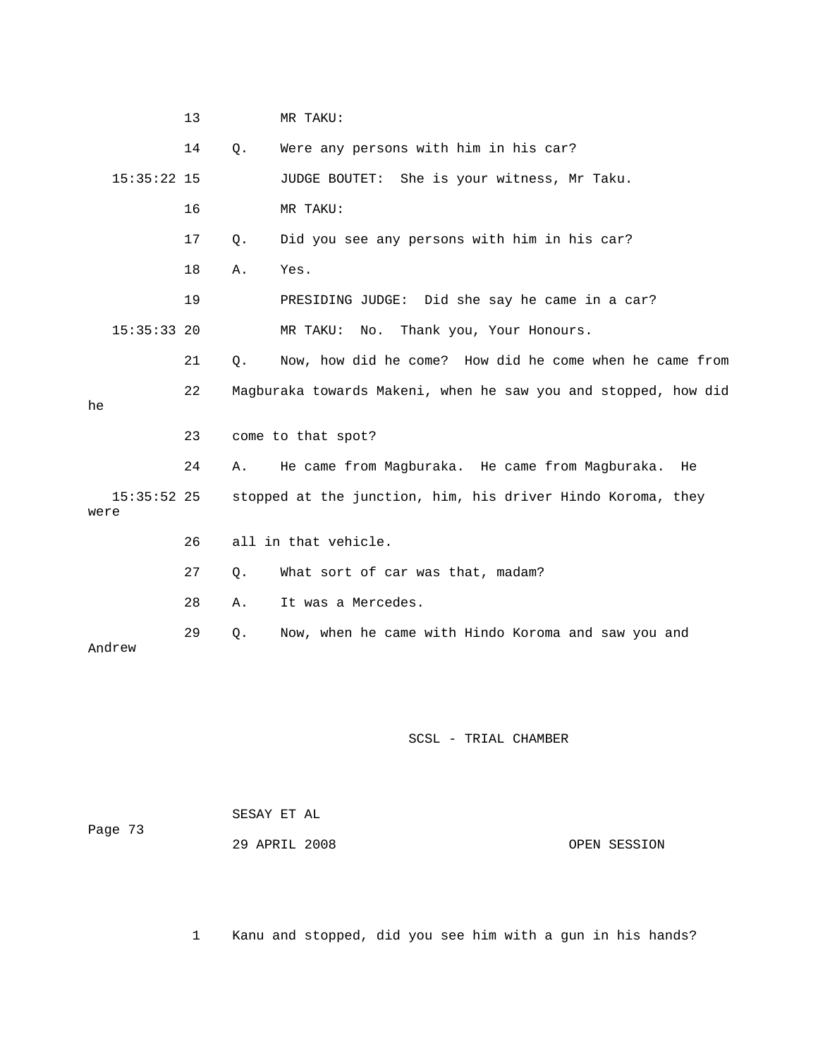13 MR TAKU: 15:35:22 15 JUDGE BOUTET: She is your witness, Mr Taku. 16 MR TAKU: 17 Q. Did you see any persons with him in his car? 18 A. Yes. in a car? 19 PRESIDING JUDGE: Did she say he came 15:35:33 20 MR TAKU: No. Thank you, Your Honours. 21 Q. Now, how did he come? How did he come when he came from 22 Magburaka towards Makeni, when he saw you and stopped, how did 23 come to that spot? 24 A. He came from Magburaka. He came from Magburaka. He 15:35:52 25 stopped at the junction, him, his driver Hindo Koroma, they were 26 all in that vehicle. 28 A. It was a Mercedes. Andrew 14 Q. Were any persons with him in his car? he 27 Q. What sort of car was that, madam? 29 Q. Now, when he came with Hindo Koroma and saw you and

#### SCSL - TRIAL CHAMBER

| Page 73 | SESAY ET AL   |              |
|---------|---------------|--------------|
|         | 29 APRIL 2008 | OPEN SESSION |

1 Kanu and stopped, did you see him with a gun in his hands?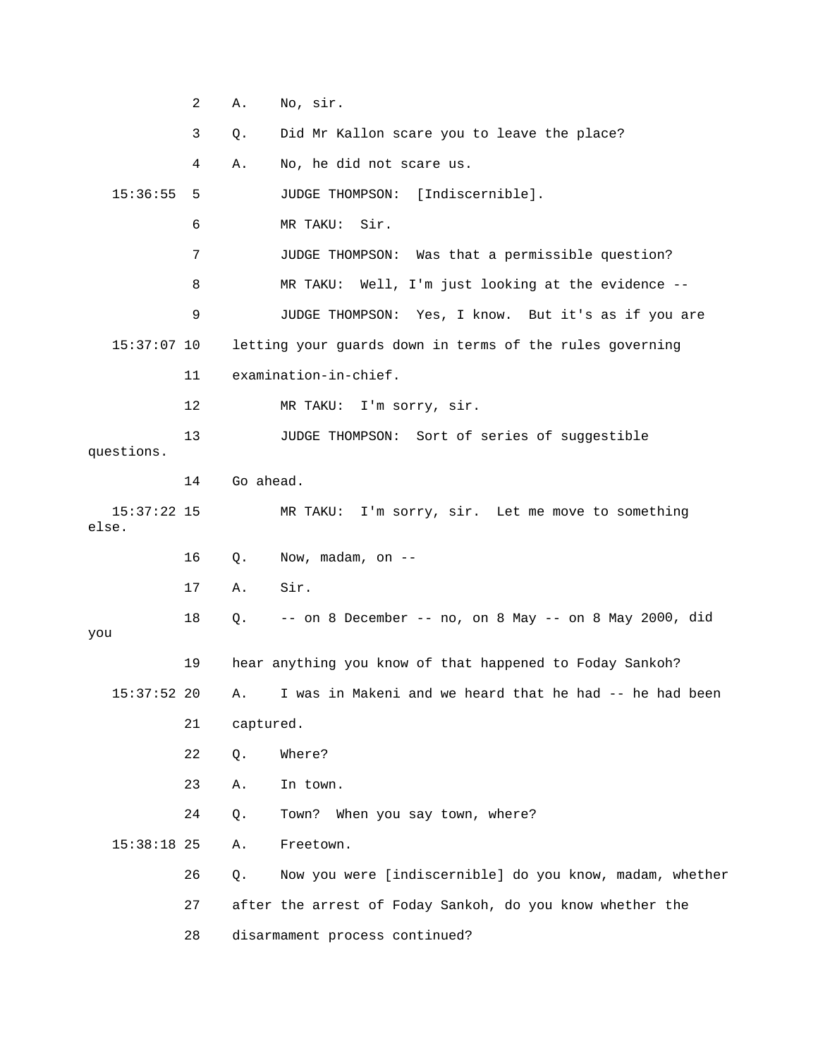|                        | 2  | Α.        | No, sir.                                                   |
|------------------------|----|-----------|------------------------------------------------------------|
|                        | 3  | Q.        | Did Mr Kallon scare you to leave the place?                |
|                        | 4  | Α.        | No, he did not scare us.                                   |
| 15:36:55               | 5  |           | [Indiscernible].<br>JUDGE THOMPSON:                        |
|                        | 6  |           | Sir.<br>MR TAKU:                                           |
|                        | 7  |           | JUDGE THOMPSON: Was that a permissible question?           |
|                        | 8  |           | MR TAKU: Well, I'm just looking at the evidence --         |
|                        | 9  |           | JUDGE THOMPSON: Yes, I know. But it's as if you are        |
| $15:37:07$ 10          |    |           | letting your guards down in terms of the rules governing   |
|                        | 11 |           | examination-in-chief.                                      |
|                        | 12 |           | MR TAKU: I'm sorry, sir.                                   |
|                        | 13 |           | JUDGE THOMPSON: Sort of series of suggestible              |
| questions.             |    |           |                                                            |
|                        | 14 | Go ahead. |                                                            |
| $15:37:22$ 15<br>else. |    |           | MR TAKU: I'm sorry, sir. Let me move to something          |
|                        | 16 | Q.        | Now, madam, on --                                          |
|                        | 17 | Α.        | Sir.                                                       |
| you                    | 18 | Q.        | -- on 8 December -- no, on 8 May -- on 8 May 2000, did     |
|                        | 19 |           | hear anything you know of that happened to Foday Sankoh?   |
| $15:37:52$ 20          |    |           | A. I was in Makeni and we heard that he had -- he had been |
|                        | 21 | captured. |                                                            |
|                        | 22 | Q.        | Where?                                                     |
|                        | 23 | Α.        | In town.                                                   |
|                        | 24 | Q.        | When you say town, where?<br>Town?                         |
| $15:38:18$ 25          |    | Α.        | Freetown.                                                  |
|                        | 26 | Q.        | Now you were [indiscernible] do you know, madam, whether   |
|                        | 27 |           | after the arrest of Foday Sankoh, do you know whether the  |
|                        | 28 |           | disarmament process continued?                             |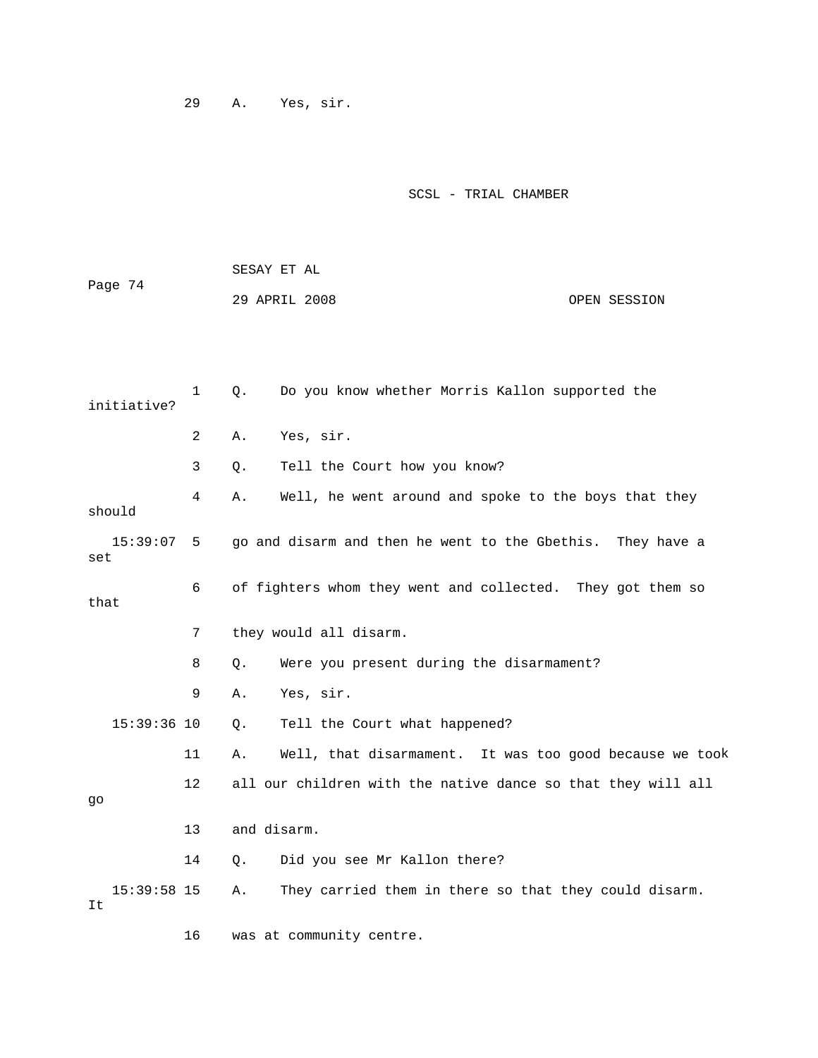29 A. Yes, sir.

|         | SESAY ET AL   |  |              |
|---------|---------------|--|--------------|
| Page 74 |               |  |              |
|         | 29 APRIL 2008 |  | OPEN SESSION |

| Do you know whether Morris Kallon supported the<br>$\mathbf 1$<br>Q.<br>initiative? |    |                                                               |
|-------------------------------------------------------------------------------------|----|---------------------------------------------------------------|
|                                                                                     | 2  | Yes, sir.<br>Α.                                               |
|                                                                                     | 3  | Tell the Court how you know?<br>Q.                            |
| should                                                                              | 4  | Well, he went around and spoke to the boys that they<br>Α.    |
| 15:39:07<br>set                                                                     | -5 | go and disarm and then he went to the Gbethis. They have a    |
| that                                                                                | 6  | of fighters whom they went and collected. They got them so    |
|                                                                                     | 7  | they would all disarm.                                        |
|                                                                                     | 8  | Were you present during the disarmament?<br>Q.                |
|                                                                                     | 9  | Yes, sir.<br>Α.                                               |
| 15:39:36 10                                                                         |    | Tell the Court what happened?<br>Q.                           |
|                                                                                     | 11 | Well, that disarmament. It was too good because we took<br>Α. |
| go                                                                                  | 12 | all our children with the native dance so that they will all  |
|                                                                                     | 13 | and disarm.                                                   |
|                                                                                     | 14 | Did you see Mr Kallon there?<br>Q.                            |
| $15:39:58$ 15<br>It                                                                 |    | They carried them in there so that they could disarm.<br>Α.   |
|                                                                                     | 16 | was at community centre.                                      |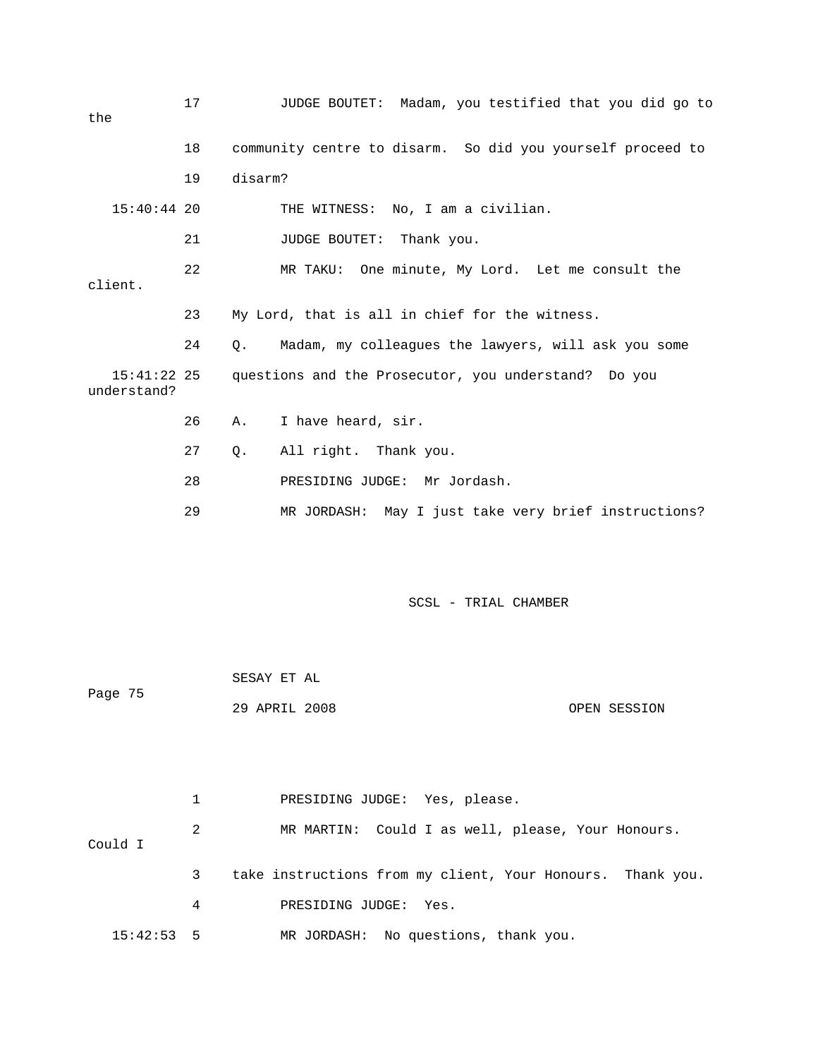| the |                              | 17 |                                                      | JUDGE BOUTET: Madam, you testified that you did go to      |  |
|-----|------------------------------|----|------------------------------------------------------|------------------------------------------------------------|--|
|     |                              | 18 |                                                      | community centre to disarm. So did you yourself proceed to |  |
|     |                              | 19 | disarm?                                              |                                                            |  |
|     | $15:40:44$ 20                |    |                                                      | THE WITNESS: No, I am a civilian.                          |  |
|     |                              | 21 |                                                      | JUDGE BOUTET: Thank you.                                   |  |
|     | client.                      | 22 |                                                      | MR TAKU: One minute, My Lord. Let me consult the           |  |
|     |                              | 23 | My Lord, that is all in chief for the witness.       |                                                            |  |
|     |                              | 24 | О.                                                   | Madam, my colleagues the lawyers, will ask you some        |  |
|     | $15:41:22$ 25<br>understand? |    | questions and the Prosecutor, you understand? Do you |                                                            |  |
|     |                              | 26 | Α.                                                   | I have heard, sir.                                         |  |
|     |                              | 27 | Q.                                                   | All right. Thank you.                                      |  |
|     |                              | 28 |                                                      | PRESIDING JUDGE: Mr Jordash.                               |  |
|     |                              | 29 |                                                      | MR JORDASH: May I just take very brief instructions?       |  |
|     |                              |    |                                                      |                                                            |  |
|     |                              |    |                                                      |                                                            |  |

| Page 75      |   | SESAY ET AL                                                |
|--------------|---|------------------------------------------------------------|
|              |   | 29 APRIL 2008<br>OPEN SESSION                              |
|              |   |                                                            |
|              |   |                                                            |
|              | 1 | PRESIDING JUDGE: Yes, please.                              |
|              | 2 | MR MARTIN: Could I as well, please, Your Honours.          |
| Could I      |   |                                                            |
|              | 3 | take instructions from my client, Your Honours. Thank you. |
|              | 4 | PRESIDING JUDGE: Yes.                                      |
| $15:42:53$ 5 |   | MR JORDASH: No questions, thank you.                       |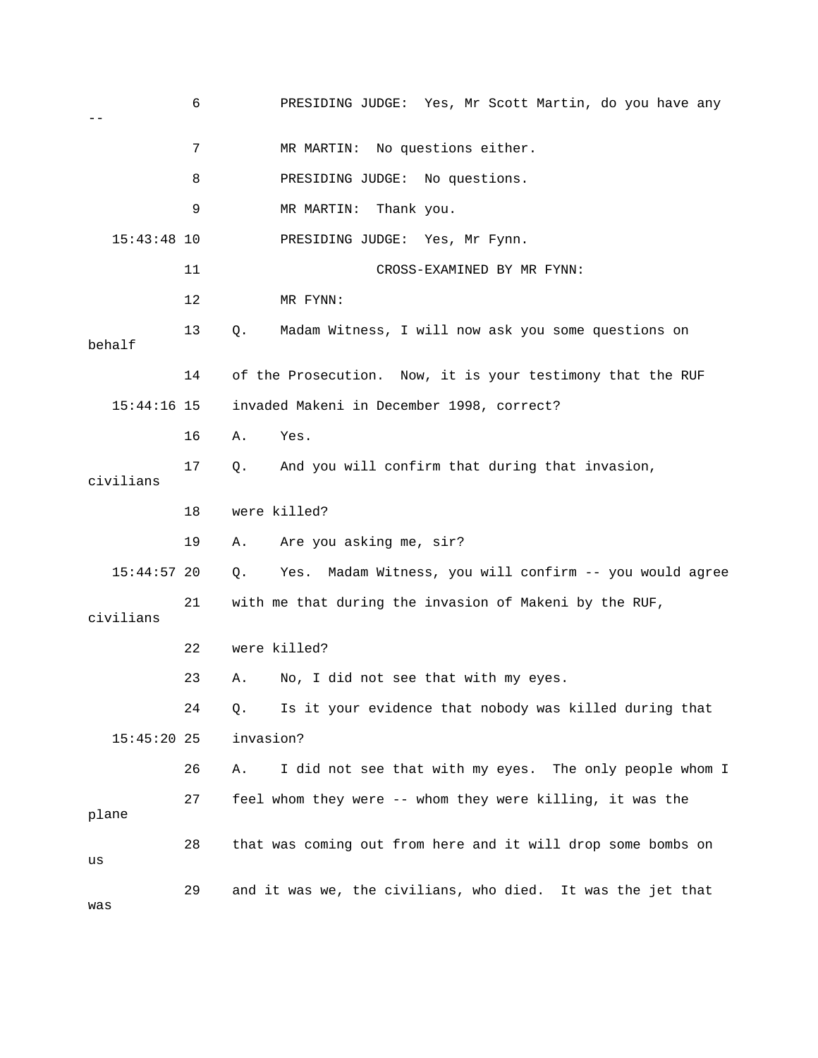|                                                                           | 6                                                          | PRESIDING JUDGE: Yes, Mr Scott Martin, do you have any        |  |
|---------------------------------------------------------------------------|------------------------------------------------------------|---------------------------------------------------------------|--|
|                                                                           | 7                                                          | MR MARTIN: No questions either.                               |  |
|                                                                           | 8                                                          | PRESIDING JUDGE: No questions.                                |  |
|                                                                           | 9                                                          | MR MARTIN:<br>Thank you.                                      |  |
| $15:43:48$ 10                                                             |                                                            | PRESIDING JUDGE: Yes, Mr Fynn.                                |  |
|                                                                           | 11                                                         | CROSS-EXAMINED BY MR FYNN:                                    |  |
|                                                                           | 12                                                         | MR FYNN:                                                      |  |
| behalf                                                                    | 13                                                         | Madam Witness, I will now ask you some questions on<br>Q.     |  |
|                                                                           | 14                                                         | of the Prosecution. Now, it is your testimony that the RUF    |  |
|                                                                           | $15:44:16$ 15<br>invaded Makeni in December 1998, correct? |                                                               |  |
|                                                                           | 16                                                         | Α.<br>Yes.                                                    |  |
| civilians                                                                 | 17                                                         | And you will confirm that during that invasion,<br>Q.         |  |
|                                                                           | 18                                                         | were killed?                                                  |  |
|                                                                           | 19                                                         | Are you asking me, sir?<br>Α.                                 |  |
| $15:44:57$ 20                                                             |                                                            | Yes. Madam Witness, you will confirm -- you would agree<br>Q. |  |
| 21<br>with me that during the invasion of Makeni by the RUF,<br>civilians |                                                            |                                                               |  |
|                                                                           | 22                                                         | were killed?                                                  |  |
|                                                                           | 23                                                         | No, I did not see that with my eyes.<br>Α.                    |  |
|                                                                           | 24                                                         | Is it your evidence that nobody was killed during that<br>Q.  |  |
| $15:45:20$ 25                                                             |                                                            | invasion?                                                     |  |
|                                                                           | 26                                                         | I did not see that with my eyes. The only people whom I<br>Α. |  |
| plane                                                                     | 27                                                         | feel whom they were -- whom they were killing, it was the     |  |
| us                                                                        | 28                                                         | that was coming out from here and it will drop some bombs on  |  |
| was                                                                       | 29                                                         | and it was we, the civilians, who died. It was the jet that   |  |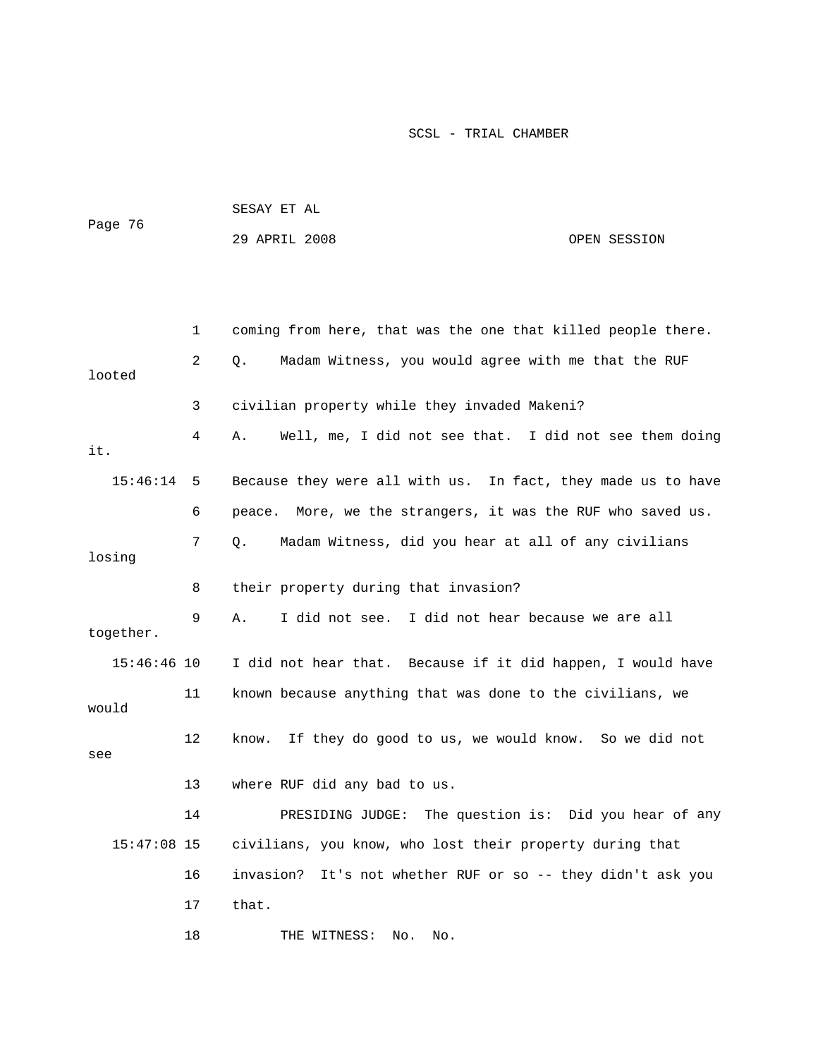| Page 76       |    | SESAY ET AL                                                    |              |
|---------------|----|----------------------------------------------------------------|--------------|
|               |    | 29 APRIL 2008                                                  | OPEN SESSION |
|               |    |                                                                |              |
|               |    |                                                                |              |
|               | 1  | coming from here, that was the one that killed people there.   |              |
| looted        | 2  | Madam Witness, you would agree with me that the RUF<br>Q.      |              |
|               | 3  | civilian property while they invaded Makeni?                   |              |
| it.           | 4  | Well, me, I did not see that. I did not see them doing<br>Α.   |              |
| 15:46:14      | 5  | Because they were all with us. In fact, they made us to have   |              |
|               | 6  | peace. More, we the strangers, it was the RUF who saved us.    |              |
| losing        | 7  | Madam Witness, did you hear at all of any civilians<br>Q.      |              |
|               | 8  | their property during that invasion?                           |              |
| together.     | 9  | I did not see. I did not hear because we are all<br>Α.         |              |
| $15:46:46$ 10 |    | I did not hear that. Because if it did happen, I would have    |              |
| would         | 11 | known because anything that was done to the civilians, we      |              |
| see           | 12 | If they do good to us, we would know. So we did not<br>know.   |              |
|               | 13 | where RUF did any bad to us.                                   |              |
|               | 14 | PRESIDING JUDGE: The question is: Did you hear of any          |              |
| $15:47:08$ 15 |    | civilians, you know, who lost their property during that       |              |
|               | 16 | invasion?<br>It's not whether RUF or so -- they didn't ask you |              |
|               | 17 | that.                                                          |              |

18 THE WITNESS: No. No.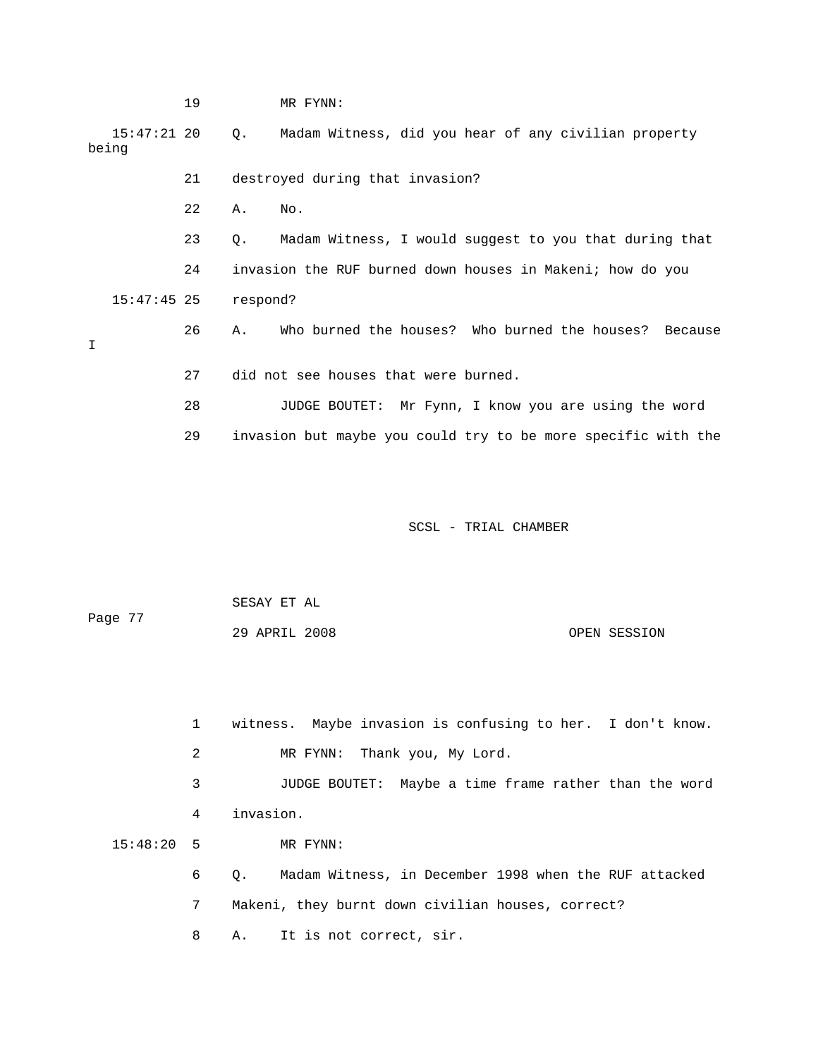|   |                        | 19 |           | MR FYNN:                                                      |
|---|------------------------|----|-----------|---------------------------------------------------------------|
|   | $15:47:21$ 20<br>being |    | Ο.        | Madam Witness, did you hear of any civilian property          |
|   |                        | 21 |           | destroyed during that invasion?                               |
|   |                        | 22 | Α.        | No.                                                           |
|   |                        | 23 | $\circ$ . | Madam Witness, I would suggest to you that during that        |
|   |                        | 24 |           | invasion the RUF burned down houses in Makeni; how do you     |
|   | $15:47:45$ 25          |    | respond?  |                                                               |
| I |                        | 26 | Α.        | Who burned the houses? Who burned the houses? Because         |
|   |                        | 27 |           | did not see houses that were burned.                          |
|   |                        | 28 |           | JUDGE BOUTET: Mr Fynn, I know you are using the word          |
|   |                        | 29 |           | invasion but maybe you could try to be more specific with the |
|   |                        |    |           |                                                               |
|   |                        |    |           |                                                               |

| Page 77 | SESAY ET AL   |              |
|---------|---------------|--------------|
|         | 29 APRIL 2008 | OPEN SESSION |

|              |   | witness. Maybe invasion is confusing to her. I don't know.         |
|--------------|---|--------------------------------------------------------------------|
|              | 2 | MR FYNN: Thank you, My Lord.                                       |
|              | 3 | JUDGE BOUTET: Maybe a time frame rather than the word              |
|              | 4 | invasion.                                                          |
| $15:48:20$ 5 |   | MR FYNN:                                                           |
|              | 6 | Madam Witness, in December 1998 when the RUF attacked<br>$\circ$ . |
|              | 7 | Makeni, they burnt down civilian houses, correct?                  |
|              | 8 | A. It is not correct, sir.                                         |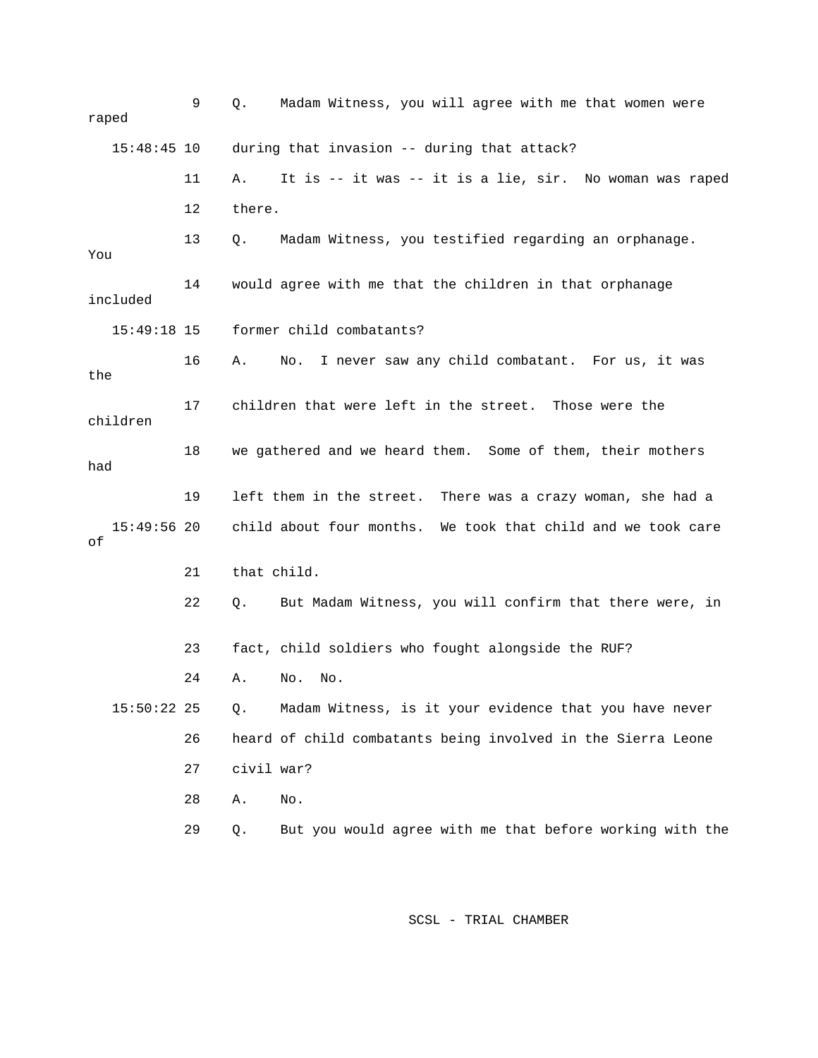| raped               | 9  | Madam Witness, you will agree with me that women were<br>Q.    |
|---------------------|----|----------------------------------------------------------------|
| $15:48:45$ 10       |    | during that invasion -- during that attack?                    |
|                     | 11 | It is -- it was -- it is a lie, sir. No woman was raped<br>Α.  |
|                     | 12 | there.                                                         |
| You                 | 13 | Madam Witness, you testified regarding an orphanage.<br>Q.     |
| included            | 14 | would agree with me that the children in that orphanage        |
| $15:49:18$ 15       |    | former child combatants?                                       |
| the                 | 16 | I never saw any child combatant. For us, it was<br>Α.<br>No.   |
| children            | 17 | children that were left in the street. Those were the          |
| had                 | 18 | we gathered and we heard them. Some of them, their mothers     |
|                     | 19 | left them in the street. There was a crazy woman, she had a    |
| $15:49:56$ 20<br>οf |    | child about four months. We took that child and we took care   |
|                     | 21 | that child.                                                    |
|                     | 22 | But Madam Witness, you will confirm that there were, in<br>Q.  |
|                     | 23 | fact, child soldiers who fought alongside the RUF?             |
|                     | 24 | No.<br>Α.<br>No.                                               |
| $15:50:22$ 25       |    | Madam Witness, is it your evidence that you have never<br>Q.   |
|                     | 26 | heard of child combatants being involved in the Sierra Leone   |
|                     | 27 | civil war?                                                     |
|                     | 28 | No.<br>Α.                                                      |
|                     | 29 | But you would agree with me that before working with the<br>Q. |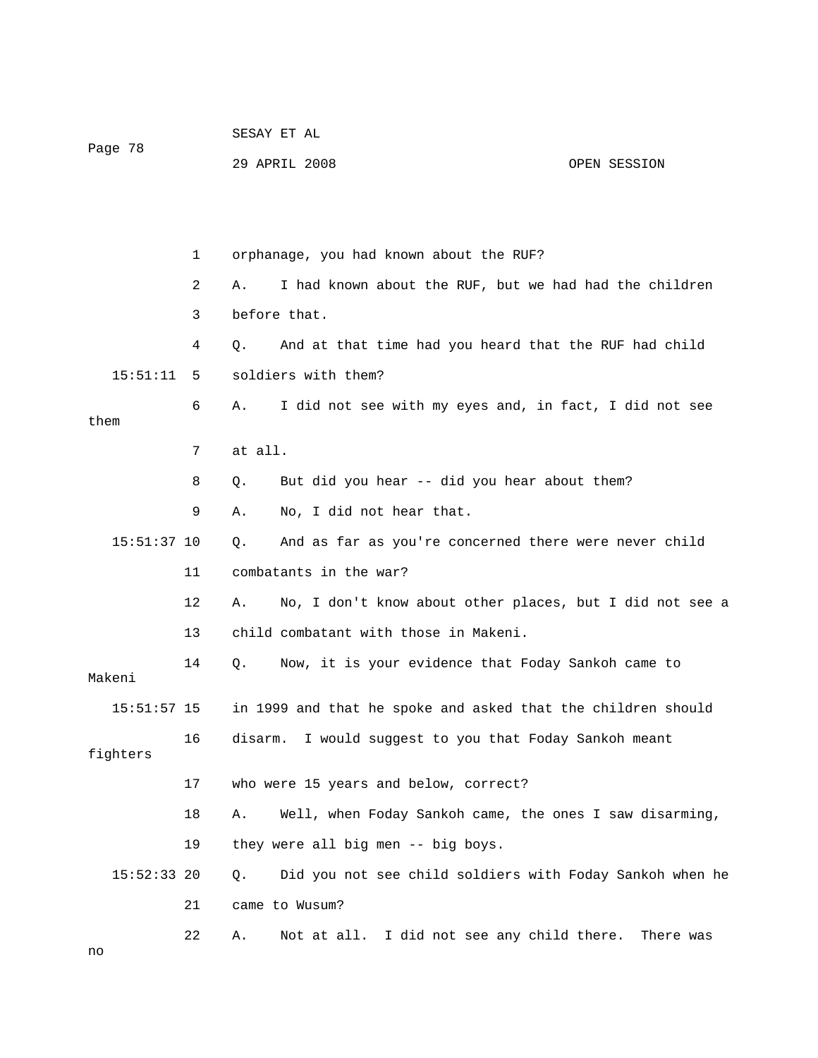|               |    | SESAY ET AL                                                    |              |  |  |
|---------------|----|----------------------------------------------------------------|--------------|--|--|
| Page 78       |    | 29 APRIL 2008                                                  | OPEN SESSION |  |  |
|               |    |                                                                |              |  |  |
|               |    |                                                                |              |  |  |
|               | 1  | orphanage, you had known about the RUF?                        |              |  |  |
|               | 2  | I had known about the RUF, but we had had the children<br>Α.   |              |  |  |
|               | 3  | before that.                                                   |              |  |  |
|               | 4  | And at that time had you heard that the RUF had child<br>Q.    |              |  |  |
| 15:51:11      | 5  | soldiers with them?                                            |              |  |  |
| them          | 6  | I did not see with my eyes and, in fact, I did not see<br>Α.   |              |  |  |
|               | 7  | at all.                                                        |              |  |  |
|               | 8  | But did you hear -- did you hear about them?<br>Q.             |              |  |  |
|               | 9  | No, I did not hear that.<br>Α.                                 |              |  |  |
| $15:51:37$ 10 |    | And as far as you're concerned there were never child<br>Q.    |              |  |  |
|               | 11 | combatants in the war?                                         |              |  |  |
|               | 12 | No, I don't know about other places, but I did not see a<br>Α. |              |  |  |
|               | 13 | child combatant with those in Makeni.                          |              |  |  |
| Makeni        | 14 | Now, it is your evidence that Foday Sankoh came to<br>Q.       |              |  |  |
| $15:51:57$ 15 |    | in 1999 and that he spoke and asked that the children should   |              |  |  |
| fighters      | 16 | I would suggest to you that Foday Sankoh meant<br>disarm.      |              |  |  |
|               | 17 | who were 15 years and below, correct?                          |              |  |  |
|               | 18 | Well, when Foday Sankoh came, the ones I saw disarming,<br>Α.  |              |  |  |
|               | 19 | they were all big men -- big boys.                             |              |  |  |
| $15:52:33$ 20 |    | Did you not see child soldiers with Foday Sankoh when he<br>Q. |              |  |  |
|               | 21 | came to Wusum?                                                 |              |  |  |
| no            | 22 | Not at all. I did not see any child there.<br>Α.               | There was    |  |  |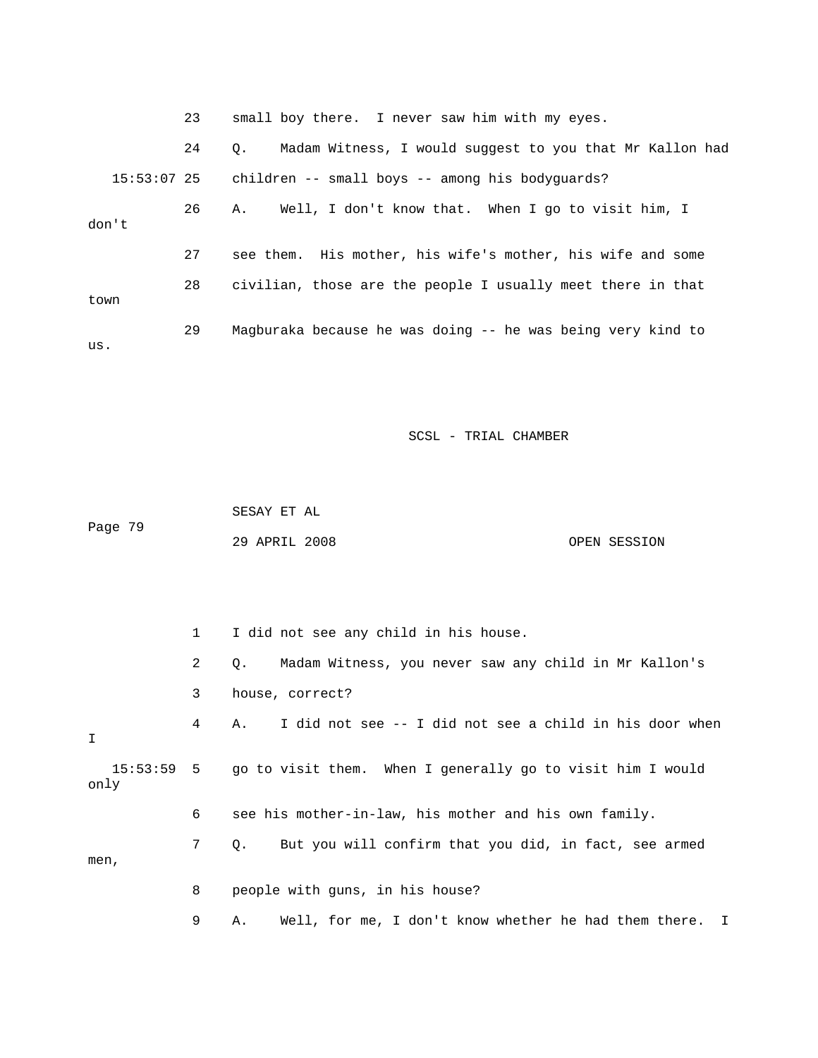|             | 23 | small boy there. I never saw him with my eyes.                        |
|-------------|----|-----------------------------------------------------------------------|
|             | 24 | Madam Witness, I would suggest to you that Mr Kallon had<br>$\circ$ . |
| 15:53:07 25 |    | children -- small boys -- among his bodyquards?                       |
| don't       | 26 | Well, I don't know that. When I go to visit him, I<br>Α.              |
|             | 27 | see them. His mother, his wife's mother, his wife and some            |
| town        | 28 | civilian, those are the people I usually meet there in that           |
| us.         | 29 | Magburaka because he was doing -- he was being very kind to           |

 SESAY ET AL 29 APRIL 2008 OPEN SESSION Page 79

 2 Q. Madam Witness, you never saw any child in Mr Kallon's 3 house, correct? 4 A. I did not see -- I did not see a child in his door when 15:53:59 5 go to visit them. When I generally go to visit him I would only 6 see his mother-in-law, his mother and his own family. 7 Q. But you will confirm that you did, in fact, see armed 8 people with guns, in his house? 1 I did not see any child in his house. I men, 9 A. Well, for me, I don't know whether he had them there. I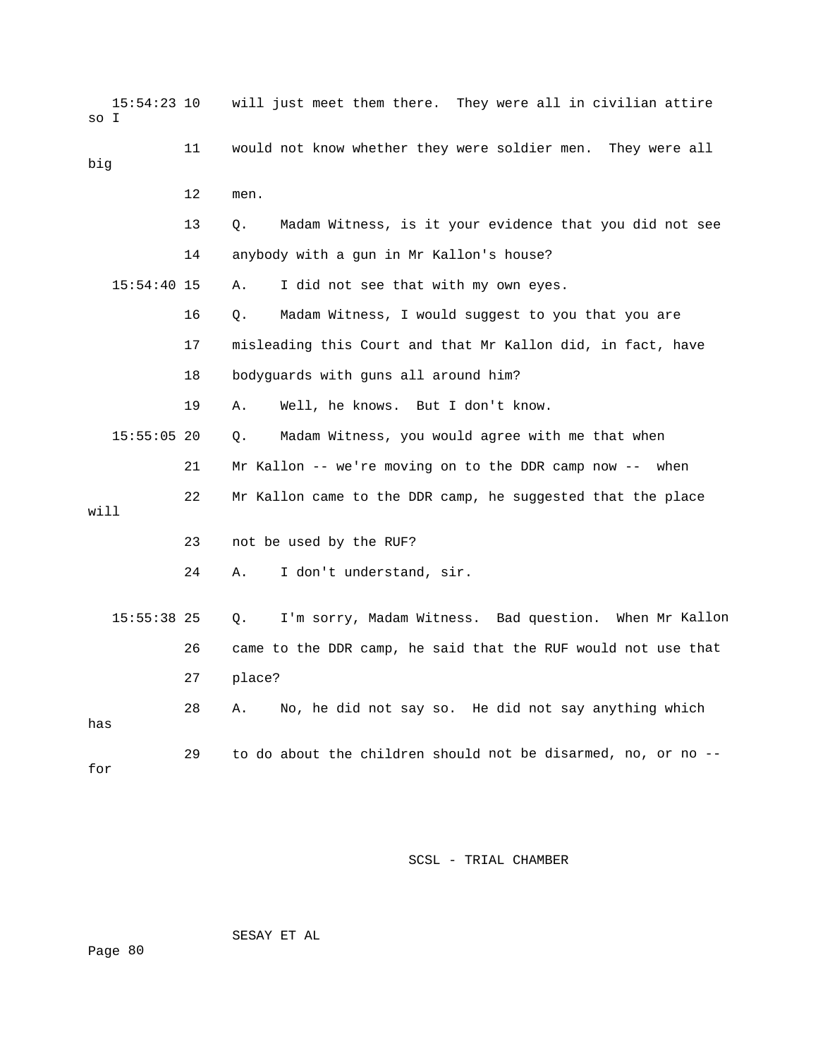| so I | $15:54:23$ 10 |    | will just meet them there. They were all in civilian attire   |
|------|---------------|----|---------------------------------------------------------------|
| big  |               | 11 | would not know whether they were soldier men. They were all   |
|      |               | 12 | men.                                                          |
|      |               | 13 | Madam Witness, is it your evidence that you did not see<br>Q. |
|      |               | 14 | anybody with a gun in Mr Kallon's house?                      |
|      | $15:54:40$ 15 |    | I did not see that with my own eyes.<br>Α.                    |
|      |               | 16 | Madam Witness, I would suggest to you that you are<br>О.      |
|      |               | 17 | misleading this Court and that Mr Kallon did, in fact, have   |
|      |               | 18 | bodyguards with guns all around him?                          |
|      |               | 19 | Α.<br>Well, he knows. But I don't know.                       |
|      | $15:55:05$ 20 |    | Madam Witness, you would agree with me that when<br>Q.        |
|      |               | 21 | Mr Kallon -- we're moving on to the DDR camp now -- when      |
| will |               | 22 | Mr Kallon came to the DDR camp, he suggested that the place   |
|      |               | 23 | not be used by the RUF?                                       |
|      |               | 24 | I don't understand, sir.<br>Α.                                |
|      | $15:55:38$ 25 |    | I'm sorry, Madam Witness. Bad question. When Mr Kallon<br>Q.  |
|      |               | 26 | came to the DDR camp, he said that the RUF would not use that |
|      |               | 27 | place?                                                        |
| has  |               | 28 | No, he did not say so. He did not say anything which<br>Α.    |
| for  |               | 29 | to do about the children should not be disarmed, no, or no -- |

SESAY ET AL

Page 80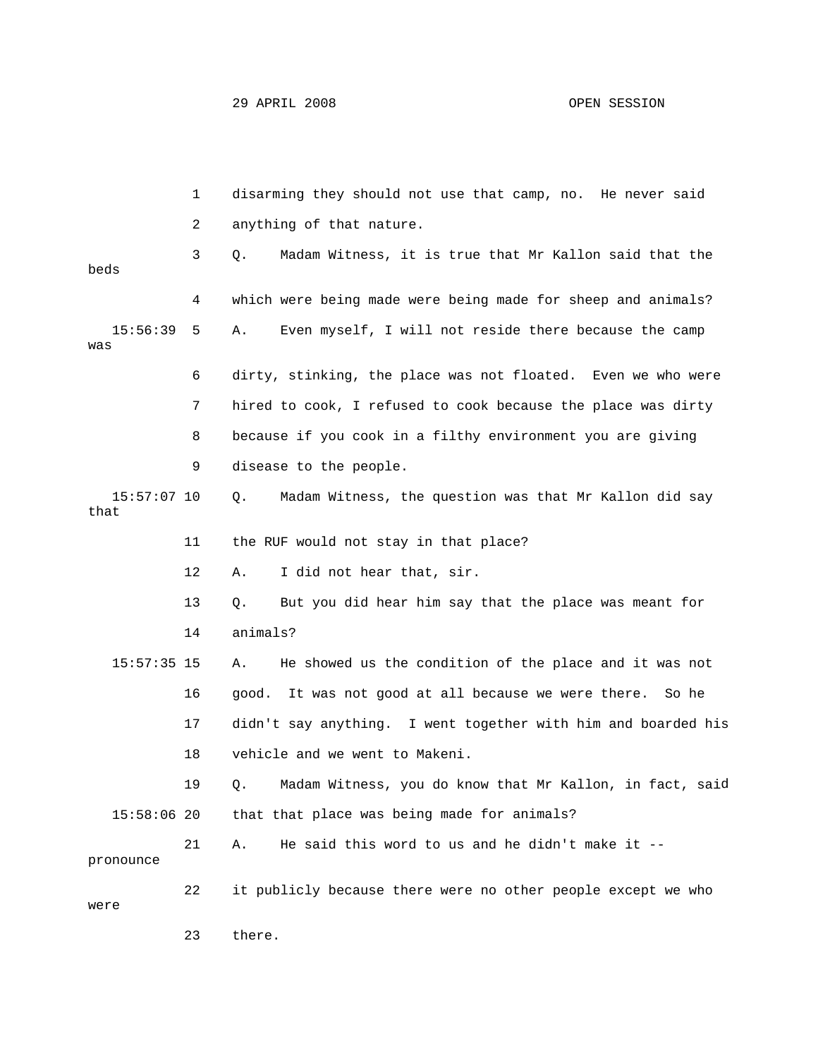|                     | 1  | disarming they should not use that camp, no. He never said    |
|---------------------|----|---------------------------------------------------------------|
|                     | 2  | anything of that nature.                                      |
| beds                | 3  | О.<br>Madam Witness, it is true that Mr Kallon said that the  |
|                     | 4  | which were being made were being made for sheep and animals?  |
| 15:56:39<br>was     | 5  | Even myself, I will not reside there because the camp<br>Α.   |
|                     | 6  | dirty, stinking, the place was not floated. Even we who were  |
|                     | 7  | hired to cook, I refused to cook because the place was dirty  |
|                     | 8  | because if you cook in a filthy environment you are giving    |
|                     | 9  | disease to the people.                                        |
| 15:57:07 10<br>that |    | Madam Witness, the question was that Mr Kallon did say<br>Q.  |
|                     | 11 | the RUF would not stay in that place?                         |
|                     | 12 | I did not hear that, sir.<br>Α.                               |
|                     | 13 | But you did hear him say that the place was meant for<br>Q.   |
|                     | 14 | animals?                                                      |
| $15:57:35$ 15       |    | He showed us the condition of the place and it was not<br>Α.  |
|                     | 16 | good. It was not good at all because we were there. So he     |
|                     | 17 | didn't say anything. I went together with him and boarded his |
|                     | 18 | vehicle and we went to Makeni.                                |
|                     | 19 | Q. Madam Witness, you do know that Mr Kallon, in fact, said   |
| $15:58:06$ 20       |    | that that place was being made for animals?                   |
| pronounce           | 21 | He said this word to us and he didn't make it --<br>Α.        |
| were                | 22 | it publicly because there were no other people except we who  |
|                     | 23 | there.                                                        |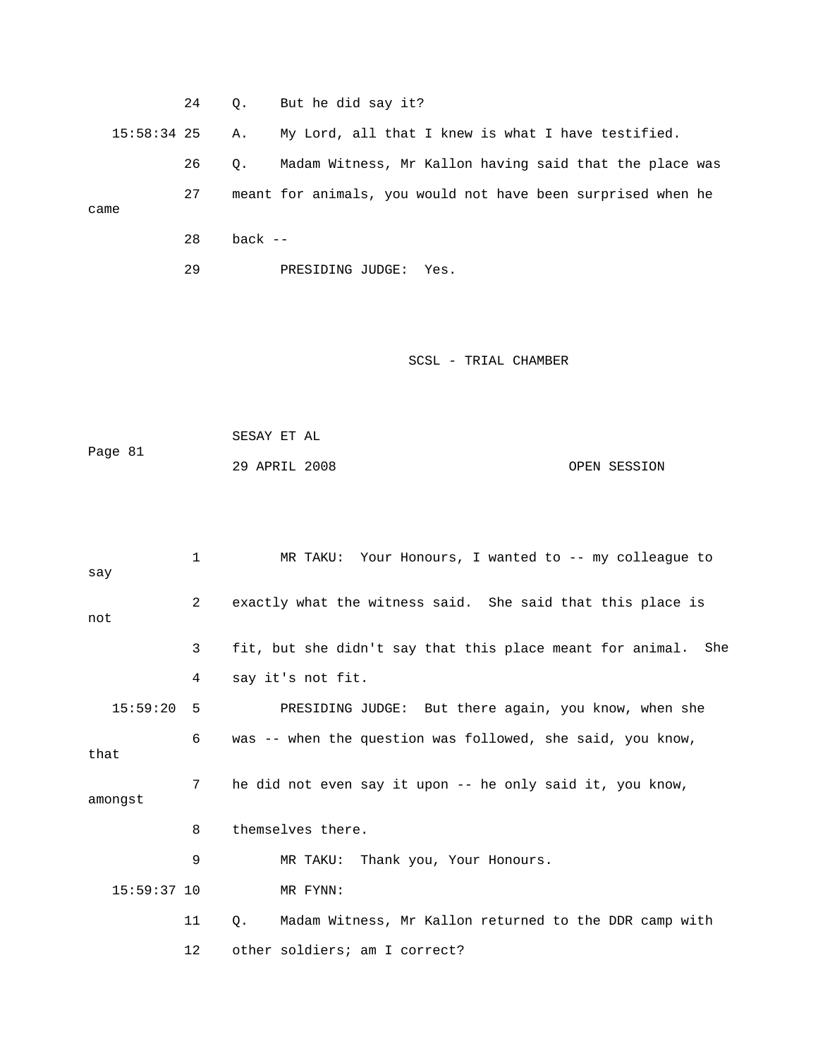|               | 24 | $\circ$ . | But he did say it?                                           |
|---------------|----|-----------|--------------------------------------------------------------|
| $15:58:34$ 25 |    | Α.        | My Lord, all that I knew is what I have testified.           |
|               | 26 | $\circ$ . | Madam Witness, Mr Kallon having said that the place was      |
| came          | 27 |           | meant for animals, you would not have been surprised when he |
|               |    |           |                                                              |
|               | 28 | hack --   |                                                              |

29 PRESIDING JUDGE: Yes.

```
 29 APRIL 2008 OPEN SESSION 
            SESAY ET AL 
Page 81
```

|               | 1  | MR TAKU: Your Honours, I wanted to -- my colleague to         |
|---------------|----|---------------------------------------------------------------|
| say<br>not    | 2  | exactly what the witness said. She said that this place is    |
|               | 3  | fit, but she didn't say that this place meant for animal. She |
|               | 4  | say it's not fit.                                             |
| 15:59:20      | 5  | PRESIDING JUDGE: But there again, you know, when she          |
| that          | 6  | was -- when the question was followed, she said, you know,    |
| amongst       | 7  | he did not even say it upon -- he only said it, you know,     |
|               | 8  | themselves there.                                             |
|               | 9  | MR TAKU: Thank you, Your Honours.                             |
| $15:59:37$ 10 |    | MR FYNN:                                                      |
|               | 11 | Madam Witness, Mr Kallon returned to the DDR camp with<br>Q.  |
|               | 12 | other soldiers; am I correct?                                 |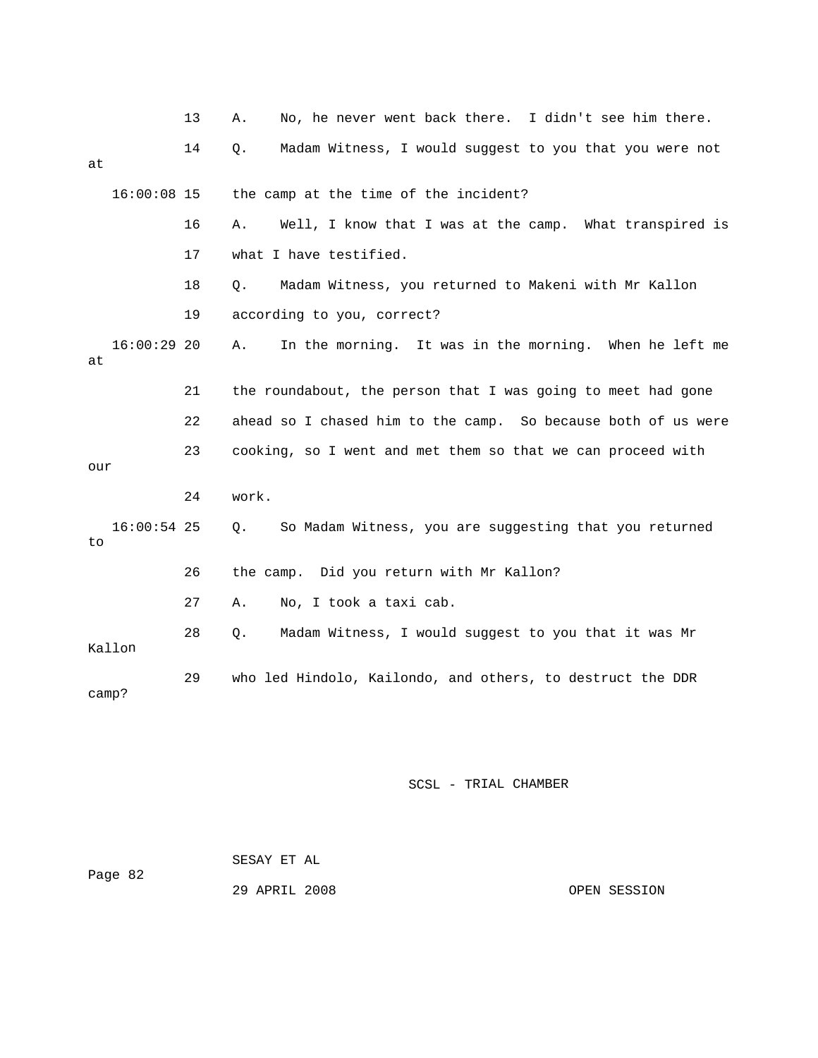|       |               | 13 | No, he never went back there. I didn't see him there.<br>Α.      |
|-------|---------------|----|------------------------------------------------------------------|
| at    |               | 14 | Madam Witness, I would suggest to you that you were not<br>$Q$ . |
|       | $16:00:08$ 15 |    | the camp at the time of the incident?                            |
|       |               | 16 | Well, I know that I was at the camp. What transpired is<br>Α.    |
|       |               | 17 | what I have testified.                                           |
|       |               | 18 | Madam Witness, you returned to Makeni with Mr Kallon<br>Q.       |
|       |               | 19 | according to you, correct?                                       |
| at    | $16:00:29$ 20 |    | In the morning. It was in the morning. When he left me<br>Α.     |
|       |               | 21 | the roundabout, the person that I was going to meet had gone     |
|       |               | 22 | ahead so I chased him to the camp. So because both of us were    |
| our   |               | 23 | cooking, so I went and met them so that we can proceed with      |
|       |               | 24 | work.                                                            |
| to    | $16:00:54$ 25 |    | So Madam Witness, you are suggesting that you returned<br>$Q$ .  |
|       |               | 26 | the camp. Did you return with Mr Kallon?                         |
|       |               | 27 | No, I took a taxi cab.<br>Α.                                     |
|       | Kallon        | 28 | Madam Witness, I would suggest to you that it was Mr<br>Q.       |
| camp? |               | 29 | who led Hindolo, Kailondo, and others, to destruct the DDR       |

| Page 82 | SESAY ET AL   |              |
|---------|---------------|--------------|
|         | 29 APRIL 2008 | OPEN SESSION |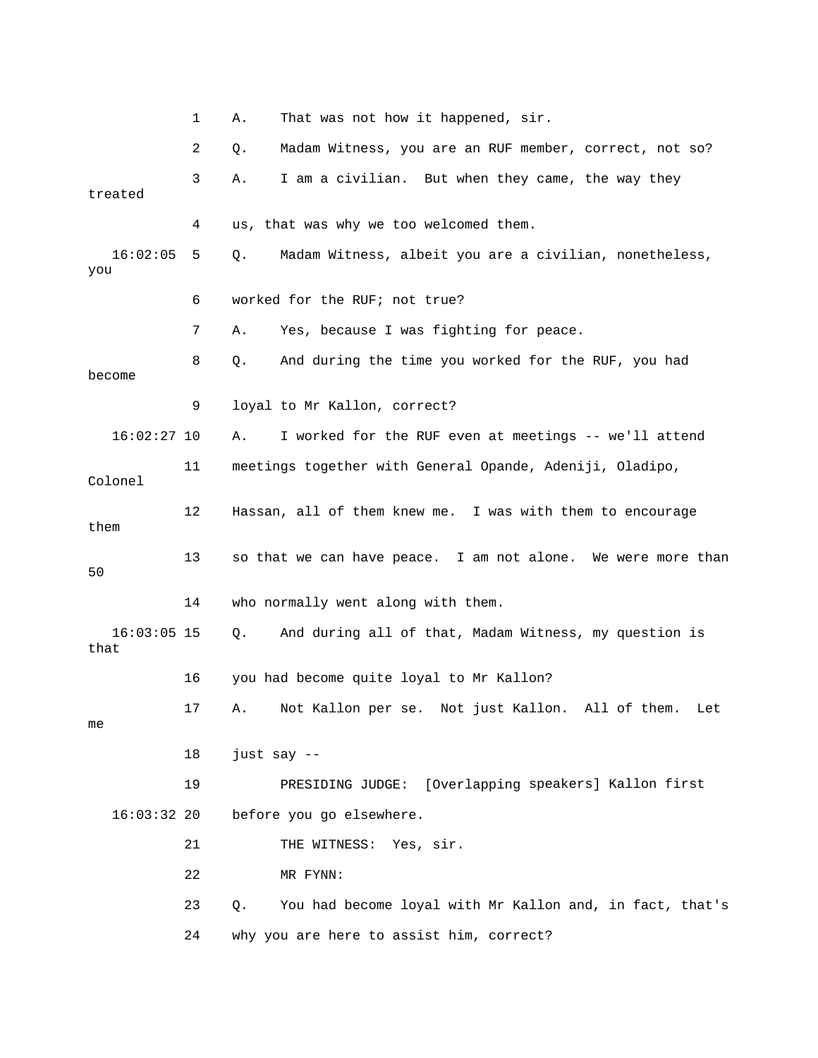|                       | 1  | Α.          | That was not how it happened, sir.                           |
|-----------------------|----|-------------|--------------------------------------------------------------|
|                       | 2  | Q.          | Madam Witness, you are an RUF member, correct, not so?       |
| treated               | 3  | Α.          | I am a civilian. But when they came, the way they            |
|                       | 4  |             | us, that was why we too welcomed them.                       |
| 16:02:05<br>you       | 5  | Q.          | Madam Witness, albeit you are a civilian, nonetheless,       |
|                       | 6  |             | worked for the RUF; not true?                                |
|                       | 7  | Α.          | Yes, because I was fighting for peace.                       |
| become                | 8  | Q.          | And during the time you worked for the RUF, you had          |
|                       | 9  |             | loyal to Mr Kallon, correct?                                 |
| $16:02:27$ 10         |    | Α.          | I worked for the RUF even at meetings -- we'll attend        |
| Colonel               | 11 |             | meetings together with General Opande, Adeniji, Oladipo,     |
| them                  | 12 |             | Hassan, all of them knew me. I was with them to encourage    |
| 50                    | 13 |             | so that we can have peace. I am not alone. We were more than |
|                       | 14 |             | who normally went along with them.                           |
| $16:03:05$ 15<br>that |    | Q.          | And during all of that, Madam Witness, my question is        |
|                       | 16 |             | you had become quite loyal to Mr Kallon?                     |
| me                    | 17 |             | A. Not Kallon per se. Not just Kallon. All of them.<br>Let   |
|                       | 18 | just say -- |                                                              |
|                       | 19 |             | PRESIDING JUDGE: [Overlapping speakers] Kallon first         |
| $16:03:32$ 20         |    |             | before you go elsewhere.                                     |
|                       | 21 |             | THE WITNESS: Yes, sir.                                       |
|                       | 22 |             | MR FYNN:                                                     |
|                       | 23 | Q.          | You had become loyal with Mr Kallon and, in fact, that's     |
|                       | 24 |             | why you are here to assist him, correct?                     |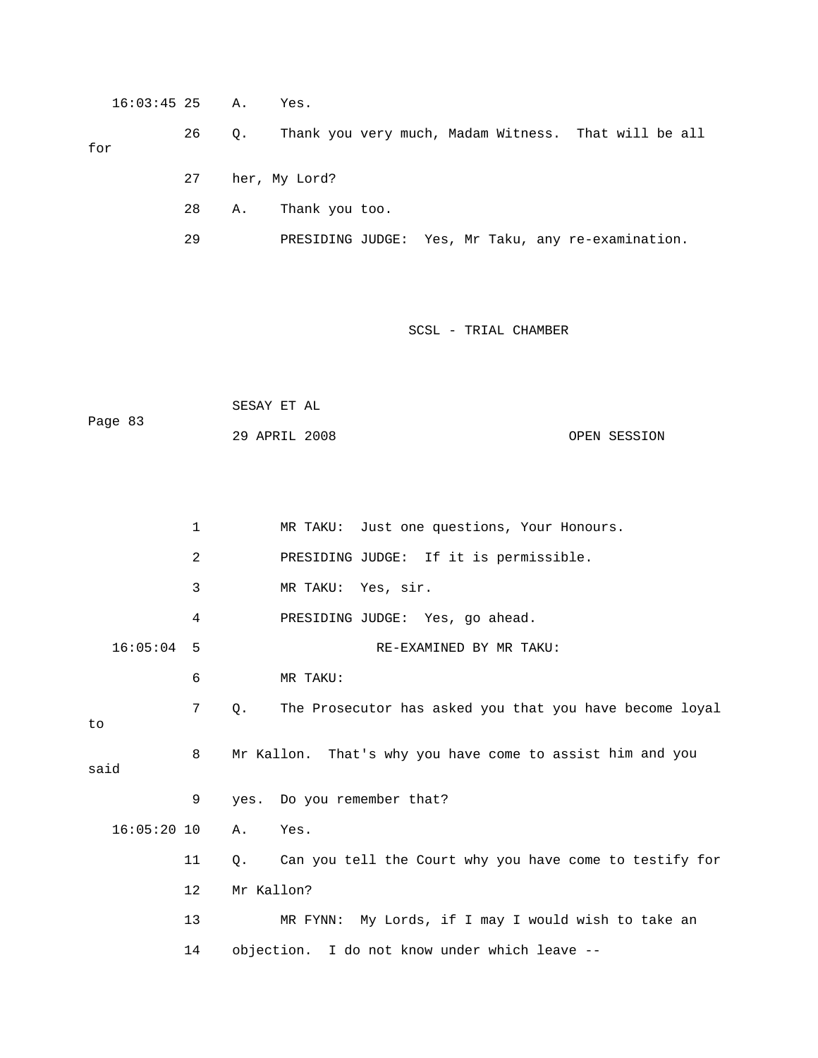16:03:45 25 A. Yes. 26 Q. Thank you very much, Madam Witness. That will be all for 27 her, My Lord? 29 PRESIDING JUDGE: Yes, Mr Taku, any re-examination. 28 A. Thank you too.

SCSL - TRIAL CHAMBER

 SESAY ET AL 29 APRIL 2008 OPEN SESSION Page 83

1 MR TAKU: Just one questions, Your Honours. 2 PRESIDING JUDGE: If it is permissible. 16:05:04 5 RE-EXAMINED BY MR TAKU: 6 MR TAKU: 7 Q. The Prosecutor has asked you that you have become loyal 8 Mr Kallon. That's why you have come to assist him and you 11 Q. Can you tell the Court why you have come to testify for 13 MR FYNN: My Lords, if I may I would wish to take an 14 objection. I do not know under which leave -- 3 MR TAKU: Yes, sir. 4 PRESIDING JUDGE: Yes, go ahead. to said 9 yes. Do you remember that? 16:05:20 10 A. Yes. 12 Mr Kallon?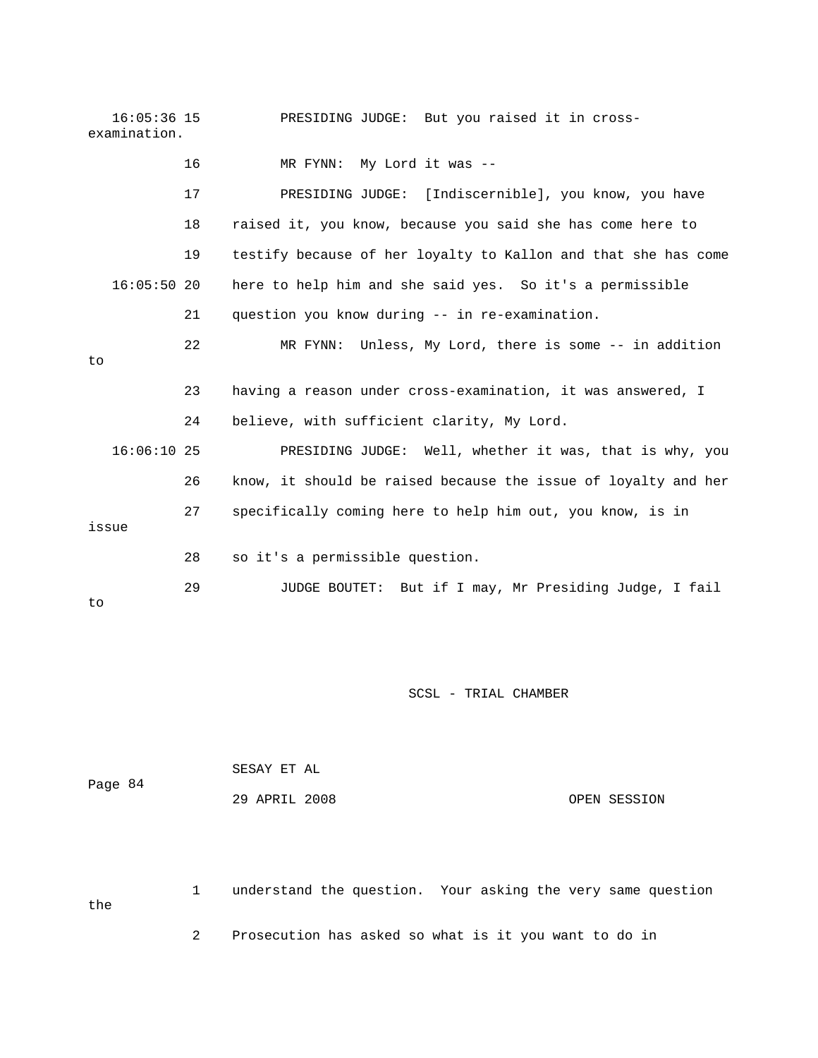16:05:36 15 PRESIDING JUDGE: But you raised it in crossexamination.

|    |               | 16 | My Lord it was --<br>MR FYNN:                                  |
|----|---------------|----|----------------------------------------------------------------|
|    |               | 17 | PRESIDING JUDGE: [Indiscernible], you know, you have           |
|    |               | 18 | raised it, you know, because you said she has come here to     |
|    |               | 19 | testify because of her loyalty to Kallon and that she has come |
|    | $16:05:50$ 20 |    | here to help him and she said yes. So it's a permissible       |
|    |               | 21 | question you know during -- in re-examination.                 |
| to |               | 22 | MR FYNN: Unless, My Lord, there is some -- in addition         |
|    |               | 23 | having a reason under cross-examination, it was answered, I    |
|    |               | 24 | believe, with sufficient clarity, My Lord.                     |
|    | $16:06:10$ 25 |    | PRESIDING JUDGE: Well, whether it was, that is why, you        |
|    |               | 26 | know, it should be raised because the issue of loyalty and her |
|    | issue         | 27 | specifically coming here to help him out, you know, is in      |
|    |               | 28 | so it's a permissible question.                                |
|    |               | 29 | JUDGE BOUTET: But if I may, Mr Presiding Judge, I fail         |

to

SCSL - TRIAL CHAMBER

|         | SESAY ET AL   |  |              |
|---------|---------------|--|--------------|
| Page 84 |               |  |              |
|         | 29 APRIL 2008 |  | OPEN SESSION |

1 understand the question. Your asking the very same question the 2 Prosecution has asked so what is it you want to do in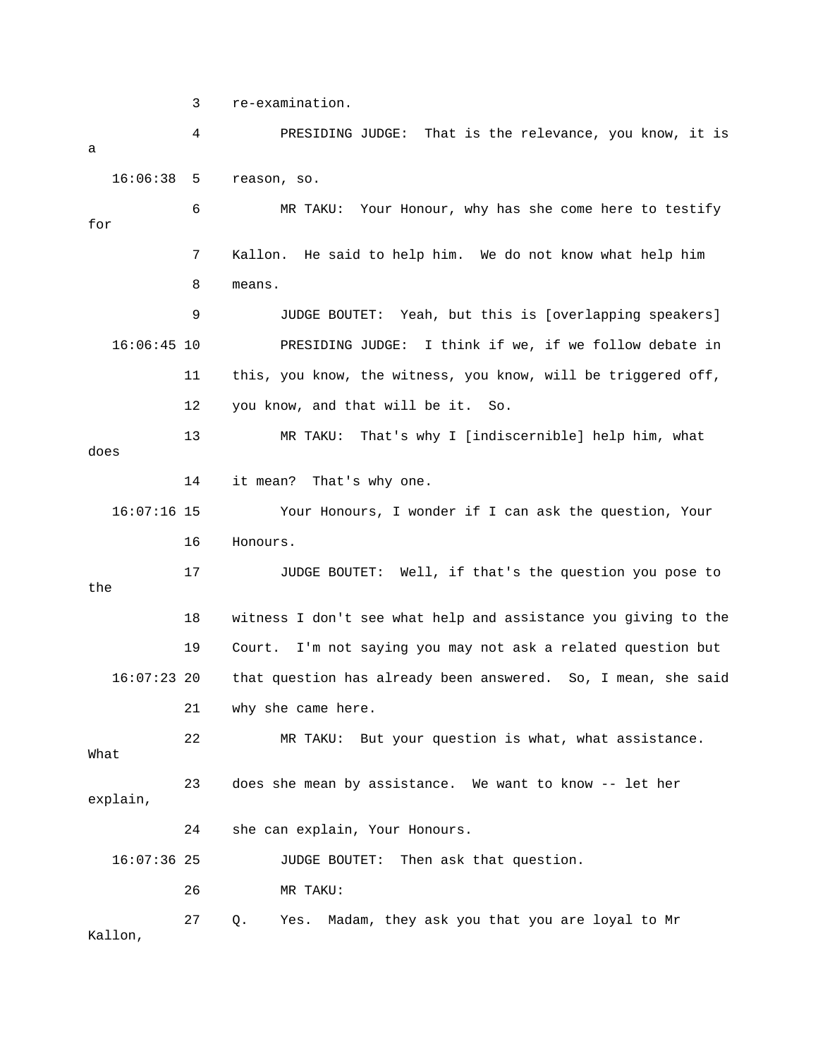3 re-examination.

 4 PRESIDING JUDGE: That is the relevance, you know, it is 16:06:38 5 reason, so. 7 Kallon. He said to help him. We do not know what help him 8 means. 9 JUDGE BOUTET: Yeah, but this is [overlapping speakers] 16:06:45 10 PRESIDING JUDGE: I think if we, if we follow debate in 11 this, you know, the witness, you know, will be triggered off, 14 it mean? That's why one. the 18 witness I don't see what help and assistance you giving to the 19 Court. I'm not saying you may not ask a related question but 16:07:23 20 that question has already been answered. So, I mean, she said 22 MR TAKU: But your question is what, what assistance. 23 does she mean by assistance. We want to know -- let her explain, 24 she can explain, Your Honours. 16:07:36 25 JUDGE BOUTET: Then ask that question. 27 Q. Yes. Madam, they ask you that you are loyal to Mr a 6 MR TAKU: Your Honour, why has she come here to testify for 12 you know, and that will be it. So. 13 MR TAKU: That's why I [indiscernible] help him, what does 16:07:16 15 Your Honours, I wonder if I can ask the question, Your 16 Honours. 17 JUDGE BOUTET: Well, if that's the question you pose to 21 why she came here. What 26 MR TAKU: Kallon,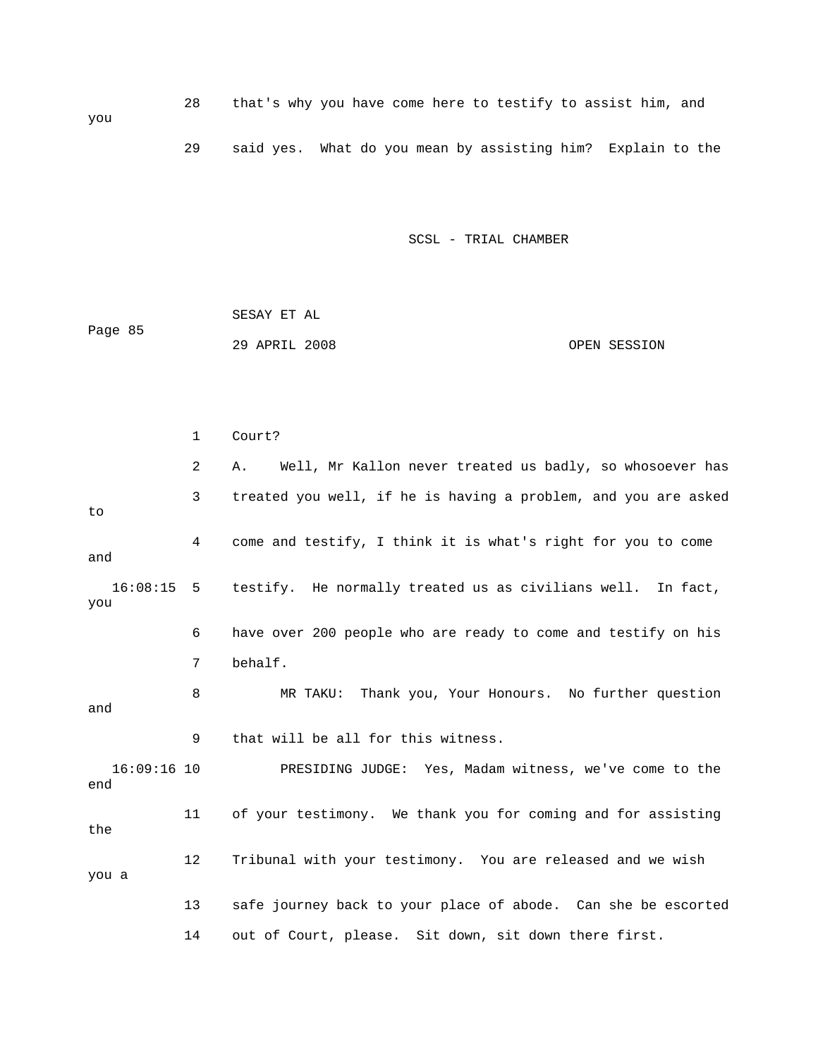SESAY ET AL Page 85 29 APRIL 2008 OPEN SESSION

you

 2 A. Well, Mr Kallon never treated us badly, so whosoever has 3 treated you well, if he is having a problem, and you are asked come 4 come and testify, I think it is what's right for you to and 16:08:15 5 testify. He normally treated us as civilians well. In fact, you r 200 people who are ready to come and testify on his 6 have ove 16:09:16 10 PRESIDING JUDGE: Yes, Madam witness, we've come to the 11 of your testimony. We thank you for coming and for assisting 12 Tribunal with your testimony. You are released and we wish you a 13 safe journey back to your place of abode. Can she be escorted 14 out of Court, please. Sit down, sit down there first. 1 Court? to 7 behalf. 8 MR TAKU: Thank you, Your Honours. No further question and 9 that will be all for this witness. end the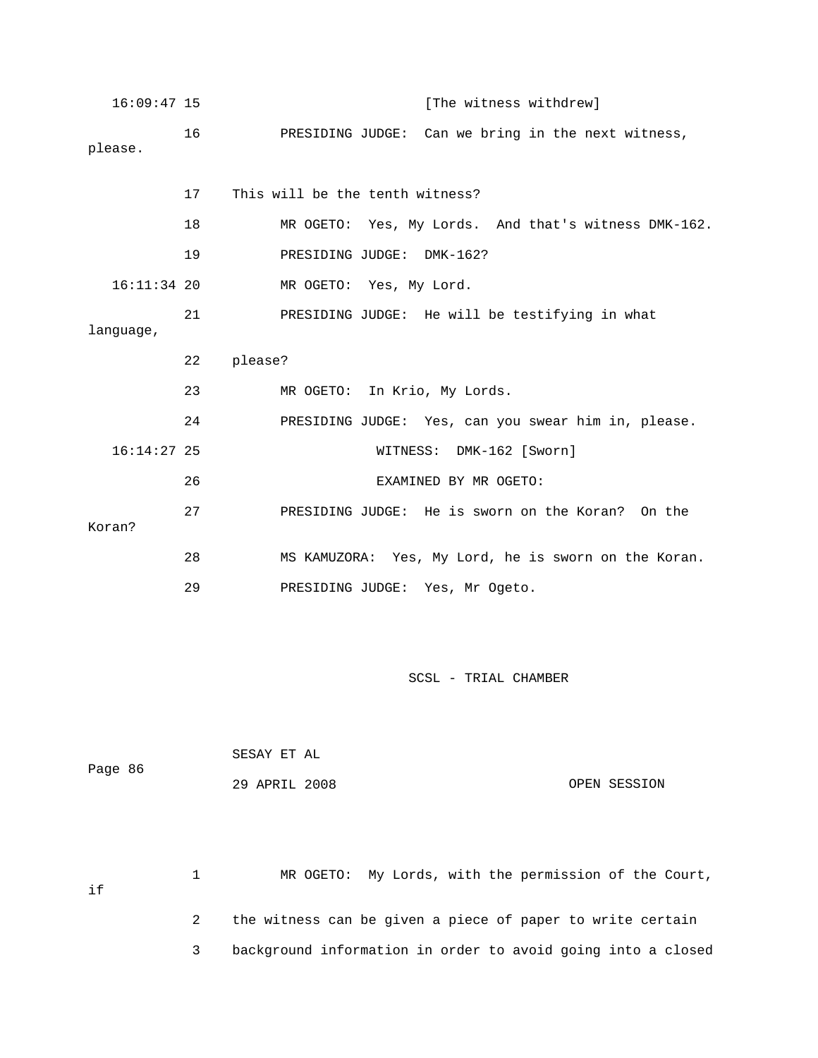| $16:09:47$ 15 |    | [The witness withdrew]                               |
|---------------|----|------------------------------------------------------|
| please.       | 16 | PRESIDING JUDGE: Can we bring in the next witness,   |
|               | 17 | This will be the tenth witness?                      |
|               | 18 | MR OGETO: Yes, My Lords. And that's witness DMK-162. |
|               | 19 | PRESIDING JUDGE: DMK-162?                            |
| $16:11:34$ 20 |    | MR OGETO: Yes, My Lord.                              |
| language,     | 21 | PRESIDING JUDGE: He will be testifying in what       |
|               |    |                                                      |
|               | 22 | please?                                              |
|               | 23 | MR OGETO: In Krio, My Lords.                         |
|               | 24 | PRESIDING JUDGE: Yes, can you swear him in, please.  |
| $16:14:27$ 25 |    | WITNESS: DMK-162 [Sworn]                             |
|               | 26 | EXAMINED BY MR OGETO:                                |
| Koran?        | 27 | PRESIDING JUDGE: He is sworn on the Koran? On the    |
|               | 28 | MS KAMUZORA: Yes, My Lord, he is sworn on the Koran. |

| Page 86 | SESAY ET AL   |  |              |
|---------|---------------|--|--------------|
|         | 29 APRIL 2008 |  | OPEN SESSION |

1 MR OGETO: My Lords, with the permission of the Court, 2 the witness can be given a piece of paper to write certain 3 background information in order to avoid going into a closed if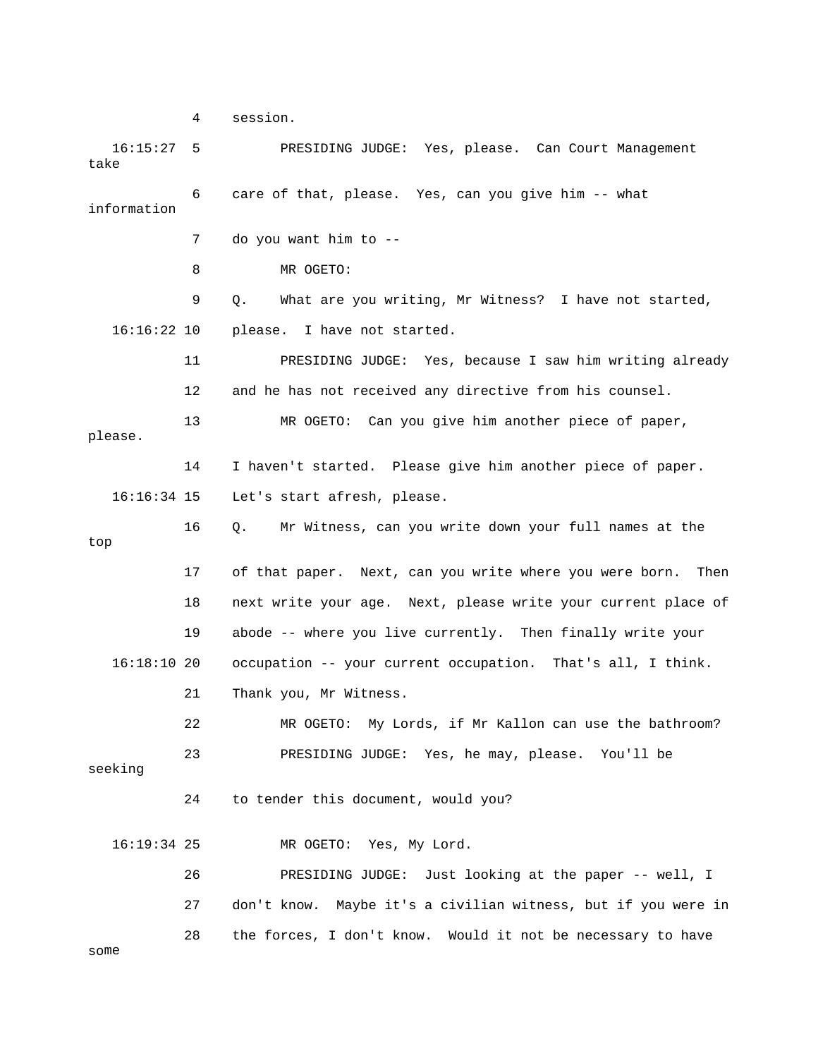4 session.

 16:15:27 5 PRESIDING JUDGE: Yes, please. Can Court Management take 6 care of that, please. Yes, can you give him -- what 7 do you want him to - please. I have not started. dy 11 PRESIDING JUDGE: Yes, because I saw him writing alrea 12 and he has not received any directive from his counsel. 3 MR OGETO: Can you give him another piece of paper, 14 I haven't started. Please give him another piece of paper. 16:16:34 15 Let's start afresh, please. 18 next write your age. Next, please write your current place of occupation -- your current occupation. That's all, I think. 21 Thank you, Mr Witness. 22 MR OGETO: My Lords, if Mr Kallon can use the bathroom? seeking 27 don't know. Maybe it's a civilian witness, but if you were in some information 8 MR OGETO: 9 Q. What are you writing, Mr Witness? I have not started,  $16:16:22$  10 1 please. 16 Q. Mr Witness, can you write down your full names at the top 17 of that paper. Next, can you write where you were born. Then 19 abode -- where you live currently. Then finally write your 16:18:10 20 23 PRESIDING JUDGE: Yes, he may, please. You'll be 24 to tender this document, would you? 16:19:34 25 MR OGETO: Yes, My Lord. 26 PRESIDING JUDGE: Just looking at the paper -- well, I 28 the forces, I don't know. Would it not be necessary to have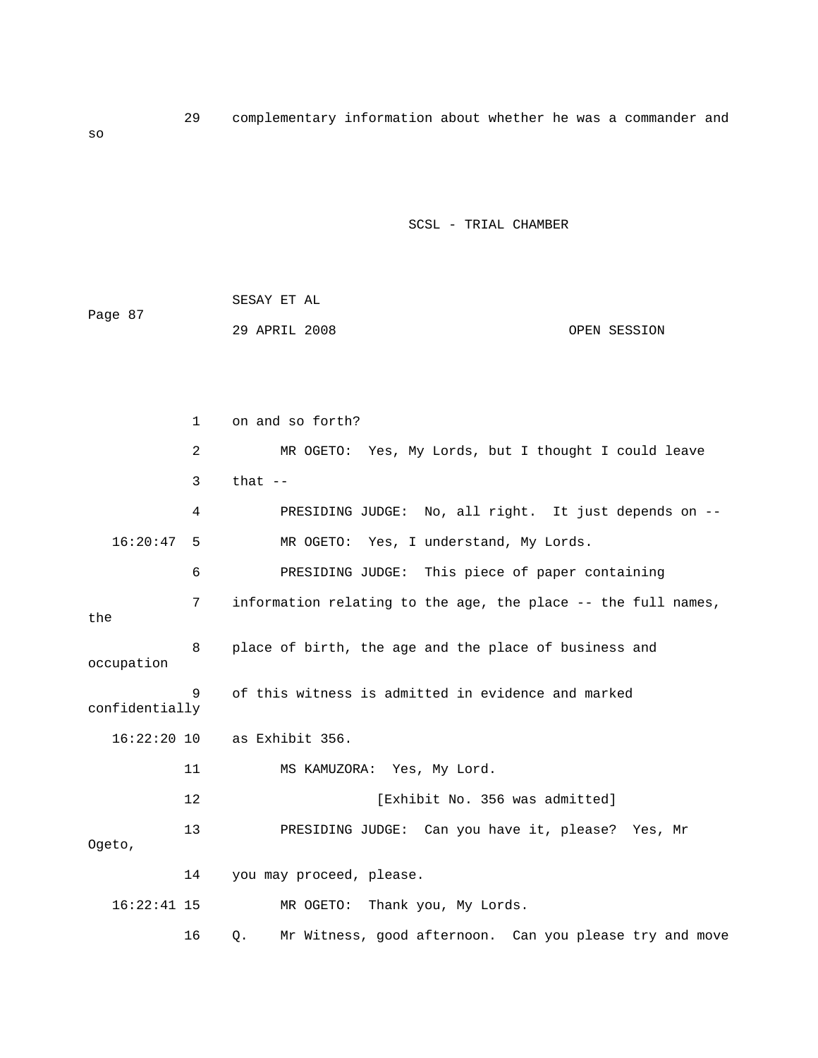|         | SESAY ET AL   |              |
|---------|---------------|--------------|
| Page 87 |               |              |
|         | 29 APRIL 2008 | OPEN SESSION |

|                | $\mathbf{1}$ | on and so forth?                                              |
|----------------|--------------|---------------------------------------------------------------|
|                | 2            | MR OGETO: Yes, My Lords, but I thought I could leave          |
|                | 3            | that $--$                                                     |
|                | 4            | PRESIDING JUDGE: No, all right. It just depends on --         |
| 16:20:47       | 5            | MR OGETO: Yes, I understand, My Lords.                        |
|                | 6            | PRESIDING JUDGE: This piece of paper containing               |
| the            | 7            | information relating to the age, the place -- the full names, |
| occupation     | 8            | place of birth, the age and the place of business and         |
| confidentially | 9            | of this witness is admitted in evidence and marked            |
| $16:22:20$ 10  |              | as Exhibit 356.                                               |
|                | 11           | MS KAMUZORA: Yes, My Lord.                                    |
|                | 12           | [Exhibit No. 356 was admitted]                                |
| Ogeto,         | 13           | PRESIDING JUDGE: Can you have it, please?<br>Yes, Mr          |
|                | 14           | you may proceed, please.                                      |
| $16:22:41$ 15  |              | Thank you, My Lords.<br>MR OGETO:                             |

Q. Mr Witness, good afternoon. Can you please try and move 16

so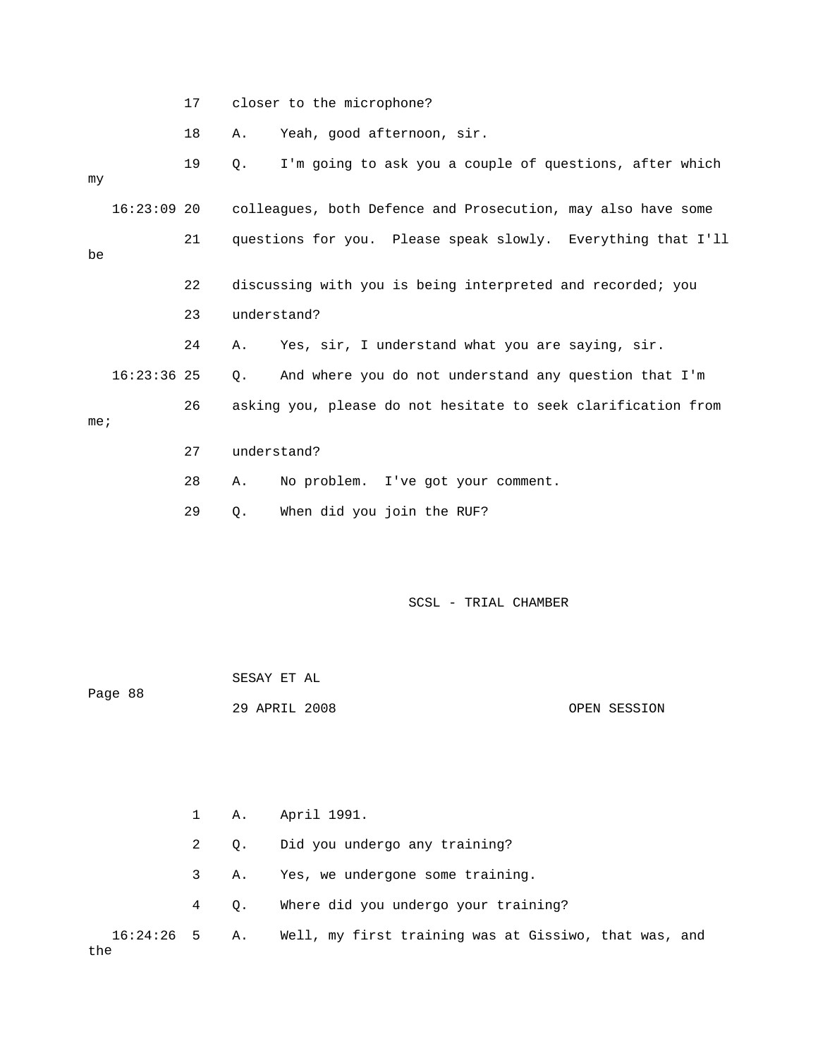17 closer to the microphone?

18 A. Yeah, good afternoon, sir.

| my              |               | 19 | I'm going to ask you a couple of questions, after which<br>О. |
|-----------------|---------------|----|---------------------------------------------------------------|
|                 | $16:23:09$ 20 |    | colleagues, both Defence and Prosecution, may also have some  |
| be              |               | 21 | questions for you. Please speak slowly. Everything that I'll  |
|                 |               | 22 | discussing with you is being interpreted and recorded; you    |
|                 |               | 23 | understand?                                                   |
|                 |               | 24 | Yes, sir, I understand what you are saying, sir.<br>Α.        |
|                 | $16:23:36$ 25 |    | And where you do not understand any question that I'm<br>Q.   |
| me <sub>i</sub> |               | 26 | asking you, please do not hesitate to seek clarification from |
|                 |               | 27 | understand?                                                   |
|                 |               | 28 | No problem. I've got your comment.<br>Α.                      |
|                 |               | 29 | When did you join the RUF?<br>Q.                              |

| Page 88 | SESAY ET AL   |              |
|---------|---------------|--------------|
|         | 29 APRIL 2008 | OPEN SESSION |

|     |  | 1 A. April 1991.                                                    |
|-----|--|---------------------------------------------------------------------|
|     |  | 2 0. Did you undergo any training?                                  |
|     |  | A. Yes, we undergone some training.                                 |
|     |  | 4 Q. Where did you undergo your training?                           |
| the |  | 16:24:26 5 A. Well, my first training was at Gissiwo, that was, and |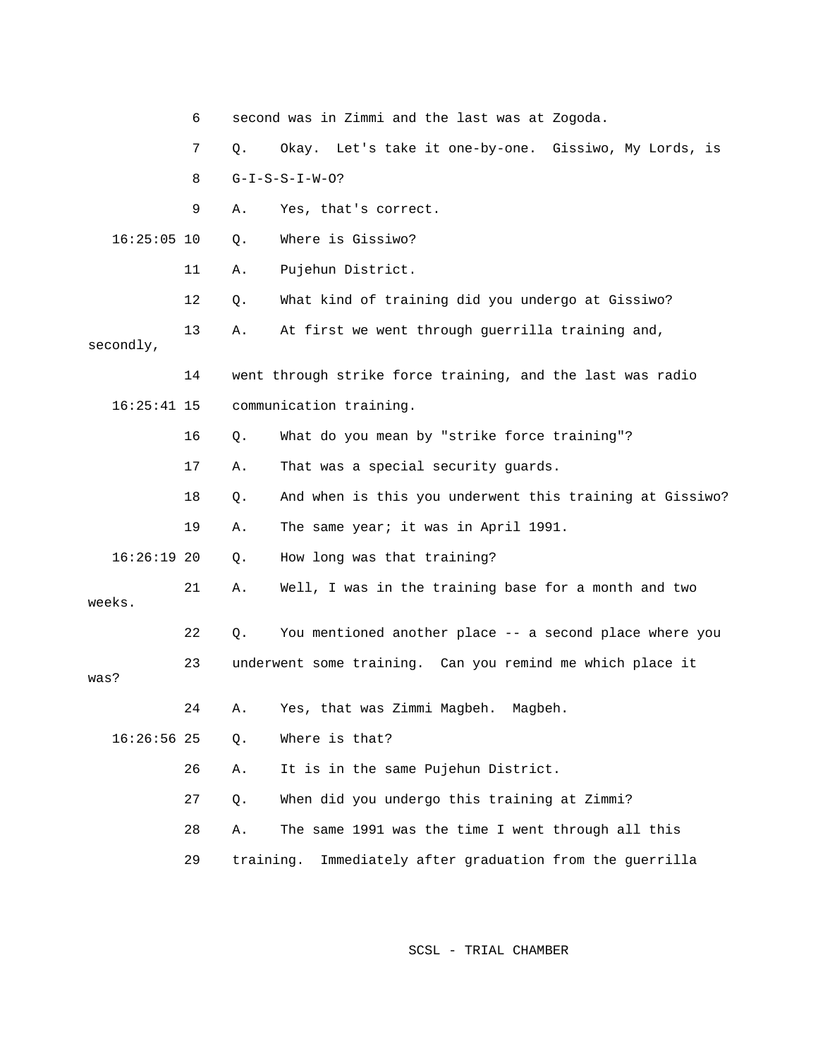|               | 6  |           | second was in Zimmi and the last was at Zogoda.            |
|---------------|----|-----------|------------------------------------------------------------|
|               | 7  | Q.        | Let's take it one-by-one. Gissiwo, My Lords, is<br>Okay.   |
|               | 8  |           | $G-I-S-S-I-W-O?$                                           |
|               | 9  | Α.        | Yes, that's correct.                                       |
| $16:25:05$ 10 |    | Q.        | Where is Gissiwo?                                          |
|               | 11 | Α.        | Pujehun District.                                          |
|               | 12 | Q.        | What kind of training did you undergo at Gissiwo?          |
| secondly,     | 13 | Α.        | At first we went through guerrilla training and,           |
|               | 14 |           | went through strike force training, and the last was radio |
| $16:25:41$ 15 |    |           | communication training.                                    |
|               | 16 | Q.        | What do you mean by "strike force training"?               |
|               | 17 | Α.        | That was a special security guards.                        |
|               | 18 | Q.        | And when is this you underwent this training at Gissiwo?   |
|               | 19 | Α.        | The same year; it was in April 1991.                       |
| $16:26:19$ 20 |    | Q.        | How long was that training?                                |
| weeks.        | 21 | Α.        | Well, I was in the training base for a month and two       |
|               | 22 | Q.        | You mentioned another place -- a second place where you    |
| was?          | 23 |           | underwent some training. Can you remind me which place it  |
|               | 24 | Α.        | Yes, that was Zimmi Magbeh.<br>Magbeh.                     |
| $16:26:56$ 25 |    | $Q$ .     | Where is that?                                             |
|               | 26 | Α.        | It is in the same Pujehun District.                        |
|               | 27 | Q.        | When did you undergo this training at Zimmi?               |
|               | 28 | Α.        | The same 1991 was the time I went through all this         |
|               | 29 | training. | Immediately after graduation from the guerrilla            |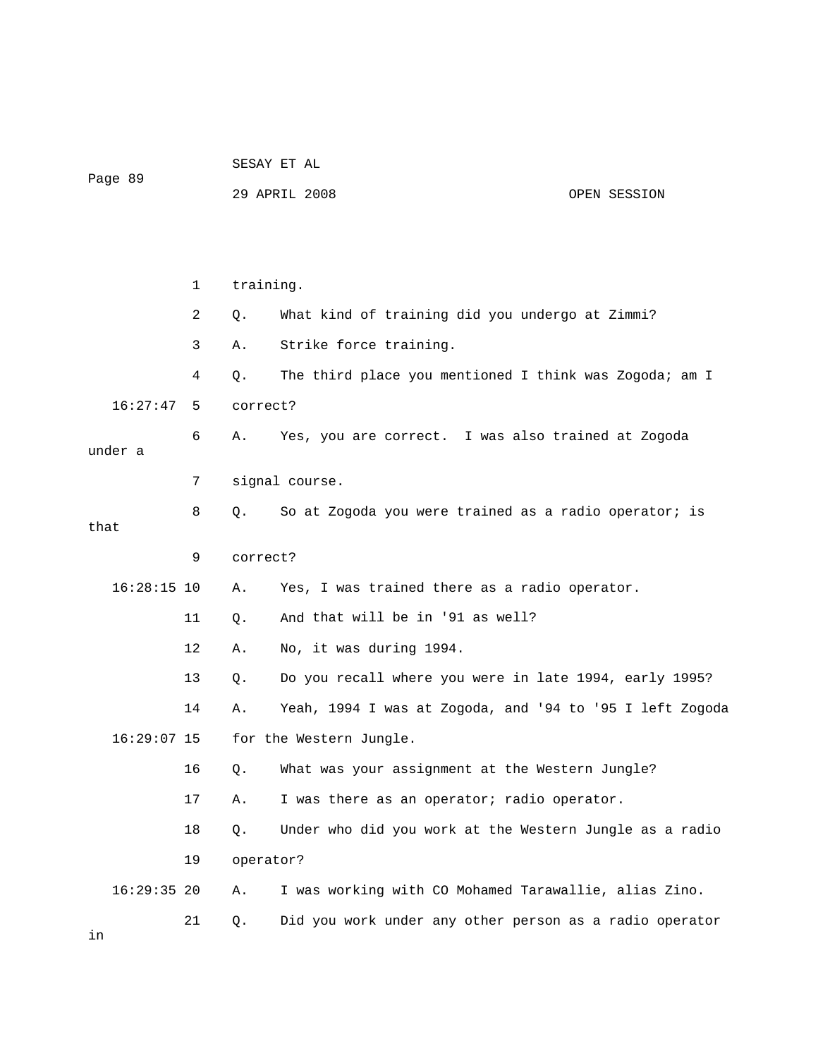|           |  |  | SESAY ET AL |  |  |
|-----------|--|--|-------------|--|--|
| $\sim$ 00 |  |  |             |  |  |

Page 89

#### 29 APRIL 2008 OPEN SESSION

 1 training. 2 Q. What kind of training did you undergo at Zimmi? 3 A. Strike force training. 6 A. Yes, you are correct. I was also trained at Zogoda under a 7 signal course. 8 Q. So at Zogoda you were trained as a radio operator; is 11 Q. And that will be in '91 as well? 13 Q. Do you recall where you were in late 1994, early 1995? 14 A. Yeah, 1994 I was at Zogoda, and '94 to '95 I left Zogoda for the Western Jungle. was your assignment at the Western Jungle? 16 Q. What 18 Q. Under who did you work at the Western Jungle as a radio 4 Q. The third place you mentioned I think was Zogoda; am I 16:27:47 5 correct? that 9 correct? 16:28:15 10 A. Yes, I was trained there as a radio operator. 12 A. No, it was during 1994.  $16:29:07$  15 17 A. I was there as an operator; radio operator. 19 operator? 16:29:35 20 A. I was working with CO Mohamed Tarawallie, alias Zino. 21 Q. Did you work under any other person as a radio operator in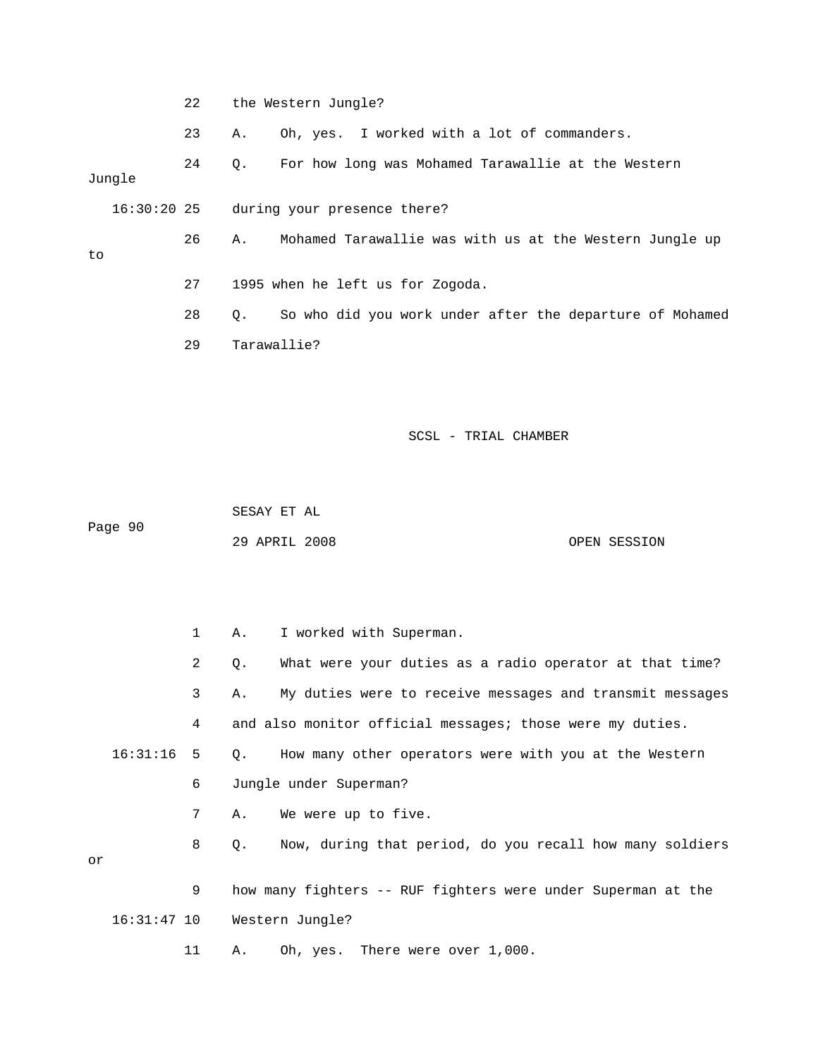22 the Western Jungle?

23 A. Oh, yes. I worked with a lot of commanders.

 24 Q. For how long was Mohamed Tarawallie at the Western Jungle

16:30:20 25 during your presence there?

 27 1995 when he left us for Zogoda. 26 A. Mohamed Tarawallie was with us at the Western Jungle up

28 Q. So who did you work under after the departure of Mohamed 29 Tarawallie?

### SCSL - TRIAL CHAMBER

 SESAY ET AL Page 90

to

29 APRIL 2008 OPEN SESSION

|    |              | $\mathbf{1}$ | A.,         | I worked with Superman.                                      |
|----|--------------|--------------|-------------|--------------------------------------------------------------|
|    |              | 2            | Q.          | What were your duties as a radio operator at that time?      |
|    |              | 3            | Α.          | My duties were to receive messages and transmit messages     |
|    |              | 4            |             | and also monitor official messages; those were my duties.    |
|    | $16:31:16$ 5 |              |             | Q. How many other operators were with you at the Western     |
|    |              | 6            |             | Jungle under Superman?                                       |
|    |              | 7            | Α.          | We were up to five.                                          |
| or |              | 8            | $Q_{\star}$ | Now, during that period, do you recall how many soldiers     |
|    |              | 9            |             | how many fighters -- RUF fighters were under Superman at the |
|    |              |              |             | 16:31:47 10 Western Jungle?                                  |
|    |              | 11           | Α.          | Oh, yes. There were over 1,000.                              |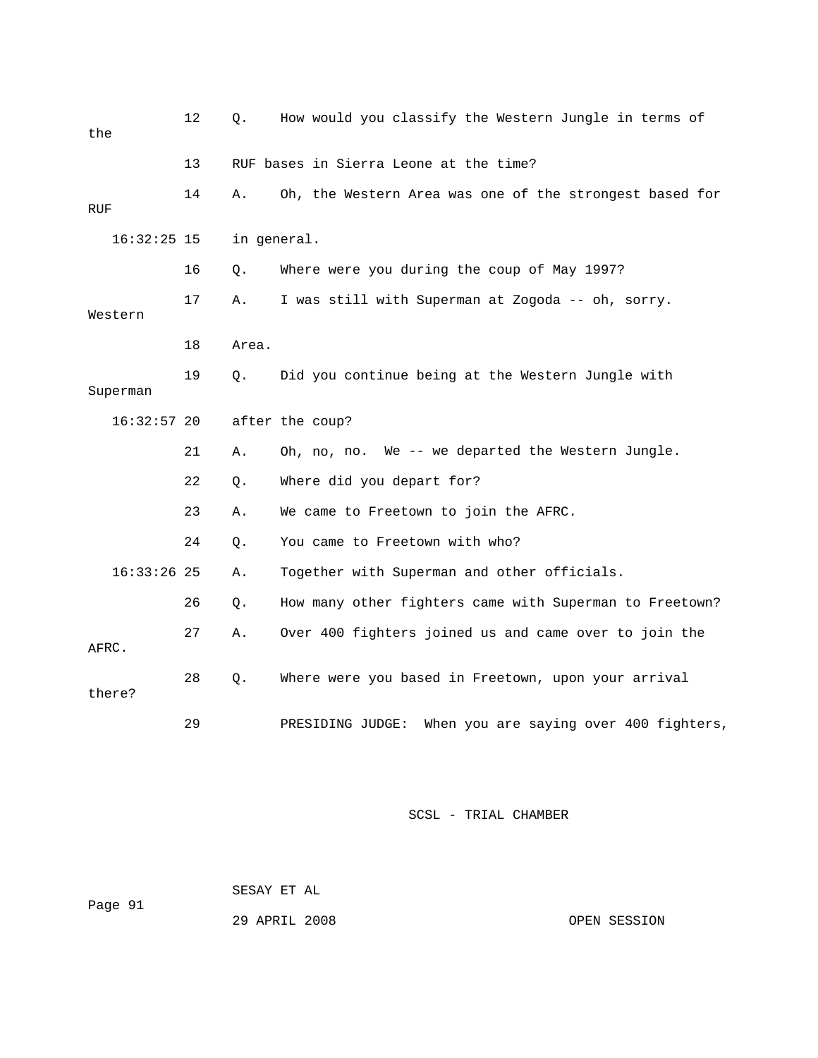| the           | 12 | $Q$ .       | How would you classify the Western Jungle in terms of      |
|---------------|----|-------------|------------------------------------------------------------|
|               | 13 |             | RUF bases in Sierra Leone at the time?                     |
| RUF           | 14 | Α.          | Oh, the Western Area was one of the strongest based for    |
| $16:32:25$ 15 |    | in general. |                                                            |
|               | 16 | Q.          | Where were you during the coup of May 1997?                |
| Western       | 17 | Α.          | I was still with Superman at Zogoda -- oh, sorry.          |
|               | 18 | Area.       |                                                            |
| Superman      | 19 | О.          | Did you continue being at the Western Jungle with          |
| $16:32:57$ 20 |    |             | after the coup?                                            |
|               | 21 | Α.          | Oh, no, no. We -- we departed the Western Jungle.          |
|               | 22 | Q.          | Where did you depart for?                                  |
|               | 23 | Α.          | We came to Freetown to join the AFRC.                      |
|               | 24 | $Q$ .       | You came to Freetown with who?                             |
| $16:33:26$ 25 |    | Α.          | Together with Superman and other officials.                |
|               | 26 | Q.          | How many other fighters came with Superman to Freetown?    |
| AFRC.         | 27 | Α.          | Over 400 fighters joined us and came over to join the      |
| there?        | 28 | $Q$ .       | Where were you based in Freetown, upon your arrival        |
|               | 29 |             | When you are saying over 400 fighters,<br>PRESIDING JUDGE: |

 SESAY ET AL Page 91

29 APRIL 2008 OPEN SESSION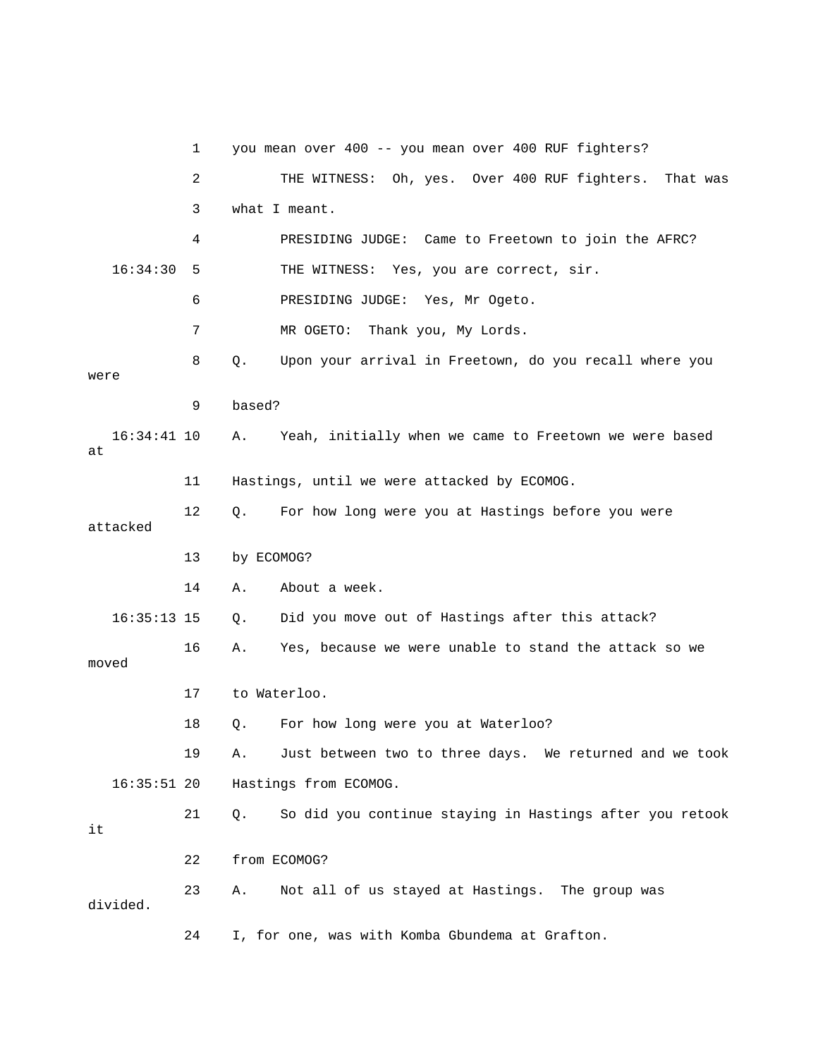1 you mean over 400 -- you mean over 400 RUF fighters? 2 THE WITNESS: Oh, yes. Over 400 RUF fighters. That was 3 what I meant. 6 PRESIDING JUDGE: Yes, Mr Ogeto. 7 MR OGETO: Thank you, My Lords. 8 Q. Upon your arrival in Freetown, do you recall where you were 9 based? 16:34:41 10 A. Yeah, initially when we came to Freetown we were based 12 Q. For how long were you at Hastings before you were 13 by ECOMOG? 14 A. About a week. Did you move out of Hastings after this attack? 19 A. Just between two to three days. We returned and we took 16:35:51 20 Hastings from ECOMOG. 21 Q. So did you continue staying in Hastings after you retook 23 A. Not all of us stayed at Hastings. The group was 24 I, for one, was with Komba Gbundema at Grafton. 4 PRESIDING JUDGE: Came to Freetown to join the AFRC? 16:34:30 5 THE WITNESS: Yes, you are correct, sir. at 11 Hastings, until we were attacked by ECOMOG. attacked 16:35:13 15 Q. 16 A. Yes, because we were unable to stand the attack so we moved 17 to Waterloo. 18 Q. For how long were you at Waterloo? it 22 from ECOMOG? divided.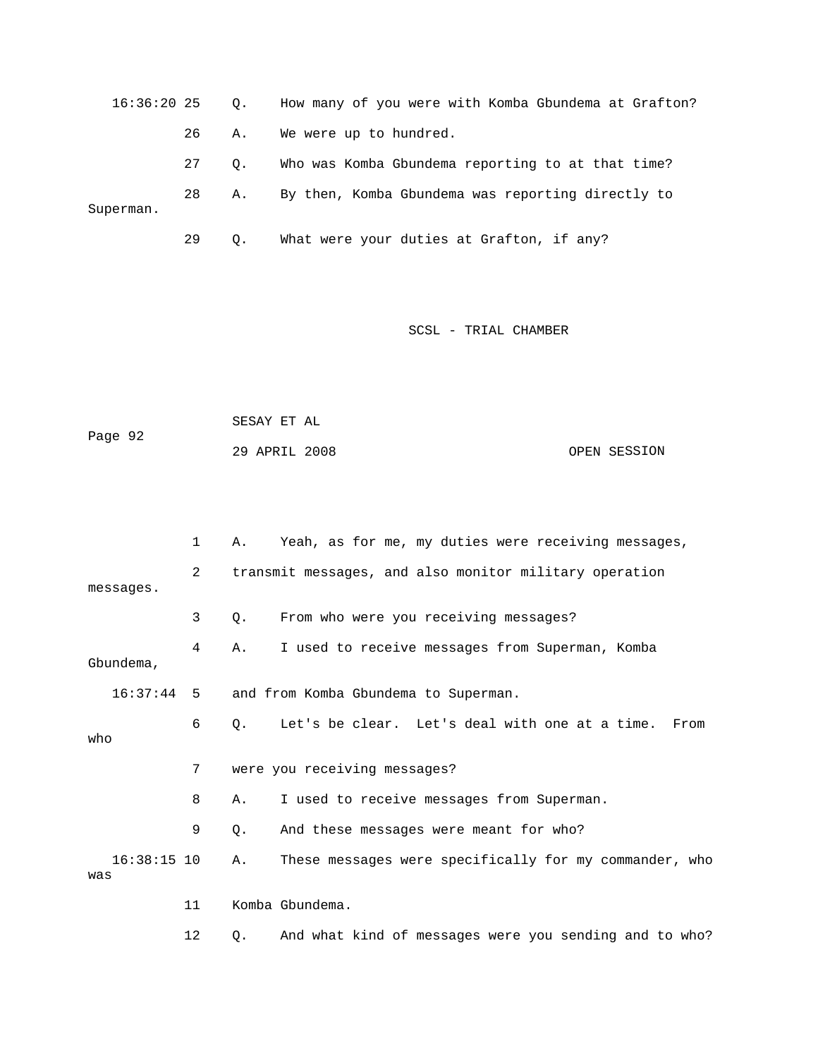16:36:20 25 Q. How many of you were with Komba Gbundema at Grafton? 26 A. We were up to hundred. 28 A. By then, Komba Gbundema was reporting directly to 27 Q. Who was Komba Gbundema reporting to at that time? Superman. 29 Q. What were your duties at Grafton, if any?

SCSL - TRIAL CHAMBER

| Page 92 | SESAY ET AL   |  |              |
|---------|---------------|--|--------------|
|         | 29 APRIL 2008 |  | OPEN SESSION |

|                      | 1              | Α. | Yeah, as for me, my duties were receiving messages,    |
|----------------------|----------------|----|--------------------------------------------------------|
| messages.            | $\overline{2}$ |    | transmit messages, and also monitor military operation |
|                      | 3              | Q. | From who were you receiving messages?                  |
| Gbundema,            | 4              | Α. | I used to receive messages from Superman, Komba        |
| $16:37:44$ 5         |                |    | and from Komba Gbundema to Superman.                   |
| who                  | 6              | О. | Let's be clear. Let's deal with one at a time.<br>From |
|                      | 7              |    | were you receiving messages?                           |
|                      | 8              | Α. | I used to receive messages from Superman.              |
|                      | 9              | Ο. | And these messages were meant for who?                 |
| $16:38:15$ 10<br>was |                | Α. | These messages were specifically for my commander, who |
|                      | 11             |    | Komba Gbundema.                                        |

12 Q. And what kind of messages were you sending and to who?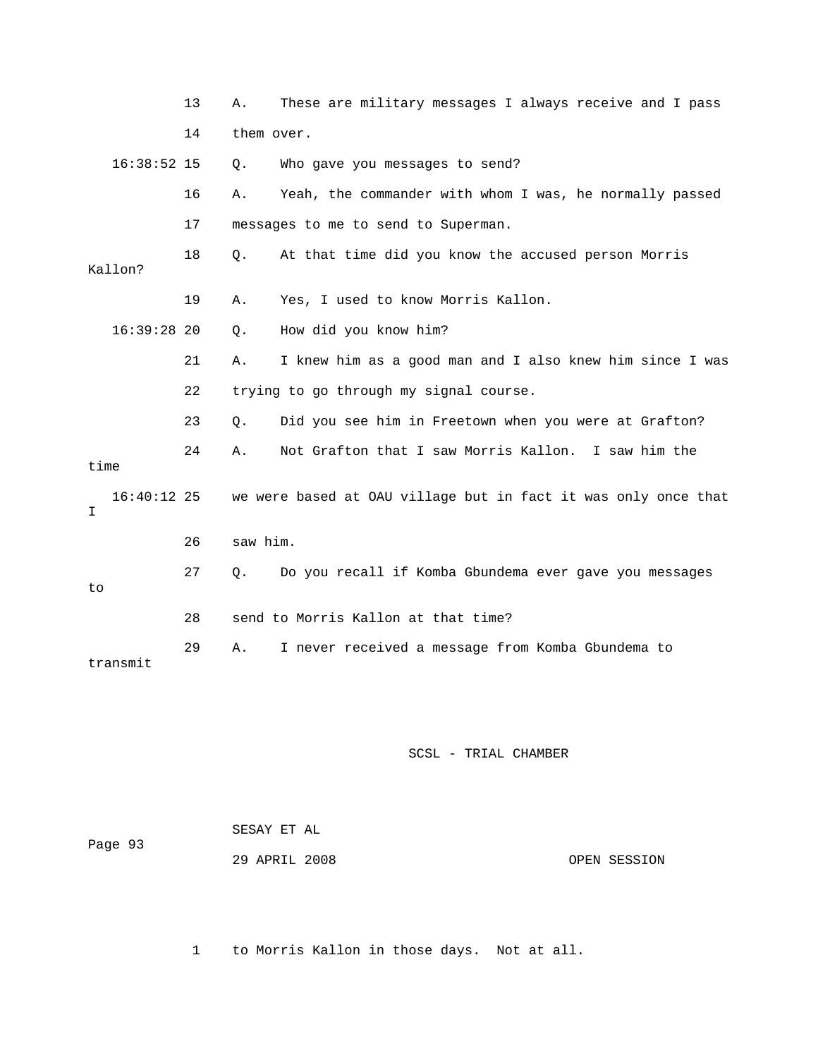|      |               | 13 | Α.         | These are military messages I always receive and I pass        |
|------|---------------|----|------------|----------------------------------------------------------------|
|      |               | 14 | them over. |                                                                |
|      | $16:38:52$ 15 |    | Q.         | Who gave you messages to send?                                 |
|      |               | 16 | Α.         | Yeah, the commander with whom I was, he normally passed        |
|      |               | 17 |            | messages to me to send to Superman.                            |
|      | Kallon?       | 18 | Q.         | At that time did you know the accused person Morris            |
|      |               | 19 | Α.         | Yes, I used to know Morris Kallon.                             |
|      | $16:39:28$ 20 |    | Q.         | How did you know him?                                          |
|      |               | 21 | Α.         | I knew him as a good man and I also knew him since I was       |
|      |               | 22 |            | trying to go through my signal course.                         |
|      |               | 23 | Q.         | Did you see him in Freetown when you were at Grafton?          |
| time |               | 24 | Α.         | Not Grafton that I saw Morris Kallon. I saw him the            |
| I.   | $16:40:12$ 25 |    |            | we were based at OAU village but in fact it was only once that |
|      |               | 26 | saw him.   |                                                                |
| to   |               | 27 | Q.         | Do you recall if Komba Gbundema ever gave you messages         |
|      |               | 28 |            | send to Morris Kallon at that time?                            |
|      | transmit      | 29 | Α.         | I never received a message from Komba Gbundema to              |

| Page 93 | SESAY ET AL   |              |  |
|---------|---------------|--------------|--|
|         | 29 APRIL 2008 | OPEN SESSION |  |

1 to Morris Kallon in those days. Not at all.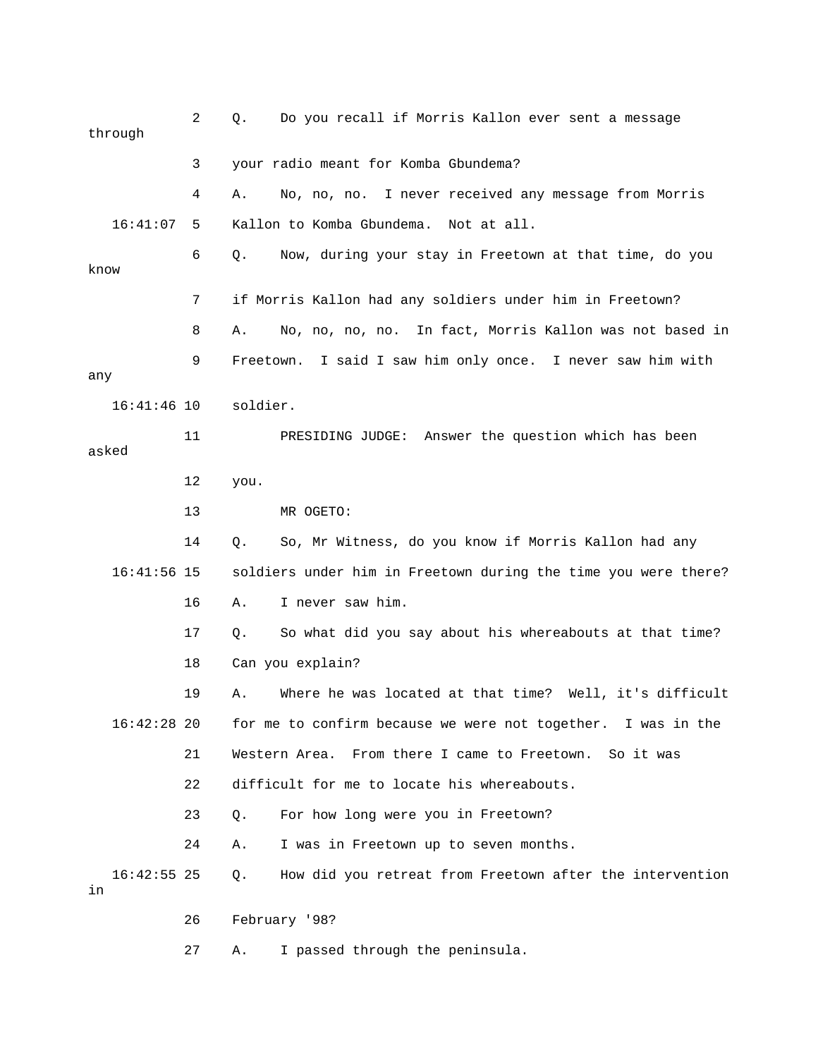|                     | through       | 2  | Q.       | Do you recall if Morris Kallon ever sent a message             |
|---------------------|---------------|----|----------|----------------------------------------------------------------|
|                     |               | 3  |          | your radio meant for Komba Gbundema?                           |
|                     |               | 4  | Α.       | No, no, no. I never received any message from Morris           |
|                     | 16:41:07      | 5  |          | Kallon to Komba Gbundema.<br>Not at all.                       |
| know                |               | 6  | Q.       | Now, during your stay in Freetown at that time, do you         |
|                     |               | 7  |          | if Morris Kallon had any soldiers under him in Freetown?       |
|                     |               | 8  | Α.       | No, no, no, no. In fact, Morris Kallon was not based in        |
| any                 |               | 9  |          | Freetown. I said I saw him only once. I never saw him with     |
|                     | $16:41:46$ 10 |    | soldier. |                                                                |
| asked               |               | 11 |          | PRESIDING JUDGE: Answer the question which has been            |
|                     |               | 12 | you.     |                                                                |
|                     |               | 13 |          | MR OGETO:                                                      |
|                     |               | 14 | О.       | So, Mr Witness, do you know if Morris Kallon had any           |
|                     | $16:41:56$ 15 |    |          | soldiers under him in Freetown during the time you were there? |
|                     |               | 16 | Α.       | I never saw him.                                               |
|                     |               | 17 | $Q$ .    | So what did you say about his whereabouts at that time?        |
|                     |               | 18 |          | Can you explain?                                               |
|                     |               | 19 | Α.       | Where he was located at that time? Well, it's difficult        |
|                     | $16:42:28$ 20 |    |          | for me to confirm because we were not together. I was in the   |
|                     |               | 21 |          | Western Area. From there I came to Freetown. So it was         |
|                     |               | 22 |          | difficult for me to locate his whereabouts.                    |
|                     |               | 23 | Q.       | For how long were you in Freetown?                             |
|                     |               | 24 | Α.       | I was in Freetown up to seven months.                          |
| in                  | $16:42:55$ 25 |    | Q.       | How did you retreat from Freetown after the intervention       |
| 26<br>February '98? |               |    |          |                                                                |
|                     |               | 27 | Α.       | I passed through the peninsula.                                |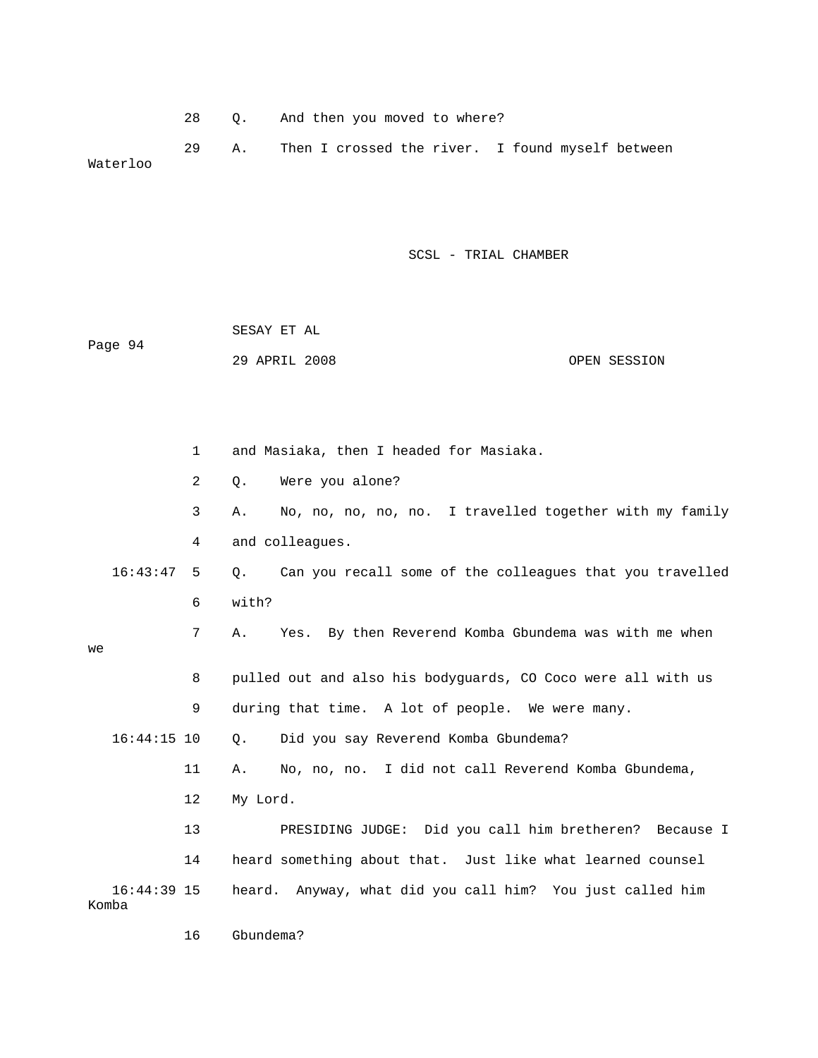28 Q. And then you moved to where?

 29 A. Then I crossed the river. I found myself between Waterloo

| Page 94                |                | SESAY ET AL<br>29 APRIL 2008<br>OPEN SESSION                   |  |  |  |  |
|------------------------|----------------|----------------------------------------------------------------|--|--|--|--|
|                        | $\mathbf{1}$   | and Masiaka, then I headed for Masiaka.                        |  |  |  |  |
|                        | $\overline{2}$ | Were you alone?<br>О.                                          |  |  |  |  |
|                        | 3              | No, no, no, no, no. I travelled together with my family<br>Α.  |  |  |  |  |
|                        | 4              | and colleagues.                                                |  |  |  |  |
| 16:43:47               | 5              | Can you recall some of the colleagues that you travelled<br>Q. |  |  |  |  |
|                        | 6              | with?                                                          |  |  |  |  |
| we                     | 7              | Yes. By then Reverend Komba Gbundema was with me when<br>Α.    |  |  |  |  |
|                        | 8              | pulled out and also his bodyguards, CO Coco were all with us   |  |  |  |  |
|                        | 9              | during that time. A lot of people. We were many.               |  |  |  |  |
| $16:44:15$ 10          |                | О.<br>Did you say Reverend Komba Gbundema?                     |  |  |  |  |
|                        | 11             | No, no, no. I did not call Reverend Komba Gbundema,<br>Α.      |  |  |  |  |
|                        | 12             | My Lord.                                                       |  |  |  |  |
|                        | 13             | PRESIDING JUDGE: Did you call him bretheren? Because I         |  |  |  |  |
|                        | 14             | heard something about that. Just like what learned counsel     |  |  |  |  |
| $16:44:39$ 15<br>Komba |                | Anyway, what did you call him? You just called him<br>heard.   |  |  |  |  |
|                        | 16             | Gbundema?                                                      |  |  |  |  |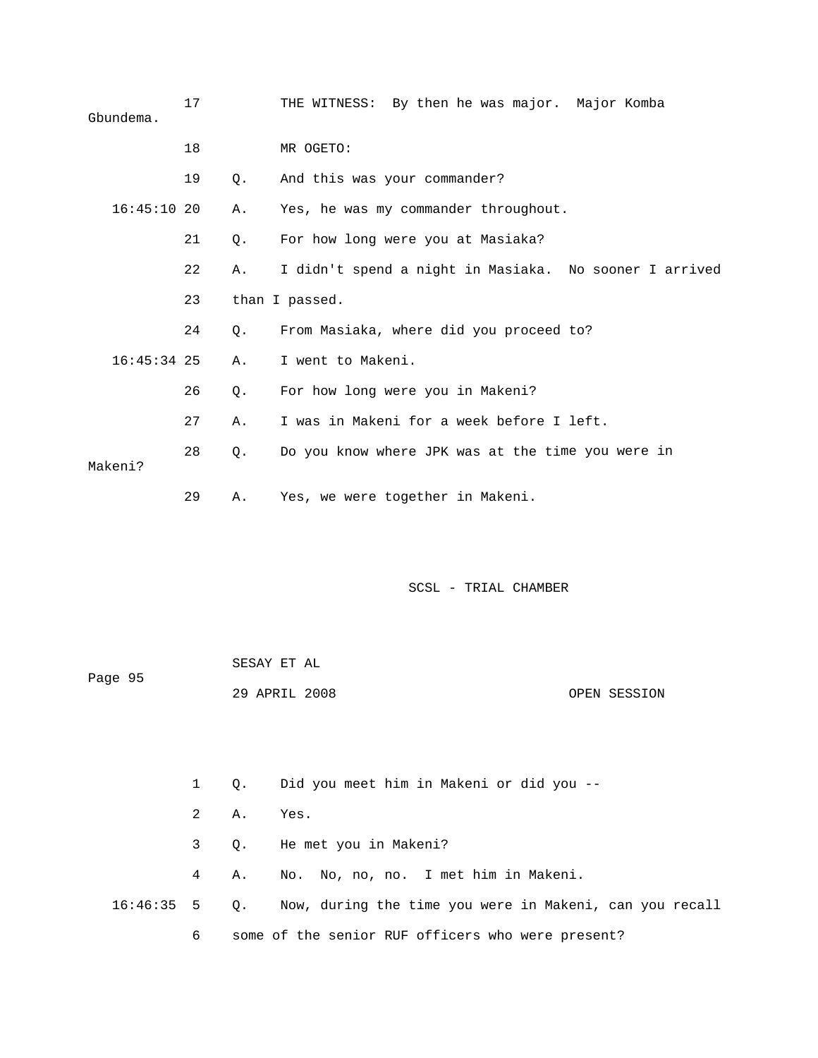| Gbundema.     | 17 |    | THE WITNESS: By then he was major. Major Komba         |
|---------------|----|----|--------------------------------------------------------|
|               | 18 |    | MR OGETO:                                              |
|               | 19 | Ο. | And this was your commander?                           |
| $16:45:10$ 20 |    | Α. | Yes, he was my commander throughout.                   |
|               | 21 | Q. | For how long were you at Masiaka?                      |
|               | 22 | Α. | I didn't spend a night in Masiaka. No sooner I arrived |
|               | 23 |    | than I passed.                                         |
|               | 24 | 0. | From Masiaka, where did you proceed to?                |
| $16:45:34$ 25 |    | Α. | I went to Makeni.                                      |
|               | 26 | 0. | For how long were you in Makeni?                       |
|               | 27 | Α. | I was in Makeni for a week before I left.              |
| Makeni?       | 28 | 0. | Do you know where JPK was at the time you were in      |
|               | 29 | Α. | Yes, we were together in Makeni.                       |

|         | SESAY ET AL   |              |
|---------|---------------|--------------|
| Page 95 |               |              |
|         | 29 APRIL 2008 | OPEN SESSION |

1 Q. Did you meet him in Makeni or did you --

- 2 A. Yes.
- 3 Q. He met you in Makeni?
- 4 A. No. No, no, no. I met him in Makeni.
- 16:46:35 5 Q. Now, during the time you were in Makeni, can you recall 6 some of the senior RUF officers who were present?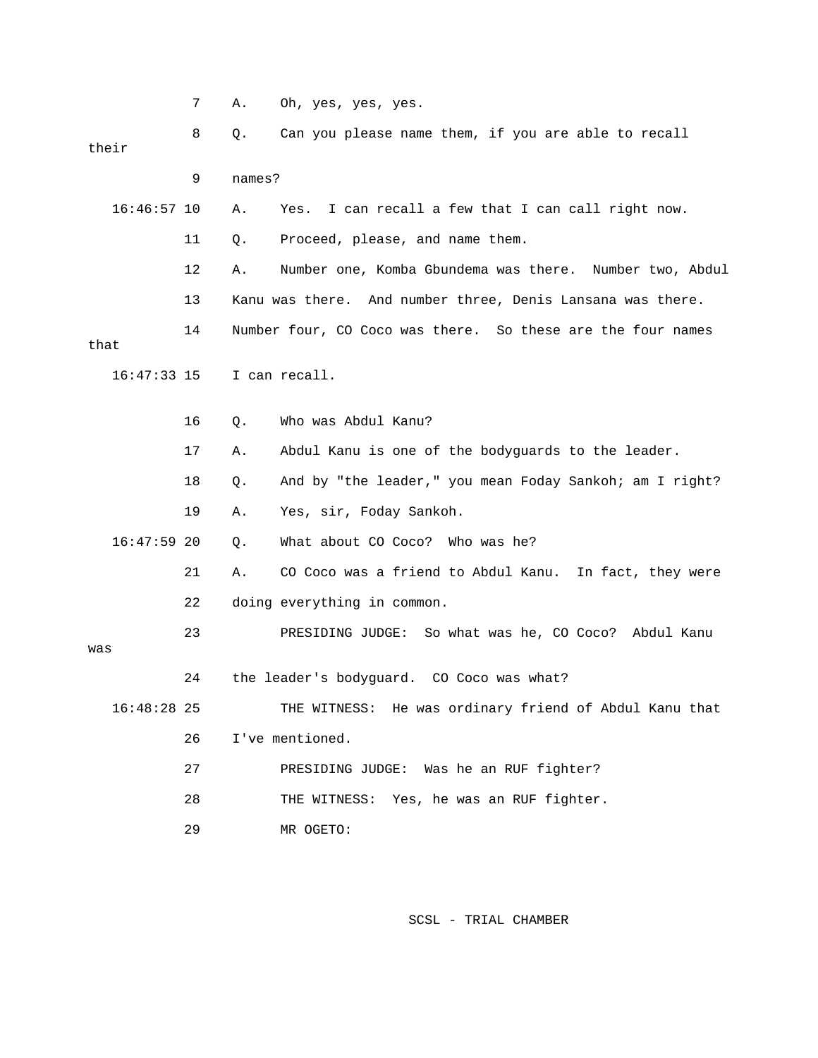|               | 7  | Α.     | Oh, yes, yes, yes.                                          |
|---------------|----|--------|-------------------------------------------------------------|
| their         | 8  | Q.     | Can you please name them, if you are able to recall         |
|               |    |        |                                                             |
|               | 9  | names? |                                                             |
| $16:46:57$ 10 |    | Α.     | I can recall a few that I can call right now.<br>Yes.       |
|               | 11 | Q.     | Proceed, please, and name them.                             |
|               | 12 | Α.     | Number one, Komba Gbundema was there. Number two, Abdul     |
|               | 13 |        | Kanu was there. And number three, Denis Lansana was there.  |
| that          | 14 |        | Number four, CO Coco was there. So these are the four names |
| $16:47:33$ 15 |    |        | I can recall.                                               |
|               | 16 | Q.     | Who was Abdul Kanu?                                         |
|               | 17 | Α.     | Abdul Kanu is one of the bodyguards to the leader.          |
|               | 18 | Q.     | And by "the leader," you mean Foday Sankoh; am I right?     |
|               | 19 | Α.     | Yes, sir, Foday Sankoh.                                     |
| $16:47:59$ 20 |    | Q.     | What about CO Coco? Who was he?                             |
|               | 21 | Α.     | CO Coco was a friend to Abdul Kanu. In fact, they were      |
|               | 22 |        | doing everything in common.                                 |
|               | 23 |        | PRESIDING JUDGE: So what was he, CO Coco? Abdul Kanu        |
| was           |    |        |                                                             |
|               | 24 |        | the leader's bodyguard. CO Coco was what?                   |
| $16:48:28$ 25 |    |        | THE WITNESS: He was ordinary friend of Abdul Kanu that      |
|               | 26 |        | I've mentioned.                                             |
|               | 27 |        | PRESIDING JUDGE: Was he an RUF fighter?                     |
|               | 28 |        | THE WITNESS: Yes, he was an RUF fighter.                    |
|               | 29 |        | MR OGETO:                                                   |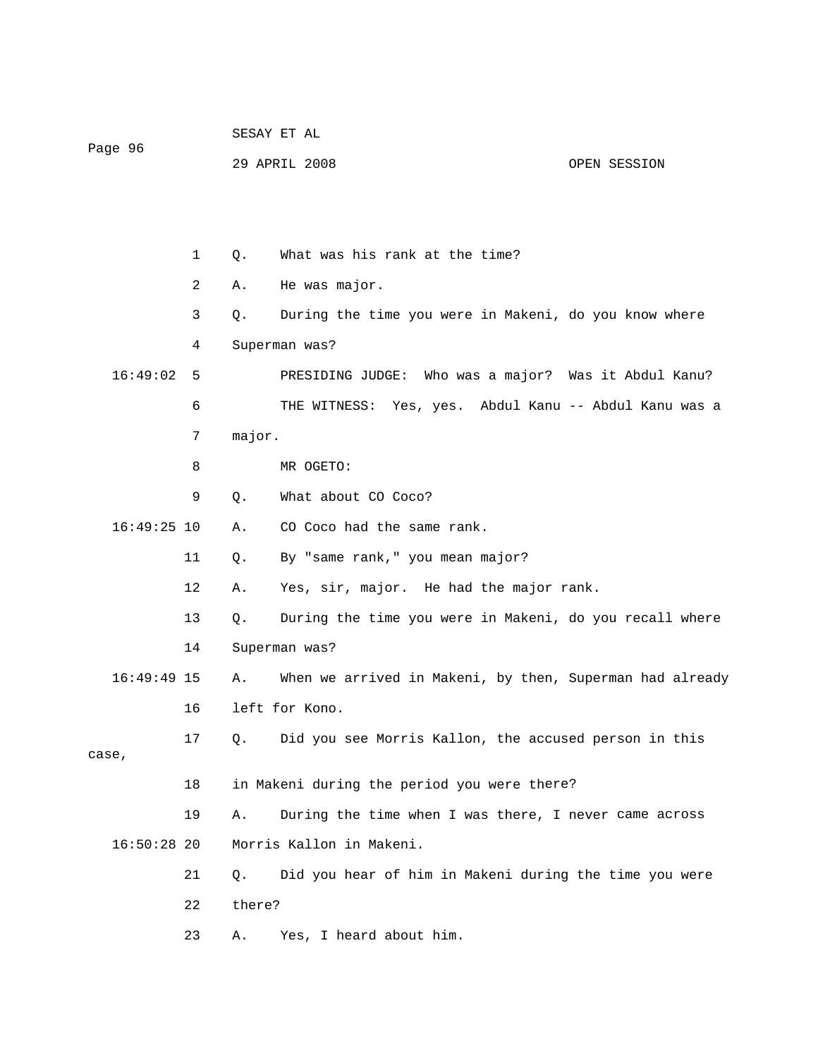| Page 96 |               |              |
|---------|---------------|--------------|
|         | 29 APRIL 2008 | OPEN SESSION |
|         |               |              |
|         |               |              |
|         |               |              |
|         |               |              |
|         |               |              |

1 0. What was his rank at the time?

SESAY ET AL

 3 Q. During the time you were in Makeni, do you know where PRESIDING JUDGE: Who was a major? Was it Abdul Kanu? 6 THE WITNESS: Yes, yes. Abdul Kanu -- Abdul Kanu was a 7 major. 8 MR OGETO: 9 Q. What about CO Coco?  $16:49:25$   $10$  A.  $\circ$  CO Coco had the same rank. 11 Q. By "same rank," you mean major? 12 A. Yes, sir, major. He had the major rank. 14 Superman was? 16:49:49 15 A. When we arrived in Makeni, by then, Superman had already 17 Q. Did you see Morris Kallon, the accused person in this 18 in Makeni during the period you were there? 19 A. During the time when I was there, I never came across 21 Q. Did you hear of him in Makeni during the time you were 23 A. Yes, I heard about him. 2 A. He was major. 4 Superman was? 16:49:02 5 13 Q. During the time you were in Makeni, do you recall where 16 left for Kono. case, 16:50:28 20 Morris Kallon in Makeni. 22 there?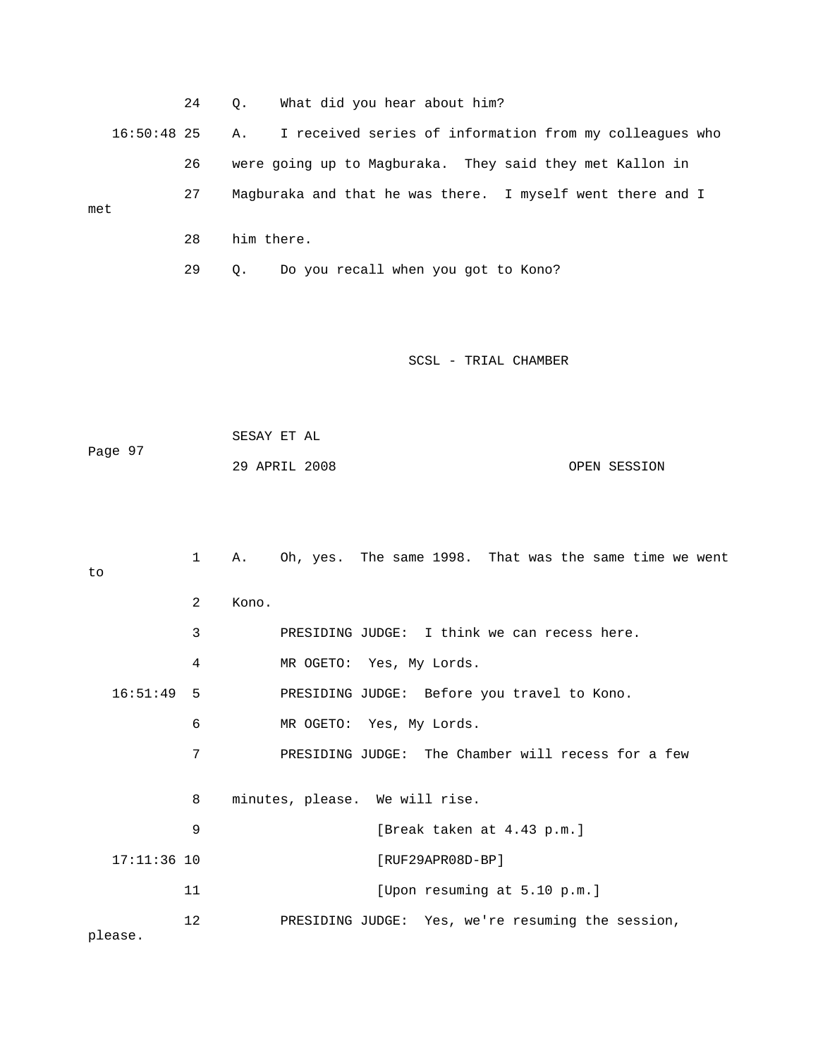|     | 24 | What did you hear about him?<br>0.                                     |
|-----|----|------------------------------------------------------------------------|
|     |    | 16:50:48 25 A. I received series of information from my colleagues who |
|     | 26 | were going up to Magburaka. They said they met Kallon in               |
| met | 27 | Magburaka and that he was there. I myself went there and I             |
|     | 28 | him there.                                                             |
|     | 29 | Do you recall when you got to Kono?<br>Ο.                              |

| Page 97 | SESAY ET AL   |              |
|---------|---------------|--------------|
|         | 29 APRIL 2008 | OPEN SESSION |

| to           |               | $\mathbf{1}$  | Α.                                                 | Oh, yes. The same 1998. That was the same time we went |
|--------------|---------------|---------------|----------------------------------------------------|--------------------------------------------------------|
|              |               | $\mathcal{L}$ | Kono.                                              |                                                        |
|              |               | 3             |                                                    | PRESIDING JUDGE: I think we can recess here.           |
|              |               | 4             |                                                    | MR OGETO: Yes, My Lords.                               |
| $16:51:49$ 5 |               |               | PRESIDING JUDGE: Before you travel to Kono.        |                                                        |
|              | 6             |               | MR OGETO: Yes, My Lords.                           |                                                        |
|              | 7             |               | PRESIDING JUDGE: The Chamber will recess for a few |                                                        |
|              |               | 8             |                                                    | minutes, please. We will rise.                         |
|              |               | 9             |                                                    | [Break taken at 4.43 p.m.]                             |
|              | $17:11:36$ 10 |               |                                                    | $[RUF29APR08D-BP]$                                     |
|              |               | 11            |                                                    | [Upon resuming at 5.10 p.m.]                           |
| please.      |               | 12            |                                                    | PRESIDING JUDGE: Yes, we're resuming the session,      |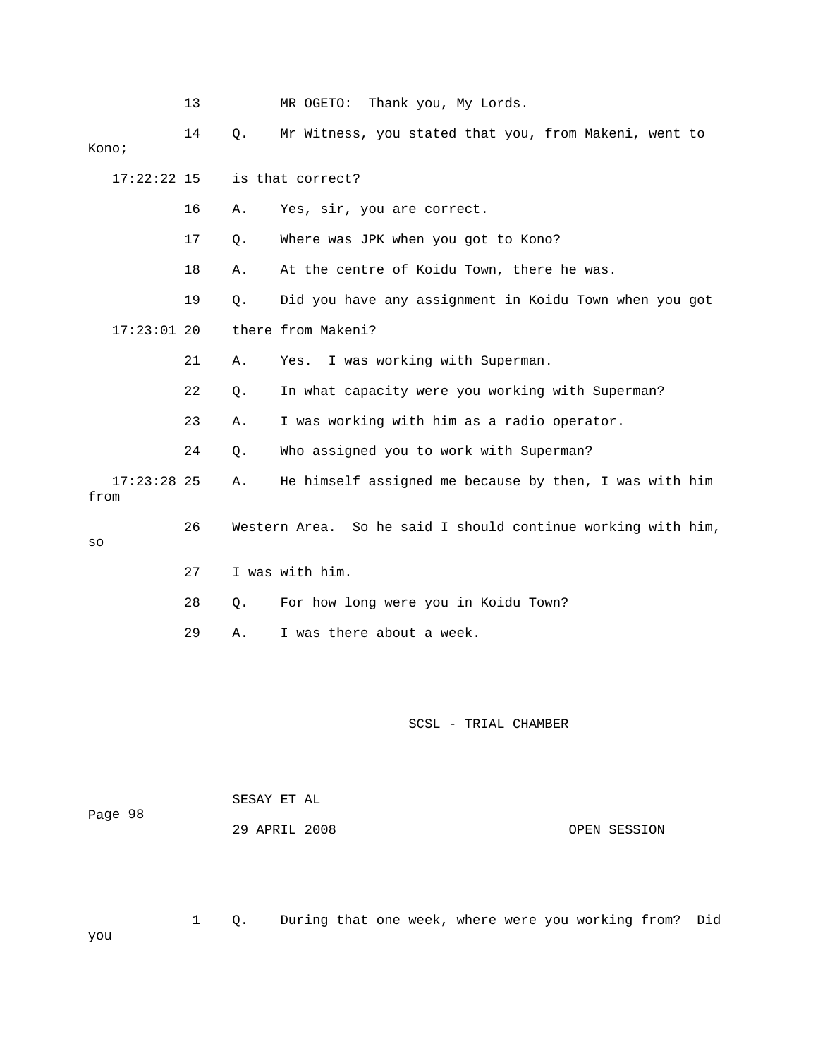|      |               | 13 |    | MR OGETO:<br>Thank you, My Lords.                            |
|------|---------------|----|----|--------------------------------------------------------------|
|      | Kono;         | 14 | Q. | Mr Witness, you stated that you, from Makeni, went to        |
|      | 17:22:22 15   |    |    | is that correct?                                             |
|      |               | 16 | Α. | Yes, sir, you are correct.                                   |
|      |               | 17 | Q. | Where was JPK when you got to Kono?                          |
|      |               | 18 | Α. | At the centre of Koidu Town, there he was.                   |
|      |               | 19 | Q. | Did you have any assignment in Koidu Town when you got       |
|      | $17:23:01$ 20 |    |    | there from Makeni?                                           |
|      |               | 21 | Α. | I was working with Superman.<br>Yes.                         |
|      |               | 22 | Q. | In what capacity were you working with Superman?             |
|      |               | 23 | Α. | I was working with him as a radio operator.                  |
|      |               | 24 | Q. | Who assigned you to work with Superman?                      |
| from | $17:23:28$ 25 |    | Α. | He himself assigned me because by then, I was with him       |
| SO   |               | 26 |    | Western Area. So he said I should continue working with him, |
|      |               | 27 |    | I was with him.                                              |
|      |               | 28 | Q. | For how long were you in Koidu Town?                         |
|      |               | 29 | Α. | I was there about a week.                                    |
|      |               |    |    |                                                              |
|      |               |    |    |                                                              |
|      |               |    |    | SCSL - TRIAL CHAMBER                                         |

1 Q. During that one week, where were you working from? Did

|         |  | SESAY ET AL |               |
|---------|--|-------------|---------------|
| Page 98 |  |             |               |
|         |  |             | 29 APRIL 2008 |

OPEN SESSION

you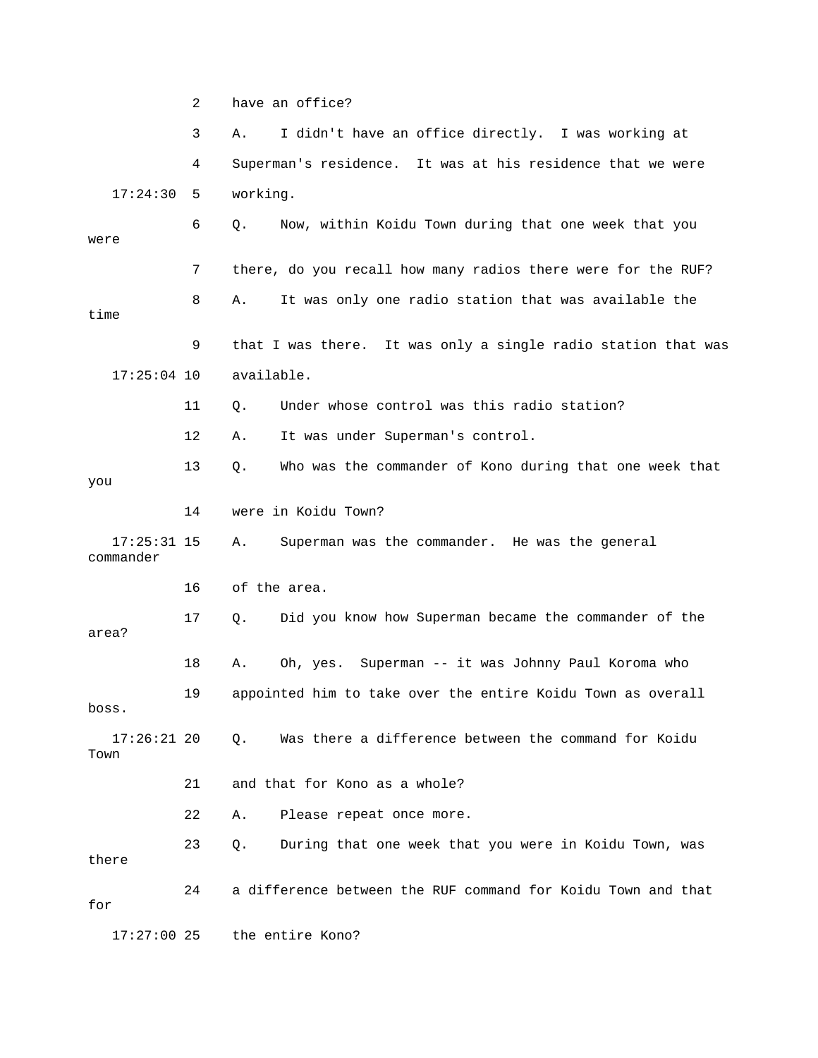2 have an office? 3 A. I didn't have an office directly. I was working at 6 Q. Now, within Koidu Town during that one week that you were 7 there, do you recall how many radios there were for the RUF? 8 A. It was only one radio station that was available the time 9 that I was there. It was only a single radio station that was 17:25:04 10 available. 11 Q. Under whose control was this radio station? 13 Q. Who was the commander of Kono during that one week that 14 were in Koidu Town? A. Superman was the commander. He was the general commander 16 of the area. 17 Q. Did you know how Superman became the commander of the 18 A. Oh, yes. Superman -- it was Johnny Paul Koroma who 17:26:21 20 Q. Was there a difference between the command for Koidu 21 and that for Kono as a whole? 22 A. Please repeat once more. 24 a difference between the RUF command for Koidu Town and that 4 Superman's residence. It was at his residence that we were 17:24:30 5 working. 12 A. It was under Superman's control. you  $17:25:31$  15 area? 19 appointed him to take over the entire Koidu Town as overall boss. Town 23 Q. During that one week that you were in Koidu Town, was there for 17:27:00 25 the entire Kono?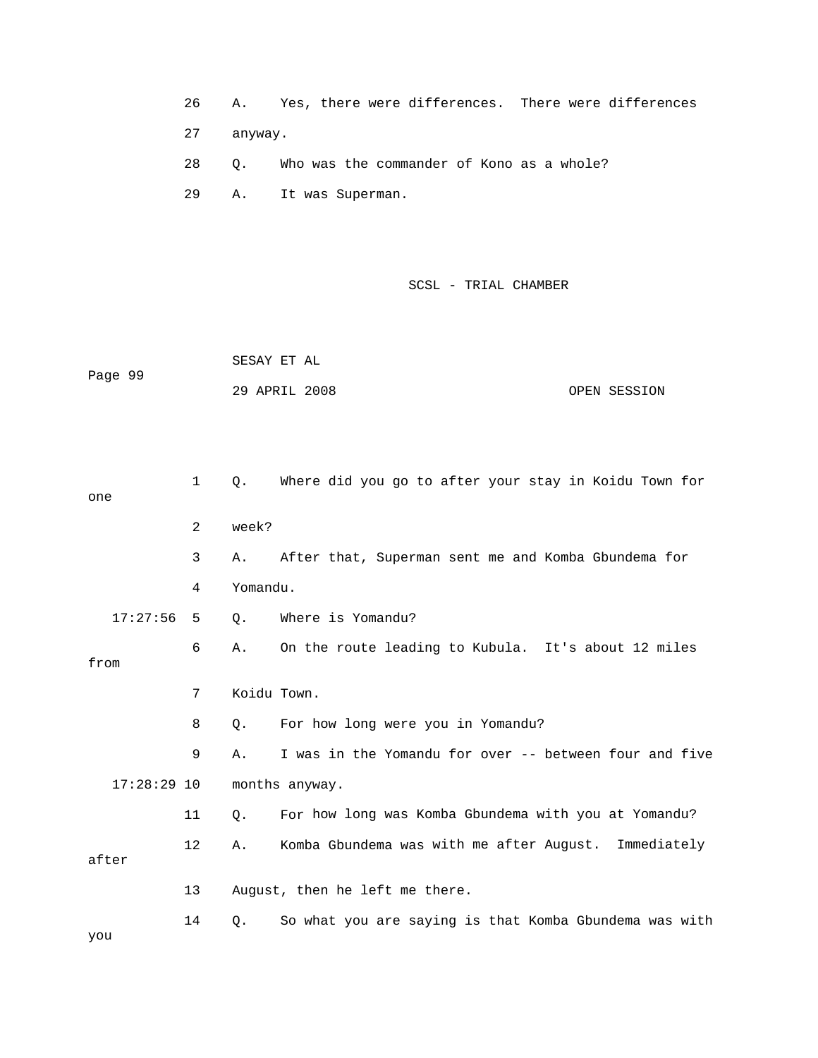|  |  |  |  |  |  | Yes, there were differences. There were differences |
|--|--|--|--|--|--|-----------------------------------------------------|
|--|--|--|--|--|--|-----------------------------------------------------|

27 anyway.

28 Q. Who was the commander of Kono as a whole?

29 A. It was Superman.

SCSL - TRIAL CHAMBER

SESAY ET AL Page 99 OPEN SESSION 29 APRIL 2008

| one           | $\mathbf{1}$ | О.       | Where did you go to after your stay in Koidu Town for  |
|---------------|--------------|----------|--------------------------------------------------------|
|               | 2            | week?    |                                                        |
|               | 3            | Α.       | After that, Superman sent me and Komba Gbundema for    |
|               | 4            | Yomandu. |                                                        |
| 17:27:56      | 5            | Q.       | Where is Yomandu?                                      |
| from          | 6            | Α.       | On the route leading to Kubula. It's about 12 miles    |
|               | 7            |          | Koidu Town.                                            |
|               | 8            | 0.       | For how long were you in Yomandu?                      |
|               | 9            | Α.       | I was in the Yomandu for over -- between four and five |
| $17:28:29$ 10 |              |          | months anyway.                                         |
|               | 11           | $Q$ .    | For how long was Komba Gbundema with you at Yomandu?   |
| after         | $12 \,$      | Α.       | Komba Gbundema was with me after August. Immediately   |
|               |              |          |                                                        |
|               | 13           |          | August, then he left me there.                         |
| you           | 14           | Q.       | So what you are saying is that Komba Gbundema was with |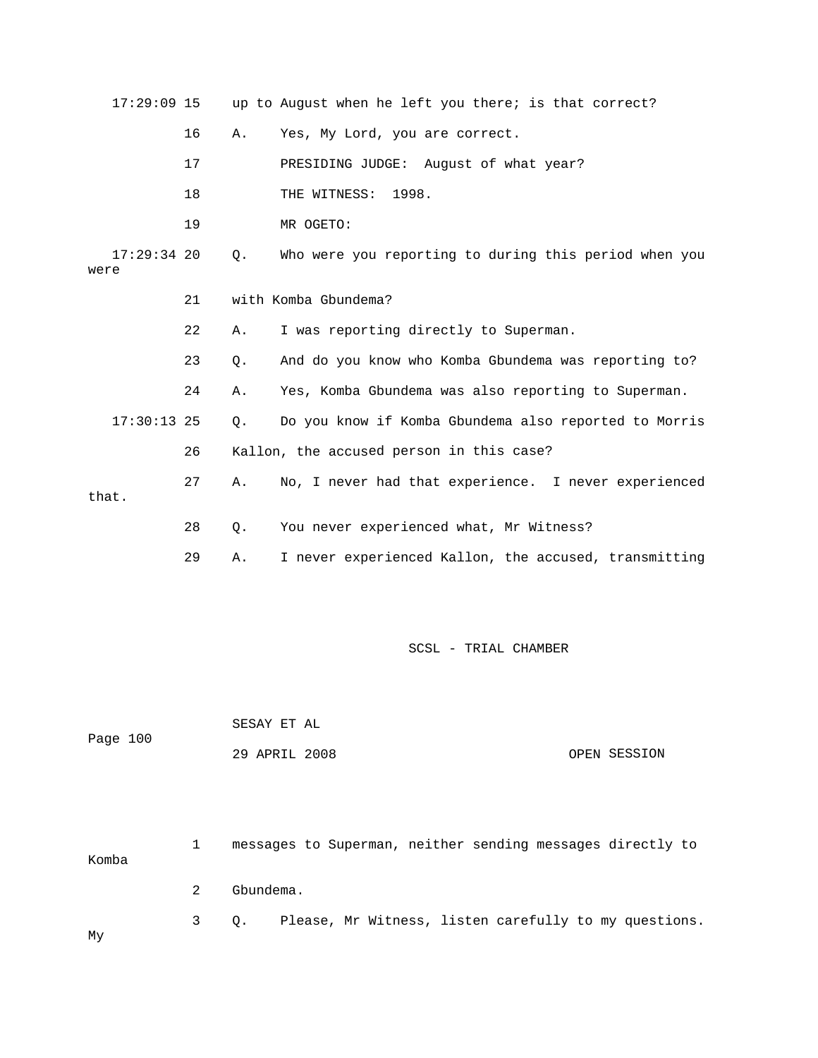| $17:29:09$ 15         |    |           | up to August when he left you there; is that correct? |
|-----------------------|----|-----------|-------------------------------------------------------|
|                       | 16 | Α.        | Yes, My Lord, you are correct.                        |
|                       | 17 |           | PRESIDING JUDGE: August of what year?                 |
|                       | 18 |           | THE WITNESS:<br>1998.                                 |
|                       | 19 |           | MR OGETO:                                             |
| $17:29:34$ 20<br>were |    | Q.        | Who were you reporting to during this period when you |
|                       | 21 |           | with Komba Gbundema?                                  |
|                       | 22 | Α.        | I was reporting directly to Superman.                 |
|                       | 23 | $\circ$ . | And do you know who Komba Gbundema was reporting to?  |
|                       | 24 | Α.        | Yes, Komba Gbundema was also reporting to Superman.   |
| $17:30:13$ 25         |    | $Q$ .     | Do you know if Komba Gbundema also reported to Morris |
|                       | 26 |           | Kallon, the accused person in this case?              |
| that.                 | 27 | Α.        | No, I never had that experience. I never experienced  |
|                       | 28 | Q.        | You never experienced what, Mr Witness?               |
|                       | 29 | Α.        | I never experienced Kallon, the accused, transmitting |
|                       |    |           |                                                       |

 SESAY ET AL ge 100 OPEN SESSION Pa 29 APRIL 2008

 1 messages to Superman, neither sending messages directly to Komba 3 Q. Please, Mr Witness, listen carefully to my questions. 2 Gbundema. My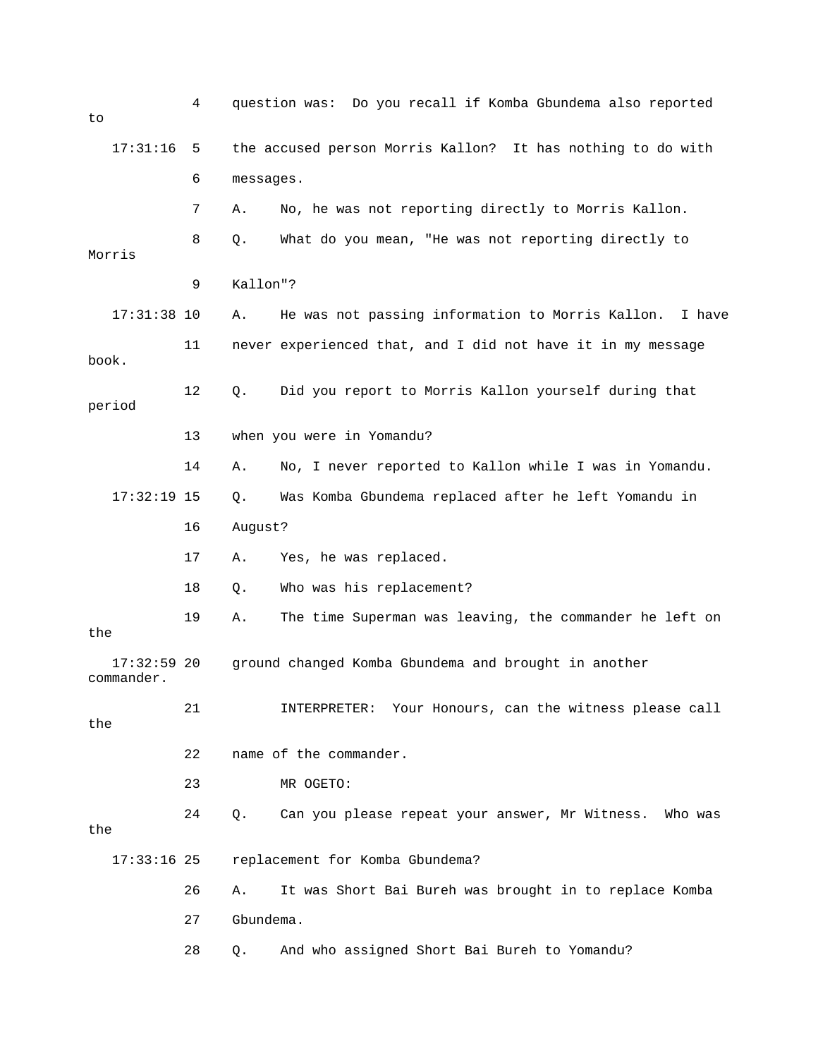| to                          | 4  |           | question was: Do you recall if Komba Gbundema also reported |
|-----------------------------|----|-----------|-------------------------------------------------------------|
| 17:31:16                    | 5  |           | the accused person Morris Kallon? It has nothing to do with |
|                             | 6  | messages. |                                                             |
|                             | 7  | Α.        | No, he was not reporting directly to Morris Kallon.         |
| Morris                      | 8  | Q.        | What do you mean, "He was not reporting directly to         |
|                             | 9  | Kallon"?  |                                                             |
| $17:31:38$ 10               |    | Α.        | He was not passing information to Morris Kallon.<br>I have  |
|                             | 11 |           | never experienced that, and I did not have it in my message |
| book.                       |    |           |                                                             |
| period                      | 12 | Q.        | Did you report to Morris Kallon yourself during that        |
|                             | 13 |           | when you were in Yomandu?                                   |
|                             | 14 | Α.        | No, I never reported to Kallon while I was in Yomandu.      |
| $17:32:19$ 15               |    | Q.        | Was Komba Gbundema replaced after he left Yomandu in        |
|                             | 16 | August?   |                                                             |
|                             | 17 | Α.        | Yes, he was replaced.                                       |
|                             | 18 | Q.        | Who was his replacement?                                    |
| the                         | 19 | Α.        | The time Superman was leaving, the commander he left on     |
| $17:32:59$ 20<br>commander. |    |           | ground changed Komba Gbundema and brought in another        |
| the                         | 21 |           | INTERPRETER: Your Honours, can the witness please call      |
|                             | 22 |           | name of the commander.                                      |
|                             | 23 |           | MR OGETO:                                                   |
| the                         | 24 | Q.        | Can you please repeat your answer, Mr Witness. Who was      |
| $17:33:16$ 25               |    |           | replacement for Komba Gbundema?                             |
|                             | 26 | Α.        | It was Short Bai Bureh was brought in to replace Komba      |
|                             | 27 | Gbundema. |                                                             |
|                             | 28 | Q.        | And who assigned Short Bai Bureh to Yomandu?                |
|                             |    |           |                                                             |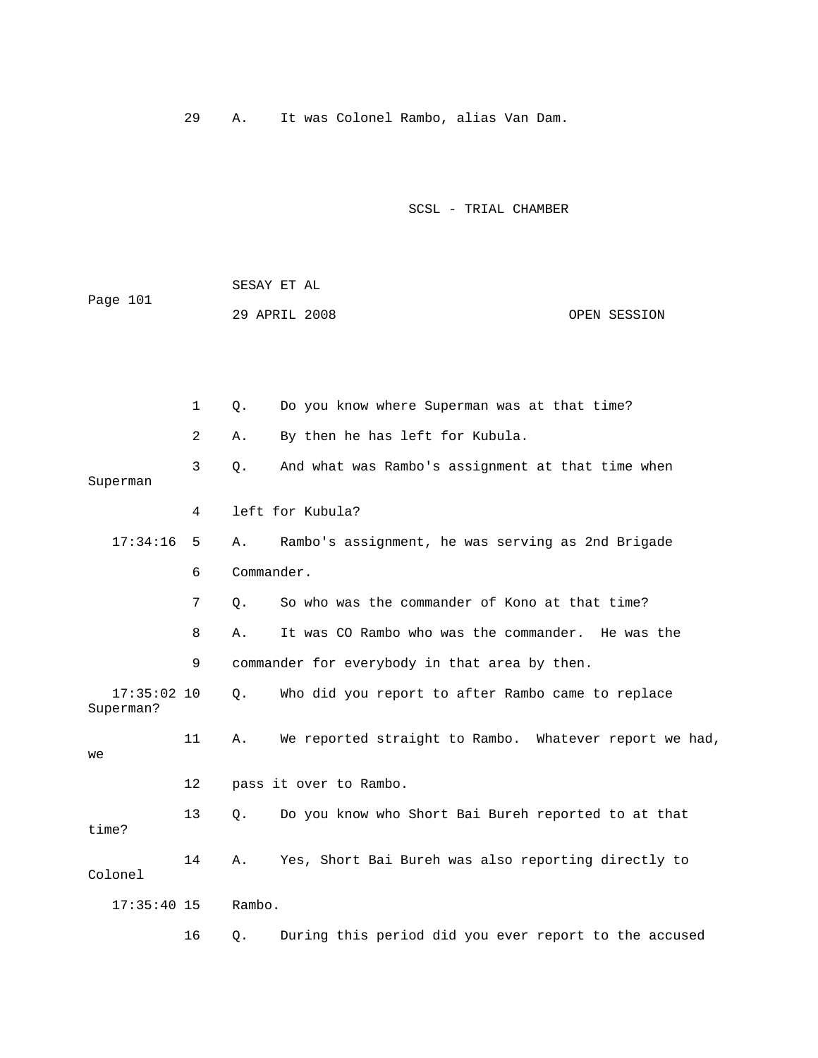29 A. It was Colonel Rambo, alias Van Dam.

|          | SESAY ET AL   |  |              |
|----------|---------------|--|--------------|
| Page 101 |               |  |              |
|          | 29 APRIL 2008 |  | OPEN SESSION |

|                            | 1  | Q.         | Do you know where Superman was at that time?           |
|----------------------------|----|------------|--------------------------------------------------------|
|                            | 2  | Α.         | By then he has left for Kubula.                        |
| Superman                   | 3  | $\circ$ .  | And what was Rambo's assignment at that time when      |
|                            | 4  |            | left for Kubula?                                       |
| 17:34:16                   | 5  | Α.         | Rambo's assignment, he was serving as 2nd Brigade      |
|                            | 6  | Commander. |                                                        |
|                            | 7  | Q.         | So who was the commander of Kono at that time?         |
|                            | 8  | Α.         | It was CO Rambo who was the commander. He was the      |
|                            | 9  |            | commander for everybody in that area by then.          |
| $17:35:02$ 10<br>Superman? |    | $\circ$ .  | Who did you report to after Rambo came to replace      |
| we                         | 11 | Α.         | We reported straight to Rambo. Whatever report we had, |
|                            | 12 |            | pass it over to Rambo.                                 |
| time?                      | 13 | О.         | Do you know who Short Bai Bureh reported to at that    |
| Colonel                    | 14 | Α.         | Yes, Short Bai Bureh was also reporting directly to    |
| $17:35:40$ 15              |    | Rambo.     |                                                        |
|                            | 16 | Q.         | During this period did you ever report to the accused  |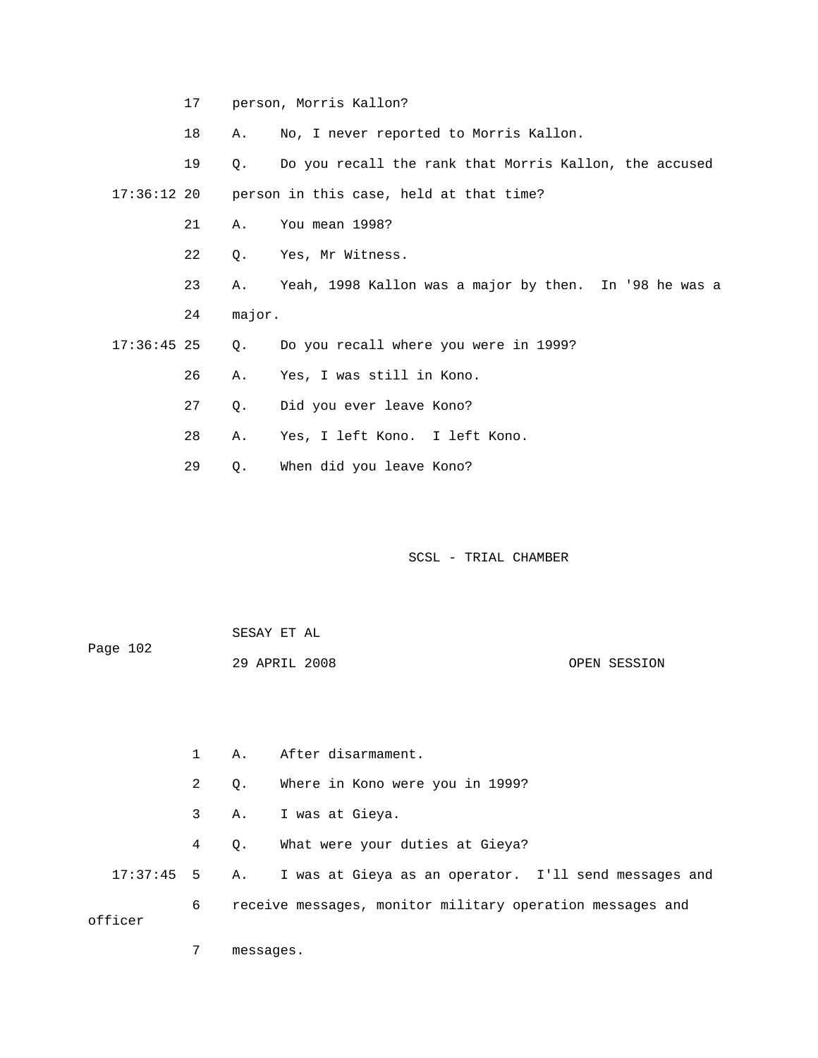17 person, Morris Kallon?

18 A. No, I never reported to Morris Kallon.

19 Q. Do you recall the rank that Morris Kallon, the accused

17:36:12 20 person in this case, held at that time?

- 21 A. You mean 1998?
- 22 Q. Yes, Mr Witness.
- 23 A. Yeah, 1998 Kallon was a major by then. In '98 he was a 24 major.
- 17:36:45 25 Q. Do you recall where you were in 1999?
- 26 A. Yes, I was still in Kono.
	- 27 Q. Did you ever leave Kono?
	- 28 A. Yes, I left Kono. I left Kono.
	- 29 Q. When did you leave Kono?

SCSL - TRIAL CHAMBER

| Page 102 | SESAY ET AL   |  |              |
|----------|---------------|--|--------------|
|          | 29 APRIL 2008 |  | OPEN SESSION |

|         |              | 1 A. After disarmament.                                             |
|---------|--------------|---------------------------------------------------------------------|
|         | $\mathbf{2}$ | 0. Where in Kono were you in 1999?                                  |
|         |              | 3 A. I was at Gieya.                                                |
|         |              | 4 Q. What were your duties at Gieya?                                |
|         |              | 17:37:45 5 A. I was at Gieya as an operator. I'll send messages and |
| officer | 6            | receive messages, monitor military operation messages and           |

7 messages.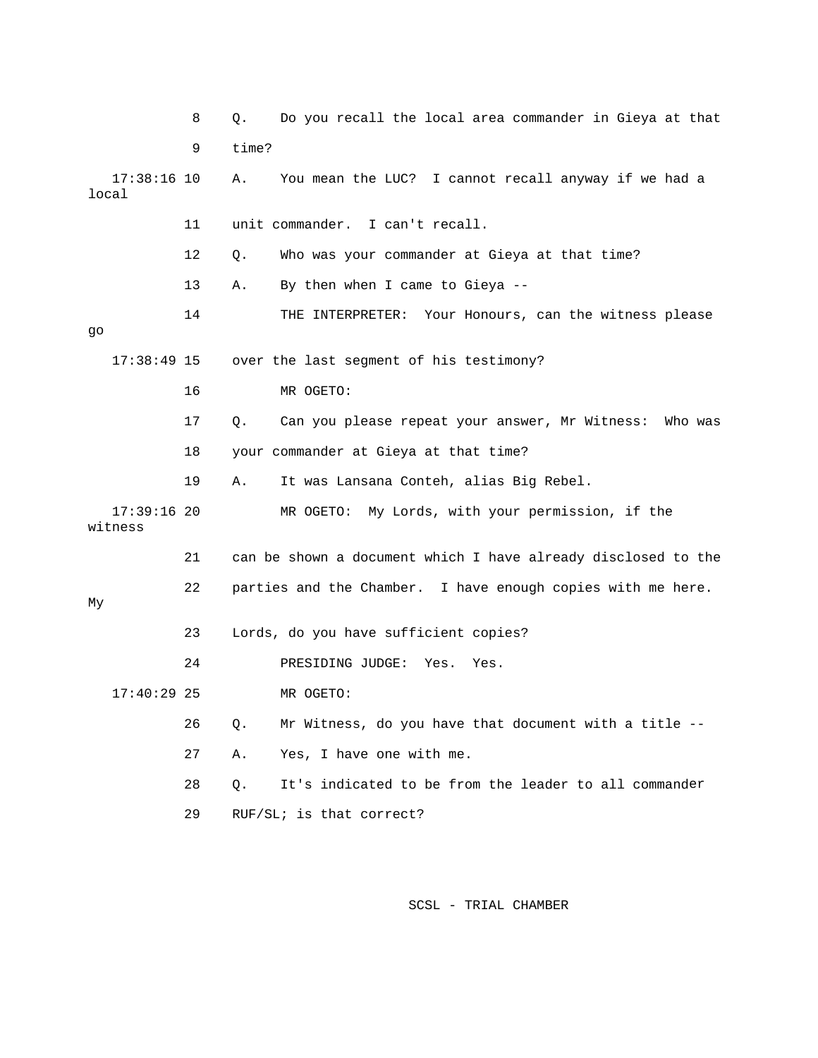|         |               | 8  | Q.    | Do you recall the local area commander in Gieya at that       |
|---------|---------------|----|-------|---------------------------------------------------------------|
|         |               | 9  | time? |                                                               |
| local   | $17:38:16$ 10 |    | Α.    | You mean the LUC? I cannot recall anyway if we had a          |
|         |               | 11 |       | unit commander. I can't recall.                               |
|         |               | 12 | Q.    | Who was your commander at Gieya at that time?                 |
|         |               | 13 | Α.    | By then when I came to Gieya --                               |
| go      |               | 14 |       | THE INTERPRETER: Your Honours, can the witness please         |
|         | $17:38:49$ 15 |    |       | over the last segment of his testimony?                       |
|         |               | 16 |       | MR OGETO:                                                     |
|         |               | 17 | Q.    | Can you please repeat your answer, Mr Witness: Who was        |
|         |               | 18 |       | your commander at Gieya at that time?                         |
|         |               | 19 | Α.    | It was Lansana Conteh, alias Big Rebel.                       |
| witness | $17:39:16$ 20 |    |       | MR OGETO: My Lords, with your permission, if the              |
|         |               | 21 |       | can be shown a document which I have already disclosed to the |
| Мy      |               | 22 |       | parties and the Chamber. I have enough copies with me here.   |
|         |               | 23 |       | Lords, do you have sufficient copies?                         |
|         |               | 24 |       | PRESIDING JUDGE: Yes.<br>Yes.                                 |
|         | $17:40:29$ 25 |    |       | MR OGETO:                                                     |
|         |               | 26 | Q.    | Mr Witness, do you have that document with a title --         |
|         |               | 27 | Α.    | Yes, I have one with me.                                      |
|         |               | 28 | Q.    | It's indicated to be from the leader to all commander         |
|         |               | 29 |       | $RUF/SLi$ is that correct?                                    |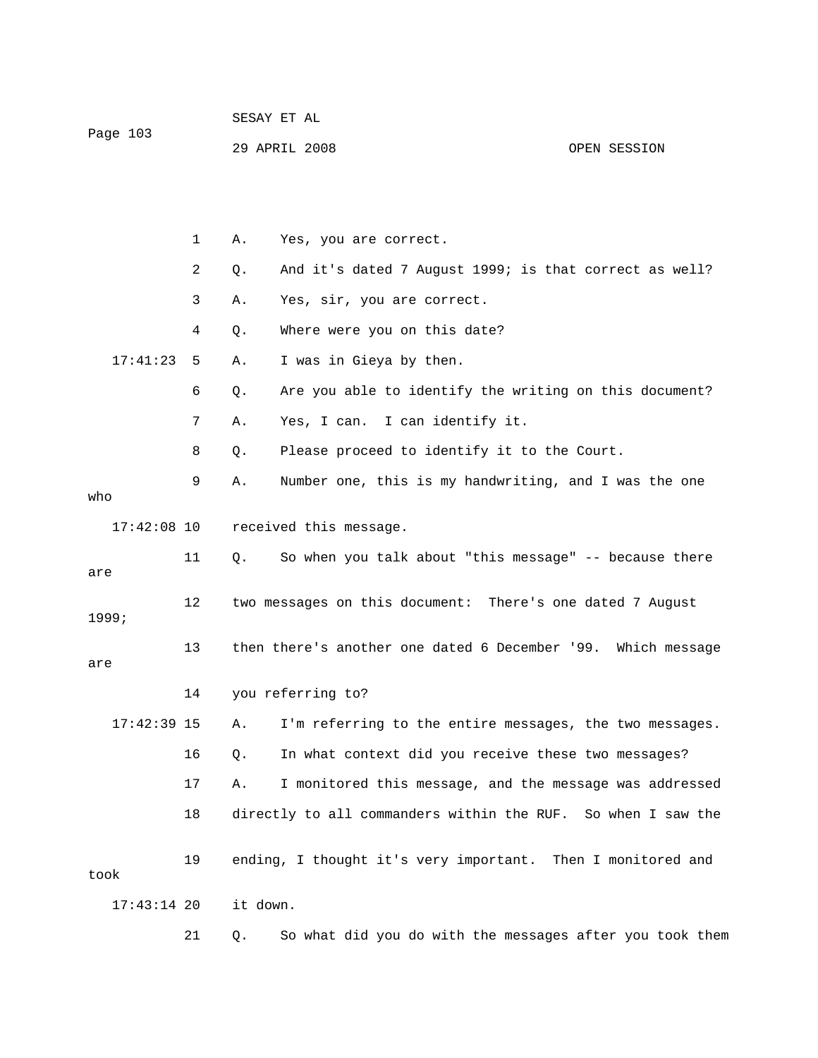| Page 103      |    |          | 29 APRIL 2008                                                | OPEN SESSION |
|---------------|----|----------|--------------------------------------------------------------|--------------|
|               |    |          |                                                              |              |
|               | 1  | Α.       | Yes, you are correct.                                        |              |
|               | 2  | Q.       | And it's dated 7 August 1999; is that correct as well?       |              |
|               | 3  | Α.       | Yes, sir, you are correct.                                   |              |
|               | 4  | Q.       | Where were you on this date?                                 |              |
| 17:41:23      | 5  | Α.       | I was in Gieya by then.                                      |              |
|               | 6  | Q.       | Are you able to identify the writing on this document?       |              |
|               | 7  | Α.       | Yes, I can. I can identify it.                               |              |
|               | 8  | Q.       | Please proceed to identify it to the Court.                  |              |
| who           | 9  | Α.       | Number one, this is my handwriting, and I was the one        |              |
| $17:42:08$ 10 |    |          | received this message.                                       |              |
| are           | 11 | Q.       | So when you talk about "this message" -- because there       |              |
| 1999;         | 12 |          | two messages on this document: There's one dated 7 August    |              |
| are           | 13 |          | then there's another one dated 6 December '99. Which message |              |
|               | 14 |          | you referring to?                                            |              |
| 17:42:39 15   |    |          | A. I'm referring to the entire messages, the two messages.   |              |
|               | 16 | Q.       | In what context did you receive these two messages?          |              |
|               | 17 | Α.       | I monitored this message, and the message was addressed      |              |
|               | 18 |          | directly to all commanders within the RUF. So when I saw the |              |
| took          | 19 |          | ending, I thought it's very important. Then I monitored and  |              |
| $17:43:14$ 20 |    | it down. |                                                              |              |
|               | 21 | Q.       | So what did you do with the messages after you took them     |              |

SESAY ET AL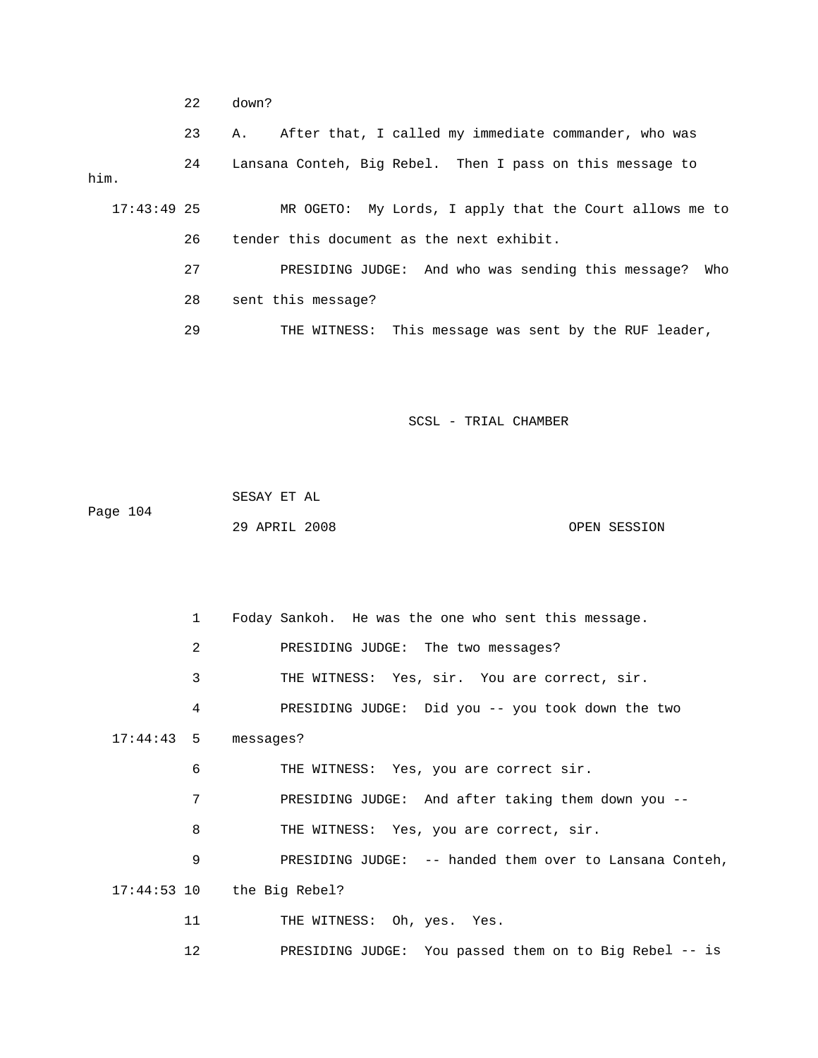22 down?

 23 A. After that, I called my immediate commander, who was 24 Lansana Conteh, Big Rebel. Then I pass on this message to him.

 26 tender this document as the next exhibit. 17:43:49 25 MR OGETO: My Lords, I apply that the Court allows me to

28 sent this message? 27 PRESIDING JUDGE: And who was sending this message? Who

29 THE WITNESS: This message was sent by the RUF leader,

SCSL - TRIAL CHAMBER

 SESAY ET AL OPEN SESSION Page 104 29 APRIL 2008

 2 PRESIDING JUDGE: The two messages? 3 THE WITNESS: Yes, sir. You are correct, sir. 4 PRESIDING JUDGE: Did you -- you took down the two 17:44:43 5 messages? 7 The PRESIDING JUDGE: And after taking them down you --8 THE WITNESS: Yes, you are correct, sir. 9 PRESIDING JUDGE: -- handed them over to Lansana Conteh, 1 Foday Sankoh. He was the one who sent this message. 6 THE WITNESS: Yes, you are correct sir. 17:44:53 10 the Big Rebel? 11 THE WITNESS: Oh, yes. Yes.

12 PRESIDING JUDGE: You passed them on to Big Rebel -- is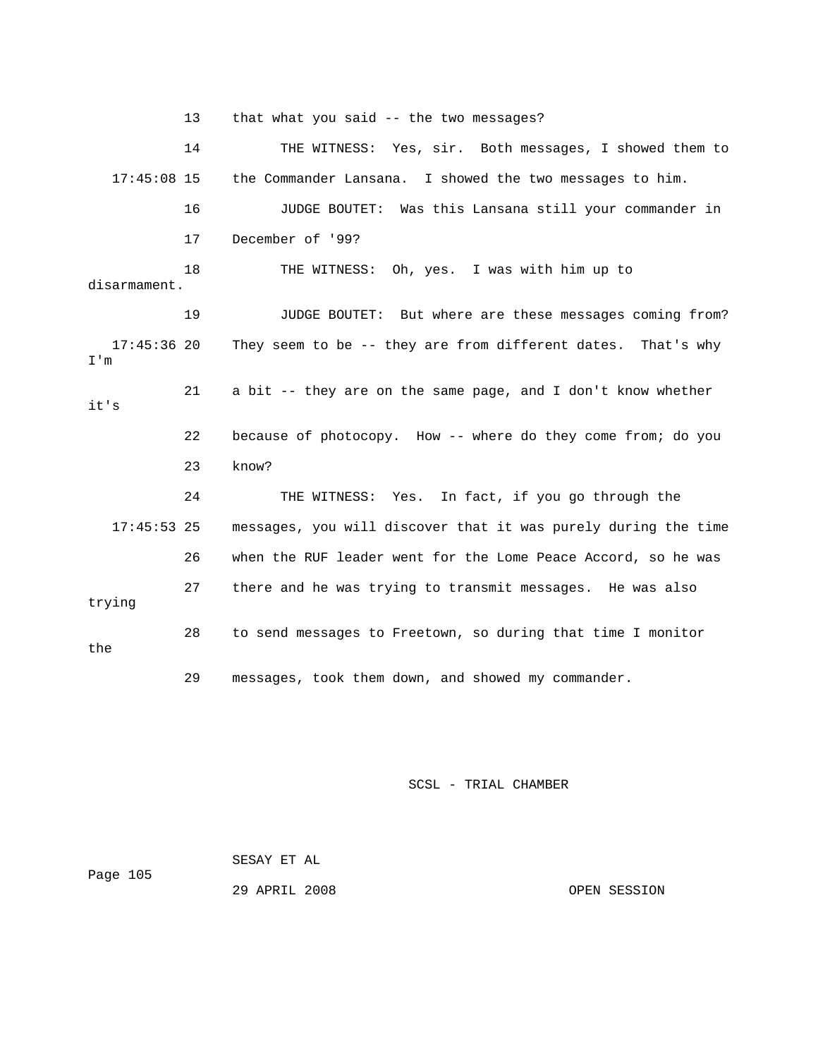13 that what you said -- the two messages?

 14 THE WITNESS: Yes, sir. Both messages, I showed them to 17:45:08 15 the Commander Lansana. I showed the two messages to him. 16 JUDGE BOUTET: Was this Lansana still your commander in disarmament. 19 JUDGE BOUTET: But where are these messages coming from? 21 a bit -- they are on the same page, and I don't know whether it's 22 because of photocopy. How -- where do they come from; do you 23 know? 24 THE WITNESS: Yes. In fact, if you go through the 17:45:53 25 messages, you will discover that it was purely during the time when the RUF leader went for the Lome Peace Accord, so he was 27 there and he was trying to transmit messages. He was also 17 December of '99? 18 THE WITNESS: Oh, yes. I was with him up to 17:45:36 20 They seem to be -- they are from different dates. That's why I'm 26 trying 28 to send messages to Freetown, so during that time I monitor the 29 messages, took them down, and showed my commander.

SCSL - TRIAL CHAMBER

 SESAY ET AL Page 105 29 APRIL 2008 OPEN SESSION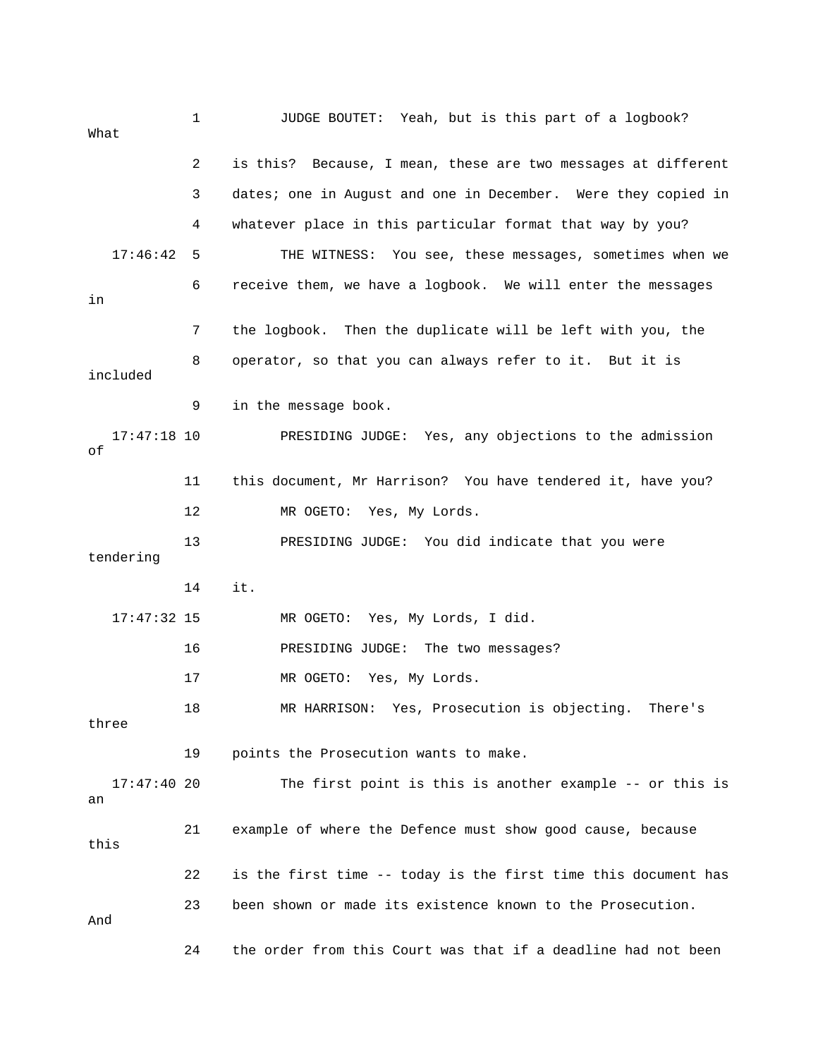1 JUDGE BOUTET: Yeah, but is this part of a logbook? What 2 is this? Because, I mean, these are two messages at different 3 dates; one in August and one in December. Were they copied in 4 whatever place in this particular format that way by you? 17:46:42 5 THE WITNESS: You see, these messages, sometimes when we 7 the logbook. Then the duplicate will be left with you, the 8 operator, so that you can always refer to it. But it is included tendering 14 it. 17 MR OGETO: Yes, My Lords. 18 MR HARRISON: Yes, Prosecution is objecting. There's 19 points the Prosecution wants to make. 17:47:40 20 The first point is this is another example -- or this is 21 example of where the Defence must show good cause, because 22 is the first time -- today is the first time this document has 23 been shown or made its existence known to the Prosecution. And 24 the order from this Court was that if a deadline had not been 6 receive them, we have a logbook. We will enter the messages in 9 in the message book. 17:47:18 10 PRESIDING JUDGE: Yes, any objections to the admission of 11 this document, Mr Harrison? You have tendered it, have you? 12 MR OGETO: Yes, My Lords. 13 PRESIDING JUDGE: You did indicate that you were 17:47:32 15 MR OGETO: Yes, My Lords, I did. 16 PRESIDING JUDGE: The two messages? three an this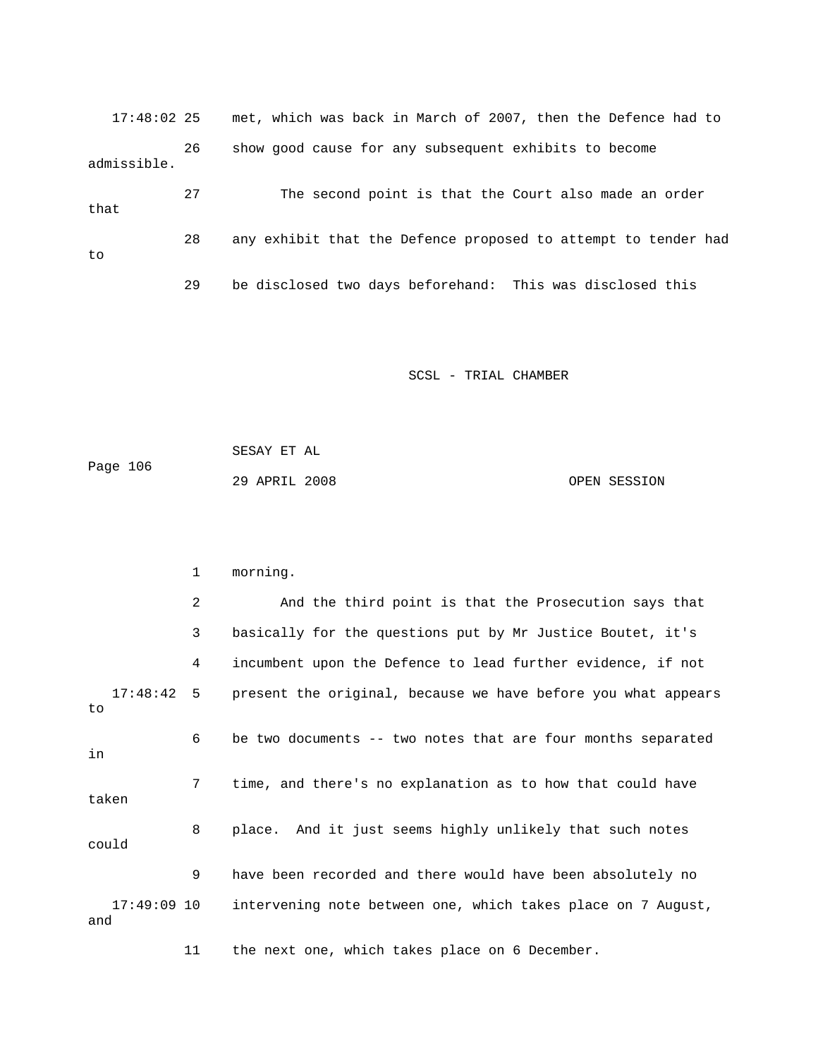17:48:02 25 met, which was back in March of 2007, then the Defence had t o 26 show good cause for any subsequent exhibits to become 27 The second point is that the Court also made an order 28 any exhibit that the Defence proposed to attempt to tender had 29 be disclosed two days beforehand: This was disclosed this admissible. that to

SCSL - TRIAL CHAMBER

 SESAY ET AL Page 106 29 APRIL 2008 OPEN SESSION

 2 And the third point is that the Prosecution says that 3 basically for the questions put by Mr Justice Boutet, it's 4 incumbent upon the Defence to lead further evidence, if not 17:48:42 5 present the original, because we have before you what appears 7 time, and there's no explanation as to how that could have taken 8 place. And it just seems highly unlikely that such notes could 9 have been recorded and there would have been absolutely no , 17:49:09 10 intervening note between one, which takes place on 7 August 11 the next one, which takes place on 6 December. 1 morning. to 6 be two documents -- two notes that are four months separated in and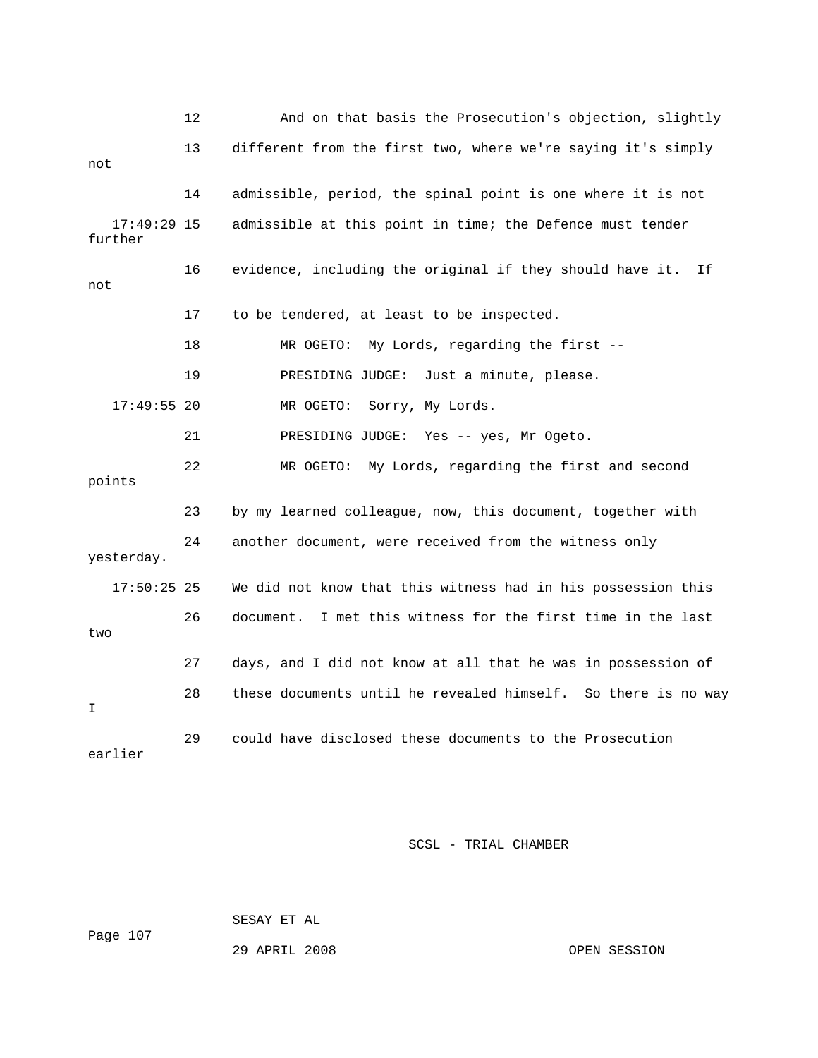|                          | 12 | And on that basis the Prosecution's objection, slightly        |
|--------------------------|----|----------------------------------------------------------------|
| not                      | 13 | different from the first two, where we're saying it's simply   |
|                          | 14 | admissible, period, the spinal point is one where it is not    |
| $17:49:29$ 15<br>further |    | admissible at this point in time; the Defence must tender      |
| not                      | 16 | evidence, including the original if they should have it.<br>Ιf |
|                          | 17 | to be tendered, at least to be inspected.                      |
|                          | 18 | My Lords, regarding the first --<br>MR OGETO:                  |
|                          | 19 | Just a minute, please.<br>PRESIDING JUDGE:                     |
| $17:49:55$ 20            |    | MR OGETO:<br>Sorry, My Lords.                                  |
|                          | 21 | PRESIDING JUDGE: Yes -- yes, Mr Ogeto.                         |
| points                   | 22 | MR OGETO: My Lords, regarding the first and second             |
|                          | 23 | by my learned colleague, now, this document, together with     |
| yesterday.               | 24 | another document, were received from the witness only          |
| $17:50:25$ 25            |    | We did not know that this witness had in his possession this   |
| two                      | 26 | I met this witness for the first time in the last<br>document. |
|                          | 27 | days, and I did not know at all that he was in possession of   |
| I                        | 28 | these documents until he revealed himself. So there is no way  |
| earlier                  | 29 | could have disclosed these documents to the Prosecution        |

SESAY ET AL

Page 107

29 APRIL 2008 OPEN SESSION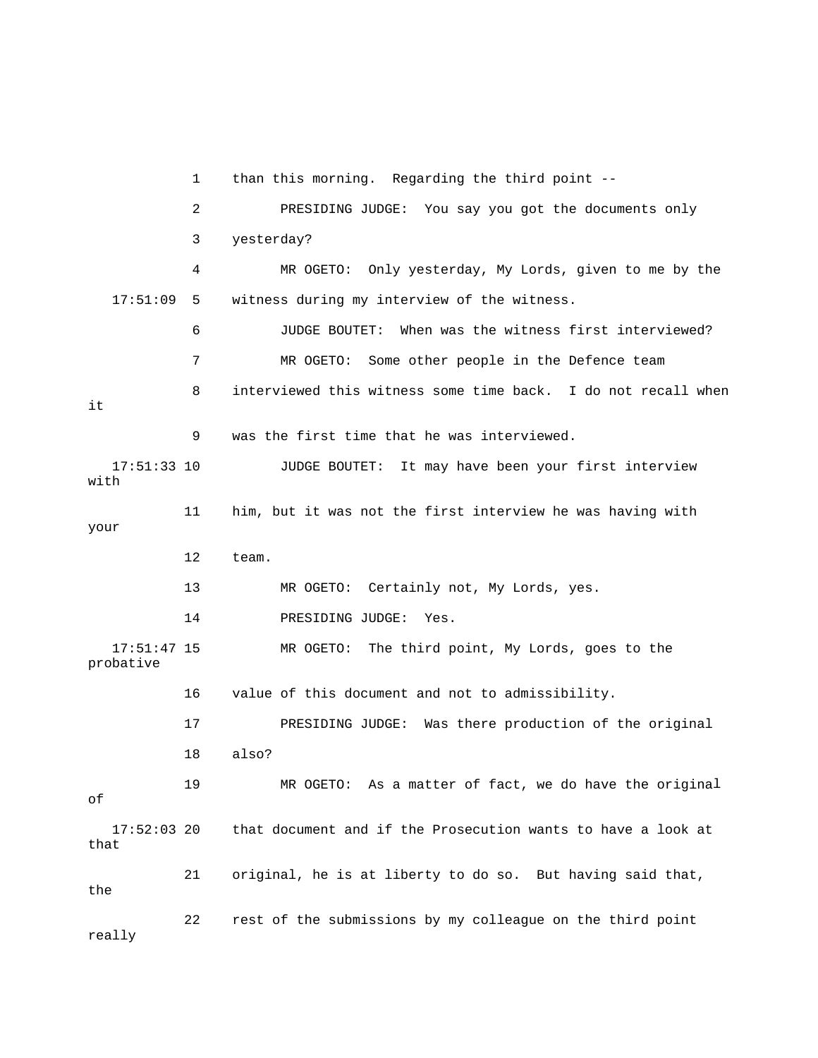1 than this morning. Regarding the third point -- 2 PRESIDING JUDGE: You say you got the documents only 3 yesterday? 4 MR OGETO: Only yesterday, My Lords, given to me by the 6 JUDGE BOUTET: When was the witness first interviewed? 7 MR OGETO: Some other people in the Defence team 8 interviewed this witness some time back. I do not recall when 9 was the first time that he was interviewed. 17:51:33 10 JUDGE BOUTET: It may have been your first interview 11 him, but it was not the first interview he was having with 16 value of this document and not to admissibility. 17 PRESIDING JUDGE: Was there production of the original 19 MR OGETO: As a matter of fact, we do have the original 21 original, he is at liberty to do so. But having said that, 22 rest of the submissions by my colleague on the third point 17:51:09 5 witness during my interview of the witness. it with your 12 team. 13 MR OGETO: Certainly not, My Lords, yes. 14 PRESIDING JUDGE: Yes. 17:51:47 15 MR OGETO: The third point, My Lords, goes to the probative 18 also? of 17:52:03 20 that document and if the Prosecution wants to have a look at that the really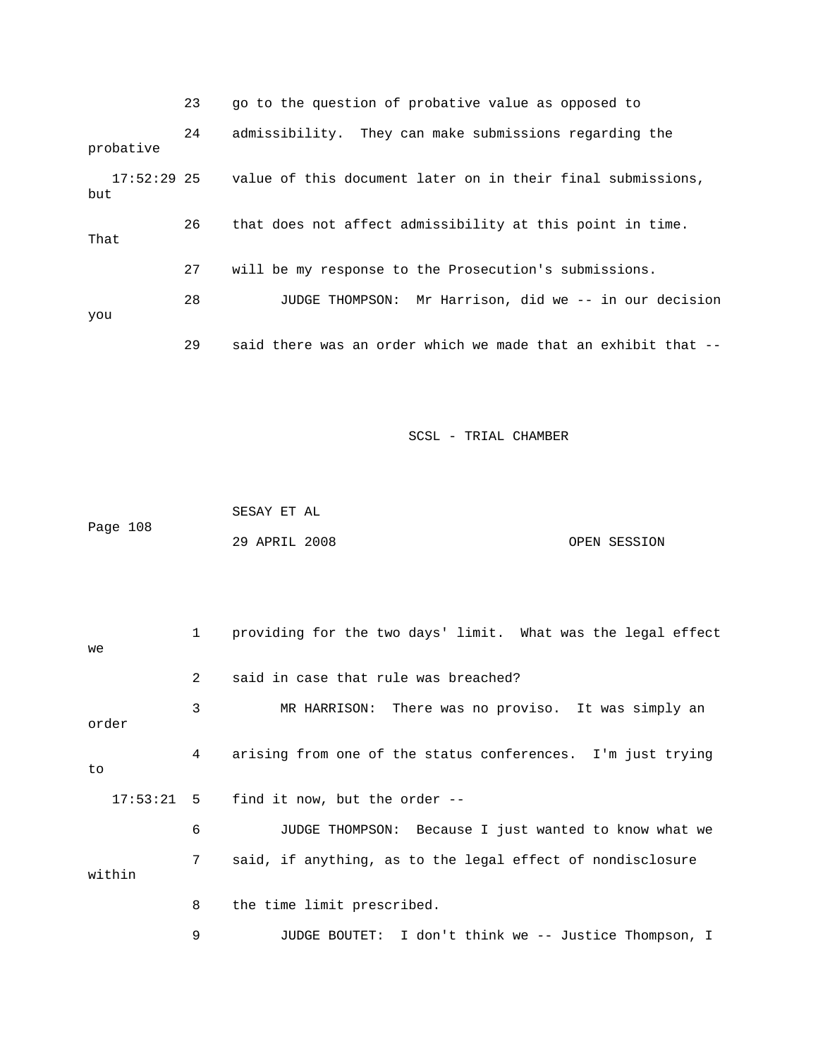|                      | 23 | go to the question of probative value as opposed to           |
|----------------------|----|---------------------------------------------------------------|
| probative            | 24 | admissibility. They can make submissions regarding the        |
| $17:52:29$ 25<br>but |    | value of this document later on in their final submissions,   |
| That                 | 26 | that does not affect admissibility at this point in time.     |
|                      | 27 | will be my response to the Prosecution's submissions.         |
| you                  | 28 | JUDGE THOMPSON: Mr Harrison, did we -- in our decision        |
|                      | 29 | said there was an order which we made that an exhibit that -- |

|          | SESAY ET AL   |  |              |
|----------|---------------|--|--------------|
| Page 108 |               |  |              |
|          | 29 APRIL 2008 |  | OPEN SESSION |

| we           | 1             | providing for the two days' limit. What was the legal effect |
|--------------|---------------|--------------------------------------------------------------|
|              | $\mathcal{L}$ | said in case that rule was breached?                         |
| order        | 3             | MR HARRISON: There was no proviso. It was simply an          |
| to           | 4             | arising from one of the status conferences. I'm just trying  |
| $17:53:21$ 5 |               | find it now, but the order --                                |
|              | 6             | JUDGE THOMPSON: Because I just wanted to know what we        |
| within       | 7             | said, if anything, as to the legal effect of nondisclosure   |
|              | 8             | the time limit prescribed.                                   |
|              | 9             | JUDGE BOUTET: I don't think we -- Justice Thompson, I        |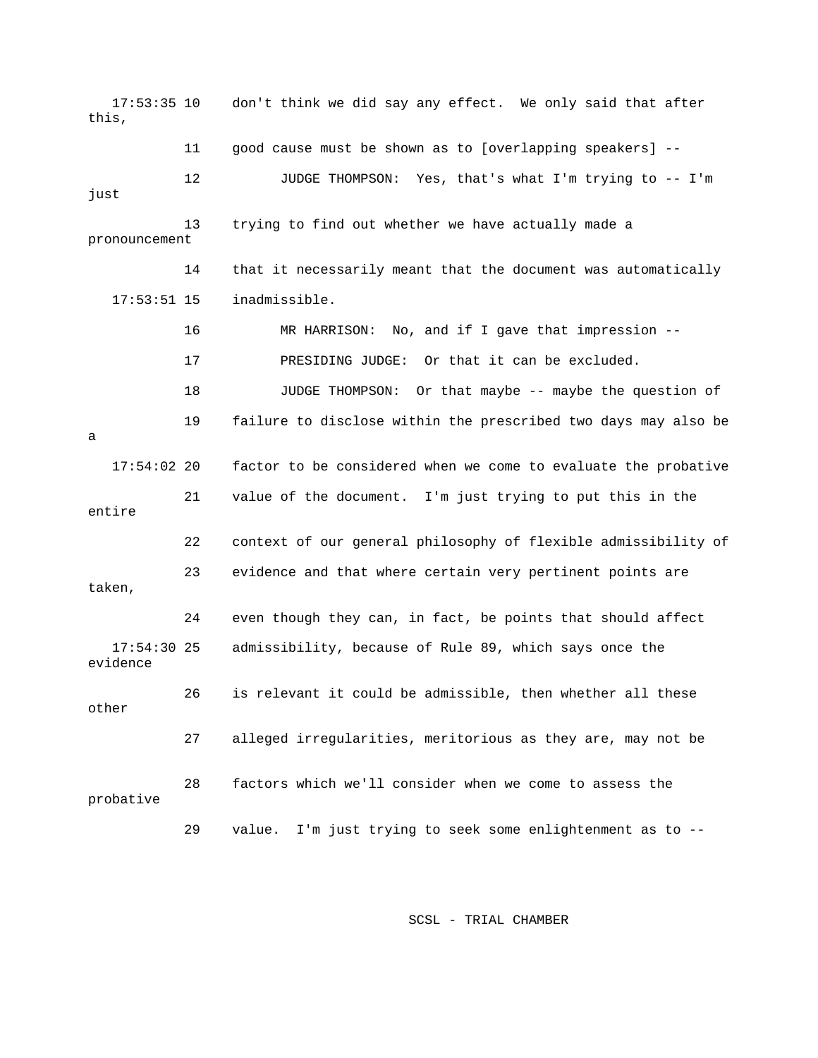17:53:35 10 don't think we did say any effect. We only said that after this, 11 good cause must be shown as to [overlapping speakers] -pronouncement 14 that it necessarily meant that the document was automatically 17 PRESIDING JUDGE: Or that it can be excluded. 19 failure to disclose within the prescribed two days may also be 17:54:02 20 factor to be considered when we come to evaluate the probative 21 value of the document. I'm just trying to put this in the 22 context of our general philosophy of flexible admissibility of 23 evidence and that where certain very pertinent points are taken, 17:54:30 25 admissibility, because of Rule 89, which says once the 26 is relevant it could be admissible, then whether all these 27 alleged irregularities, meritorious as they are, may not be 28 factors which we'll consider when we come to assess the 12 JUDGE THOMPSON: Yes, that's what I'm trying to -- I'm just 13 trying to find out whether we have actually made a 17:53:51 15 inadmissible. 16 MR HARRISON: No, and if I gave that impression -- 18 JUDGE THOMPSON: Or that maybe -- maybe the question of a entire 24 even though they can, in fact, be points that should affect evidence other probative 29 value. I'm just trying to seek some enlightenment as to --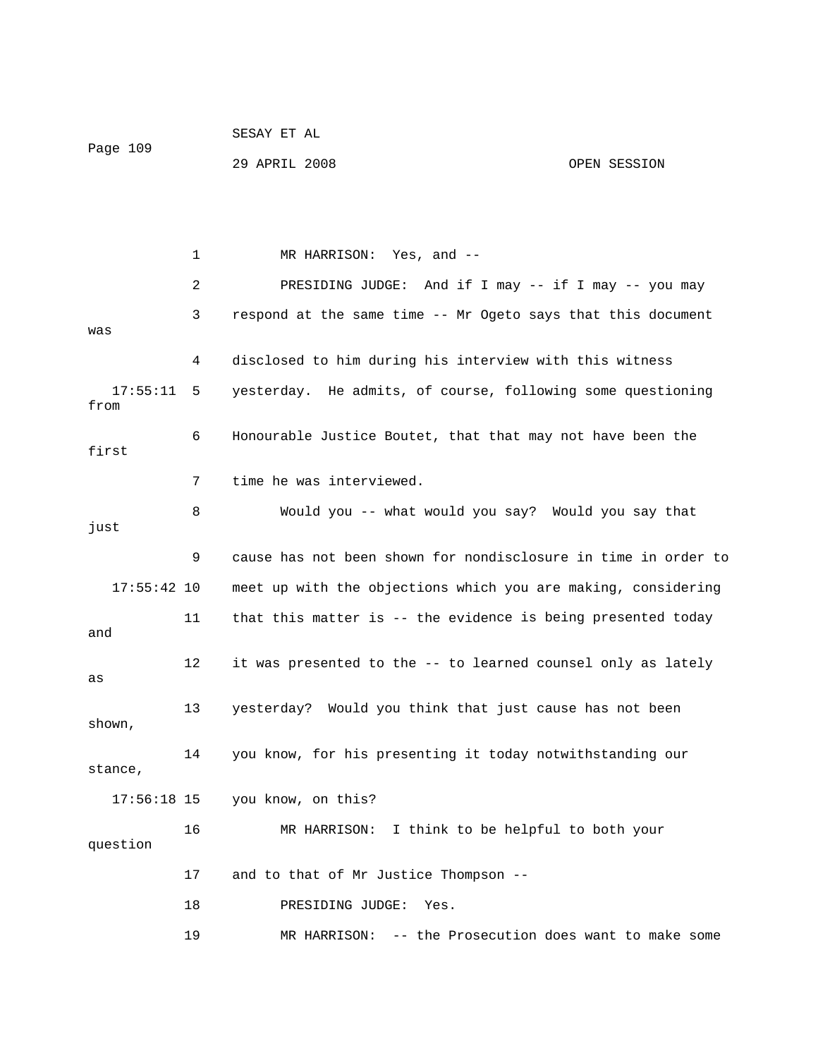| Page 109 | SESAY ET AL   |  |              |
|----------|---------------|--|--------------|
|          | 29 APRIL 2008 |  | OPEN SESSION |

 2 PRESIDING JUDGE: And if I may -- if I may -- you may 3 respond at the same time -- Mr Ogeto says that this document was 4 disclosed to him during his interview with this witness 17:55:11 5 yesterday. He admits, of course, following some questioning from 6 Honourable Justice Boutet, that that may not have been the first 8 Would you -- what would you say? Would you say that just 9 cause has not been shown for nondisclosure in time in order to 17:55:42 10 meet up with the objections which you are making, considering 11 that this matter is -- the evidence is being presented today shown, stance, 16 MR HARRISON: I think to be helpful to both your 17 and to that of Mr Justice Thompson -- 1 MR HARRISON: Yes, and -- 7 time he was interviewed. and 12 it was presented to the -- to learned counsel only as lately as 13 yesterday? Would you think that just cause has not been 14 you know, for his presenting it today notwithstanding our 17:56:18 15 you know, on this? question 18 PRESIDING JUDGE: Yes. 19 MR HARRISON: -- the Prosecution does want to make some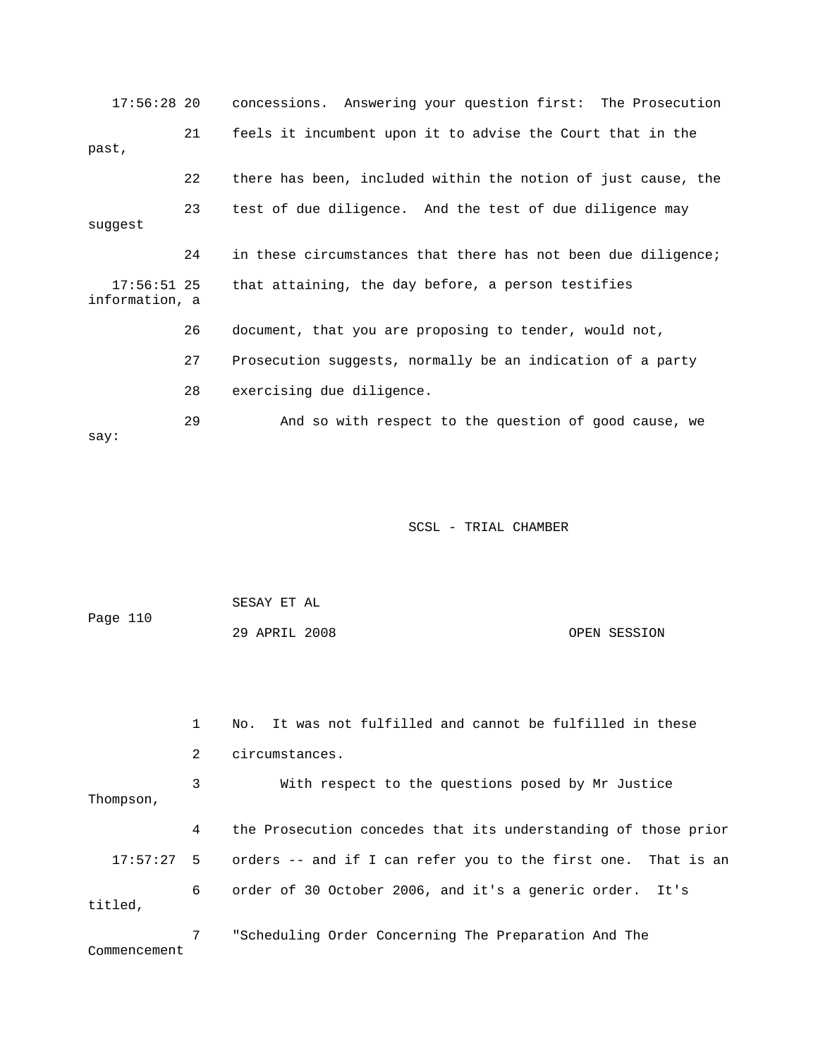17:56:28 20 concessions. Answering your question first: The Prosecution 21 feels it incumbent upon it to advise the Court that in the 22 there has been, included within the notion of just cause, the 23 test of due diligence. And the test of due diligence may suggest 24 in these circumstances that there has not been due diligence; 17:56:51 25 that attaining, the day before, a person testifies 26 document, that you are proposing to tender, would not, 27 Prosecution suggests, normally be an indication of a party past, information, a 28 exercising due diligence. 29 And so with respect to the question of good cause, we say:

SCSL - TRIAL CHAMBER

OPEN SESSION 1 No. It was not fulfilled and cannot be fulfilled in these 3 With respect to the questions posed by Mr Justice Thompson, 4 the Prosecution concedes that its understanding of those prior 17:57:27 5 orders -- and if I can refer you to the first one. That is an 6 order of 30 October 2006, and it's a generic order. It's titled, 7 "Scheduling Order Concerning The Preparation And The Page 110 29 APRIL 2008 2 circumstances.

SESAY ET AL

Commencement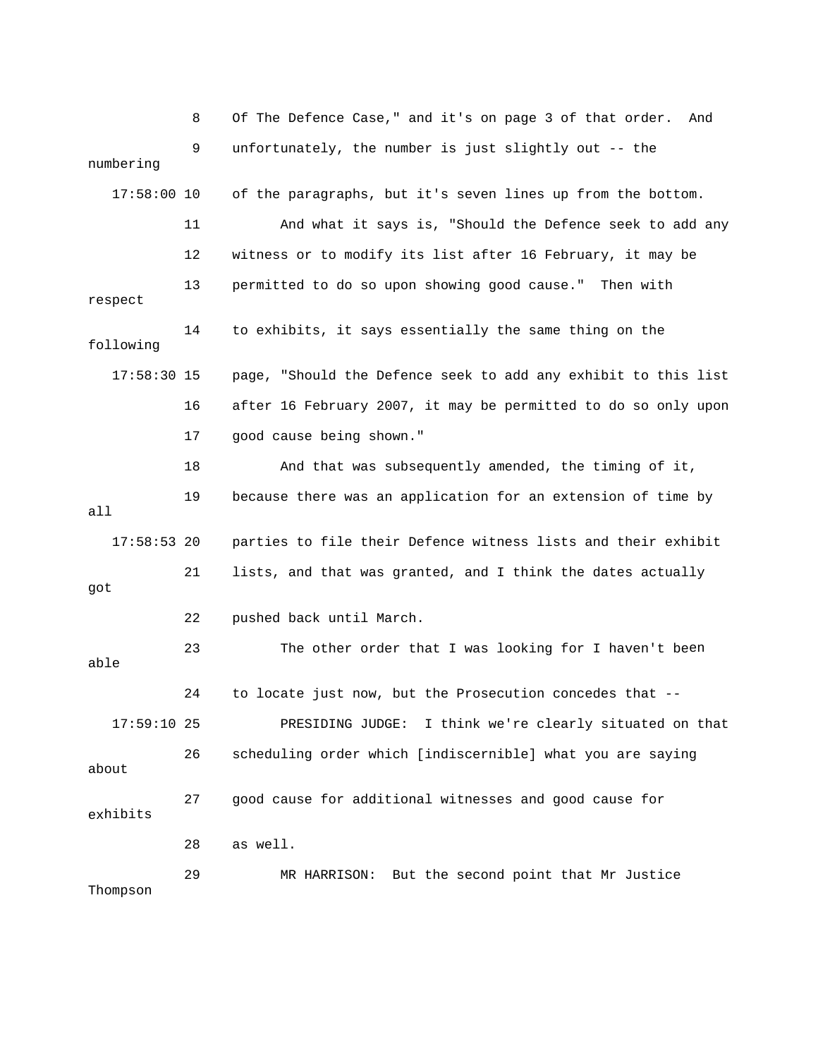8 Of The Defence Case," and it's on page 3 of that order. And 9 unfortunately, the number is just slightly out -- the numbering 17:58:00 10 of the paragraphs, but it's seven lines up from the bottom. ny 11 And what it says is, "Should the Defence seek to add a 12 witness or to modify its list after 16 February, it may be 17:58:30 15 page, "Should the Defence seek to add any exhibit to this list 16 after 16 February 2007, it may be permitted to do so only upon 18 And that was subsequently amended, the timing of it, 19 because there was an application for an extension of time by 17:58:53 20 parties to file their Defence witness lists and their exhibit 23 The other order that I was looking for I haven't been 17:59:10 25 PRESIDING JUDGE: I think we're clearly situated on that 27 good cause for additional witnesses and good cause for exhibits 29 MR HARRISON: But the second point that Mr Justice Thompson 13 permitted to do so upon showing good cause." Then with respect 14 to exhibits, it says essentially the same thing on the following 17 good cause being shown." all 21 lists, and that was granted, and I think the dates actually got 22 pushed back until March. able 24 to locate just now, but the Prosecution concedes that -- 26 scheduling order which [indiscernible] what you are saying about 28 as well.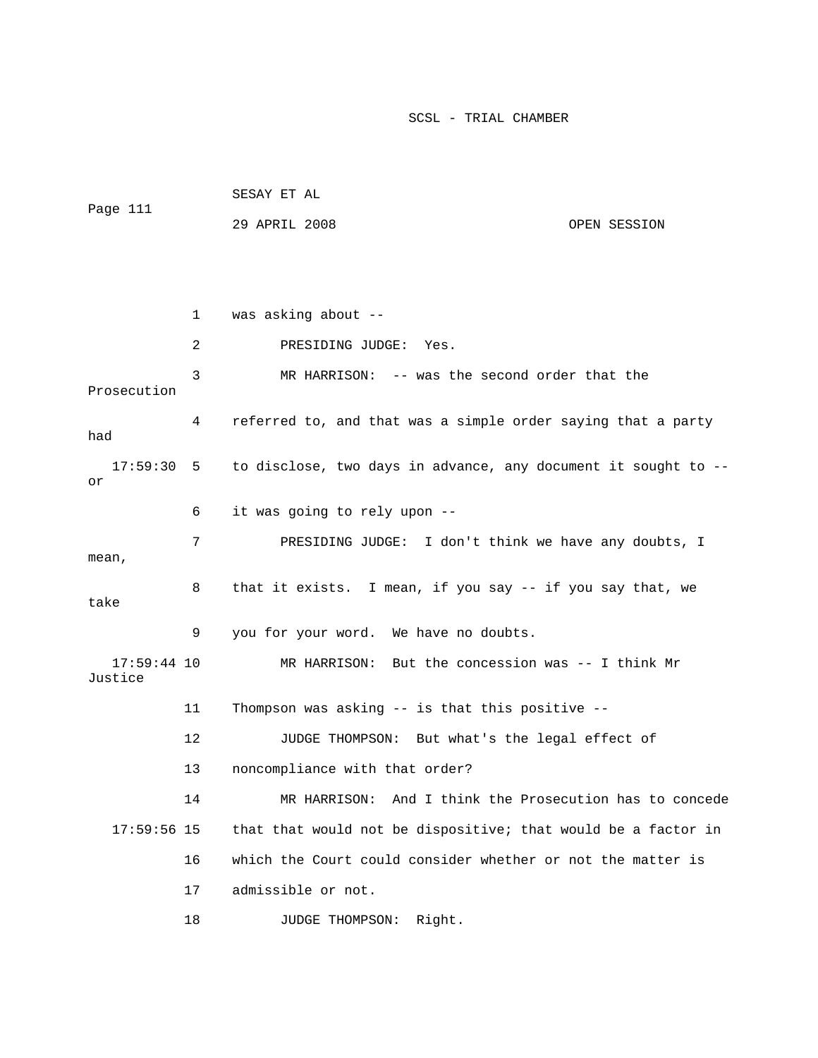1 was asking about -- 2 PRESIDING JUDGE: Yes. Prosecution 4 referred to, and that was a simple order saying that a party had 17:59:30 5 to disclose, two days in advance, any document it sought to -- 6 it was going to rely upon -- 7 PRESIDING JUDGE: I don't think we have any doubts, I 8 that it exists. I mean, if you say -- if you say that, we take 9 you for your word. We have no doubts. 17:59:44 10 MR HARRISON: But the concession was -- I think Mr 11 Thompson was asking -- is that this positive -- 13 noncompliance with that order? 14 MR HARRISON: And I think the Prosecution has to concede 16 which the Court could consider whether or not the matter is 18 JUDGE THOMPSON: Right. SESAY ET AL Page 111 29 APRIL 2008 OPEN SESSION 3 MR HARRISON: -- was the second order that the or mean, Justice 12 JUDGE THOMPSON: But what's the legal effect of 17:59:56 15 that that would not be dispositive; that would be a factor in 17 admissible or not.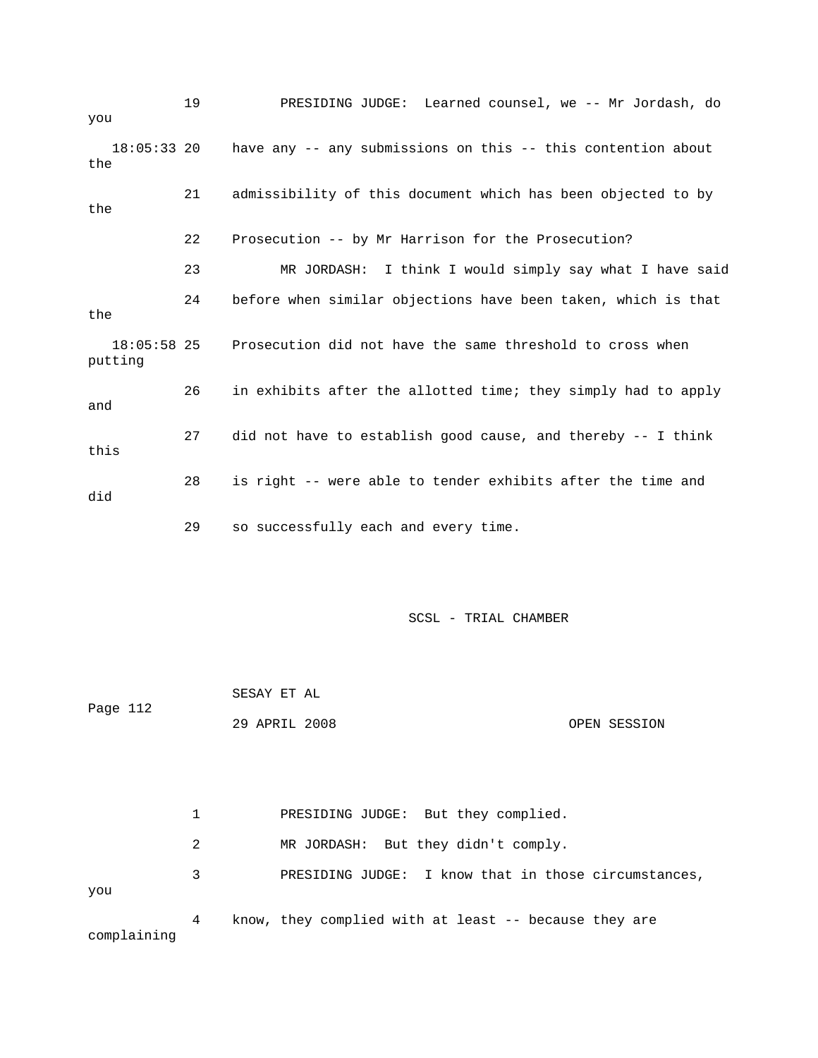19 PRESIDING JUDGE: Learned counsel, we -- Mr Jordash, d o you 18:05:33 20 have any -- any submissions on this -- this contention about 21 admissibility of this document which has been objected to by 22 Prosecution -- by Mr Harrison for the Prosecution? 23 MR JORDASH: I think I would simply say what I have said putting 26 in exhibits after the allotted time; they simply had to apply 27 did not have to establish good cause, and thereby -- I think this 28 is right -- were able to tender exhibits after the time and did the the 24 before when similar objections have been taken, which is that the 18:05:58 25 Prosecution did not have the same threshold to cross when and 29 so successfully each and every time.

SCSL - TRIAL CHAMBER

 SESAY ET AL 29 APRIL 2008 OPEN SESSION Page 112

1 PRESIDING JUDGE: But they complied. 3 PRESIDING JUDGE: I know that in those circumstances, 4 know, they complied with at least -- because they are complaining 2 MR JORDASH: But they didn't comply. you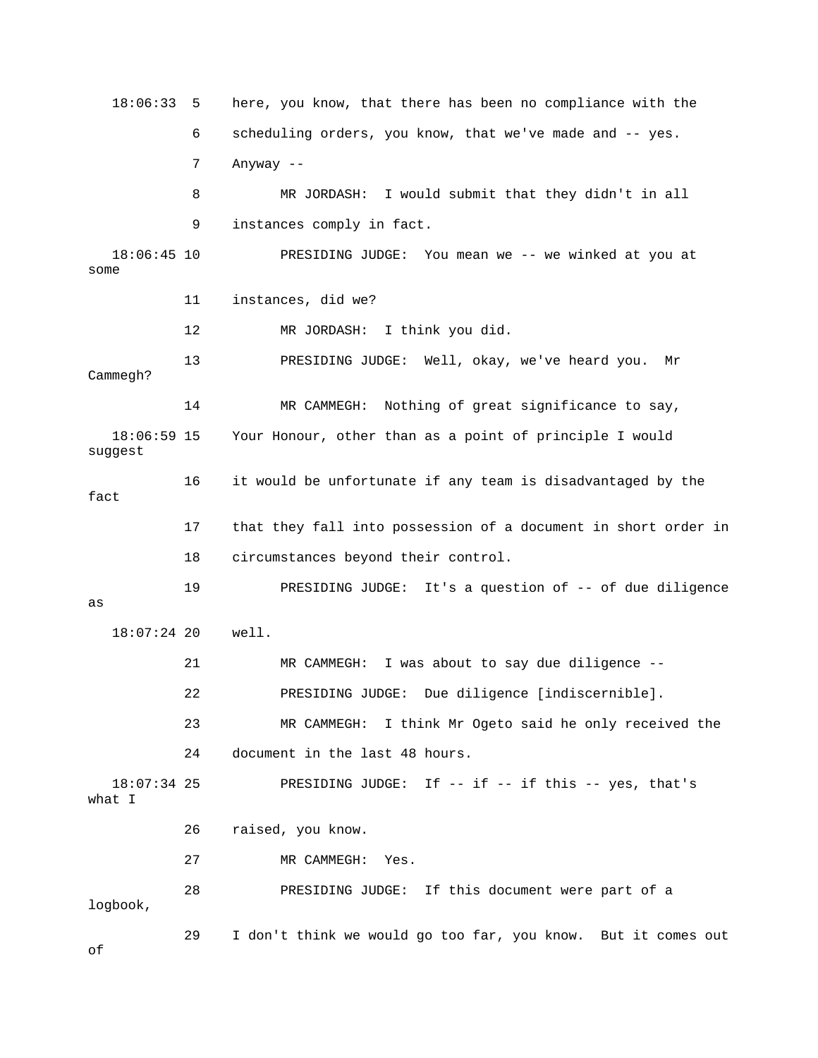18:06:33 5 here, you know, that there has been no compliance with the 6 scheduling orders, you know, that we've made and -- yes. 7 Anyway -- 18:06:45 10 PRESIDING JUDGE: You mean we -- we winked at you at some 12 MR JORDASH: I think you did. 13 PRESIDING JUDGE: Well, okay, we've heard you. Mr 14 MR CAMMEGH: Nothing of great significance to say, 5 Your Honour, other than as a point of principle I would suggest 16 it would be unfortunate if any team is disadvantaged by the 17 that they fall into possession of a document in short order in s a question of -- of due diligence 19 PRESIDING JUDGE: It' 18:07:24 20 well. 21 MR CAMMEGH: I was about to say due diligence -- [indiscernible]. 22 PRESIDING JUDGE: Due diligence 23 MR CAMMEGH: I think Mr Ogeto said he only received the 24 document in the last 48 hours. 18:07:34 25 PRESIDING JUDGE: If -- if -- if this -- yes, that's 26 raised, you know. 27 MR CAMMEGH: Yes. 29 I don't think we would go too far, you know. But it comes out of 8 MR JORDASH: I would submit that they didn't in all 9 instances comply in fact. 11 instances, did we? Cammegh? 18:06:59 1 fact 18 circumstances beyond their control. as what I 28 PRESIDING JUDGE: If this document were part of a logbook,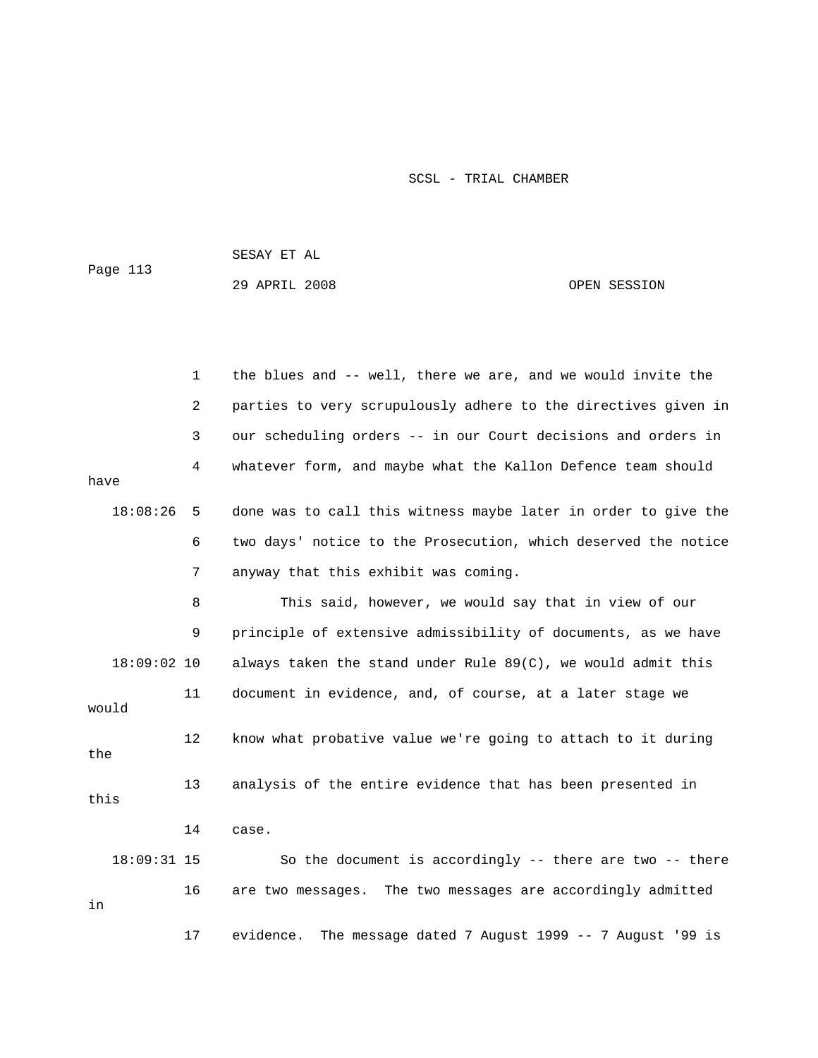SESAY ET AL

Page 113

29 APRIL 2008 OPEN SESSION

1 the blues and -- well, there we are, and we would invite the 2 parties to very scrupulously adhere to the directives given in 4 whatever form, and maybe what the Kallon Defence team should have 18:08:26 5 done was to call this witness maybe later in order to give the 6 two days' notice to the Prosecution, which deserved the notice 8 This said, however, we would say that in view of our e 9 principle of extensive admissibility of documents, as we hav 18:09:02 10 always taken the stand under Rule 89(C), we would admit this 11 document in evidence, and, of course, at a later stage we would 12 know what probative value we're going to attach to it during 14 case. So the document is accordingly  $-$ - there are two  $-$ - there 3 our scheduling orders -- in our Court decisions and orders in 7 anyway that this exhibit was coming. the 13 analysis of the entire evidence that has been presented in this 18:09:31 15 16 are two messages. The two messages are accordingly admitted in 17 evidence. The message dated 7 August 1999 -- 7 August '99 is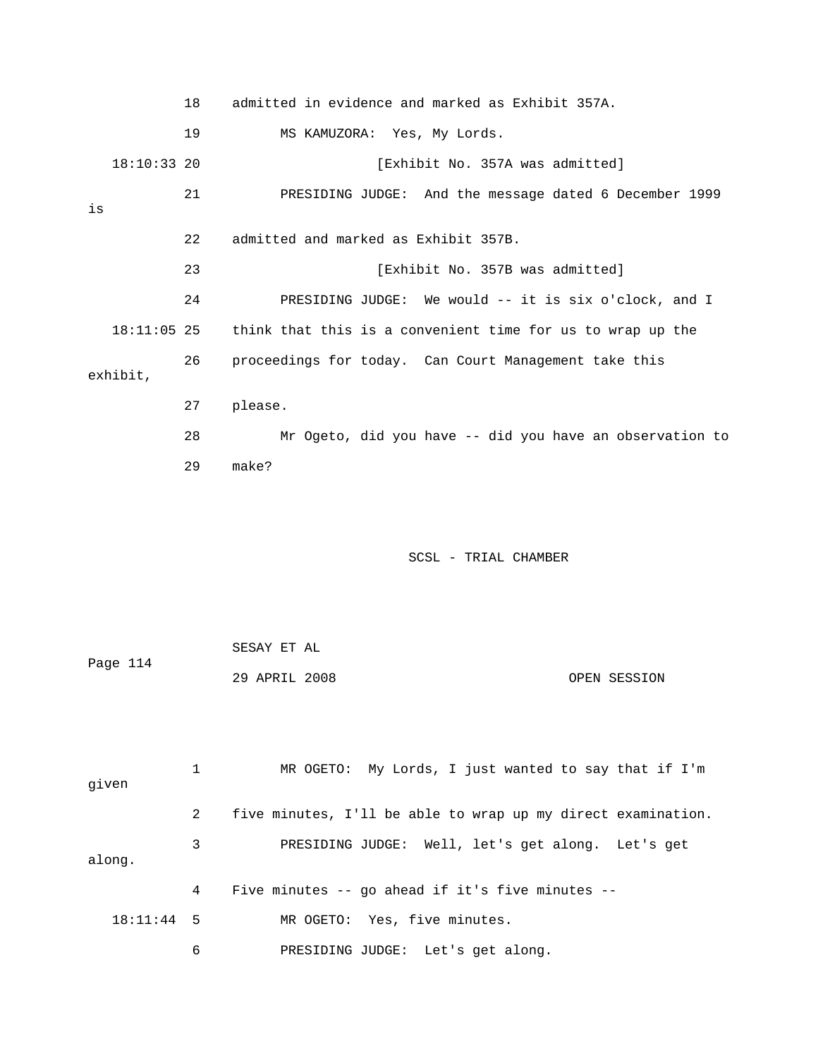|    |               | 18 | admitted in evidence and marked as Exhibit 357A.                       |
|----|---------------|----|------------------------------------------------------------------------|
|    |               | 19 | MS KAMUZORA: Yes, My Lords.                                            |
|    | $18:10:33$ 20 |    | [Exhibit No. 357A was admitted]                                        |
| is |               | 21 | PRESIDING JUDGE: And the message dated 6 December 1999                 |
|    |               | 22 | admitted and marked as Exhibit 357B.                                   |
|    |               | 23 | [Exhibit No. 357B was admitted]                                        |
|    |               | 24 | PRESIDING JUDGE: We would -- it is six o'clock, and I                  |
|    |               |    | 18:11:05 25 think that this is a convenient time for us to wrap up the |
|    | exhibit,      | 26 | proceedings for today. Can Court Management take this                  |
|    |               | 27 | please.                                                                |
|    |               | 28 | Mr Ogeto, did you have -- did you have an observation to               |
|    |               | 29 | make?                                                                  |

|          | SESAY ET AL   |  |              |
|----------|---------------|--|--------------|
| Page 114 |               |  |              |
|          | 29 APRIL 2008 |  | OPEN SESSION |

| given        |   | MR OGETO: My Lords, I just wanted to say that if I'm         |
|--------------|---|--------------------------------------------------------------|
|              | 2 | five minutes, I'll be able to wrap up my direct examination. |
| along.       | 3 | PRESIDING JUDGE: Well, let's get along. Let's get            |
|              | 4 | Five minutes $-$ qo ahead if it's five minutes $-$           |
| $18:11:44$ 5 |   | MR OGETO: Yes, five minutes.                                 |
|              | 6 | PRESIDING JUDGE: Let's get along.                            |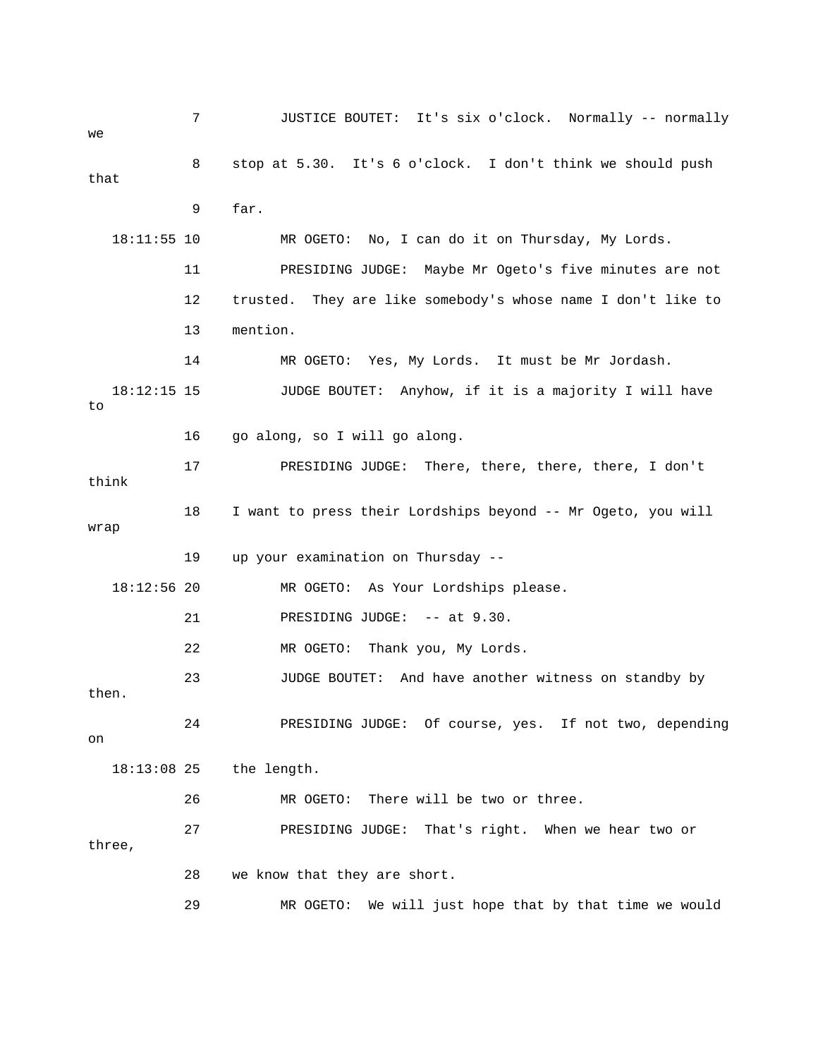7 JUSTICE BOUTET: It's six o'clock. Normally -- normally 8 stop at 5.30. It's 6 o'clock. I don't think we should push that 18:11:55 10 MR OGETO: No, I can do it on Thursday, My Lords. 11 PRESIDING JUDGE: Maybe Mr Ogeto's five minutes are not 12 trusted. They are like somebody's whose name I don't like to 13 mention. 18:12:15 15 JUDGE BOUTET: Anyhow, if it is a majority I will have 17 PRESIDING JUDGE: There, there, there, there, I don't 18 I want to press their Lordships beyond -- Mr Ogeto, you will 19 up your examination on Thursday -- MR OGETO: As Your Lordships please. PRESIDING JUDGE: -- at 9.30. then. 24 PRESIDING JUDGE: Of course, yes. If not two, depending 27 PRESIDING JUDGE: That's right. When we hear two or we 9 far. 14 MR OGETO: Yes, My Lords. It must be Mr Jordash. to 16 go along, so I will go along. think wrap  $18:12:56$  20 21 22 MR OGETO: Thank you, My Lords. 23 JUDGE BOUTET: And have another witness on standby by on 18:13:08 25 the length. 26 MR OGETO: There will be two or three. three, 28 we know that they are short. 29 MR OGETO: We will just hope that by that time we would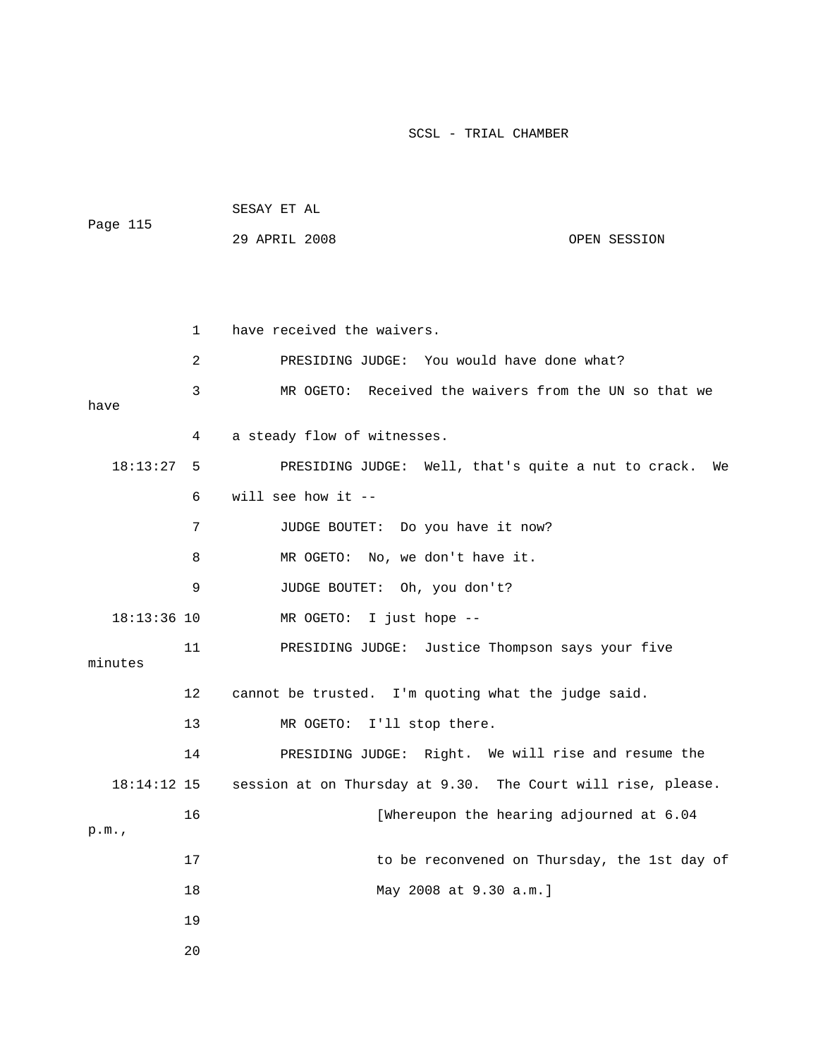| Page 115         |    | SESAY ET AL                                         |                                                              |
|------------------|----|-----------------------------------------------------|--------------------------------------------------------------|
|                  |    | 29 APRIL 2008                                       | OPEN SESSION                                                 |
|                  |    |                                                     |                                                              |
|                  |    |                                                     |                                                              |
|                  | 1  | have received the waivers.                          |                                                              |
|                  | 2  | PRESIDING JUDGE: You would have done what?          |                                                              |
| have<br>18:13:27 | 3  |                                                     | MR OGETO: Received the waivers from the UN so that we        |
|                  | 4  | a steady flow of witnesses.                         |                                                              |
|                  | 5  |                                                     | PRESIDING JUDGE: Well, that's quite a nut to crack.<br>We    |
|                  | 6  | will see how it $-$                                 |                                                              |
|                  | 7  | JUDGE BOUTET: Do you have it now?                   |                                                              |
|                  | 8  | MR OGETO: No, we don't have it.                     |                                                              |
|                  | 9  | JUDGE BOUTET: Oh, you don't?                        |                                                              |
| $18:13:36$ 10    |    | MR OGETO: I just hope --                            |                                                              |
| minutes          | 11 |                                                     | PRESIDING JUDGE: Justice Thompson says your five             |
|                  | 12 | cannot be trusted. I'm quoting what the judge said. |                                                              |
|                  | 13 | MR OGETO: I'll stop there.                          |                                                              |
|                  | 14 |                                                     | PRESIDING JUDGE: Right. We will rise and resume the          |
| 18:14:12 15      |    |                                                     | session at on Thursday at 9.30. The Court will rise, please. |
|                  | 16 |                                                     | [Whereupon the hearing adjourned at 6.04                     |
| p.m.             |    |                                                     |                                                              |
|                  | 17 |                                                     | to be reconvened on Thursday, the 1st day of                 |
|                  | 18 | May 2008 at 9.30 a.m.]                              |                                                              |
|                  | 19 |                                                     |                                                              |
|                  | 20 |                                                     |                                                              |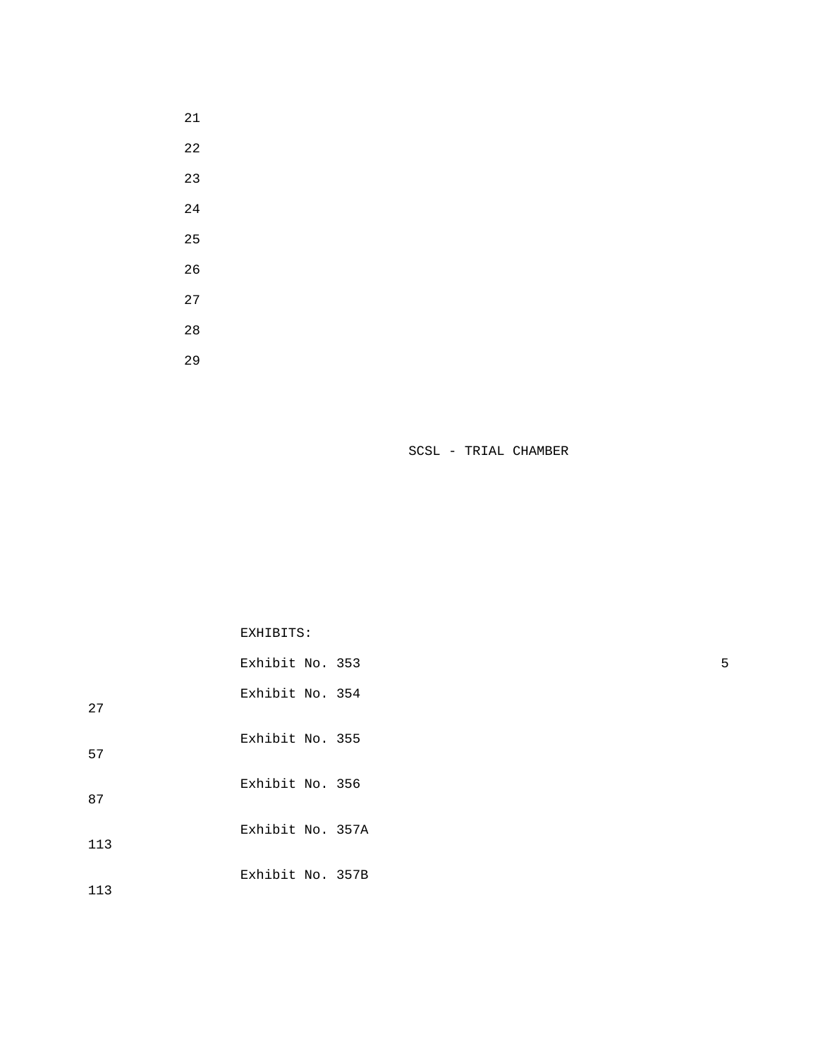- 
- 
- 
- 
- 
- 
- 
- 
- 

EXHIBITS:

|     | Exhibit No. 353  | 5 |
|-----|------------------|---|
| 27  | Exhibit No. 354  |   |
| 57  | Exhibit No. 355  |   |
| 87  | Exhibit No. 356  |   |
| 113 | Exhibit No. 357A |   |
| 113 | Exhibit No. 357B |   |